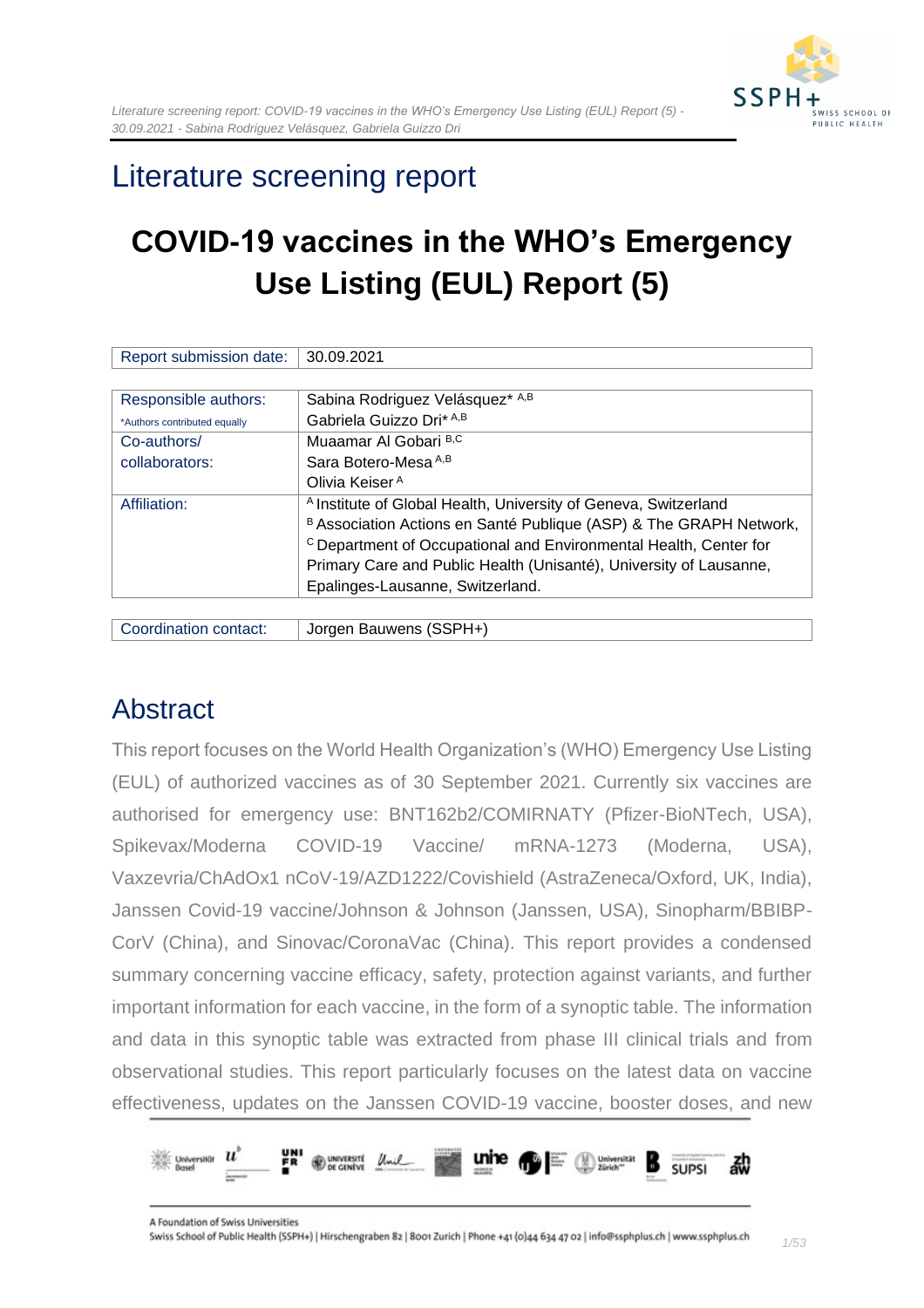

# Literature screening report

# **COVID-19 vaccines in the WHO's Emergency Use Listing (EUL) Report (5)**

| Report submission date:      | 30.09.2021                                                                   |
|------------------------------|------------------------------------------------------------------------------|
|                              |                                                                              |
| Responsible authors:         | Sabina Rodriguez Velásquez* A,B                                              |
| *Authors contributed equally | Gabriela Guizzo Dri* A,B                                                     |
| Co-authors/                  | Muaamar Al Gobari B,C                                                        |
| collaborators:               | Sara Botero-Mesa A,B                                                         |
|                              | Olivia Keiser <sup>A</sup>                                                   |
| Affiliation:                 | <sup>A</sup> Institute of Global Health, University of Geneva, Switzerland   |
|                              | B Association Actions en Santé Publique (ASP) & The GRAPH Network,           |
|                              | <sup>c</sup> Department of Occupational and Environmental Health, Center for |
|                              | Primary Care and Public Health (Unisanté), University of Lausanne,           |
|                              | Epalinges-Lausanne, Switzerland.                                             |
|                              |                                                                              |

| Coordination contact: | Jorgen Bauwens (SSPH+) |
|-----------------------|------------------------|
|                       |                        |

## <span id="page-0-0"></span>Abstract

This report focuses on the World Health Organization's (WHO) Emergency Use Listing (EUL) of authorized vaccines as of 30 September 2021. Currently six vaccines are authorised for emergency use: BNT162b2/COMIRNATY (Pfizer-BioNTech, USA), Spikevax/Moderna COVID-19 Vaccine/ mRNA-1273 (Moderna, USA), Vaxzevria/ChAdOx1 nCoV-19/AZD1222/Covishield (AstraZeneca/Oxford, UK, India), Janssen Covid-19 vaccine/Johnson & Johnson (Janssen, USA), Sinopharm/BBIBP-CorV (China), and Sinovac/CoronaVac (China). This report provides a condensed summary concerning vaccine efficacy, safety, protection against variants, and further important information for each vaccine, in the form of a synoptic table. The information and data in this synoptic table was extracted from phase III clinical trials and from observational studies. This report particularly focuses on the latest data on vaccine effectiveness, updates on the Janssen COVID-19 vaccine, booster doses, and new

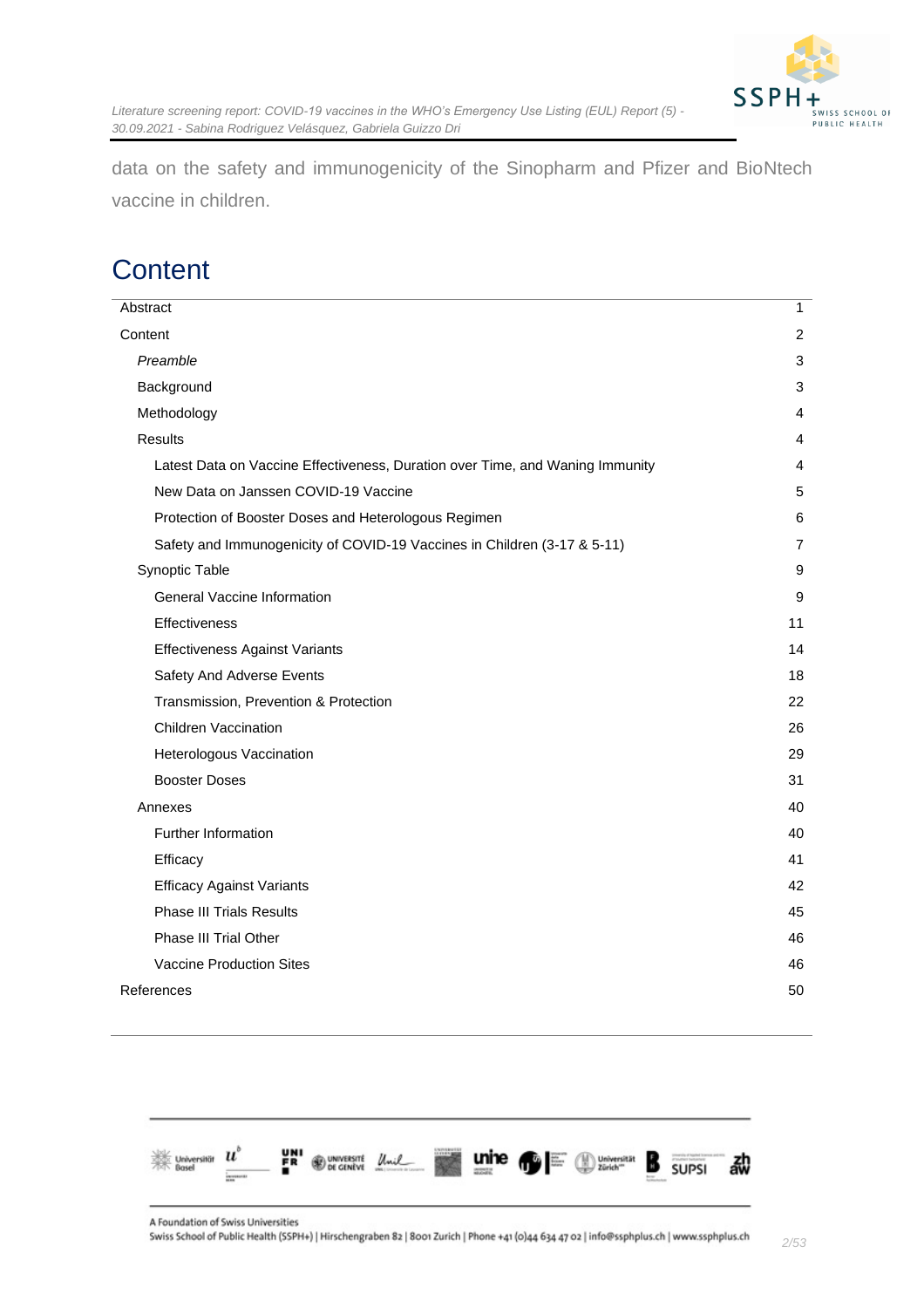

data on the safety and immunogenicity of the Sinopharm and Pfizer and BioNtech vaccine in children.

## <span id="page-1-0"></span>**Content**

| Abstract                                                                      | $\mathbf{1}$   |
|-------------------------------------------------------------------------------|----------------|
| Content                                                                       | 2              |
| Preamble                                                                      | 3              |
| Background                                                                    | 3              |
| Methodology                                                                   | 4              |
| <b>Results</b>                                                                | 4              |
| Latest Data on Vaccine Effectiveness, Duration over Time, and Waning Immunity | 4              |
| New Data on Janssen COVID-19 Vaccine                                          | 5              |
| Protection of Booster Doses and Heterologous Regimen                          | 6              |
| Safety and Immunogenicity of COVID-19 Vaccines in Children (3-17 & 5-11)      | $\overline{7}$ |
| Synoptic Table                                                                | 9              |
| General Vaccine Information                                                   | 9              |
| <b>Effectiveness</b>                                                          | 11             |
| <b>Effectiveness Against Variants</b>                                         | 14             |
| Safety And Adverse Events                                                     | 18             |
| Transmission, Prevention & Protection                                         | 22             |
| <b>Children Vaccination</b>                                                   | 26             |
| Heterologous Vaccination                                                      | 29             |
| <b>Booster Doses</b>                                                          | 31             |
| Annexes                                                                       | 40             |
| Further Information                                                           | 40             |
| Efficacy                                                                      | 41             |
| <b>Efficacy Against Variants</b>                                              | 42             |
| <b>Phase III Trials Results</b>                                               | 45             |
| <b>Phase III Trial Other</b>                                                  | 46             |
| Vaccine Production Sites                                                      | 46             |
| References                                                                    | 50             |
|                                                                               |                |

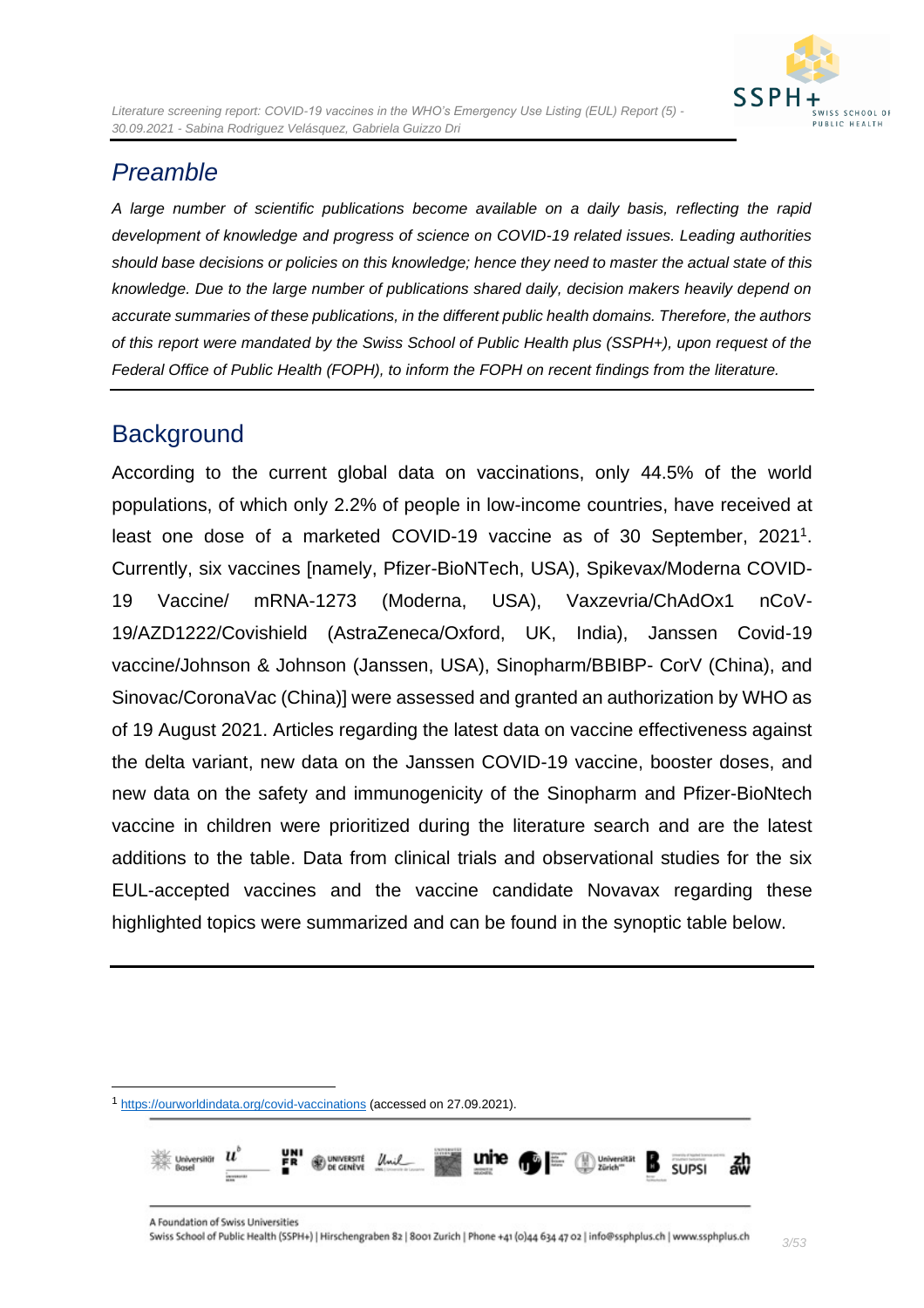### <span id="page-2-0"></span>*Preamble*

*A large number of scientific publications become available on a daily basis, reflecting the rapid development of knowledge and progress of science on COVID-19 related issues. Leading authorities should base decisions or policies on this knowledge; hence they need to master the actual state of this knowledge. Due to the large number of publications shared daily, decision makers heavily depend on accurate summaries of these publications, in the different public health domains. Therefore, the authors of this report were mandated by the Swiss School of Public Health plus (SSPH+), upon request of the Federal Office of Public Health (FOPH), to inform the FOPH on recent findings from the literature.*

### <span id="page-2-1"></span>**Background**

According to the current global data on vaccinations, only 44.5% of the world populations, of which only 2.2% of people in low-income countries, have received at least one dose of a marketed COVID-19 vaccine as of 30 September, 2021<sup>1</sup>. Currently, six vaccines [namely, Pfizer-BioNTech, USA), Spikevax/Moderna COVID-19 Vaccine/ mRNA-1273 (Moderna, USA), Vaxzevria/ChAdOx1 nCoV-19/AZD1222/Covishield (AstraZeneca/Oxford, UK, India), Janssen Covid-19 vaccine/Johnson & Johnson (Janssen, USA), Sinopharm/BBIBP- CorV (China), and Sinovac/CoronaVac (China)] were assessed and granted an authorization by WHO as of 19 August 2021. Articles regarding the latest data on vaccine effectiveness against the delta variant, new data on the Janssen COVID-19 vaccine, booster doses, and new data on the safety and immunogenicity of the Sinopharm and Pfizer-BioNtech vaccine in children were prioritized during the literature search and are the latest additions to the table. Data from clinical trials and observational studies for the six EUL-accepted vaccines and the vaccine candidate Novavax regarding these highlighted topics were summarized and can be found in the synoptic table below.

unine A UNIVERSITÉ<br>DE GENÈVE SLIPSI

<sup>1</sup> <https://ourworldindata.org/covid-vaccinations> (accessed on 27.09.2021).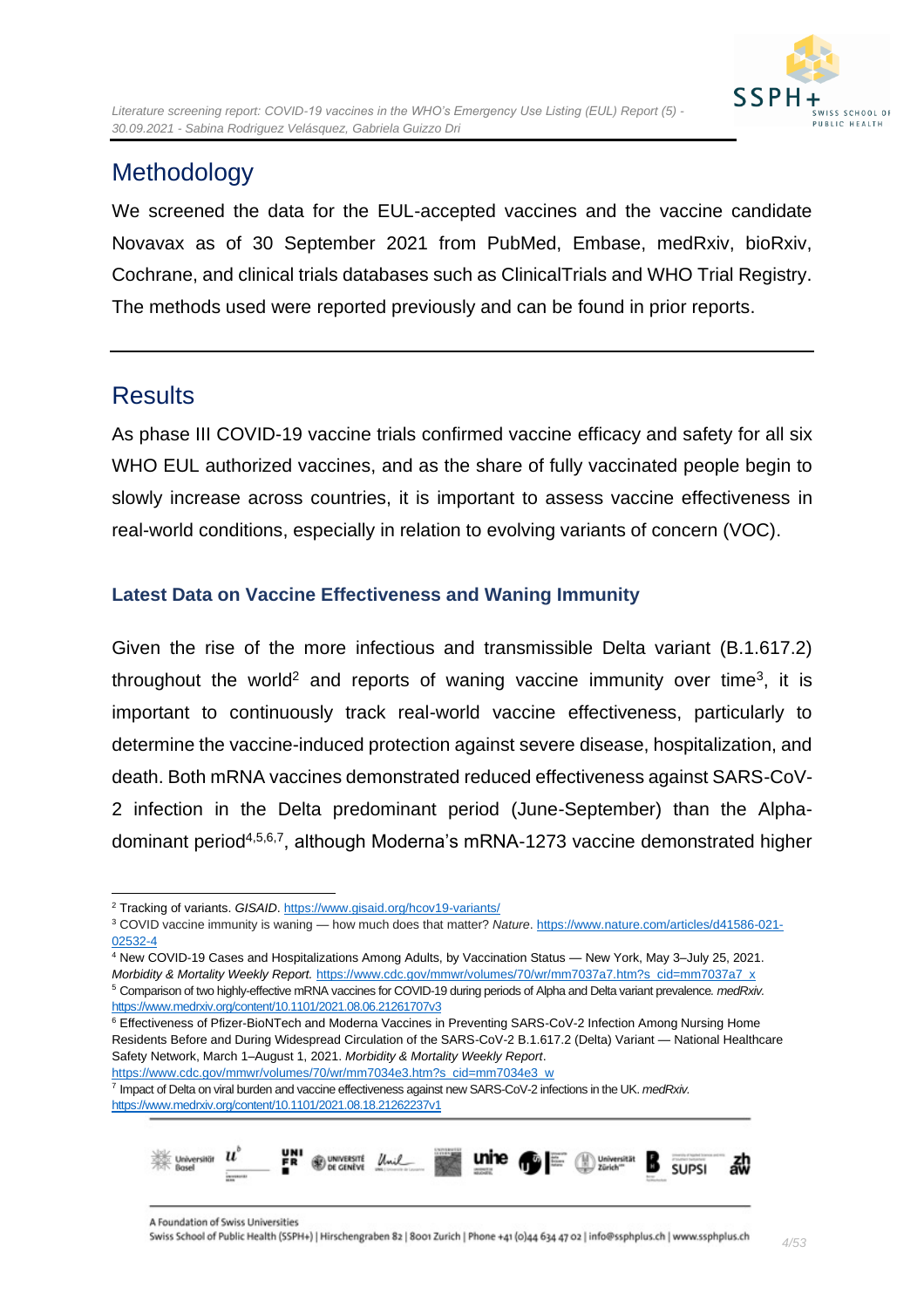## <span id="page-3-0"></span>**Methodology**

We screened the data for the EUL-accepted vaccines and the vaccine candidate Novavax as of 30 September 2021 from PubMed, Embase, medRxiv, bioRxiv, Cochrane, and clinical trials databases such as ClinicalTrials and WHO Trial Registry. The methods used were reported previously and can be found in prior reports.

### <span id="page-3-1"></span>**Results**

As phase III COVID-19 vaccine trials confirmed vaccine efficacy and safety for all six WHO EUL authorized vaccines, and as the share of fully vaccinated people begin to slowly increase across countries, it is important to assess vaccine effectiveness in real-world conditions, especially in relation to evolving variants of concern (VOC).

#### <span id="page-3-2"></span>**Latest Data on Vaccine Effectiveness and Waning Immunity**

Given the rise of the more infectious and transmissible Delta variant (B.1.617.2) throughout the world<sup>2</sup> and reports of waning vaccine immunity over time<sup>3</sup>, it is important to continuously track real-world vaccine effectiveness, particularly to determine the vaccine-induced protection against severe disease, hospitalization, and death. Both mRNA vaccines demonstrated reduced effectiveness against SARS-CoV-2 infection in the Delta predominant period (June-September) than the Alphadominant period<sup>4,5,6,7</sup>, although Moderna's mRNA-1273 vaccine demonstrated higher

<sup>4</sup> New COVID-19 Cases and Hospitalizations Among Adults, by Vaccination Status — New York, May 3–July 25, 2021.

<sup>7</sup> Impact of Delta on viral burden and vaccine effectiveness against new SARS-CoV-2 infections in the UK. *medRxiv.* <https://www.medrxiv.org/content/10.1101/2021.08.18.21262237v1>



<sup>&</sup>lt;sup>2</sup> Tracking of variants. GISAID.<https://www.gisaid.org/hcov19-variants/>

<sup>3</sup> COVID vaccine immunity is waning — how much does that matter? *Nature*[. https://www.nature.com/articles/d41586-021-](https://www.nature.com/articles/d41586-021-02532-4) [02532-4](https://www.nature.com/articles/d41586-021-02532-4)

*Morbidity & Mortality Weekly Report.* [https://www.cdc.gov/mmwr/volumes/70/wr/mm7037a7.htm?s\\_cid=mm7037a7\\_x](https://www.cdc.gov/mmwr/volumes/70/wr/mm7037a7.htm?s_cid=mm7037a7_x) <sup>5</sup> Comparison of two highly-effective mRNA vaccines for COVID-19 during periods of Alpha and Delta variant prevalence*. medRxiv.* <https://www.medrxiv.org/content/10.1101/2021.08.06.21261707v3>

<sup>6</sup> Effectiveness of Pfizer-BioNTech and Moderna Vaccines in Preventing SARS-CoV-2 Infection Among Nursing Home Residents Before and During Widespread Circulation of the SARS-CoV-2 B.1.617.2 (Delta) Variant — National Healthcare Safety Network, March 1–August 1, 2021. *Morbidity & Mortality Weekly Report*. [https://www.cdc.gov/mmwr/volumes/70/wr/mm7034e3.htm?s\\_cid=mm7034e3\\_w](https://www.cdc.gov/mmwr/volumes/70/wr/mm7034e3.htm?s_cid=mm7034e3_w)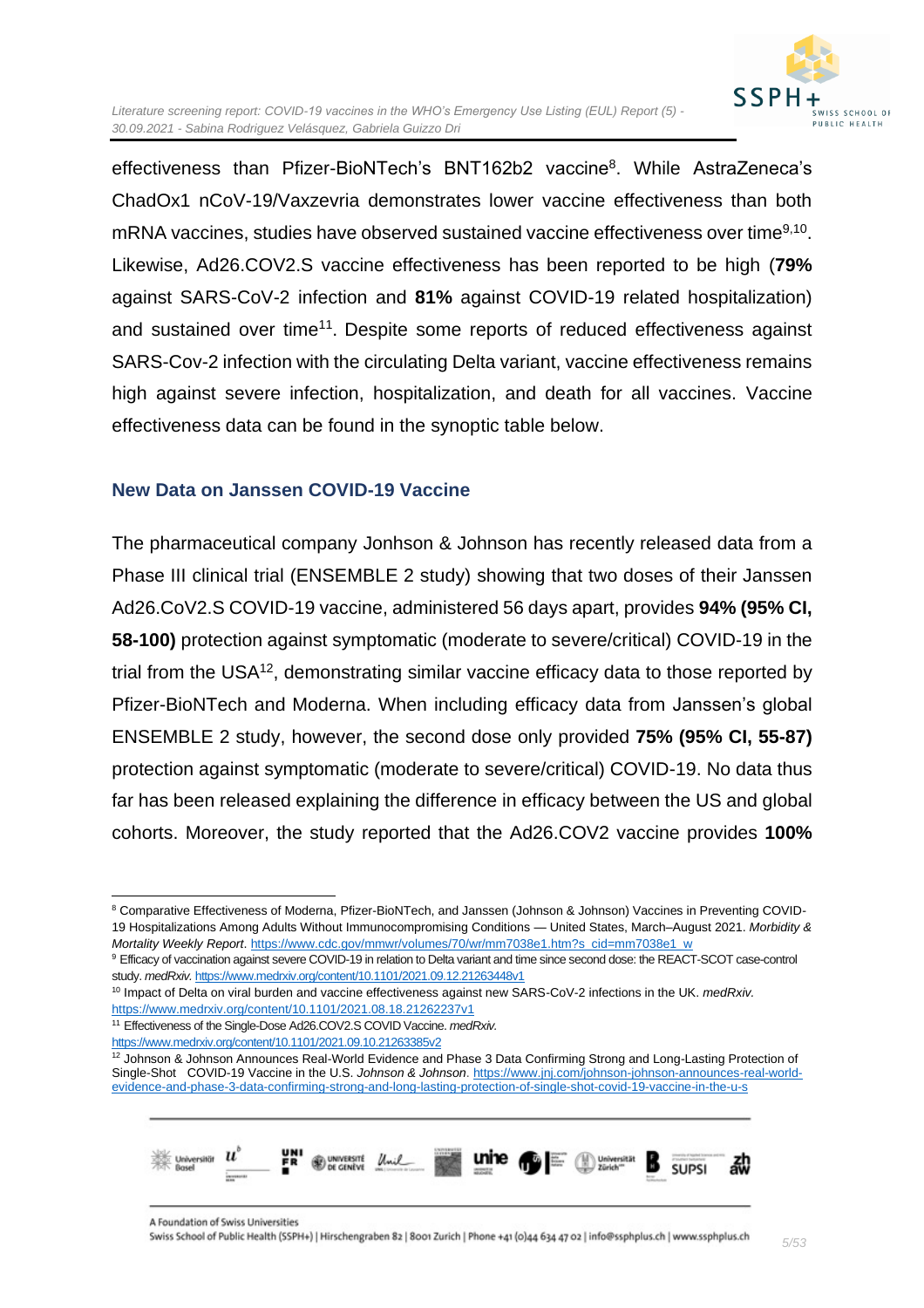

effectiveness than Pfizer-BioNTech's BNT162b2 vaccine<sup>8</sup>. While AstraZeneca's ChadOx1 nCoV-19/Vaxzevria demonstrates lower vaccine effectiveness than both mRNA vaccines, studies have observed sustained vaccine effectiveness over time<sup>9,10</sup>. Likewise, Ad26.COV2.S vaccine effectiveness has been reported to be high (**79%** against SARS-CoV-2 infection and **81%** against COVID-19 related hospitalization) and sustained over time<sup>11</sup>. Despite some reports of reduced effectiveness against SARS-Cov-2 infection with the circulating Delta variant, vaccine effectiveness remains high against severe infection, hospitalization, and death for all vaccines. Vaccine effectiveness data can be found in the synoptic table below.

#### <span id="page-4-0"></span>**New Data on Janssen COVID-19 Vaccine**

The pharmaceutical company Jonhson & Johnson has recently released data from a Phase III clinical trial (ENSEMBLE 2 study) showing that two doses of their Janssen Ad26.CoV2.S COVID-19 vaccine, administered 56 days apart, provides **94% (95% CI, 58-100)** protection against symptomatic (moderate to severe/critical) COVID-19 in the trial from the USA<sup>12</sup>, demonstrating similar vaccine efficacy data to those reported by Pfizer-BioNTech and Moderna. When including efficacy data from Janssen's global ENSEMBLE 2 study, however, the second dose only provided **75% (95% CI, 55-87)** protection against symptomatic (moderate to severe/critical) COVID-19. No data thus far has been released explaining the difference in efficacy between the US and global cohorts. Moreover, the study reported that the Ad26.COV2 vaccine provides **100%** 

<sup>&</sup>lt;sup>12</sup> Johnson & Johnson Announces Real-World Evidence and Phase 3 Data Confirming Strong and Long-Lasting Protection of Single-Shot COVID-19 Vaccine in the U.S. *Johnson & Johnson*[. https://www.jnj.com/johnson-johnson-announces-real-world](https://www.jnj.com/johnson-johnson-announces-real-world-evidence-and-phase-3-data-confirming-strong-and-long-lasting-protection-of-single-shot-covid-19-vaccine-in-the-u-s)[evidence-and-phase-3-data-confirming-strong-and-long-lasting-protection-of-single-shot-covid-19-vaccine-in-the-u-s](https://www.jnj.com/johnson-johnson-announces-real-world-evidence-and-phase-3-data-confirming-strong-and-long-lasting-protection-of-single-shot-covid-19-vaccine-in-the-u-s)



<sup>&</sup>lt;sup>8</sup> Comparative Effectiveness of Moderna, Pfizer-BioNTech, and Janssen (Johnson & Johnson) Vaccines in Preventing COVID-19 Hospitalizations Among Adults Without Immunocompromising Conditions — United States, March–August 2021. *Morbidity & Mortality Weekly Report*[. https://www.cdc.gov/mmwr/volumes/70/wr/mm7038e1.htm?s\\_cid=mm7038e1\\_w](https://www.cdc.gov/mmwr/volumes/70/wr/mm7038e1.htm?s_cid=mm7038e1_w)

<sup>9</sup> Efficacy of vaccination against severe COVID-19 in relation to Delta variant and time since second dose: the REACT-SCOT case-control study. *medRxiv.* <https://www.medrxiv.org/content/10.1101/2021.09.12.21263448v1>

<sup>10</sup> Impact of Delta on viral burden and vaccine effectiveness against new SARS-CoV-2 infections in the UK. *medRxiv.*  <https://www.medrxiv.org/content/10.1101/2021.08.18.21262237v1>

<sup>11</sup> Effectiveness of the Single-Dose Ad26.COV2.S COVID Vaccine. *medRxiv.* 

<https://www.medrxiv.org/content/10.1101/2021.09.10.21263385v2>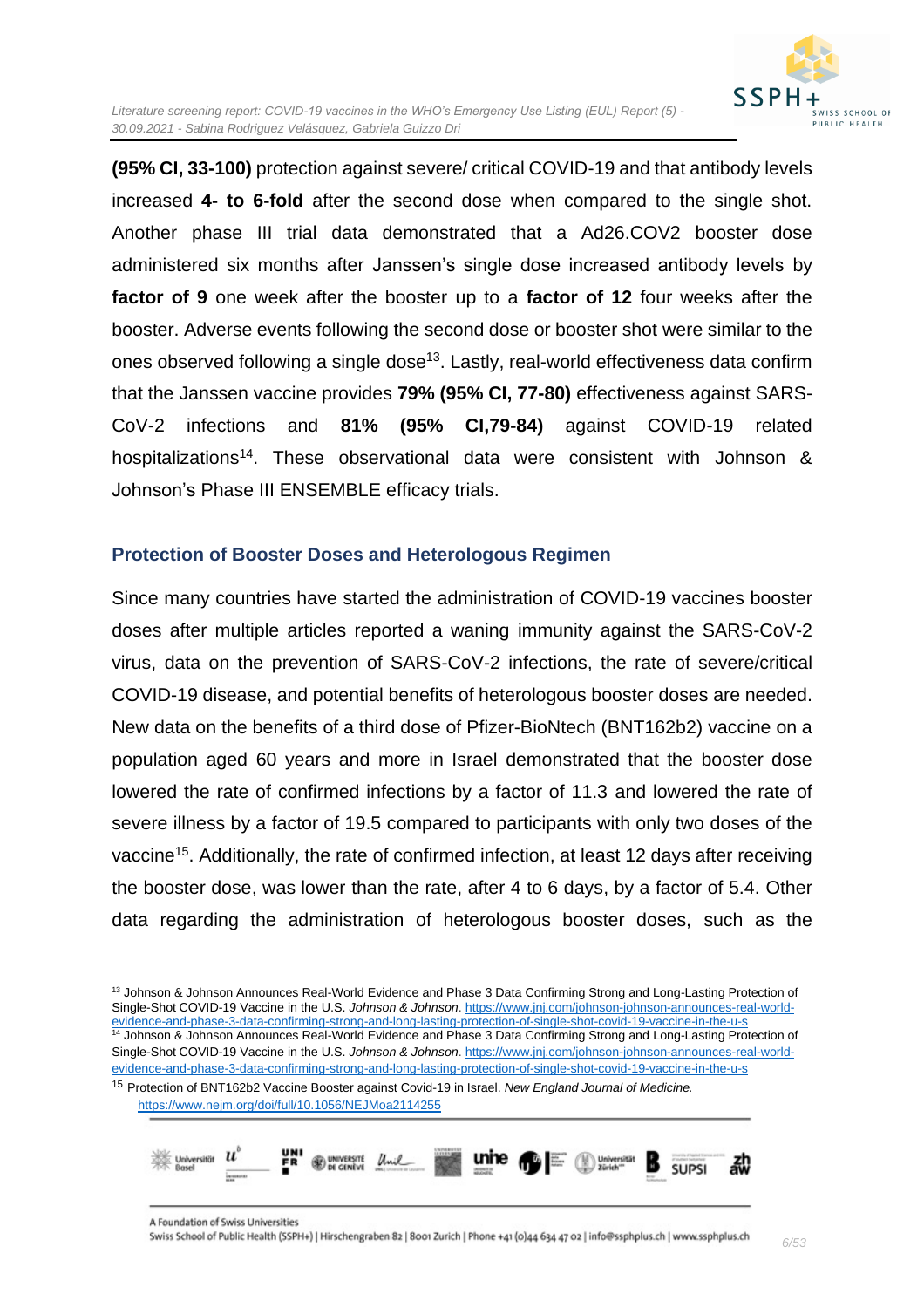

**(95% CI, 33-100)** protection against severe/ critical COVID-19 and that antibody levels increased **4- to 6-fold** after the second dose when compared to the single shot. Another phase III trial data demonstrated that a Ad26.COV2 booster dose administered six months after Janssen's single dose increased antibody levels by **factor of 9** one week after the booster up to a **factor of 12** four weeks after the booster. Adverse events following the second dose or booster shot were similar to the ones observed following a single dose<sup>13</sup>. Lastly, real-world effectiveness data confirm that the Janssen vaccine provides **79% (95% CI, 77-80)** effectiveness against SARS-CoV-2 infections and **81% (95% CI,79-84)** against COVID-19 related hospitalizations<sup>14</sup>. These observational data were consistent with Johnson & Johnson's Phase III ENSEMBLE efficacy trials.

#### <span id="page-5-0"></span>**Protection of Booster Doses and Heterologous Regimen**

Since many countries have started the administration of COVID-19 vaccines booster doses after multiple articles reported a waning immunity against the SARS-CoV-2 virus, data on the prevention of SARS-CoV-2 infections, the rate of severe/critical COVID-19 disease, and potential benefits of heterologous booster doses are needed. New data on the benefits of a third dose of Pfizer-BioNtech (BNT162b2) vaccine on a population aged 60 years and more in Israel demonstrated that the booster dose lowered the rate of confirmed infections by a factor of 11.3 and lowered the rate of severe illness by a factor of 19.5 compared to participants with only two doses of the vaccine<sup>15</sup>. Additionally, the rate of confirmed infection, at least 12 days after receiving the booster dose, was lower than the rate, after 4 to 6 days, by a factor of 5.4. Other data regarding the administration of heterologous booster doses, such as the

[evidence-and-phase-3-data-confirming-strong-and-long-lasting-protection-of-single-shot-covid-19-vaccine-in-the-u-s](https://www.jnj.com/johnson-johnson-announces-real-world-evidence-and-phase-3-data-confirming-strong-and-long-lasting-protection-of-single-shot-covid-19-vaccine-in-the-u-s) <sup>15</sup> Protection of BNT162b2 Vaccine Booster against Covid-19 in Israel. *New England Journal of Medicine.*  <https://www.nejm.org/doi/full/10.1056/NEJMoa2114255>



<sup>&</sup>lt;sup>13</sup> Johnson & Johnson Announces Real-World Evidence and Phase 3 Data Confirming Strong and Long-Lasting Protection of Single-Shot COVID-19 Vaccine in the U.S. *Johnson & Johnson*[. https://www.jnj.com/johnson-johnson-announces-real-world](https://www.jnj.com/johnson-johnson-announces-real-world-evidence-and-phase-3-data-confirming-strong-and-long-lasting-protection-of-single-shot-covid-19-vaccine-in-the-u-s)[evidence-and-phase-3-data-confirming-strong-and-long-lasting-protection-of-single-shot-covid-19-vaccine-in-the-u-s](https://www.jnj.com/johnson-johnson-announces-real-world-evidence-and-phase-3-data-confirming-strong-and-long-lasting-protection-of-single-shot-covid-19-vaccine-in-the-u-s) <sup>14</sup> Johnson & Johnson Announces Real-World Evidence and Phase 3 Data Confirming Strong and Long-Lasting Protection of Single-Shot COVID-19 Vaccine in the U.S. *Johnson & Johnson*[. https://www.jnj.com/johnson-johnson-announces-real-world-](https://www.jnj.com/johnson-johnson-announces-real-world-evidence-and-phase-3-data-confirming-strong-and-long-lasting-protection-of-single-shot-covid-19-vaccine-in-the-u-s)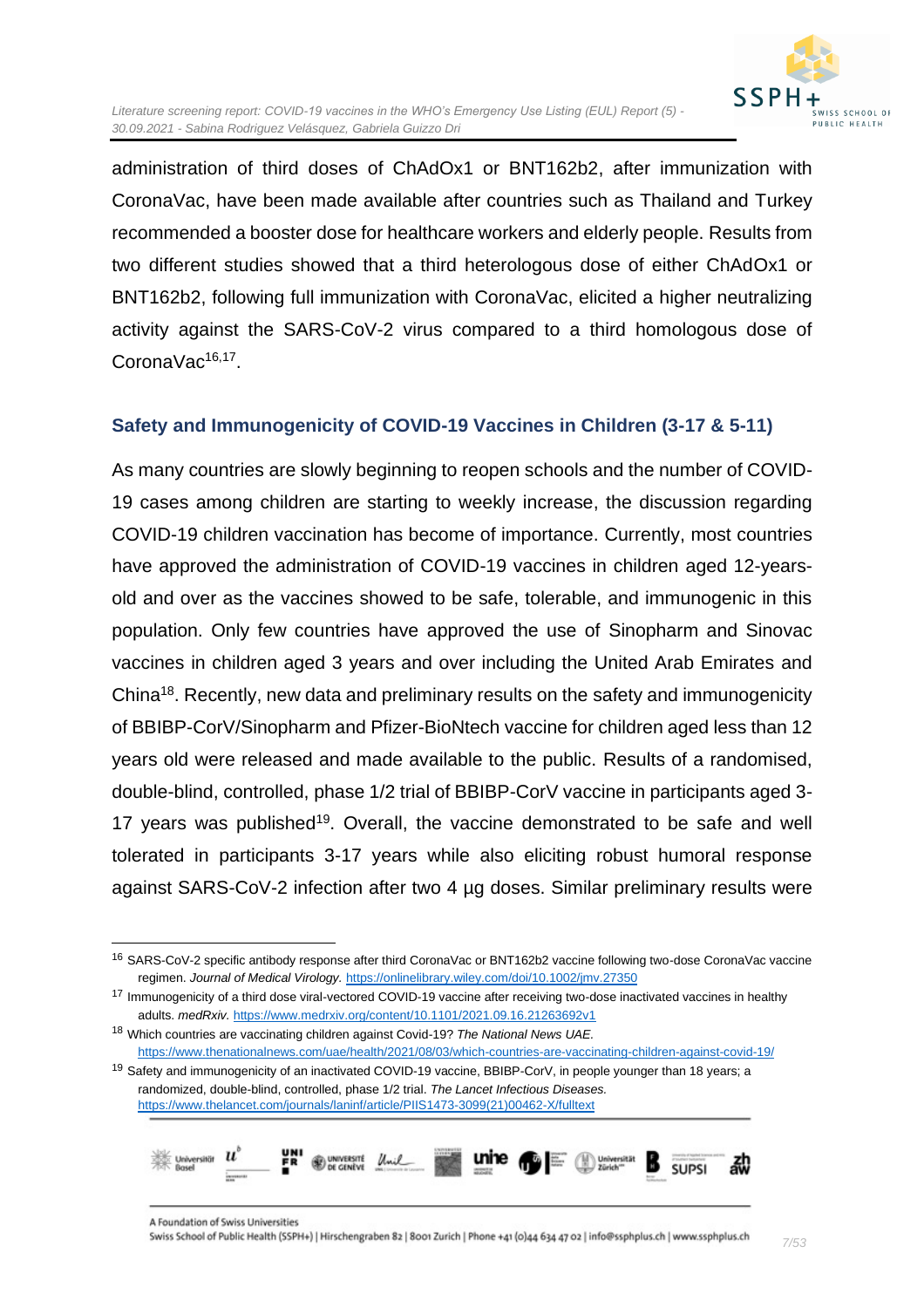

administration of third doses of ChAdOx1 or BNT162b2, after immunization with CoronaVac, have been made available after countries such as Thailand and Turkey recommended a booster dose for healthcare workers and elderly people. Results from two different studies showed that a third heterologous dose of either ChAdOx1 or BNT162b2, following full immunization with CoronaVac, elicited a higher neutralizing activity against the SARS-CoV-2 virus compared to a third homologous dose of CoronaVac<sup>16,17</sup>.

#### <span id="page-6-0"></span>**Safety and Immunogenicity of COVID-19 Vaccines in Children (3-17 & 5-11)**

As many countries are slowly beginning to reopen schools and the number of COVID-19 cases among children are starting to weekly increase, the discussion regarding COVID-19 children vaccination has become of importance. Currently, most countries have approved the administration of COVID-19 vaccines in children aged 12-yearsold and over as the vaccines showed to be safe, tolerable, and immunogenic in this population. Only few countries have approved the use of Sinopharm and Sinovac vaccines in children aged 3 years and over including the United Arab Emirates and China<sup>18</sup>. Recently, new data and preliminary results on the safety and immunogenicity of BBIBP-CorV/Sinopharm and Pfizer-BioNtech vaccine for children aged less than 12 years old were released and made available to the public. Results of a randomised, double-blind, controlled, phase 1/2 trial of BBIBP-CorV vaccine in participants aged 3- 17 years was published<sup>19</sup>. Overall, the vaccine demonstrated to be safe and well tolerated in participants 3-17 years while also eliciting robust humoral response against SARS-CoV-2 infection after two 4 µg doses. Similar preliminary results were

<sup>17</sup> Immunogenicity of a third dose viral-vectored COVID-19 vaccine after receiving two-dose inactivated vaccines in healthy adults. *medRxiv.* <https://www.medrxiv.org/content/10.1101/2021.09.16.21263692v1>

randomized, double-blind, controlled, phase 1/2 trial. *The Lancet Infectious Diseases.*  [https://www.thelancet.com/journals/laninf/article/PIIS1473-3099\(21\)00462-X/fulltext](https://www.thelancet.com/journals/laninf/article/PIIS1473-3099(21)00462-X/fulltext)



<sup>16</sup> SARS-CoV-2 specific antibody response after third CoronaVac or BNT162b2 vaccine following two-dose CoronaVac vaccine regimen. *Journal of Medical Virology.* <https://onlinelibrary.wiley.com/doi/10.1002/jmv.27350>

<sup>18</sup> Which countries are vaccinating children against Covid-19? *The National News UAE.* <https://www.thenationalnews.com/uae/health/2021/08/03/which-countries-are-vaccinating-children-against-covid-19/> 19 Safety and immunogenicity of an inactivated COVID-19 vaccine, BBIBP-CorV, in people younger than 18 years; a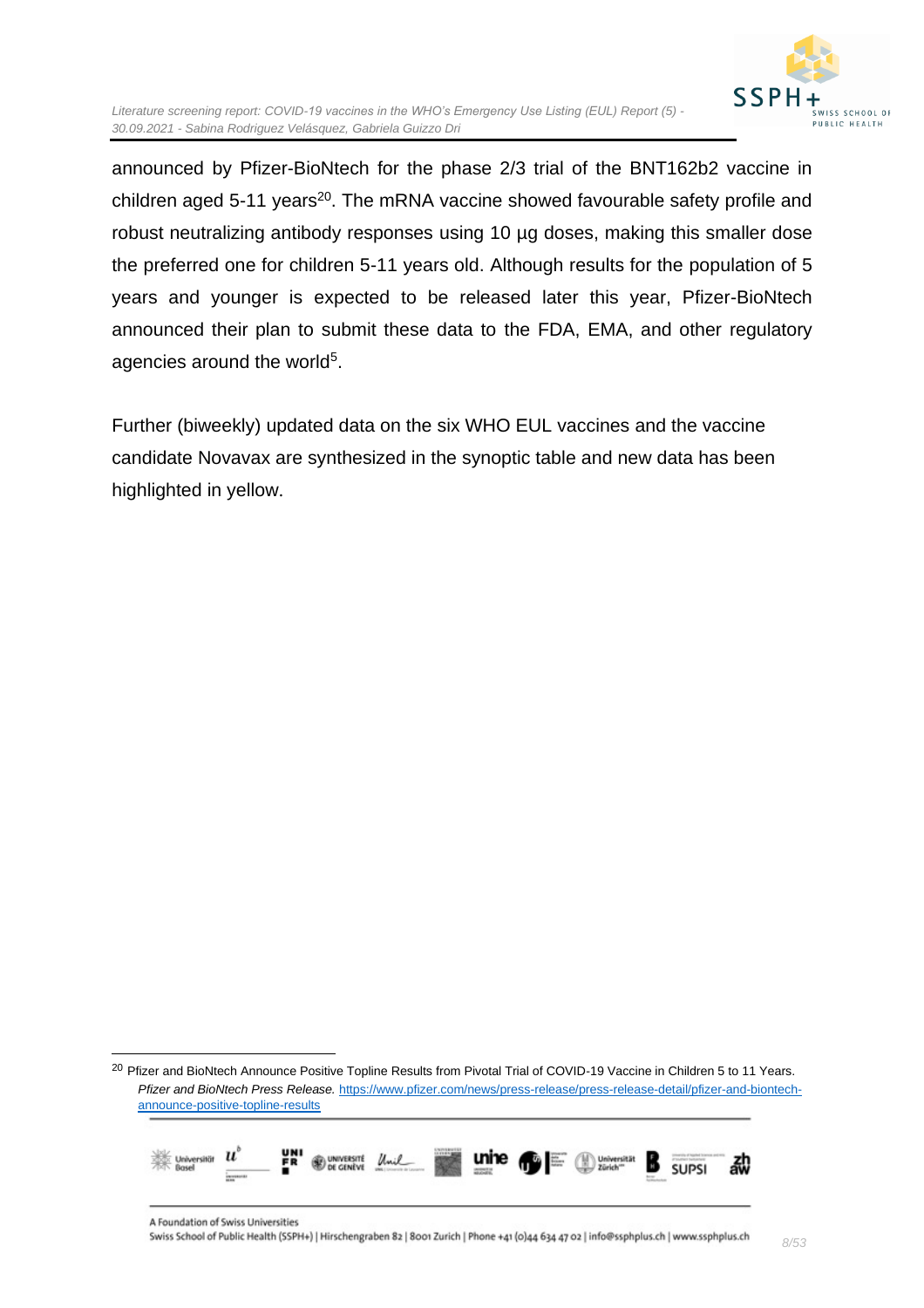

announced by Pfizer-BioNtech for the phase 2/3 trial of the BNT162b2 vaccine in children aged 5-11 years<sup>20</sup>. The mRNA vaccine showed favourable safety profile and robust neutralizing antibody responses using 10 µg doses, making this smaller dose the preferred one for children 5-11 years old. Although results for the population of 5 years and younger is expected to be released later this year, Pfizer-BioNtech announced their plan to submit these data to the FDA, EMA, and other regulatory agencies around the world<sup>5</sup>.

Further (biweekly) updated data on the six WHO EUL vaccines and the vaccine candidate Novavax are synthesized in the synoptic table and new data has been highlighted in yellow.

<sup>&</sup>lt;sup>20</sup> Pfizer and BioNtech Announce Positive Topline Results from Pivotal Trial of COVID-19 Vaccine in Children 5 to 11 Years. *Pfizer and BioNtech Press Release.* [https://www.pfizer.com/news/press-release/press-release-detail/pfizer-and-biontech](https://www.pfizer.com/news/press-release/press-release-detail/pfizer-and-biontech-announce-positive-topline-results)[announce-positive-topline-results](https://www.pfizer.com/news/press-release/press-release-detail/pfizer-and-biontech-announce-positive-topline-results)

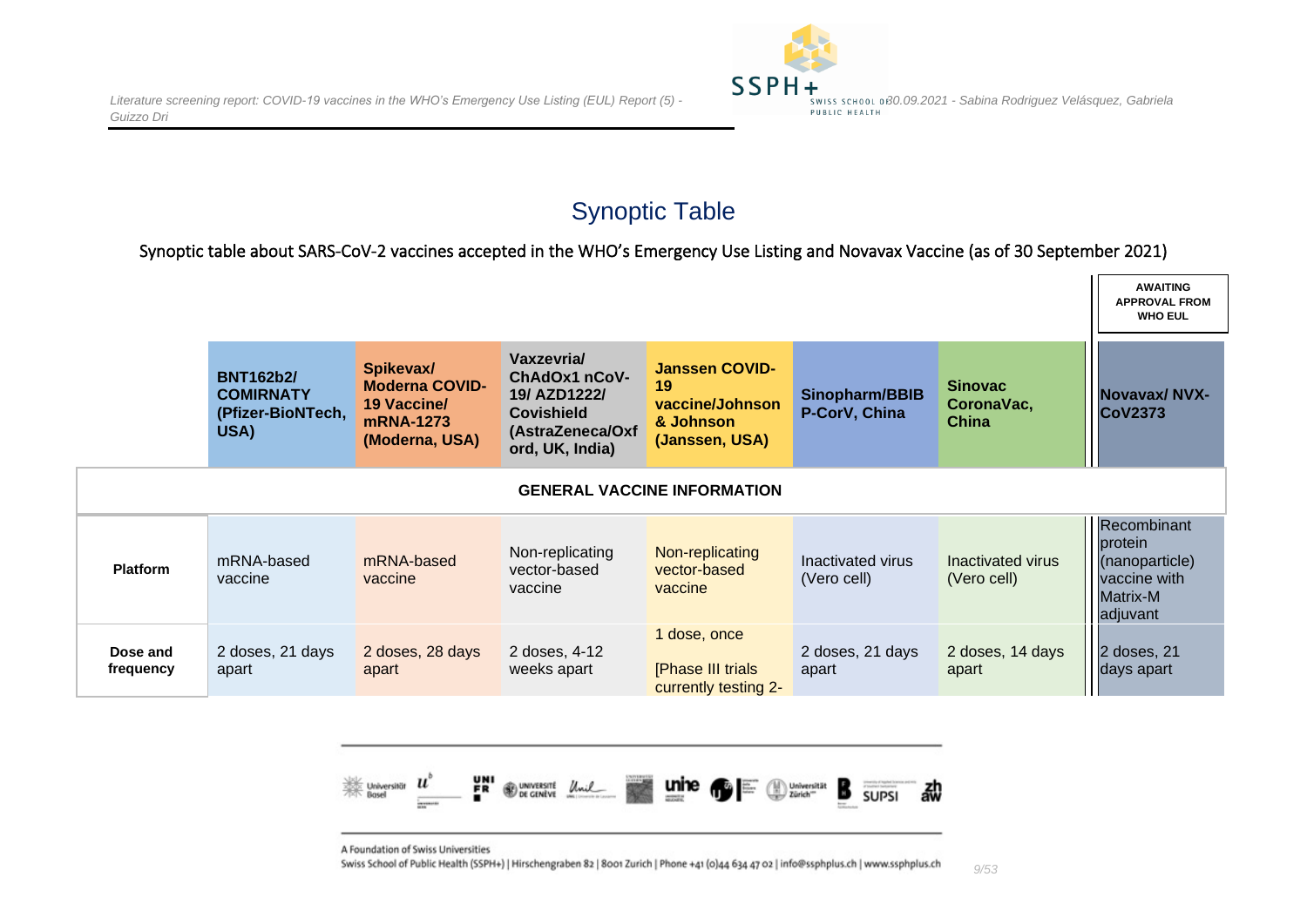

### Synoptic Table

Synoptic table about SARS-CoV-2 vaccines accepted in the WHO's Emergency Use Listing and Novavax Vaccine (as of 30 September 2021)

<span id="page-8-0"></span>

|                       |                                                                   |                                                                                         |                                                                                                         |                                                                               |                                  |                                              | <b>AWAITING</b><br><b>APPROVAL FROM</b><br><b>WHO EUL</b>                               |
|-----------------------|-------------------------------------------------------------------|-----------------------------------------------------------------------------------------|---------------------------------------------------------------------------------------------------------|-------------------------------------------------------------------------------|----------------------------------|----------------------------------------------|-----------------------------------------------------------------------------------------|
|                       | <b>BNT162b2/</b><br><b>COMIRNATY</b><br>(Pfizer-BioNTech,<br>USA) | Spikevax/<br><b>Moderna COVID-</b><br><b>19 Vaccine/</b><br>mRNA-1273<br>(Moderna, USA) | Vaxzevria/<br>ChAdOx1 nCoV-<br>19/ AZD1222/<br><b>Covishield</b><br>(AstraZeneca/Oxf<br>ord, UK, India) | <b>Janssen COVID-</b><br>19<br>vaccine/Johnson<br>& Johnson<br>(Janssen, USA) | Sinopharm/BBIB<br>P-CorV, China  | <b>Sinovac</b><br>CoronaVac,<br><b>China</b> | <b>Novavax/NVX-</b><br><b>CoV2373</b>                                                   |
|                       |                                                                   |                                                                                         |                                                                                                         | <b>GENERAL VACCINE INFORMATION</b>                                            |                                  |                                              |                                                                                         |
| <b>Platform</b>       | mRNA-based<br>vaccine                                             | mRNA-based<br>vaccine                                                                   | Non-replicating<br>vector-based<br>vaccine                                                              | Non-replicating<br>vector-based<br>vaccine                                    | Inactivated virus<br>(Vero cell) | Inactivated virus<br>(Vero cell)             | Recombinant<br>protein<br>(nanoparticle)<br>vaccine with<br><b>Matrix-M</b><br>adjuvant |
| Dose and<br>frequency | 2 doses, 21 days<br>apart                                         | 2 doses, 28 days<br>apart                                                               | 2 doses, 4-12<br>weeks apart                                                                            | 1 dose, once<br>[Phase III trials<br>currently testing 2-                     | 2 doses, 21 days<br>apart        | 2 doses, 14 days<br>apart                    | 2 doses, 21<br>days apart                                                               |

<span id="page-8-1"></span>

A Foundation of Swiss Universities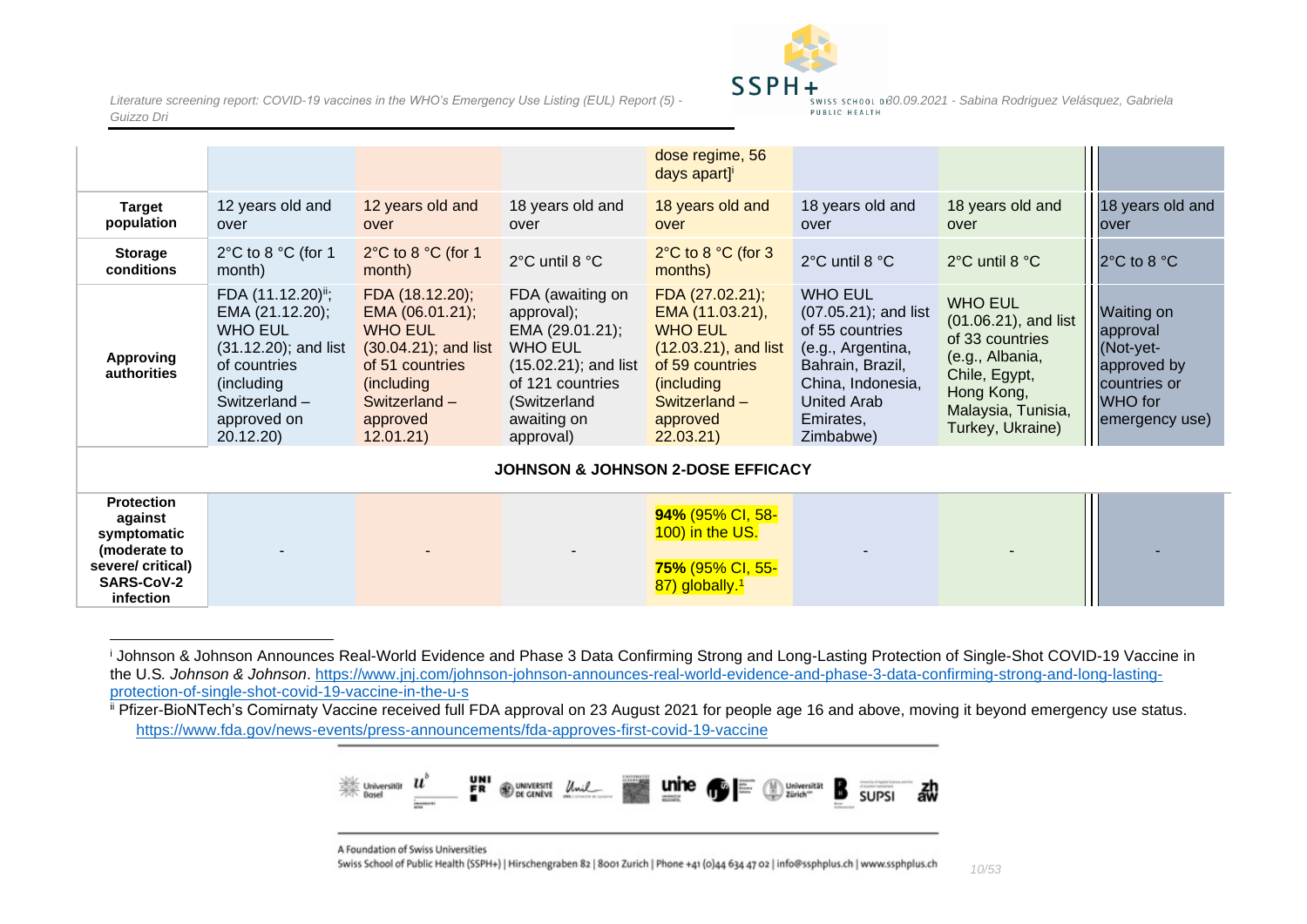

|                                                             |                                                                                                                                                                            |                                                                                                                                                           |                                                                                                                                                                | dose regime, 56<br>days apart] <sup>i</sup>                                                                                                                 |                                                                                                                                                                            |                                                                                                                                                       |                                                                                                 |  |  |  |
|-------------------------------------------------------------|----------------------------------------------------------------------------------------------------------------------------------------------------------------------------|-----------------------------------------------------------------------------------------------------------------------------------------------------------|----------------------------------------------------------------------------------------------------------------------------------------------------------------|-------------------------------------------------------------------------------------------------------------------------------------------------------------|----------------------------------------------------------------------------------------------------------------------------------------------------------------------------|-------------------------------------------------------------------------------------------------------------------------------------------------------|-------------------------------------------------------------------------------------------------|--|--|--|
| <b>Target</b><br>population                                 | 12 years old and<br>over                                                                                                                                                   | 12 years old and<br>over                                                                                                                                  | 18 years old and<br>over                                                                                                                                       | 18 years old and<br>over                                                                                                                                    | 18 years old and<br>over                                                                                                                                                   | 18 years old and<br>over                                                                                                                              | 18 years old and<br>over                                                                        |  |  |  |
| <b>Storage</b><br>conditions                                | 2°C to 8 °C (for 1<br>month)                                                                                                                                               | 2°C to 8 °C (for 1<br>month)                                                                                                                              | 2°C until 8 °C                                                                                                                                                 | $2^{\circ}$ C to 8 $^{\circ}$ C (for 3<br>months)                                                                                                           | 2°C until 8 °C                                                                                                                                                             | 2°C until 8 °C                                                                                                                                        | 2°C to 8 °C                                                                                     |  |  |  |
| <b>Approving</b><br>authorities                             | FDA (11.12.20) <sup>ii</sup> ;<br>EMA (21.12.20);<br><b>WHO EUL</b><br>$(31.12.20)$ ; and list<br>of countries<br>(including<br>Switzerland $-$<br>approved on<br>20.12.20 | FDA (18.12.20);<br>EMA (06.01.21);<br><b>WHO EUL</b><br>(30.04.21); and list<br>of 51 countries<br>(including<br>Switzerland $-$<br>approved<br>12.01.21) | FDA (awaiting on<br>approval);<br>EMA (29.01.21);<br><b>WHO EUL</b><br>$(15.02.21)$ ; and list<br>of 121 countries<br>(Switzerland<br>awaiting on<br>approval) | FDA (27.02.21);<br>EMA (11.03.21),<br><b>WHO EUL</b><br>$(12.03.21)$ , and list<br>of 59 countries<br>(including<br>Switzerland $-$<br>approved<br>22.03.21 | <b>WHO EUL</b><br>$(07.05.21)$ ; and list<br>of 55 countries<br>(e.g., Argentina,<br>Bahrain, Brazil,<br>China, Indonesia,<br><b>United Arab</b><br>Emirates,<br>Zimbabwe) | <b>WHO EUL</b><br>(01.06.21), and list<br>of 33 countries<br>(e.g., Albania,<br>Chile, Egypt,<br>Hong Kong,<br>Malaysia, Tunisia,<br>Turkey, Ukraine) | Waiting on<br>approval<br>(Not-yet-<br>approved by<br>countries or<br>WHO for<br>emergency use) |  |  |  |
| JOHNSON & JOHNSON 2-DOSE EFFICACY                           |                                                                                                                                                                            |                                                                                                                                                           |                                                                                                                                                                |                                                                                                                                                             |                                                                                                                                                                            |                                                                                                                                                       |                                                                                                 |  |  |  |
| <b>Protection</b><br>against<br>symptomatic<br>(moderate to |                                                                                                                                                                            |                                                                                                                                                           |                                                                                                                                                                | 94% (95% CI, 58-<br>100) in the US.                                                                                                                         |                                                                                                                                                                            |                                                                                                                                                       |                                                                                                 |  |  |  |

**(moderate to severe/ critical) SARS-CoV-2 infection**

> <sup>i</sup> Johnson & Johnson Announces Real-World Evidence and Phase 3 Data Confirming Strong and Long-Lasting Protection of Single-Shot COVID-19 Vaccine in the U.S*. Johnson & Johnson*. [https://www.jnj.com/johnson-johnson-announces-real-world-evidence-and-phase-3-data-confirming-strong-and-long-lasting](https://www.jnj.com/johnson-johnson-announces-real-world-evidence-and-phase-3-data-confirming-strong-and-long-lasting-protection-of-single-shot-covid-19-vaccine-in-the-u-s)[protection-of-single-shot-covid-19-vaccine-in-the-u-s](https://www.jnj.com/johnson-johnson-announces-real-world-evidence-and-phase-3-data-confirming-strong-and-long-lasting-protection-of-single-shot-covid-19-vaccine-in-the-u-s)

**75%** (95% CI, 55- 87) globally.<sup>1</sup>

ii Pfizer-BioNTech's Comirnaty Vaccine received full FDA approval on 23 August 2021 for people age 16 and above, moving it beyond emergency use status. <https://www.fda.gov/news-events/press-announcements/fda-approves-first-covid-19-vaccine>



A Foundation of Swiss Universities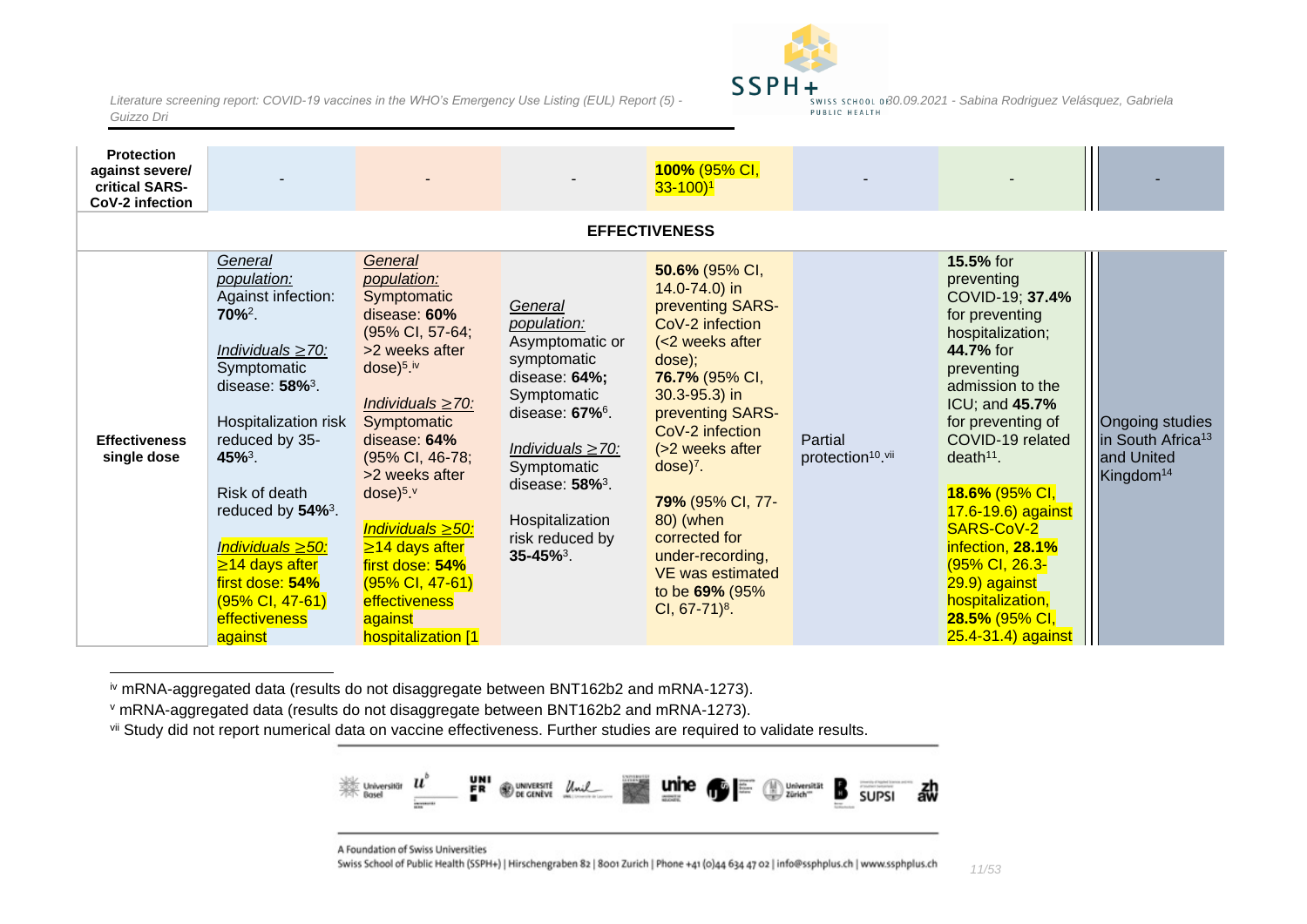

| <b>Protection</b><br>against severe/<br>critical SARS-<br>CoV-2 infection |                                                                                                                                                                                                                                                                                                                                                                       |                                                                                                                                                                                                                                                                                                                                                                                              |                                                                                                                                                                                                                                                                        | 100% (95% CI,<br>$33 - 100$ <sup>1</sup>                                                                                                                                                                                                                                                                                                                              |                                          |                                                                                                                                                                                                                                                                                                                                                                                                   |                                                                                         |
|---------------------------------------------------------------------------|-----------------------------------------------------------------------------------------------------------------------------------------------------------------------------------------------------------------------------------------------------------------------------------------------------------------------------------------------------------------------|----------------------------------------------------------------------------------------------------------------------------------------------------------------------------------------------------------------------------------------------------------------------------------------------------------------------------------------------------------------------------------------------|------------------------------------------------------------------------------------------------------------------------------------------------------------------------------------------------------------------------------------------------------------------------|-----------------------------------------------------------------------------------------------------------------------------------------------------------------------------------------------------------------------------------------------------------------------------------------------------------------------------------------------------------------------|------------------------------------------|---------------------------------------------------------------------------------------------------------------------------------------------------------------------------------------------------------------------------------------------------------------------------------------------------------------------------------------------------------------------------------------------------|-----------------------------------------------------------------------------------------|
|                                                                           |                                                                                                                                                                                                                                                                                                                                                                       |                                                                                                                                                                                                                                                                                                                                                                                              |                                                                                                                                                                                                                                                                        | <b>EFFECTIVENESS</b>                                                                                                                                                                                                                                                                                                                                                  |                                          |                                                                                                                                                                                                                                                                                                                                                                                                   |                                                                                         |
| <b>Effectiveness</b><br>single dose                                       | General<br>population:<br>Against infection:<br>$70\%^2$ .<br>Individuals $\geq$ 70:<br>Symptomatic<br>disease: $58\%$ <sup>3</sup> .<br>Hospitalization risk<br>reduced by 35-<br>45% <sup>3</sup> .<br>Risk of death<br>reduced by 54% <sup>3</sup> .<br>Individuals ≥50:<br>$\geq$ 14 days after<br>first dose: 54%<br>(95% CI, 47-61)<br>effectiveness<br>against | General<br>population:<br>Symptomatic<br>disease: 60%<br>(95% CI, 57-64;<br>>2 weeks after<br>$dose)$ <sup>5</sup> .iv<br>Individuals $\geq$ 70:<br>Symptomatic<br>disease: 64%<br>(95% CI, 46-78;<br>>2 weeks after<br>$dose)^{5,v}$<br>Individuals $\geq 50$ :<br>$\geq$ 14 days after<br>first dose: 54%<br>$(95\% \text{ Cl}, 47-61)$<br>effectiveness<br>against<br>hospitalization [1] | General<br>population:<br>Asymptomatic or<br>symptomatic<br>disease: 64%;<br>Symptomatic<br>disease: 67% <sup>6</sup> .<br>Individuals $\geq$ 70:<br>Symptomatic<br>disease: $58\%$ <sup>3</sup> .<br>Hospitalization<br>risk reduced by<br>$35 - 45\%$ <sup>3</sup> . | 50.6% (95% CI,<br>14.0-74.0) in<br>preventing SARS-<br>CoV-2 infection<br>(<2 weeks after<br>dose);<br>76.7% (95% CI,<br>$30.3 - 95.3$ ) in<br>preventing SARS-<br>CoV-2 infection<br>(>2 weeks after<br>$dose)^7$ .<br>79% (95% CI, 77-<br>80) (when<br>corrected for<br>under-recording,<br><b>VE was estimated</b><br>to be 69% (95%<br>CI, $67-71$ <sup>8</sup> . | Partial<br>protection <sup>10</sup> .vii | 15.5% for<br>preventing<br>COVID-19; 37.4%<br>for preventing<br>hospitalization;<br>44.7% for<br>preventing<br>admission to the<br>ICU; and 45.7%<br>for preventing of<br>COVID-19 related<br>death <sup>11</sup> .<br>18.6% (95% CI,<br>$17.6 - 19.6$ ) against<br>SARS-CoV-2<br>infection, 28.1%<br>(95% CI, 26.3-<br>29.9) against<br>hospitalization,<br>28.5% (95% CI,<br>25.4-31.4) against | Ongoing studies<br>in South Africa <sup>13</sup><br>and United<br>Kingdom <sup>14</sup> |

<span id="page-10-0"></span>iv mRNA-aggregated data (results do not disaggregate between BNT162b2 and mRNA-1273).

<sup>v</sup> mRNA-aggregated data (results do not disaggregate between BNT162b2 and mRNA-1273).

vii Study did not report numerical data on vaccine effectiveness. Further studies are required to validate results.



A Foundation of Swiss Universities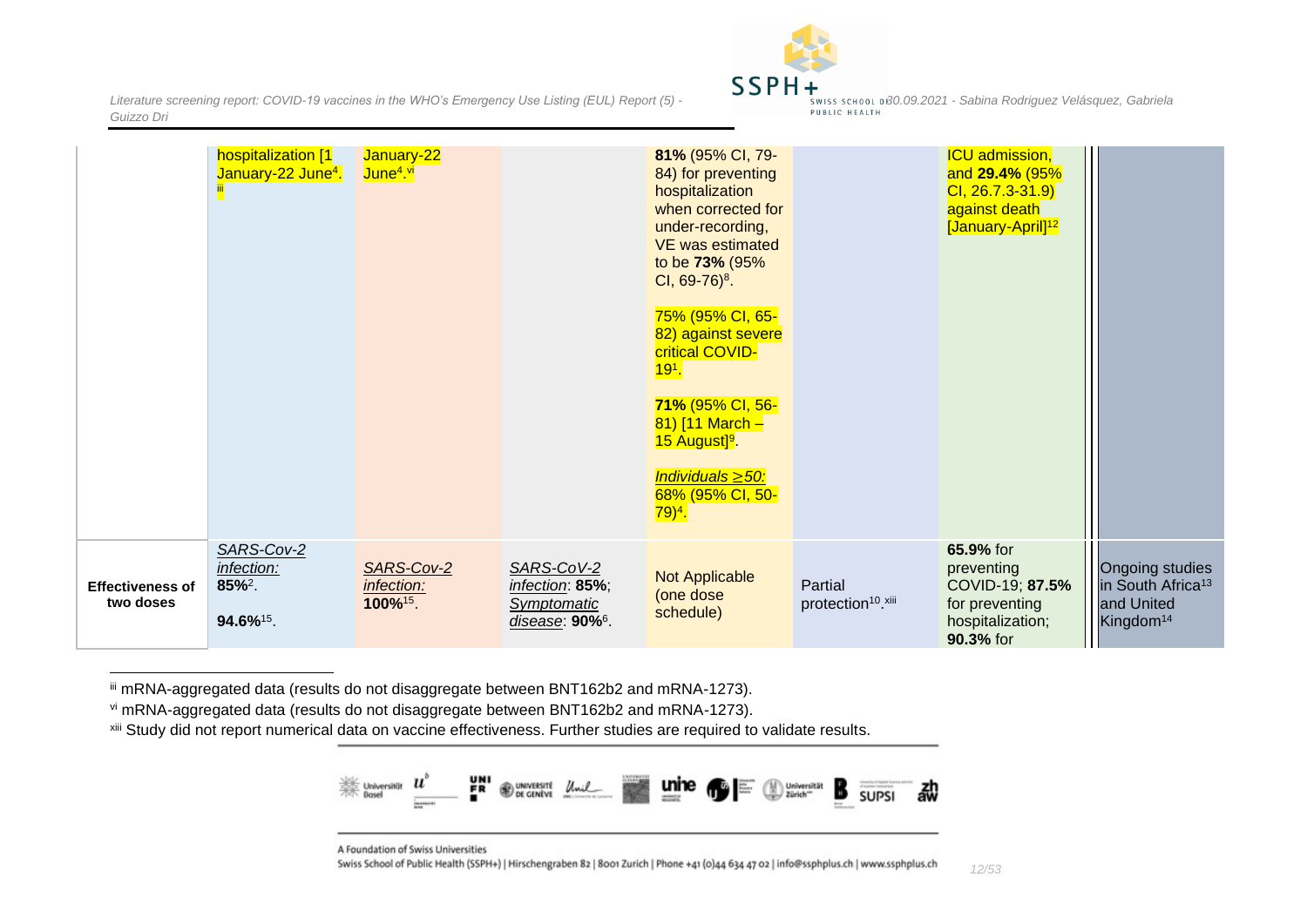

|                                      | hospitalization [1]<br>January-22 June <sup>4</sup> . | January-22<br>June <sup>4 vi</sup>               |                                                                                       | 81% (95% CI, 79-<br>84) for preventing<br>hospitalization<br>when corrected for<br>under-recording,<br><b>VE</b> was estimated<br>to be 73% (95%<br>CI, $69-76$ <sup>8</sup> .<br>75% (95% CI, 65-<br>82) against severe<br>critical COVID-<br>$191$ .<br>71% (95% CI, 56-<br>81) $[11$ March -<br>15 August <sup>9</sup> .<br>Individuals $\geq 50$ :<br>68% (95% CI, 50-<br>$79)^4.$ |                                           | <b>ICU</b> admission,<br>and 29.4% (95%<br>$Cl, 26.7.3 - 31.9$<br>against death<br>[January-April] <sup>12</sup> |                                                                                         |
|--------------------------------------|-------------------------------------------------------|--------------------------------------------------|---------------------------------------------------------------------------------------|----------------------------------------------------------------------------------------------------------------------------------------------------------------------------------------------------------------------------------------------------------------------------------------------------------------------------------------------------------------------------------------|-------------------------------------------|------------------------------------------------------------------------------------------------------------------|-----------------------------------------------------------------------------------------|
| <b>Effectiveness of</b><br>two doses | SARS-Cov-2<br>infection:<br>$85\%^2$ .<br>94.6%15.    | SARS-Cov-2<br>infection:<br>100% <sup>15</sup> . | SARS-CoV-2<br>infection: 85%;<br><b>Symptomatic</b><br>disease: $90\%$ <sup>6</sup> . | Not Applicable<br>(one dose<br>schedule)                                                                                                                                                                                                                                                                                                                                               | Partial<br>protection <sup>10</sup> .xiii | 65.9% for<br>preventing<br>COVID-19; 87.5%<br>for preventing<br>hospitalization;<br>90.3% for                    | Ongoing studies<br>in South Africa <sup>13</sup><br>and United<br>Kingdom <sup>14</sup> |

iii mRNA-aggregated data (results do not disaggregate between BNT162b2 and mRNA-1273).

vi mRNA-aggregated data (results do not disaggregate between BNT162b2 and mRNA-1273).

xiii Study did not report numerical data on vaccine effectiveness. Further studies are required to validate results.



A Foundation of Swiss Universities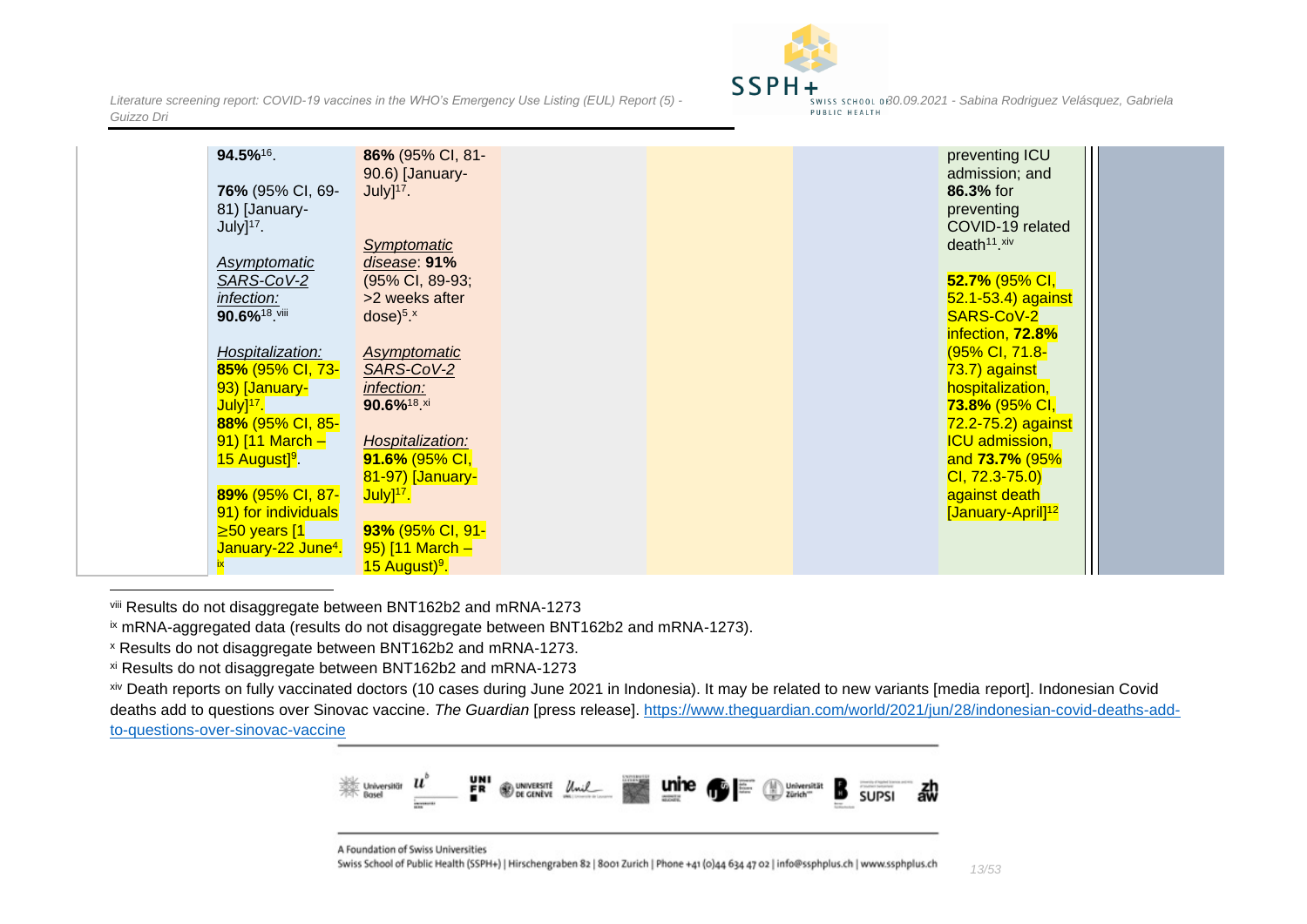

| 94.5%16.                                       | 86% (95% CI, 81-<br>90.6) [January- |  | preventing ICU<br>admission; and        |  |
|------------------------------------------------|-------------------------------------|--|-----------------------------------------|--|
| <b>76%</b> (95% CI, 69-                        | $July]$ <sup>17</sup> .             |  | 86.3% for                               |  |
| 81) [January-                                  |                                     |  | preventing                              |  |
| $July]$ <sup>17</sup> .                        |                                     |  | COVID-19 related                        |  |
|                                                | Symptomatic                         |  | death <sup>11</sup> .xiv                |  |
| Asymptomatic                                   | disease: 91%                        |  |                                         |  |
| SARS-CoV-2                                     | (95% CI, 89-93;                     |  | 52.7% (95% CI,                          |  |
| infection:                                     | >2 weeks after                      |  | 52.1-53.4) against                      |  |
| 90.6% <sup>18</sup> .viii                      | $dose)^{5x}$                        |  | SARS-CoV-2                              |  |
|                                                |                                     |  | infection, 72.8%                        |  |
| Hospitalization:                               | Asymptomatic                        |  | (95% CI, 71.8-                          |  |
| 85% (95% CI, 73-                               | SARS-CoV-2                          |  | 73.7) against                           |  |
| 93) [January-                                  | infection:                          |  | hospitalization,                        |  |
| July] <sup>17</sup> .                          | 90.6% <sup>18 xi</sup>              |  | 73.8% (95% CI,                          |  |
| 88% (95% CI, 85-                               |                                     |  | 72.2-75.2) against                      |  |
| 91) $[11$ March -<br>15 August <sup>19</sup> . | Hospitalization:<br>91.6% (95% CI,  |  | <b>ICU</b> admission,<br>and 73.7% (95% |  |
|                                                | 81-97) [January-                    |  | $Cl, 72.3 - 75.0$                       |  |
| 89% (95% CI, 87-                               | $July]^{17}$ .                      |  | against death                           |  |
| 91) for individuals                            |                                     |  | [January-April] <sup>12</sup>           |  |
| $\geq 50$ years [1                             | 93% (95% CI, 91-                    |  |                                         |  |
| January-22 June <sup>4</sup> .                 | 95) $[11$ March -                   |  |                                         |  |
|                                                | 15 August) <sup>9</sup> .           |  |                                         |  |

viii Results do not disaggregate between BNT162b2 and mRNA-1273

ix mRNA-aggregated data (results do not disaggregate between BNT162b2 and mRNA-1273).

xiv Death reports on fully vaccinated doctors (10 cases during June 2021 in Indonesia). It may be related to new variants [media report]. Indonesian Covid deaths add to questions over Sinovac vaccine. *The Guardian* [press release]. [https://www.theguardian.com/world/2021/jun/28/indonesian-covid-deaths-add](https://www.theguardian.com/world/2021/jun/28/indonesian-covid-deaths-add-to-questions-over-sinovac-vaccine)[to-questions-over-sinovac-vaccine](https://www.theguardian.com/world/2021/jun/28/indonesian-covid-deaths-add-to-questions-over-sinovac-vaccine)



A Foundation of Swiss Universities

<sup>x</sup> Results do not disaggregate between BNT162b2 and mRNA-1273.

xi Results do not disaggregate between BNT162b2 and mRNA-1273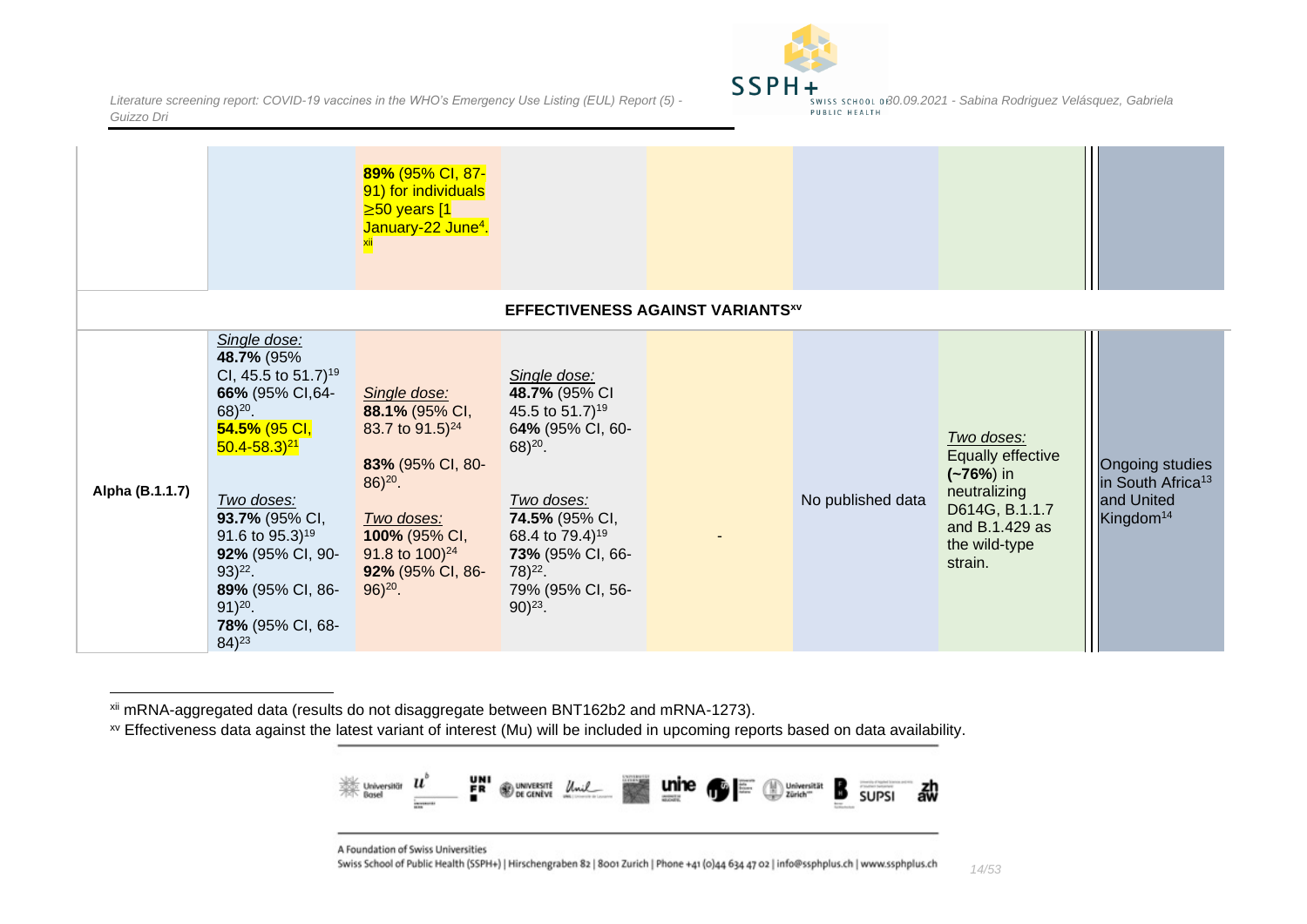

|                 |                                                                                                                                                                                                                                                                                                                           | 89% (95% CI, 87-<br>91) for individuals<br>$\geq 50$ years [1<br>January-22 June <sup>4</sup> .                                                                                                     |                                                                                                                                                                                                                                         |                                         |                   |                                                                                                                                       |                                                                                                |
|-----------------|---------------------------------------------------------------------------------------------------------------------------------------------------------------------------------------------------------------------------------------------------------------------------------------------------------------------------|-----------------------------------------------------------------------------------------------------------------------------------------------------------------------------------------------------|-----------------------------------------------------------------------------------------------------------------------------------------------------------------------------------------------------------------------------------------|-----------------------------------------|-------------------|---------------------------------------------------------------------------------------------------------------------------------------|------------------------------------------------------------------------------------------------|
|                 |                                                                                                                                                                                                                                                                                                                           |                                                                                                                                                                                                     |                                                                                                                                                                                                                                         | <b>EFFECTIVENESS AGAINST VARIANTSxv</b> |                   |                                                                                                                                       |                                                                                                |
| Alpha (B.1.1.7) | Single dose:<br>48.7% (95%<br>CI, 45.5 to 51.7) <sup>19</sup><br>66% (95% CI,64-<br>$68)^{20}$ .<br>54.5% (95 CI,<br>$50.4 - 58.3$ <sup>21</sup><br>Two doses:<br>93.7% (95% CI,<br>91.6 to 95.3) <sup>19</sup><br>92% (95% CI, 90-<br>$93)^{22}$ .<br>89% (95% CI, 86-<br>$91)^{20}$ .<br>78% (95% CI, 68-<br>$84)^{23}$ | Single dose:<br>88.1% (95% CI,<br>83.7 to 91.5) <sup>24</sup><br>83% (95% CI, 80-<br>$86)^{20}$ .<br>Two doses:<br>100% (95% CI,<br>91.8 to $100$ <sup>24</sup><br>92% (95% CI, 86-<br>$96)^{20}$ . | Single dose:<br>48.7% (95% CI<br>45.5 to 51.7) <sup>19</sup><br>64% (95% CI, 60-<br>$68)^{20}$ .<br>Two doses:<br>74.5% (95% CI,<br>68.4 to 79.4) <sup>19</sup><br>73% (95% CI, 66-<br>$78)^{22}$ .<br>79% (95% CI, 56-<br>$90)^{23}$ . |                                         | No published data | Two doses:<br><b>Equally effective</b><br>$(-76%)$ in<br>neutralizing<br>D614G, B.1.1.7<br>and B.1.429 as<br>the wild-type<br>strain. | <b>Ongoing studies</b><br>in South Africa <sup>13</sup><br>and United<br>Kingdom <sup>14</sup> |

<span id="page-13-0"></span>xii mRNA-aggregated data (results do not disaggregate between BNT162b2 and mRNA-1273).

xv Effectiveness data against the latest variant of interest (Mu) will be included in upcoming reports based on data availability.



A Foundation of Swiss Universities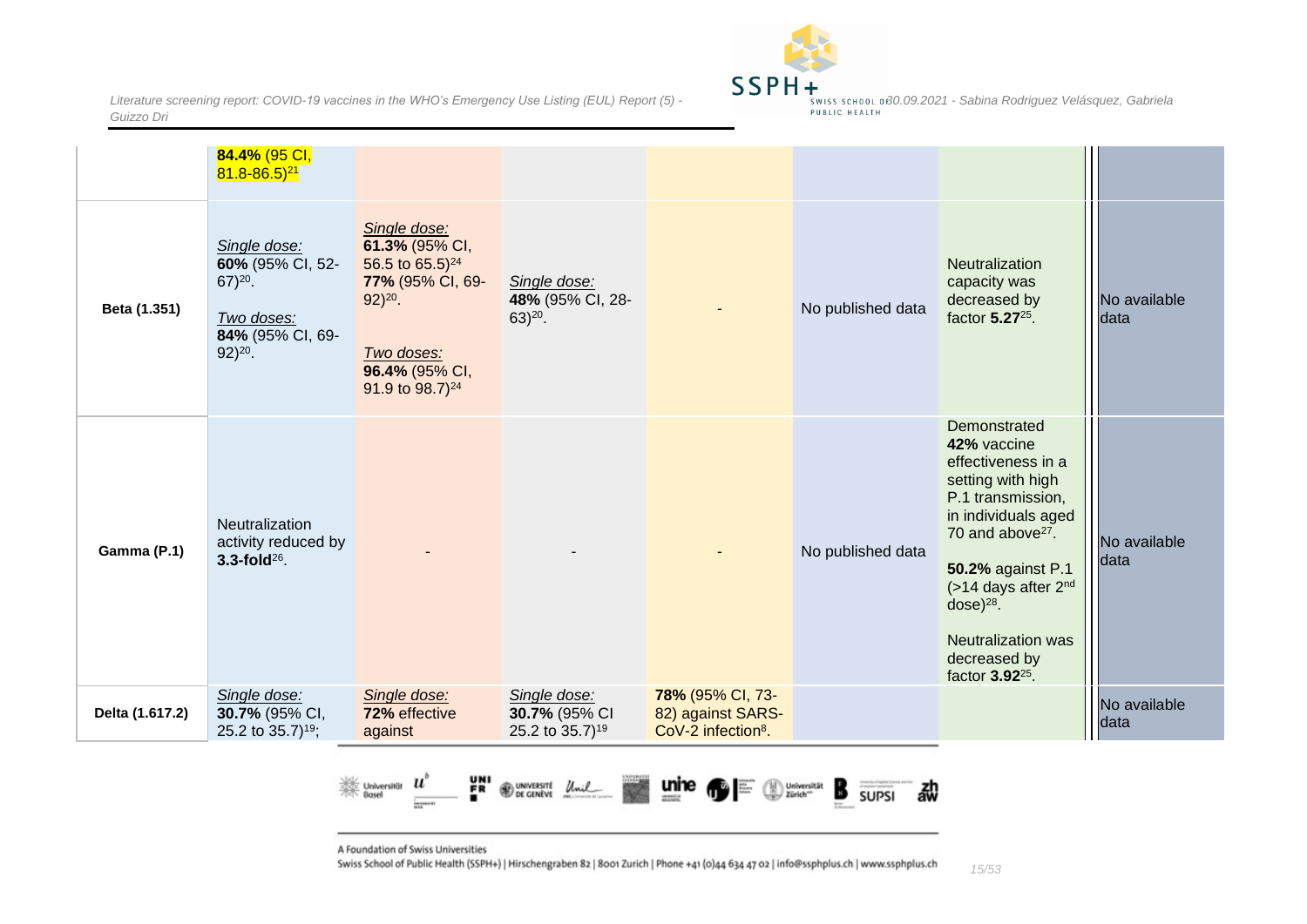

|                 | 84.4% (95 CI,<br>$81.8 - 86.5$ <sup>21</sup>                                                    |                                                                                                                                                           |                                                              |                                                                         |                   |                                                                                                                                                                                                                                                                                              |                      |
|-----------------|-------------------------------------------------------------------------------------------------|-----------------------------------------------------------------------------------------------------------------------------------------------------------|--------------------------------------------------------------|-------------------------------------------------------------------------|-------------------|----------------------------------------------------------------------------------------------------------------------------------------------------------------------------------------------------------------------------------------------------------------------------------------------|----------------------|
| Beta (1.351)    | Single dose:<br>60% (95% CI, 52-<br>$67)20$ .<br>Two doses:<br>84% (95% CI, 69-<br>$92)^{20}$ . | Single dose:<br>61.3% (95% CI,<br>56.5 to $65.5)^{24}$<br>77% (95% CI, 69-<br>$92)^{20}$ .<br>Two doses:<br>96.4% (95% CI,<br>91.9 to 98.7) <sup>24</sup> | Single dose:<br>48% (95% CI, 28-<br>$63)^{20}$ .             |                                                                         | No published data | <b>Neutralization</b><br>capacity was<br>decreased by<br>factor 5.27 <sup>25</sup> .                                                                                                                                                                                                         | No available<br>data |
| Gamma (P.1)     | Neutralization<br>activity reduced by<br>$3.3$ -fold $^{26}$ .                                  |                                                                                                                                                           |                                                              |                                                                         | No published data | Demonstrated<br>42% vaccine<br>effectiveness in a<br>setting with high<br>P.1 transmission,<br>in individuals aged<br>70 and above <sup>27</sup> .<br>50.2% against P.1<br>(>14 days after 2nd<br>$dose)^{28}$ .<br><b>Neutralization was</b><br>decreased by<br>factor 3.92 <sup>25</sup> . | No available<br>data |
| Delta (1.617.2) | Single dose:<br>30.7% (95% CI,<br>25.2 to 35.7) <sup>19</sup> ;                                 | Single dose:<br>72% effective<br>against                                                                                                                  | Single dose:<br>30.7% (95% CI<br>25.2 to 35.7) <sup>19</sup> | 78% (95% CI, 73-<br>82) against SARS-<br>CoV-2 infection <sup>8</sup> . |                   |                                                                                                                                                                                                                                                                                              | No available<br>data |



A Foundation of Swiss Universities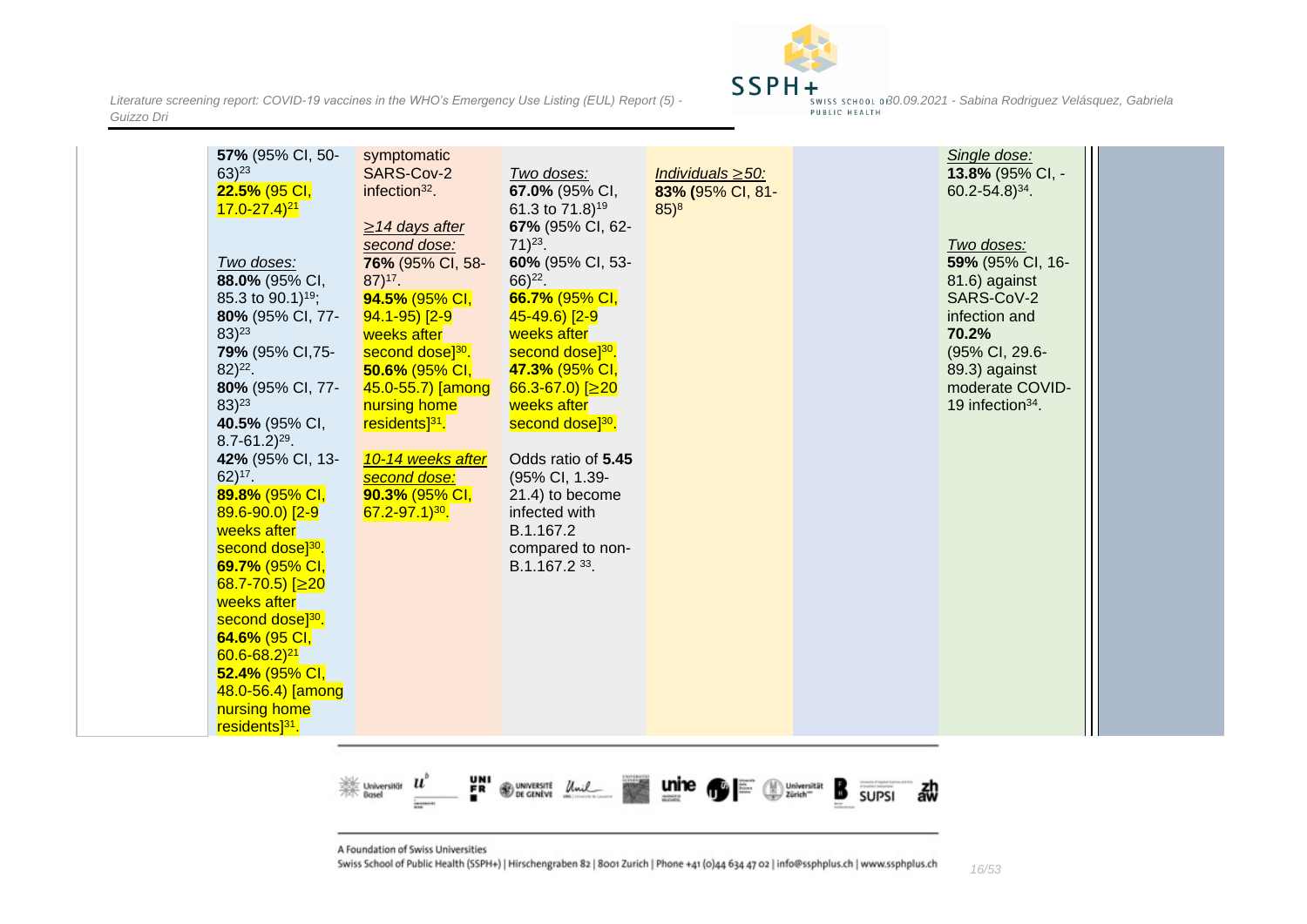

| 57% (95% CI, 50-<br>symptomatic<br>Single dose:<br>$63)$ <sup>23</sup><br>SARS-Cov-2<br>13.8% (95% CI, -<br>Two doses:<br>Individuals $\geq 50$ :<br>22.5% (95 CI,<br>infection <sup>32</sup> .<br>67.0% (95% CI,<br>83% (95% CI, 81-<br>$60.2 - 54.8$ <sup>34</sup> .<br>61.3 to 71.8) <sup>19</sup><br>$85)^{8}$<br>$17.0 - 27.4$ <sup>21</sup><br>67% (95% CI, 62-<br>$\geq$ 14 days after |
|-----------------------------------------------------------------------------------------------------------------------------------------------------------------------------------------------------------------------------------------------------------------------------------------------------------------------------------------------------------------------------------------------|
|-----------------------------------------------------------------------------------------------------------------------------------------------------------------------------------------------------------------------------------------------------------------------------------------------------------------------------------------------------------------------------------------------|

떍 鮝  $\boldsymbol{u}$ **WE CENTER Unil** Universität<br>Basel Universität B 勐 **SUPSI** 

A Foundation of Swiss Universities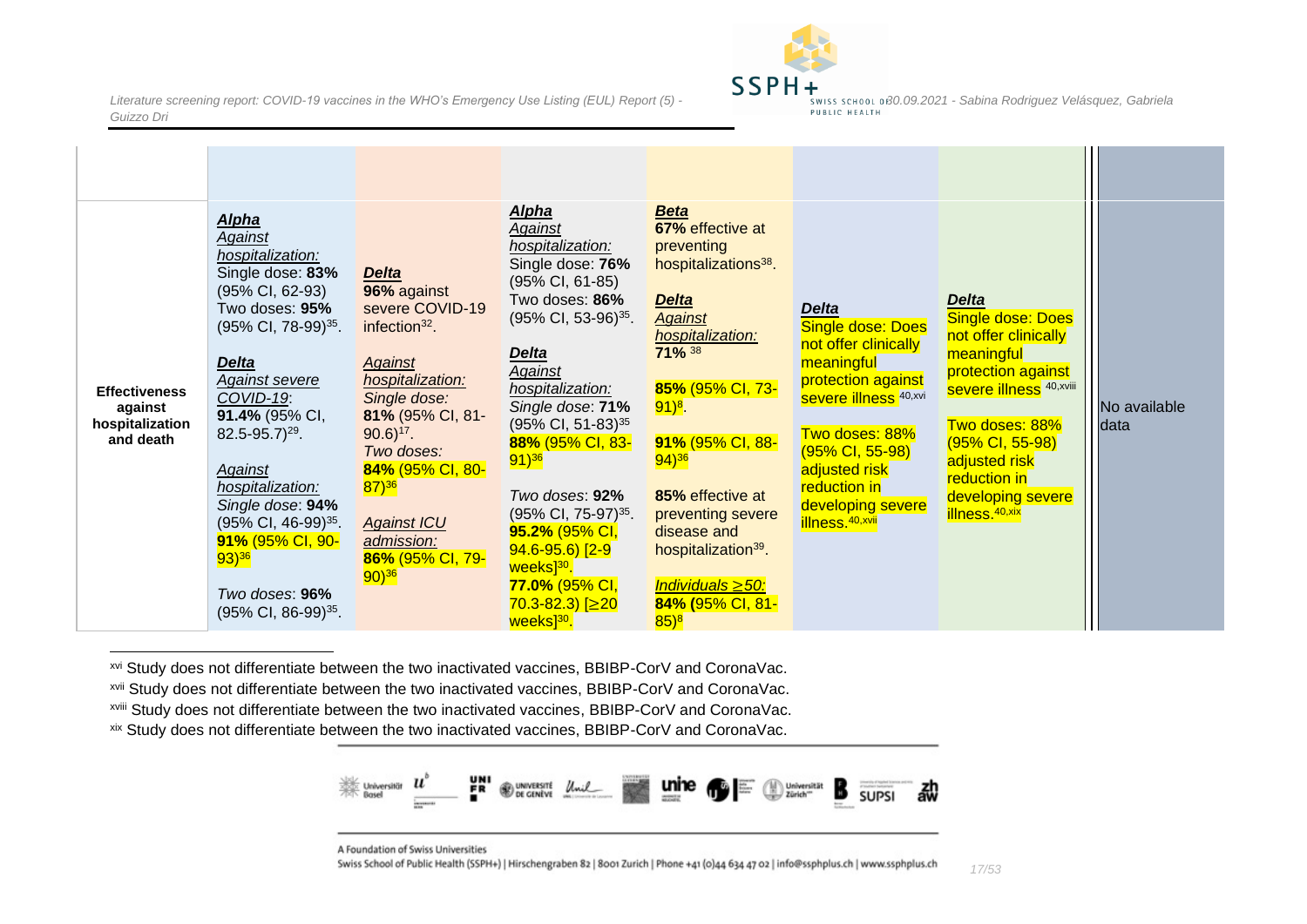

| <b>Effectiveness</b><br>against<br>hospitalization<br>and death | <b>Alpha</b><br>Against<br>hospitalization:<br>Single dose: 83%<br>(95% CI, 62-93)<br>Two doses: 95%<br>(95% CI, 78-99) <sup>35</sup> .<br><b>Delta</b><br><b>Against severe</b><br>COVID-19:<br>91.4% (95% CI,<br>$82.5 - 95.7$ <sup>29</sup> .<br>Against<br>hospitalization:<br>Single dose: 94%<br>(95% CI, 46-99) <sup>35</sup> .<br>91% (95% CI, 90-<br>$93)$ <sup>36</sup> | <b>Delta</b><br>96% against<br>severe COVID-19<br>infection $32$ .<br><b>Against</b><br>hospitalization:<br>Single dose:<br>81% (95% CI, 81-<br>$90.6$ <sup>17</sup> .<br>Two doses:<br>84% (95% CI, 80-<br>$(87)^{36}$<br><b>Against ICU</b><br>admission:<br>86% (95% CI, 79- | <b>Alpha</b><br>Against<br>hospitalization:<br>Single dose: 76%<br>$(95\% \text{ Cl}, 61-85)$<br>Two doses: 86%<br>$(95\% \text{ CI}, 53-96)^{35}$ .<br><b>Delta</b><br>Against<br>hospitalization:<br>Single dose: 71%<br>(95% CI, 51-83) <sup>35</sup><br>88% (95% CI, 83-<br>$91)^{36}$<br>Two doses: 92%<br>$(95\% \text{ CI}, 75-97)^{35}$ .<br>95.2% (95% CI,<br>$94.6 - 95.6$ [2-9]<br>weeks] <sup>30</sup> . | <b>Beta</b><br>67% effective at<br>preventing<br>hospitalizations <sup>38</sup> .<br><b>Delta</b><br><b>Against</b><br>hospitalization:<br>71% 38<br>85% (95% CI, 73-<br>$(91)^8$ .<br>91% (95% CI, 88-<br>$94)$ <sup>36</sup><br>85% effective at<br>preventing severe<br>disease and<br>hospitalization <sup>39</sup> . | <b>Delta</b><br><b>Single dose: Does</b><br>not offer clinically<br>meaningful<br>protection against<br><b>Severe illness</b> 40, xvi<br>Two doses: 88%<br>(95% CI, 55-98)<br>adjusted risk<br>reduction in<br>developing severe<br>illness. <sup>40,xvii</sup> | <b>Delta</b><br><b>Single dose: Does</b><br>not offer clinically<br>meaningful<br>protection against<br><b>severe illness</b> 40, xviii<br>Two doses: 88%<br>(95% CI, 55-98)<br>adjusted risk<br>reduction in<br>developing severe<br><b>illness</b> .40,xix | No available<br>data |
|-----------------------------------------------------------------|-----------------------------------------------------------------------------------------------------------------------------------------------------------------------------------------------------------------------------------------------------------------------------------------------------------------------------------------------------------------------------------|---------------------------------------------------------------------------------------------------------------------------------------------------------------------------------------------------------------------------------------------------------------------------------|----------------------------------------------------------------------------------------------------------------------------------------------------------------------------------------------------------------------------------------------------------------------------------------------------------------------------------------------------------------------------------------------------------------------|---------------------------------------------------------------------------------------------------------------------------------------------------------------------------------------------------------------------------------------------------------------------------------------------------------------------------|-----------------------------------------------------------------------------------------------------------------------------------------------------------------------------------------------------------------------------------------------------------------|--------------------------------------------------------------------------------------------------------------------------------------------------------------------------------------------------------------------------------------------------------------|----------------------|
|                                                                 | Two doses: 96%<br>(95% CI, 86-99) <sup>35</sup> .                                                                                                                                                                                                                                                                                                                                 | $90)^{36}$                                                                                                                                                                                                                                                                      | 77.0% (95% CI,<br>$70.3 - 82.3$ [ $\geq 20$ ]<br>weeks <sup>30</sup> .                                                                                                                                                                                                                                                                                                                                               | Individuals $\geq 50$ :<br>84% (95% CI, 81-<br>$85)^8$                                                                                                                                                                                                                                                                    |                                                                                                                                                                                                                                                                 |                                                                                                                                                                                                                                                              |                      |

xvi Study does not differentiate between the two inactivated vaccines, BBIBP-CorV and CoronaVac.

xvii Study does not differentiate between the two inactivated vaccines, BBIBP-CorV and CoronaVac.

xviii Study does not differentiate between the two inactivated vaccines, BBIBP-CorV and CoronaVac.

xix Study does not differentiate between the two inactivated vaccines, BBIBP-CorV and CoronaVac.



A Foundation of Swiss Universities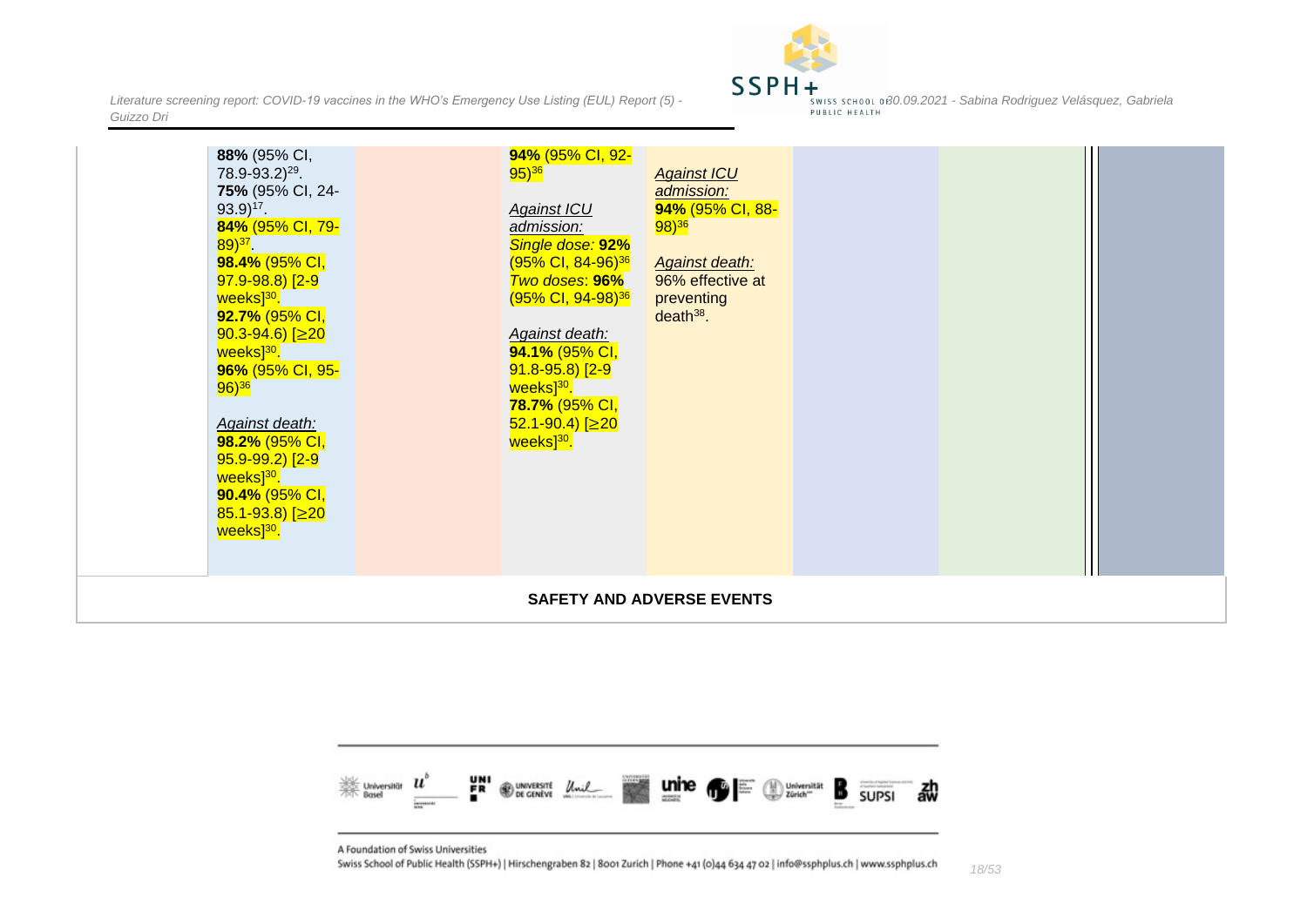

*18/53*

| $93.9)^{17}$ .<br><b>Against ICU</b><br>84% (95% CI, 79-<br>admission:<br>Single dose: 92%<br>$89)^{37}$ .<br>98.4% (95% CI,<br>(95% CI, 84-96) <sup>36</sup><br>$97.9 - 98.8$ [2-9]<br><b>Two doses: 96%</b><br>weeks <sup>30</sup> .<br>(95% CI, 94-98) <sup>36</sup><br>92.7% (95% CI,<br>$90.3 - 94.6$ [ $\geq 20$<br>Against death:<br>weeks <sup>30</sup> .<br>94.1% (95% CI,<br>96% (95% CI, 95-<br>$91.8 - 95.8$ [2-9]<br>$96)^{36}$<br>weeks <sup>30</sup> .<br>78.7% (95% CI,<br>$52.1 - 90.4$ [ $\geq 20$<br>Against death:<br>98.2% (95% CI,<br>weeks <sup>30</sup> .<br>$95.9 - 99.2$ [2-9]<br>weeks] <sup>30</sup> .<br>90.4% (95% CI,<br>$85.1 - 93.8$ [ $\geq 20$ ]<br>weeks <sup>30</sup> . | $98)^{36}$<br><b>Against death:</b><br>96% effective at<br>preventing<br>$death^{38}$ . |  |
|--------------------------------------------------------------------------------------------------------------------------------------------------------------------------------------------------------------------------------------------------------------------------------------------------------------------------------------------------------------------------------------------------------------------------------------------------------------------------------------------------------------------------------------------------------------------------------------------------------------------------------------------------------------------------------------------------------------|-----------------------------------------------------------------------------------------|--|
|                                                                                                                                                                                                                                                                                                                                                                                                                                                                                                                                                                                                                                                                                                              | <b>SAFETY AND ADVERSE EVENTS</b>                                                        |  |



<span id="page-17-0"></span>A Foundation of Swiss Universities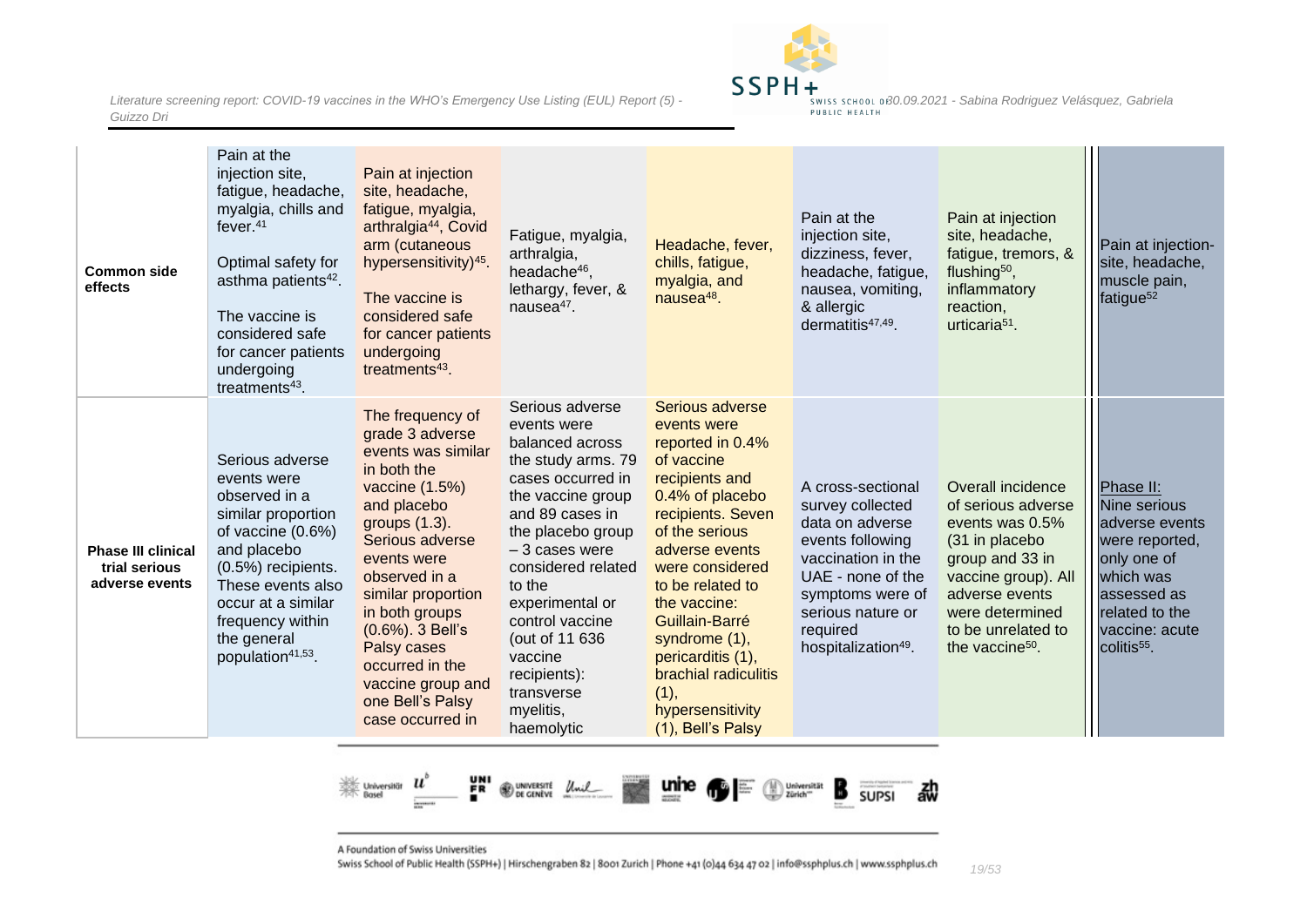

| <b>Common side</b><br>effects                                | Pain at the<br>injection site,<br>fatigue, headache,<br>myalgia, chills and<br>fever. $41$<br>Optimal safety for<br>asthma patients <sup>42</sup> .<br>The vaccine is<br>considered safe<br>for cancer patients<br>undergoing<br>treatments $43$ . | Pain at injection<br>site, headache,<br>fatigue, myalgia,<br>arthralgia <sup>44</sup> , Covid<br>arm (cutaneous<br>hypersensitivity) <sup>45</sup> .<br>The vaccine is<br>considered safe<br>for cancer patients<br>undergoing<br>treatments $43$ .                                                                                          | Fatigue, myalgia,<br>arthralgia,<br>headache <sup>46</sup> ,<br>lethargy, fever, &<br>nause $a^{47}$ .                                                                                                                                                                                                                                   | Headache, fever,<br>chills, fatigue,<br>myalgia, and<br>nausea <sup>48</sup> .                                                                                                                                                                                                                                                                         | Pain at the<br>injection site,<br>dizziness, fever,<br>headache, fatigue,<br>nausea, vomiting,<br>& allergic<br>dermatitis $47,49$ .                                                                            | Pain at injection<br>site, headache,<br>fatigue, tremors, &<br>flushing <sup>50</sup> ,<br>inflammatory<br>reaction,<br>urticaria <sup>51</sup> .                                                                | Pain at injection-<br>site, headache,<br>muscle pain,<br>fatigue <sup>52</sup>                                                                                          |
|--------------------------------------------------------------|----------------------------------------------------------------------------------------------------------------------------------------------------------------------------------------------------------------------------------------------------|----------------------------------------------------------------------------------------------------------------------------------------------------------------------------------------------------------------------------------------------------------------------------------------------------------------------------------------------|------------------------------------------------------------------------------------------------------------------------------------------------------------------------------------------------------------------------------------------------------------------------------------------------------------------------------------------|--------------------------------------------------------------------------------------------------------------------------------------------------------------------------------------------------------------------------------------------------------------------------------------------------------------------------------------------------------|-----------------------------------------------------------------------------------------------------------------------------------------------------------------------------------------------------------------|------------------------------------------------------------------------------------------------------------------------------------------------------------------------------------------------------------------|-------------------------------------------------------------------------------------------------------------------------------------------------------------------------|
| <b>Phase III clinical</b><br>trial serious<br>adverse events | Serious adverse<br>events were<br>observed in a<br>similar proportion<br>of vaccine (0.6%)<br>and placebo<br>(0.5%) recipients.<br>These events also<br>occur at a similar<br>frequency within<br>the general<br>population <sup>41,53</sup> .     | The frequency of<br>grade 3 adverse<br>events was similar<br>in both the<br>vaccine (1.5%)<br>and placebo<br>groups (1.3).<br>Serious adverse<br>events were<br>observed in a<br>similar proportion<br>in both groups<br>$(0.6\%)$ . 3 Bell's<br>Palsy cases<br>occurred in the<br>vaccine group and<br>one Bell's Palsy<br>case occurred in | Serious adverse<br>events were<br>balanced across<br>the study arms. 79<br>cases occurred in<br>the vaccine group<br>and 89 cases in<br>the placebo group<br>$-3$ cases were<br>considered related<br>to the<br>experimental or<br>control vaccine<br>(out of 11 636<br>vaccine<br>recipients):<br>transverse<br>myelitis,<br>haemolytic | Serious adverse<br>events were<br>reported in 0.4%<br>of vaccine<br>recipients and<br>0.4% of placebo<br>recipients. Seven<br>of the serious<br>adverse events<br>were considered<br>to be related to<br>the vaccine:<br>Guillain-Barré<br>syndrome (1),<br>pericarditis (1),<br>brachial radiculitis<br>(1),<br>hypersensitivity<br>(1), Bell's Palsy | A cross-sectional<br>survey collected<br>data on adverse<br>events following<br>vaccination in the<br>UAE - none of the<br>symptoms were of<br>serious nature or<br>required<br>hospitalization <sup>49</sup> . | Overall incidence<br>of serious adverse<br>events was 0.5%<br>(31 in placebo<br>group and 33 in<br>vaccine group). All<br>adverse events<br>were determined<br>to be unrelated to<br>the vaccine <sup>50</sup> . | Phase II:<br>Nine serious<br>adverse events<br>were reported,<br>only one of<br>which was<br>assessed as<br>related to the<br>vaccine: acute<br>colitis <sup>55</sup> . |



A Foundation of Swiss Universities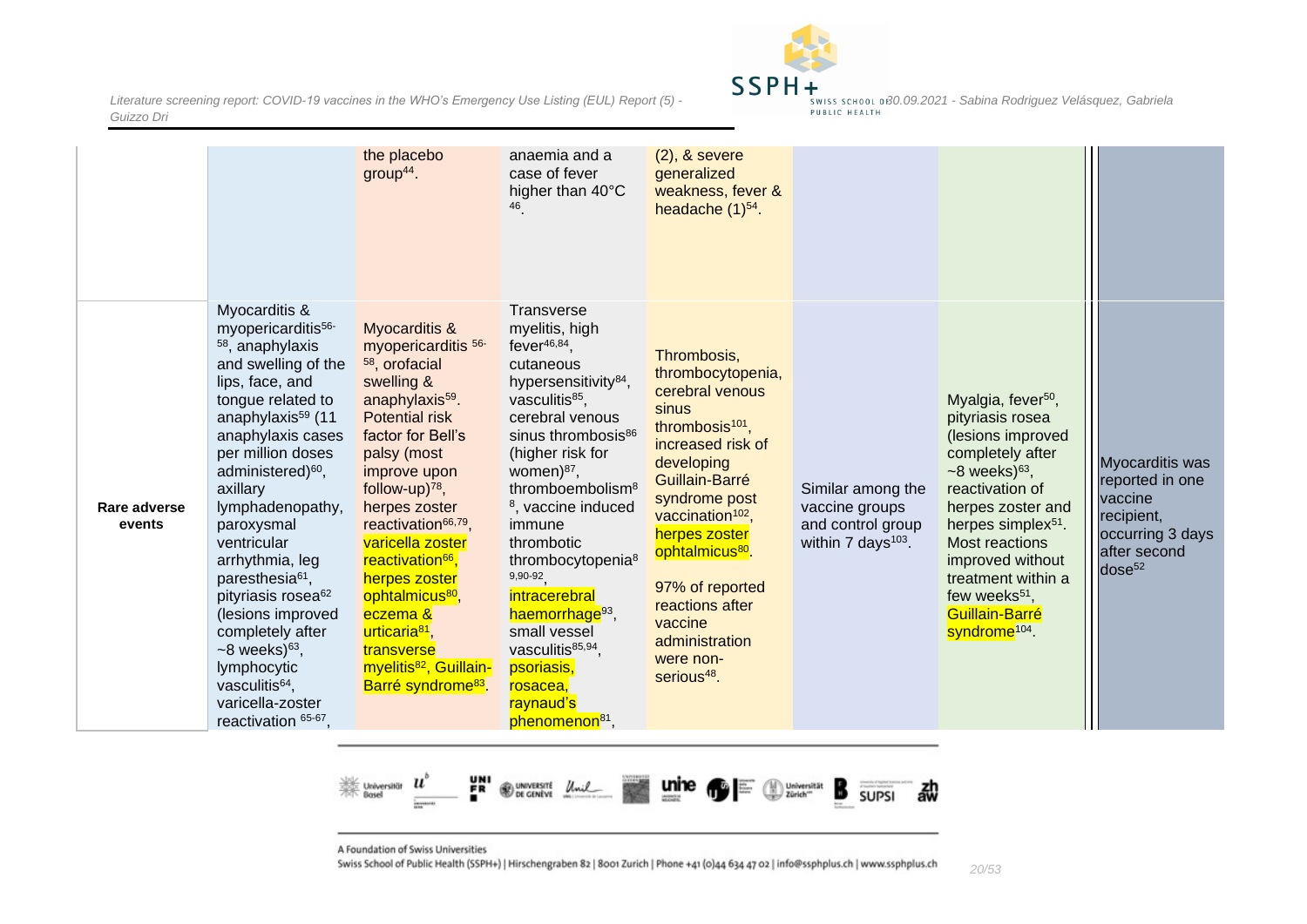

|                        |                                                                                                                                                                                                                                                                                                                                                                                                                                                                                                                                                                            | the placebo<br>$group44$ .                                                                                                                                                                                                                                                                                                                                                                                                                                                                             | anaemia and a<br>case of fever<br>higher than 40°C<br>46                                                                                                                                                                                                                                                                                                                                                                                                                                                                              | $(2)$ , & severe<br>generalized<br>weakness, fever &<br>headache $(1)^{54}$ .                                                                                                                                                                                                                                                                                |                                                                                            |                                                                                                                                                                                                                                                                                                                                         |                                                                                                                       |
|------------------------|----------------------------------------------------------------------------------------------------------------------------------------------------------------------------------------------------------------------------------------------------------------------------------------------------------------------------------------------------------------------------------------------------------------------------------------------------------------------------------------------------------------------------------------------------------------------------|--------------------------------------------------------------------------------------------------------------------------------------------------------------------------------------------------------------------------------------------------------------------------------------------------------------------------------------------------------------------------------------------------------------------------------------------------------------------------------------------------------|---------------------------------------------------------------------------------------------------------------------------------------------------------------------------------------------------------------------------------------------------------------------------------------------------------------------------------------------------------------------------------------------------------------------------------------------------------------------------------------------------------------------------------------|--------------------------------------------------------------------------------------------------------------------------------------------------------------------------------------------------------------------------------------------------------------------------------------------------------------------------------------------------------------|--------------------------------------------------------------------------------------------|-----------------------------------------------------------------------------------------------------------------------------------------------------------------------------------------------------------------------------------------------------------------------------------------------------------------------------------------|-----------------------------------------------------------------------------------------------------------------------|
| Rare adverse<br>events | Myocarditis &<br>myopericarditis <sup>56-</sup><br><sup>58</sup> , anaphylaxis<br>and swelling of the<br>lips, face, and<br>tongue related to<br>anaphylaxis <sup>59</sup> (11<br>anaphylaxis cases<br>per million doses<br>administered) <sup>60</sup> ,<br>axillary<br>lymphadenopathy,<br>paroxysmal<br>ventricular<br>arrhythmia, leg<br>paresthesia <sup>61</sup> ,<br>pityriasis rosea <sup>62</sup><br>(lesions improved<br>completely after<br>$~58$ weeks) <sup>63</sup> ,<br>lymphocytic<br>vasculitis <sup>64</sup> ,<br>varicella-zoster<br>reactivation 65-67 | Myocarditis &<br>myopericarditis <sup>56-</sup><br>58, orofacial<br>swelling &<br>anaphylaxis <sup>59</sup> .<br><b>Potential risk</b><br>factor for Bell's<br>palsy (most<br>improve upon<br>follow-up) $78$ ,<br>herpes zoster<br>reactivation <sup>66,79</sup> ,<br>varicella zoster<br>reactivation <sup>66</sup> ,<br>herpes zoster<br>ophtalmicus <sup>80</sup> ,<br>eczema &<br>urticaria <sup>81</sup> ,<br>transverse<br>myelitis <sup>82</sup> , Guillain-<br>Barré syndrome <sup>83</sup> . | <b>Transverse</b><br>myelitis, high<br>fever $46,84$ ,<br>cutaneous<br>hypersensitivity <sup>84</sup> ,<br>vasculitis <sup>85</sup> ,<br>cerebral venous<br>sinus thrombosis <sup>86</sup><br>(higher risk for<br>women) <sup>87</sup> ,<br>thromboembolism <sup>8</sup><br><sup>8</sup> , vaccine induced<br>immune<br>thrombotic<br>thrombocytopenia <sup>8</sup><br>9,90-92<br>intracerebral<br>haemorrhage <sup>93</sup> ,<br>small vessel<br>vasculitis85,94,<br>psoriasis,<br>rosacea,<br>raynaud's<br>phenomenon <sup>81</sup> | Thrombosis,<br>thrombocytopenia,<br>cerebral venous<br>sinus<br>thrombosis <sup>101</sup> ,<br>increased risk of<br>developing<br>Guillain-Barré<br>syndrome post<br>vaccination <sup>102</sup> ,<br>herpes zoster<br>ophtalmicus <sup>80</sup> .<br>97% of reported<br>reactions after<br>vaccine<br>administration<br>were non-<br>serious <sup>48</sup> . | Similar among the<br>vaccine groups<br>and control group<br>within 7 days <sup>103</sup> . | Myalgia, fever <sup>50</sup> ,<br>pityriasis rosea<br>(lesions improved<br>completely after<br>$~58$ weeks) $^{63}$ ,<br>reactivation of<br>herpes zoster and<br>herpes simplex <sup>51</sup> .<br>Most reactions<br>improved without<br>treatment within a<br>few weeks <sup>51</sup> ,<br>Guillain-Barré<br>syndrome <sup>104</sup> . | Myocarditis was<br>reported in one<br>vaccine<br>recipient,<br>occurring 3 days<br>after second<br>dose <sup>52</sup> |



A Foundation of Swiss Universities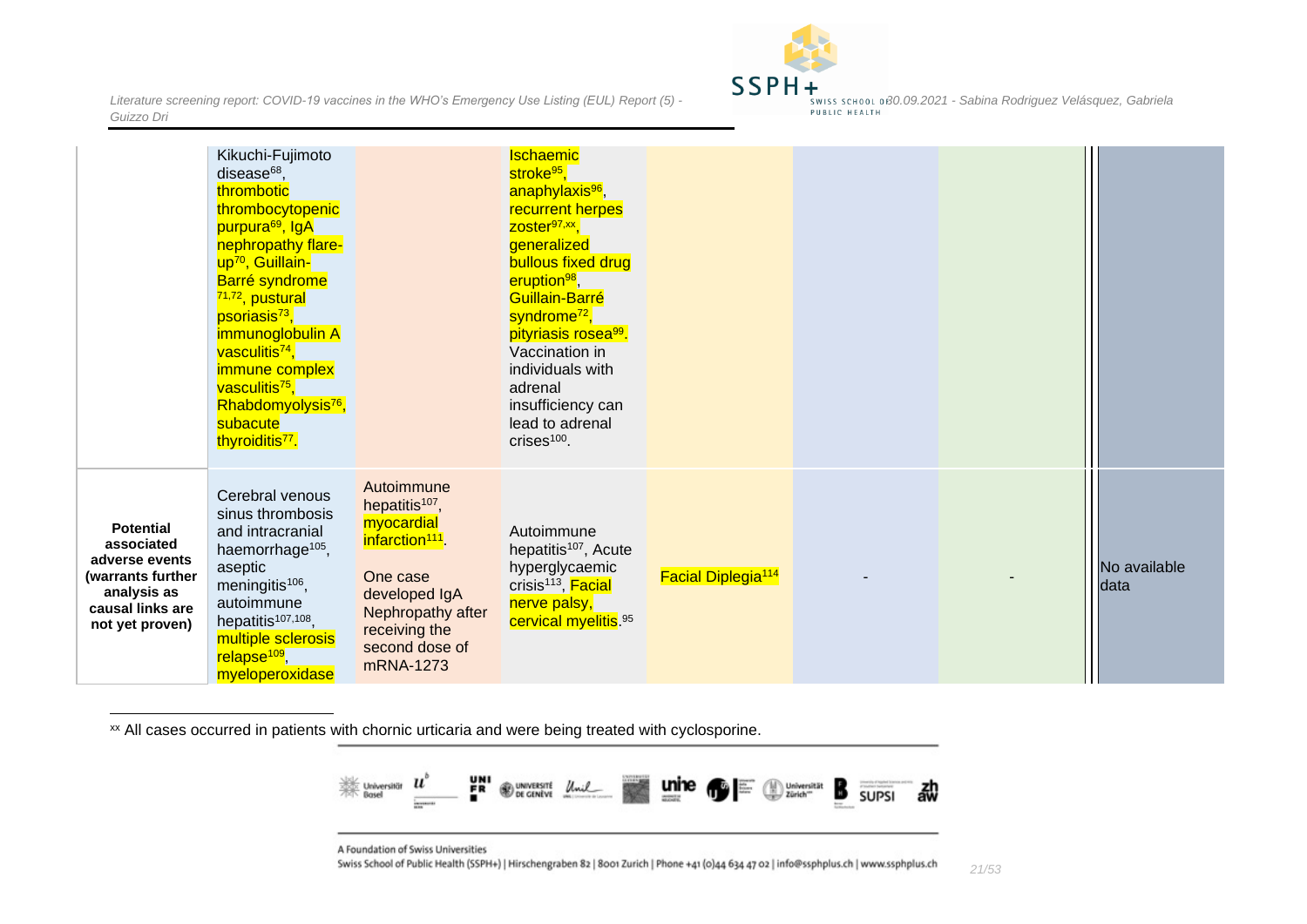

*21/53*

|                                                                                                                             | Kikuchi-Fujimoto<br>disease $68$ ,<br>thrombotic<br>thrombocytopenic<br>purpura <sup>69</sup> , IgA<br>nephropathy flare-<br>up <sup>70</sup> , Guillain-<br>Barré syndrome<br><sup>71,72</sup> , pustural<br>psoriasis <sup>73</sup> ,<br>immunoglobulin A<br>vasculitis <sup>74</sup> ,<br>immune complex<br>vasculitis <sup>75</sup> ,<br>Rhabdomyolysis <sup>76</sup> ,<br>subacute<br>thyroiditis <sup>77</sup> . |                                                                                                                                                                                         | <b>Ischaemic</b><br>stroke <sup>95</sup> .<br>anaphylaxis <sup>96</sup> ,<br>recurrent herpes<br>$Zoster97,xx$ ,<br>generalized<br>bullous fixed drug<br>eruption <sup>98</sup> ,<br>Guillain-Barré<br>syndrome <sup>72</sup> ,<br>pityriasis rosea <sup>99</sup> .<br>Vaccination in<br>individuals with<br>adrenal<br>insufficiency can<br>lead to adrenal<br>crises <sup>100</sup> . |                                      |  |                      |
|-----------------------------------------------------------------------------------------------------------------------------|------------------------------------------------------------------------------------------------------------------------------------------------------------------------------------------------------------------------------------------------------------------------------------------------------------------------------------------------------------------------------------------------------------------------|-----------------------------------------------------------------------------------------------------------------------------------------------------------------------------------------|-----------------------------------------------------------------------------------------------------------------------------------------------------------------------------------------------------------------------------------------------------------------------------------------------------------------------------------------------------------------------------------------|--------------------------------------|--|----------------------|
| <b>Potential</b><br>associated<br>adverse events<br>(warrants further<br>analysis as<br>causal links are<br>not yet proven) | Cerebral venous<br>sinus thrombosis<br>and intracranial<br>haemorrhage <sup>105</sup> ,<br>aseptic<br>meningitis <sup>106</sup> ,<br>autoimmune<br>hepatitis <sup>107,108</sup> ,<br>multiple sclerosis<br>relapse <sup>109</sup> ,<br>myeloperoxidase                                                                                                                                                                 | Autoimmune<br>hepatitis <sup>107</sup> ,<br>myocardial<br>infarction <sup>111</sup> .<br>One case<br>developed IgA<br>Nephropathy after<br>receiving the<br>second dose of<br>mRNA-1273 | Autoimmune<br>hepatitis <sup>107</sup> , Acute<br>hyperglycaemic<br>crisis <sup>113</sup> , Facial<br>nerve palsy,<br>cervical myelitis. 95                                                                                                                                                                                                                                             | <b>Facial Diplegia<sup>114</sup></b> |  | No available<br>data |

<sup>xx</sup> All cases occurred in patients with chornic urticaria and were being treated with cyclosporine.



A Foundation of Swiss Universities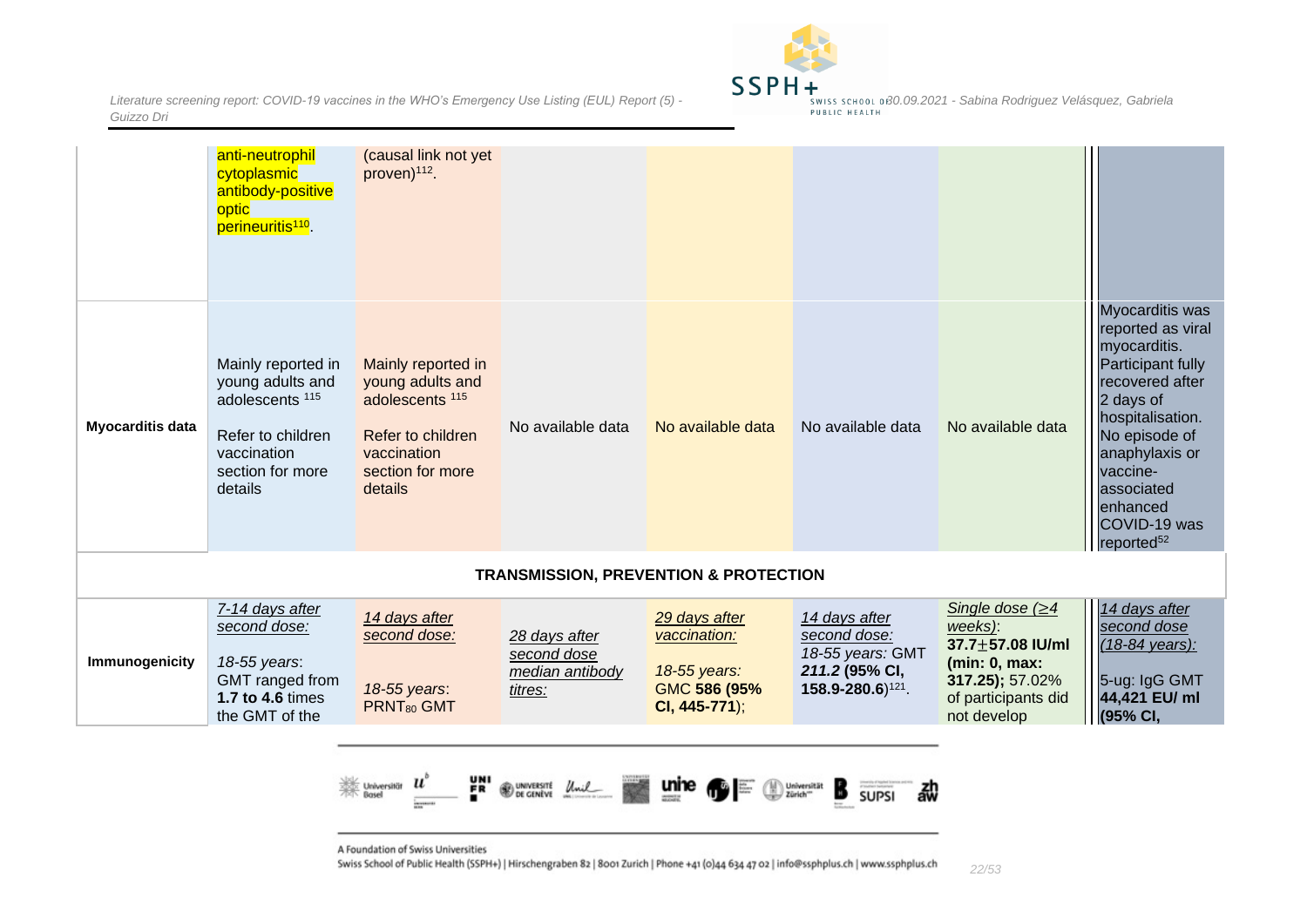*Literature screening report: COVID-19 vaccines in the WHO's Emergency Use Listing (EUL) Report (5)* **- 30.09.2021 -** *Sabina Rodriguez Velásquez, Gabriela - swiss school of 30.09.2021* - *Sabina Rodriguez Velásquez, Guizzo Dri*



|                  | anti-neutrophil<br>cytoplasmic<br>antibody-positive<br>optic<br>perineuritis <sup>110</sup> .                                           | (causal link not yet<br>proven) <sup>112</sup> .                                                                                        |                                                            |                                                                                |                                                                                                      |                                                                                                                                  |                                                                                                                                                                                                                                                  |
|------------------|-----------------------------------------------------------------------------------------------------------------------------------------|-----------------------------------------------------------------------------------------------------------------------------------------|------------------------------------------------------------|--------------------------------------------------------------------------------|------------------------------------------------------------------------------------------------------|----------------------------------------------------------------------------------------------------------------------------------|--------------------------------------------------------------------------------------------------------------------------------------------------------------------------------------------------------------------------------------------------|
| Myocarditis data | Mainly reported in<br>young adults and<br>adolescents <sup>115</sup><br>Refer to children<br>vaccination<br>section for more<br>details | Mainly reported in<br>young adults and<br>adolescents <sup>115</sup><br>Refer to children<br>vaccination<br>section for more<br>details | No available data                                          | No available data                                                              | No available data                                                                                    | No available data                                                                                                                | Myocarditis was<br>reported as viral<br>myocarditis.<br>Participant fully<br>recovered after<br>2 days of<br>hospitalisation.<br>No episode of<br>anaphylaxis or<br>vaccine-<br>associated<br>enhanced<br>COVID-19 was<br>reported <sup>52</sup> |
|                  |                                                                                                                                         |                                                                                                                                         |                                                            | <b>TRANSMISSION, PREVENTION &amp; PROTECTION</b>                               |                                                                                                      |                                                                                                                                  |                                                                                                                                                                                                                                                  |
| Immunogenicity   | 7-14 days after<br>second dose:<br>18-55 years:<br>GMT ranged from<br>1.7 to 4.6 times<br>the GMT of the                                | 14 days after<br>second dose:<br>18-55 years:<br>PRNT <sub>80</sub> GMT                                                                 | 28 days after<br>second dose<br>median antibody<br>titres: | 29 days after<br>vaccination:<br>18-55 years:<br>GMC 586 (95%<br>CI, 445-771); | 14 days after<br>second dose:<br>18-55 years: GMT<br>211.2 (95% CI,<br>158.9-280.6) <sup>121</sup> . | Single dose $( \geq 4)$<br>weeks):<br>37.7±57.08 IU/ml<br>(min: 0, max:<br>317.25); 57.02%<br>of participants did<br>not develop | 14 days after<br>second dose<br>$(18-84 \text{ years})$ :<br>5-ug: IgG GMT<br>44,421 EU/ ml<br>(95% CI,                                                                                                                                          |
|                  |                                                                                                                                         | Universität II<br>Basel                                                                                                                 | UNIVERSITÉ Unil                                            | unine                                                                          | Universität<br>Zürich <sup>-</sup><br>郗<br><b>SUPSI</b>                                              |                                                                                                                                  |                                                                                                                                                                                                                                                  |

<span id="page-21-0"></span>A Foundation of Swiss Universities

**Generate**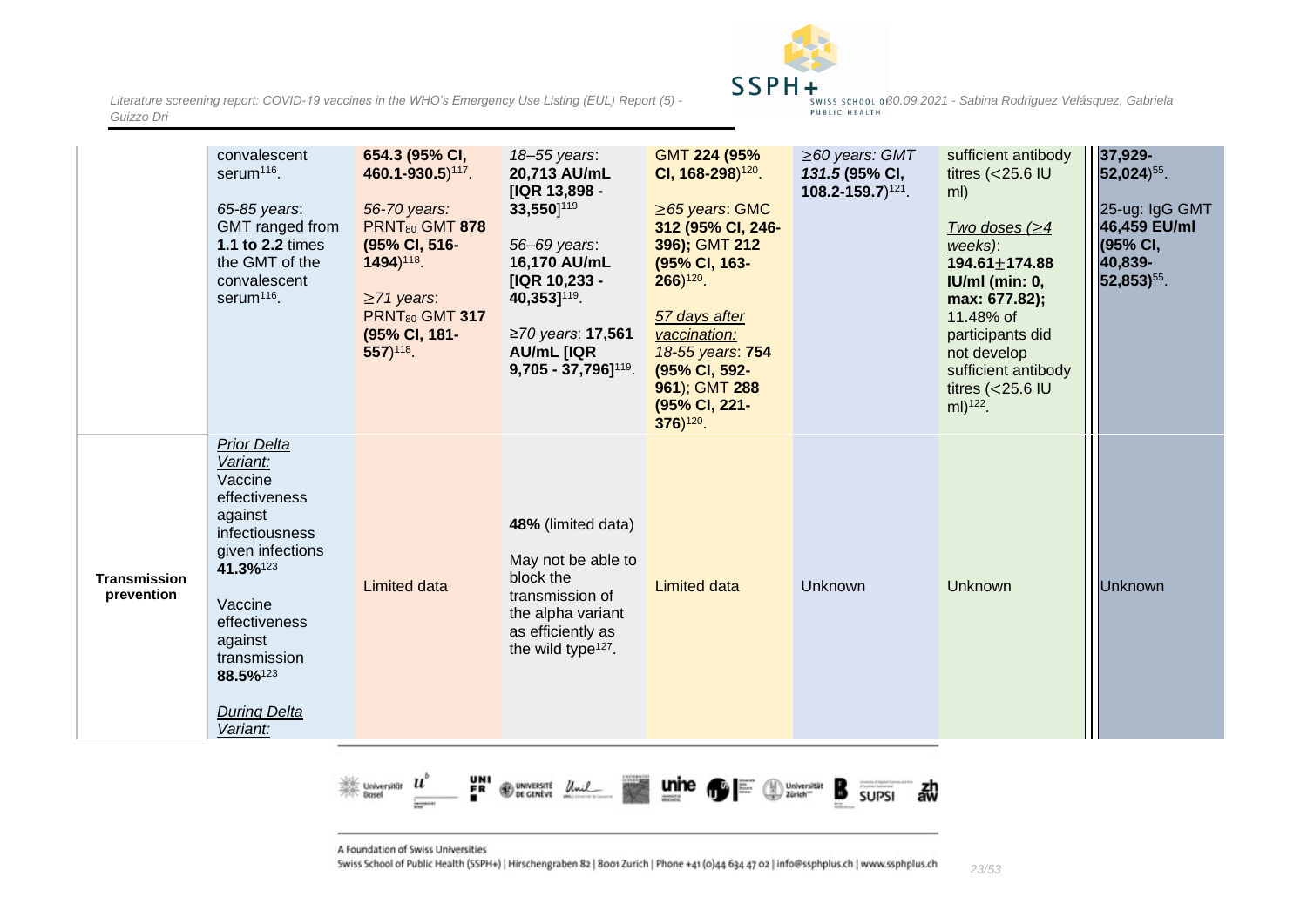

|                                   | convalescent<br>serum <sup>116</sup> .<br>65-85 years:<br>GMT ranged from<br>1.1 to 2.2 times<br>the GMT of the<br>convalescent<br>serum <sup>116</sup> .                                                                     | 654.3 (95% CI,<br>460.1-930.5) <sup>117</sup> .<br>56-70 years:<br><b>PRNT<sub>80</sub> GMT 878</b><br>(95% CI, 516-<br>1494) <sup>118</sup> .<br>$\geq$ 71 years:<br><b>PRNT<sub>80</sub> GMT 317</b><br>(95% CI, 181-<br>$557$ <sup>118</sup> . | 18-55 years:<br>20,713 AU/mL<br>[IQR 13,898 -<br>33,550] <sup>119</sup><br>56-69 years:<br>16,170 AU/mL<br>[IQR 10,233 -<br>40,353] <sup>119</sup> .<br>≥70 years: 17,561<br><b>AU/mL [IQR</b><br>$9,705 - 37,796$ ] <sup>119</sup> . | GMT 224 (95%<br>CI, $168-298$ <sup><math>120</math></sup> .<br>$\geq$ 65 years: GMC<br>312 (95% CI, 246-<br>396); GMT 212<br>(95% CI, 163-<br>$266)$ <sup>120</sup> .<br>57 days after<br>vaccination:<br>18-55 years: 754<br>(95% CI, 592-<br>961); GMT 288<br>(95% CI, 221-<br>$376)^{120}$ . | $\geq$ 60 years: GMT<br>131.5 (95% CI,<br>$108.2 - 159.7$ <sup>121</sup> . | sufficient antibody<br>titres $(<$ 25.6 IU<br>ml)<br>Two doses $(\geq 4)$<br>weeks):<br>$194.61 \pm 174.88$<br>$IUMI$ (min: 0,<br>max: 677.82);<br>11.48% of<br>participants did<br>not develop<br>sufficient antibody<br>titres ( $<$ 25.6 IU<br>$ml)^{122}$ . | 37,929-<br>$52,024$ <sup>55</sup> .<br>25-ug: IgG GMT<br>46,459 EU/ml<br>(95% CI,<br>40,839-<br>52,853) <sup>55</sup> . |
|-----------------------------------|-------------------------------------------------------------------------------------------------------------------------------------------------------------------------------------------------------------------------------|---------------------------------------------------------------------------------------------------------------------------------------------------------------------------------------------------------------------------------------------------|---------------------------------------------------------------------------------------------------------------------------------------------------------------------------------------------------------------------------------------|-------------------------------------------------------------------------------------------------------------------------------------------------------------------------------------------------------------------------------------------------------------------------------------------------|----------------------------------------------------------------------------|-----------------------------------------------------------------------------------------------------------------------------------------------------------------------------------------------------------------------------------------------------------------|-------------------------------------------------------------------------------------------------------------------------|
| <b>Transmission</b><br>prevention | <b>Prior Delta</b><br>Variant:<br>Vaccine<br>effectiveness<br>against<br>infectiousness<br>given infections<br>41.3%123<br>Vaccine<br>effectiveness<br>against<br>transmission<br>88.5%123<br><b>During Delta</b><br>Variant: | <b>Limited data</b>                                                                                                                                                                                                                               | 48% (limited data)<br>May not be able to<br>block the<br>transmission of<br>the alpha variant<br>as efficiently as<br>the wild type <sup>127</sup> .                                                                                  | <b>Limited data</b>                                                                                                                                                                                                                                                                             | Unknown                                                                    | <b>Unknown</b>                                                                                                                                                                                                                                                  | <b>Unknown</b>                                                                                                          |

떍 Webversität<br>Rosel  $\boldsymbol{u}$ **WOMENSTE Unil** Universität B 勐 **SUPSI** 

A Foundation of Swiss Universities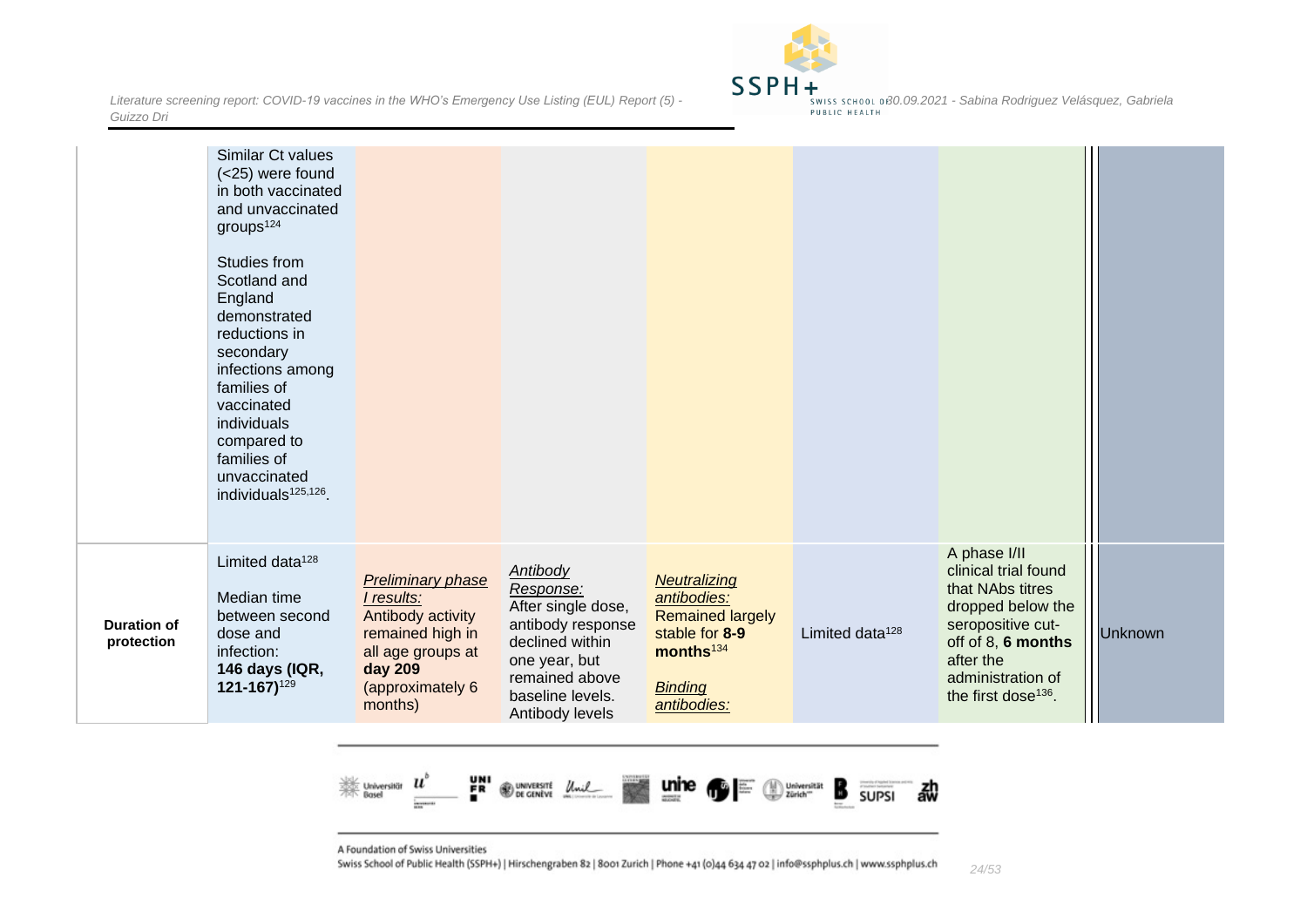

|                                  | Similar Ct values<br>(<25) were found<br>in both vaccinated<br>and unvaccinated<br>groups <sup>124</sup><br>Studies from<br>Scotland and<br>England<br>demonstrated<br>reductions in<br>secondary<br>infections among<br>families of<br>vaccinated<br>individuals<br>compared to<br>families of<br>unvaccinated<br>individuals <sup>125,126</sup> . |                                                                                                                                                       |                                                                                                                                                                      |                                                                                                                                    |                             |                                                                                                                                                                                               |                |
|----------------------------------|-----------------------------------------------------------------------------------------------------------------------------------------------------------------------------------------------------------------------------------------------------------------------------------------------------------------------------------------------------|-------------------------------------------------------------------------------------------------------------------------------------------------------|----------------------------------------------------------------------------------------------------------------------------------------------------------------------|------------------------------------------------------------------------------------------------------------------------------------|-----------------------------|-----------------------------------------------------------------------------------------------------------------------------------------------------------------------------------------------|----------------|
| <b>Duration of</b><br>protection | Limited data <sup>128</sup><br>Median time<br>between second<br>dose and<br>infection:<br>146 days (IQR,<br>121-167)129                                                                                                                                                                                                                             | <b>Preliminary phase</b><br>I results:<br>Antibody activity<br>remained high in<br>all age groups at<br><b>day 209</b><br>(approximately 6<br>months) | <b>Antibody</b><br>Response:<br>After single dose,<br>antibody response<br>declined within<br>one year, but<br>remained above<br>baseline levels.<br>Antibody levels | Neutralizing<br>antibodies:<br><b>Remained largely</b><br>stable for 8-9<br>months <sup>134</sup><br><b>Binding</b><br>antibodies: | Limited data <sup>128</sup> | A phase I/II<br>clinical trial found<br>that NAbs titres<br>dropped below the<br>seropositive cut-<br>off of 8, 6 months<br>after the<br>administration of<br>the first dose <sup>136</sup> . | <b>Unknown</b> |
|                                  |                                                                                                                                                                                                                                                                                                                                                     |                                                                                                                                                       |                                                                                                                                                                      |                                                                                                                                    |                             |                                                                                                                                                                                               |                |



A Foundation of Swiss Universities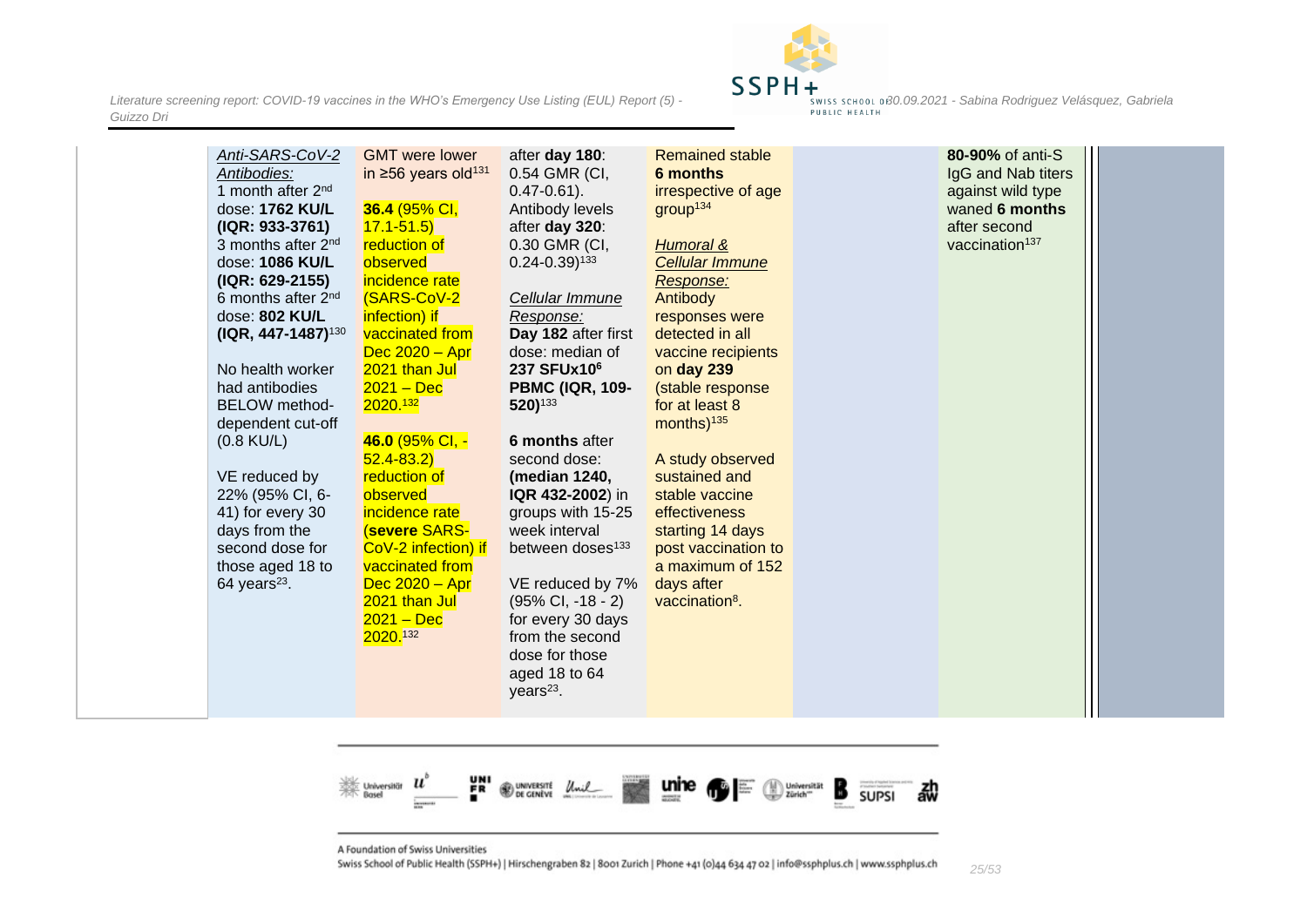

| Anti-SARS-CoV-2<br>Antibodies:<br>1 month after 2 <sup>nd</sup><br>dose: 1762 KU/L<br>(IQR: 933-3761)<br>3 months after 2 <sup>nd</sup><br>dose: 1086 KU/L<br>(IQR: 629-2155)<br>6 months after 2 <sup>nd</sup><br>dose: 802 KU/L<br>$( IQR, 447-1487)^{130}$<br>No health worker<br>had antibodies<br><b>BELOW</b> method-<br>dependent cut-off<br>$(0.8 \text{ KU/L})$<br>VE reduced by<br>22% (95% CI, 6-<br>41) for every 30<br>days from the<br>second dose for<br>those aged 18 to<br>$64$ years <sup>23</sup> . | <b>GMT</b> were lower<br>in $\geq 56$ years old <sup>131</sup><br>36.4 (95% CI,<br>$17.1 - 51.5$<br>reduction of<br>observed<br>incidence rate<br><b>(SARS-CoV-2</b><br>infection) if<br>vaccinated from<br>$Dec 2020 - Apr$<br>2021 than Jul<br>$2021 - Dec$<br>2020. <sup>132</sup><br>46.0 (95% CI, -<br>$52.4 - 83.2$<br>reduction of<br>observed<br>incidence rate<br><b>(severe SARS-</b><br>CoV-2 infection) if<br>vaccinated from<br>$Dec 2020 - Apr$<br>2021 than Jul<br>$2021 - Dec$<br>2020.132 | after day 180:<br>0.54 GMR (CI,<br>$0.47 - 0.61$ ).<br>Antibody levels<br>after day 320:<br>0.30 GMR (CI,<br>$0.24 - 0.39$ <sup>133</sup><br>Cellular Immune<br>Response:<br>Day 182 after first<br>dose: median of<br>237 SFUx10 <sup>6</sup><br><b>PBMC (IQR, 109-</b><br>520) <sup>133</sup><br>6 months after<br>second dose:<br>(median 1240,<br>IQR 432-2002) in<br>groups with 15-25<br>week interval<br>between doses <sup>133</sup><br>VE reduced by 7%<br>$(95\% \text{ Cl}, -18 - 2)$<br>for every 30 days<br>from the second<br>dose for those<br>aged 18 to 64 | <b>Remained stable</b><br>6 months<br>irrespective of age<br>group <sup>134</sup><br>Humoral &<br><b>Cellular Immune</b><br>Response:<br>Antibody<br>responses were<br>detected in all<br>vaccine recipients<br>on day 239<br>(stable response<br>for at least 8<br>months) <sup>135</sup><br>A study observed<br>sustained and<br>stable vaccine<br>effectiveness<br>starting 14 days<br>post vaccination to<br>a maximum of 152<br>days after<br>vaccination <sup>8</sup> . | 80-90% of anti-S<br>IgG and Nab titers<br>against wild type<br>waned 6 months<br>after second<br>vaccination <sup>137</sup> |  |
|------------------------------------------------------------------------------------------------------------------------------------------------------------------------------------------------------------------------------------------------------------------------------------------------------------------------------------------------------------------------------------------------------------------------------------------------------------------------------------------------------------------------|------------------------------------------------------------------------------------------------------------------------------------------------------------------------------------------------------------------------------------------------------------------------------------------------------------------------------------------------------------------------------------------------------------------------------------------------------------------------------------------------------------|-----------------------------------------------------------------------------------------------------------------------------------------------------------------------------------------------------------------------------------------------------------------------------------------------------------------------------------------------------------------------------------------------------------------------------------------------------------------------------------------------------------------------------------------------------------------------------|-------------------------------------------------------------------------------------------------------------------------------------------------------------------------------------------------------------------------------------------------------------------------------------------------------------------------------------------------------------------------------------------------------------------------------------------------------------------------------|-----------------------------------------------------------------------------------------------------------------------------|--|
|                                                                                                                                                                                                                                                                                                                                                                                                                                                                                                                        |                                                                                                                                                                                                                                                                                                                                                                                                                                                                                                            | years $23$ .                                                                                                                                                                                                                                                                                                                                                                                                                                                                                                                                                                |                                                                                                                                                                                                                                                                                                                                                                                                                                                                               |                                                                                                                             |  |



A Foundation of Swiss Universities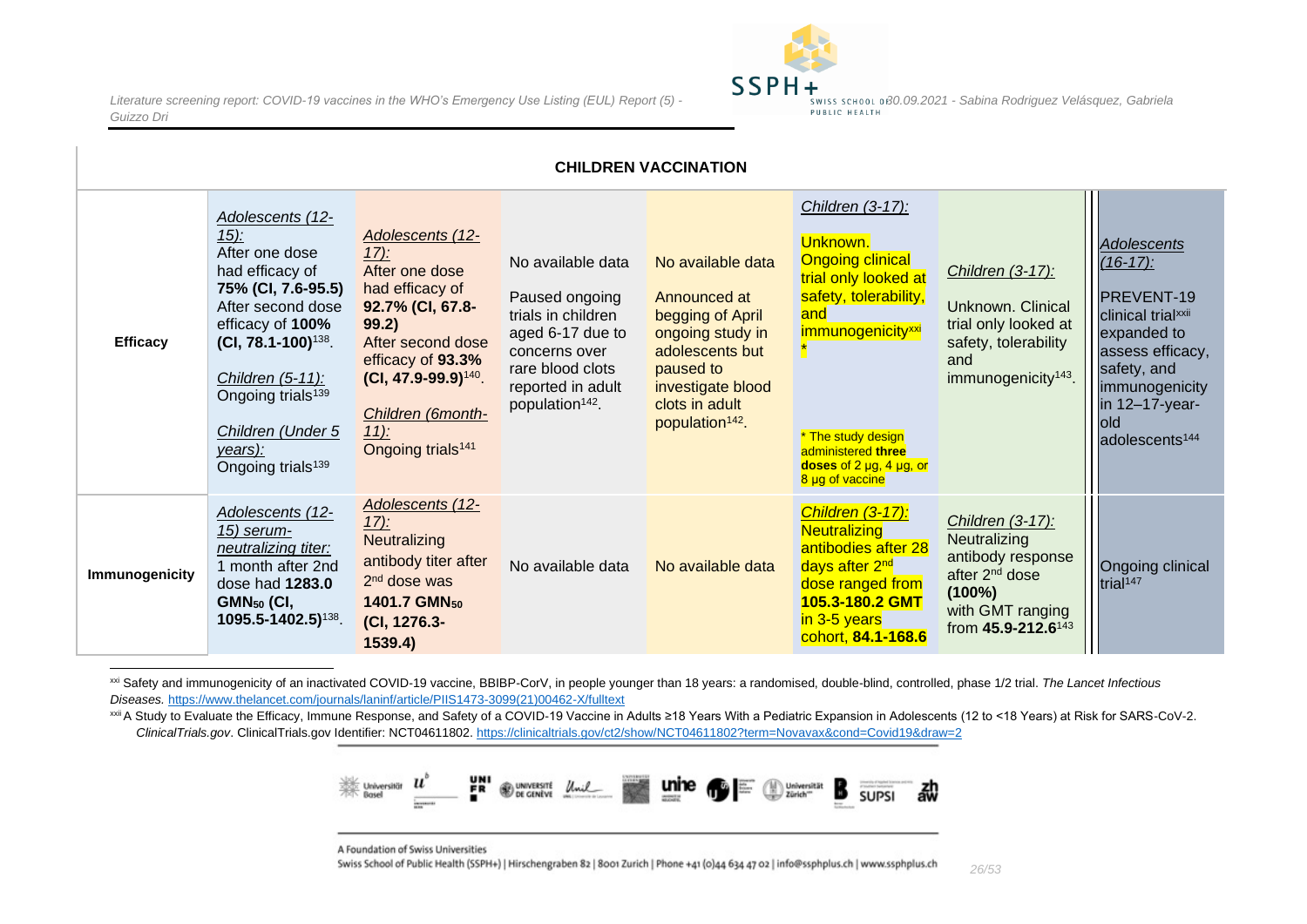

| <b>CHILDREN VACCINATION</b> |                                                                                                                                                                                                                                                                                       |                                                                                                                                                                                                                                      |                                                                                                                                                                        |                                                                                                                                                                                 |                                                                                                                                                                                                                                            |                                                                                                                                                        |                                                                                                                                                                                                              |  |  |
|-----------------------------|---------------------------------------------------------------------------------------------------------------------------------------------------------------------------------------------------------------------------------------------------------------------------------------|--------------------------------------------------------------------------------------------------------------------------------------------------------------------------------------------------------------------------------------|------------------------------------------------------------------------------------------------------------------------------------------------------------------------|---------------------------------------------------------------------------------------------------------------------------------------------------------------------------------|--------------------------------------------------------------------------------------------------------------------------------------------------------------------------------------------------------------------------------------------|--------------------------------------------------------------------------------------------------------------------------------------------------------|--------------------------------------------------------------------------------------------------------------------------------------------------------------------------------------------------------------|--|--|
| <b>Efficacy</b>             | Adolescents (12-<br>$15$ :<br>After one dose<br>had efficacy of<br>75% (CI, 7.6-95.5)<br>After second dose<br>efficacy of 100%<br>$(CI, 78.1 - 100)^{138}$ .<br>Children $(5-11)$ :<br>Ongoing trials <sup>139</sup><br>Children (Under 5<br>years):<br>Ongoing trials <sup>139</sup> | Adolescents (12-<br>$17)$ :<br>After one dose<br>had efficacy of<br>92.7% (CI, 67.8-<br>99.2)<br>After second dose<br>efficacy of 93.3%<br>$(CI, 47.9-99.9)^{140}$ .<br>Children (6month-<br>$11$ :<br>Ongoing trials <sup>141</sup> | No available data<br>Paused ongoing<br>trials in children<br>aged 6-17 due to<br>concerns over<br>rare blood clots<br>reported in adult<br>population <sup>142</sup> . | No available data<br>Announced at<br>begging of April<br>ongoing study in<br>adolescents but<br>paused to<br>investigate blood<br>clots in adult<br>population <sup>142</sup> . | Children (3-17):<br>Unknown.<br><b>Ongoing clinical</b><br>trial only looked at<br>safety, tolerability,<br>and<br>immunogenicity <sup>xxi</sup><br>* The study design<br>administered three<br>doses of 2 µg, 4 µg, or<br>8 µg of vaccine | Children (3-17):<br>Unknown. Clinical<br>trial only looked at<br>safety, tolerability<br>and<br>immunogenicity <sup>143</sup> .                        | <b>Adolescents</b><br>$(16-17)$ :<br>PREVENT-19<br>clinical trial <sup>xxii</sup><br>expanded to<br>assess efficacy,<br>safety, and<br>immunogenicity<br>in 12-17-year-<br>old<br>adolescents <sup>144</sup> |  |  |
| Immunogenicity              | Adolescents (12-<br>15) serum-<br>neutralizing titer:<br>1 month after 2nd<br>dose had 1283.0<br>$GMN_{50}$ (CI,<br>1095.5-1402.5) <sup>138</sup> .                                                                                                                                   | Adolescents (12-<br>$17)$ :<br>Neutralizing<br>antibody titer after<br>2 <sup>nd</sup> dose was<br>1401.7 GMN <sub>50</sub><br>(CI, 1276.3-<br>1539.4)                                                                               | No available data                                                                                                                                                      | No available data                                                                                                                                                               | Children (3-17):<br><b>Neutralizing</b><br>antibodies after 28<br>days after 2 <sup>nd</sup><br>dose ranged from<br>105.3-180.2 GMT<br>in 3-5 years<br>cohort, 84.1-168.6                                                                  | Children (3-17):<br>Neutralizing<br>antibody response<br>after 2 <sup>nd</sup> dose<br>$(100\%)$<br>with GMT ranging<br>from 45.9-212.6 <sup>143</sup> | Ongoing clinical<br>trial <sup>147</sup>                                                                                                                                                                     |  |  |

<span id="page-25-0"></span>xxi Safety and immunogenicity of an inactivated COVID-19 vaccine, BBIBP-CorV, in people younger than 18 years: a randomised, double-blind, controlled, phase 1/2 trial. The Lancet Infectious *Diseases.* [https://www.thelancet.com/journals/laninf/article/PIIS1473-3099\(21\)00462-X/fulltext](https://www.thelancet.com/journals/laninf/article/PIIS1473-3099(21)00462-X/fulltext)

<sup>xxii</sup> A Study to Evaluate the Efficacy, Immune Response, and Safety of a COVID-19 Vaccine in Adults ≥18 Years With a Pediatric Expansion in Adolescents (12 to <18 Years) at Risk for SARS-CoV-2. *ClinicalTrials.gov*. ClinicalTrials.gov Identifier: NCT04611802.<https://clinicaltrials.gov/ct2/show/NCT04611802?term=Novavax&cond=Covid19&draw=2>



A Foundation of Swiss Universities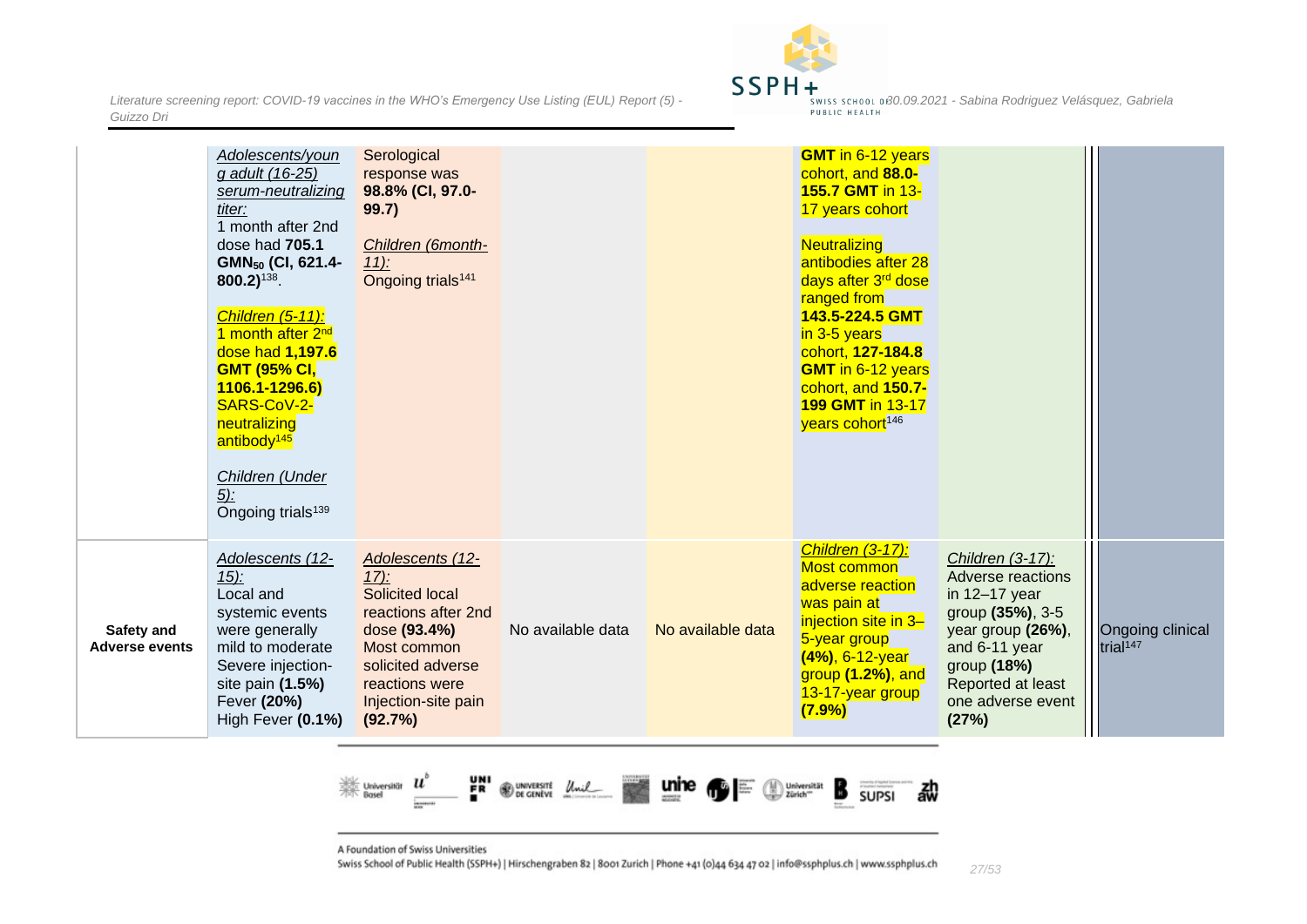*Literature screening report: COVID-19 vaccines in the WHO's Emergency Use Listing (EUL) Report (5)* **- 30.09.2021 -** *Sabina Rodriguez Velásquez, Gabriela - swiss school of 30.09.2021* - *Sabina Rodriguez Velásquez, Guizzo Dri*



|                                            | Adolescents/youn<br>g adult (16-25)<br>serum-neutralizing<br>titer:<br>1 month after 2nd<br>dose had 705.1<br>GMN <sub>50</sub> (CI, 621.4-<br>$800.2$ ) <sup>138</sup> .<br>Children (5-11):<br>1 month after 2 <sup>nd</sup><br>dose had 1,197.6<br><b>GMT (95% CI,</b><br>1106.1-1296.6)<br>SARS-CoV-2-<br>neutralizing<br>antibody <sup>145</sup><br>Children (Under<br>$5$ :<br>Ongoing trials <sup>139</sup> | Serological<br>response was<br>98.8% (CI, 97.0-<br>99.7)<br>Children (6month-<br>$11$ :<br>Ongoing trials <sup>141</sup>                                                      |                   |                   | <b>GMT</b> in 6-12 years<br>cohort, and 88.0-<br><b>155.7 GMT in 13-</b><br>17 years cohort<br>Neutralizing<br>antibodies after 28<br>days after 3 <sup>rd</sup> dose<br>ranged from<br>143.5-224.5 GMT<br>in 3-5 years<br>cohort, 127-184.8<br><b>GMT</b> in 6-12 years<br>cohort, and 150.7-<br><b>199 GMT in 13-17</b><br>years cohort <sup>146</sup> |                                                                                                                                                                                    |                                          |
|--------------------------------------------|--------------------------------------------------------------------------------------------------------------------------------------------------------------------------------------------------------------------------------------------------------------------------------------------------------------------------------------------------------------------------------------------------------------------|-------------------------------------------------------------------------------------------------------------------------------------------------------------------------------|-------------------|-------------------|----------------------------------------------------------------------------------------------------------------------------------------------------------------------------------------------------------------------------------------------------------------------------------------------------------------------------------------------------------|------------------------------------------------------------------------------------------------------------------------------------------------------------------------------------|------------------------------------------|
| <b>Safety and</b><br><b>Adverse events</b> | Adolescents (12-<br>$15$ :<br>Local and<br>systemic events<br>were generally<br>mild to moderate<br>Severe injection-<br>site pain (1.5%)<br>Fever (20%)<br>High Fever (0.1%)                                                                                                                                                                                                                                      | Adolescents (12-<br>$17)$ :<br>Solicited local<br>reactions after 2nd<br>dose (93.4%)<br>Most common<br>solicited adverse<br>reactions were<br>Injection-site pain<br>(92.7%) | No available data | No available data | Children (3-17):<br>Most common<br>adverse reaction<br>was pain at<br>injection site in 3-<br>5-year group<br>(4%), 6-12-year<br>group (1.2%), and<br>13-17-year group<br>(7.9%)                                                                                                                                                                         | Children (3-17):<br>Adverse reactions<br>in 12-17 year<br>group (35%), 3-5<br>year group (26%),<br>and 6-11 year<br>group (18%)<br>Reported at least<br>one adverse event<br>(27%) | Ongoing clinical<br>trial <sup>147</sup> |



A Foundation of Swiss Universities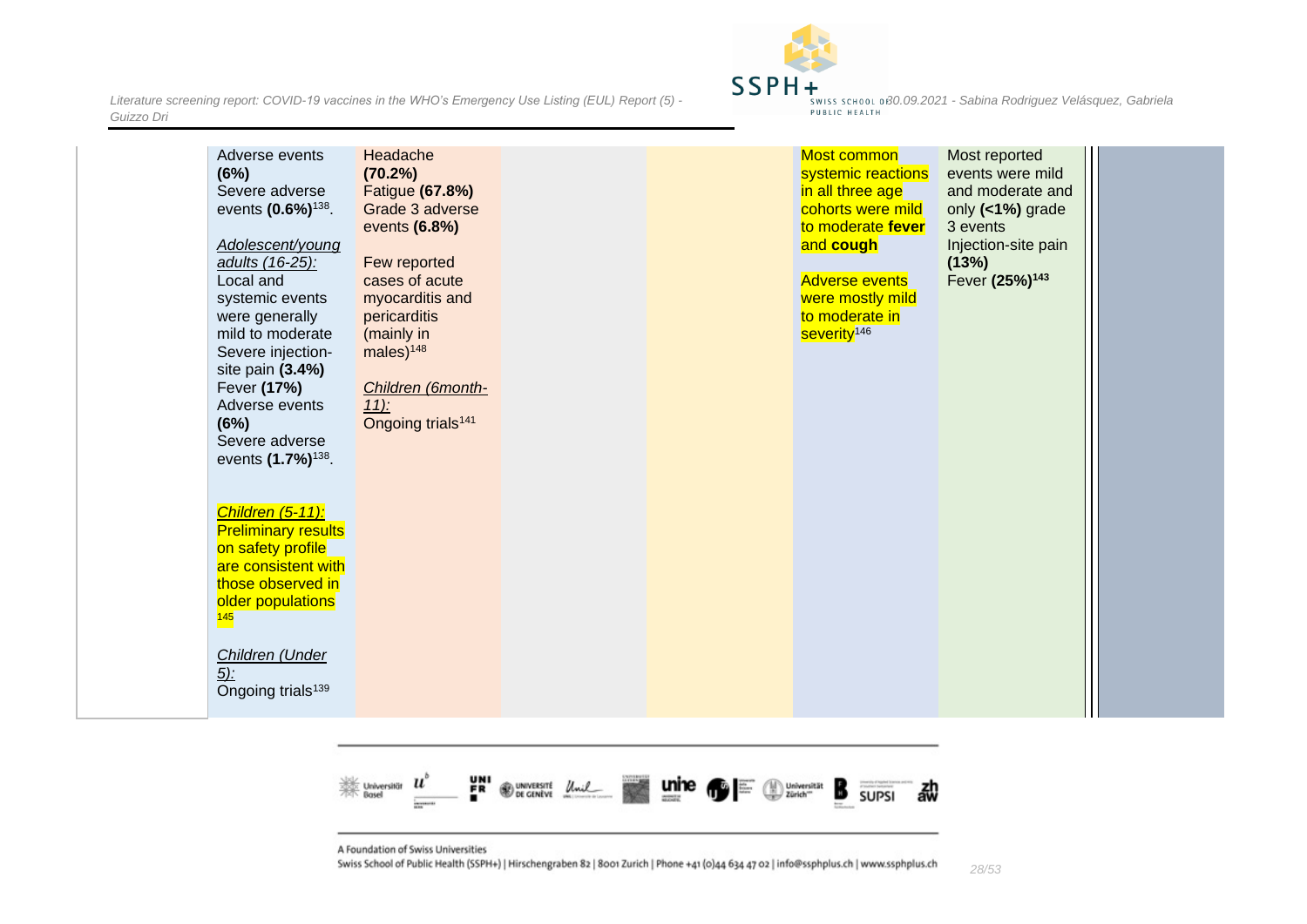

| Adverse events<br>(6%)<br>Severe adverse<br>events (0.6%) <sup>138</sup> .<br>Adolescent/young<br>adults (16-25):<br>Local and<br>systemic events<br>were generally<br>mild to moderate<br>Severe injection-<br>site pain (3.4%)<br>Fever (17%)<br>Adverse events<br>(6%)<br>Severe adverse<br>events (1.7%) <sup>138</sup> .<br>Children (5-11):<br><b>Preliminary results</b><br>on safety profile<br>are consistent with<br>those observed in<br>older populations<br>145<br>Children (Under<br><u>5)</u><br>Ongoing trials <sup>139</sup> | Headache<br>$(70.2\%)$<br>Fatigue (67.8%)<br>Grade 3 adverse<br>events (6.8%)<br>Few reported<br>cases of acute<br>myocarditis and<br>pericarditis<br>(mainly in<br>males $)^{148}$<br>Children (6month-<br>$11$ :<br>Ongoing trials <sup>141</sup> |  |  | Most common<br>systemic reactions<br>in all three age<br>cohorts were mild<br>to moderate fever<br>and cough<br><b>Adverse events</b><br>were mostly mild<br>to moderate in<br>severity <sup>146</sup> | Most reported<br>events were mild<br>and moderate and<br>only (<1%) grade<br>3 events<br>Injection-site pain<br>(13%)<br>Fever (25%) <sup>143</sup> |  |
|-----------------------------------------------------------------------------------------------------------------------------------------------------------------------------------------------------------------------------------------------------------------------------------------------------------------------------------------------------------------------------------------------------------------------------------------------------------------------------------------------------------------------------------------------|-----------------------------------------------------------------------------------------------------------------------------------------------------------------------------------------------------------------------------------------------------|--|--|--------------------------------------------------------------------------------------------------------------------------------------------------------------------------------------------------------|-----------------------------------------------------------------------------------------------------------------------------------------------------|--|
|-----------------------------------------------------------------------------------------------------------------------------------------------------------------------------------------------------------------------------------------------------------------------------------------------------------------------------------------------------------------------------------------------------------------------------------------------------------------------------------------------------------------------------------------------|-----------------------------------------------------------------------------------------------------------------------------------------------------------------------------------------------------------------------------------------------------|--|--|--------------------------------------------------------------------------------------------------------------------------------------------------------------------------------------------------------|-----------------------------------------------------------------------------------------------------------------------------------------------------|--|



A Foundation of Swiss Universities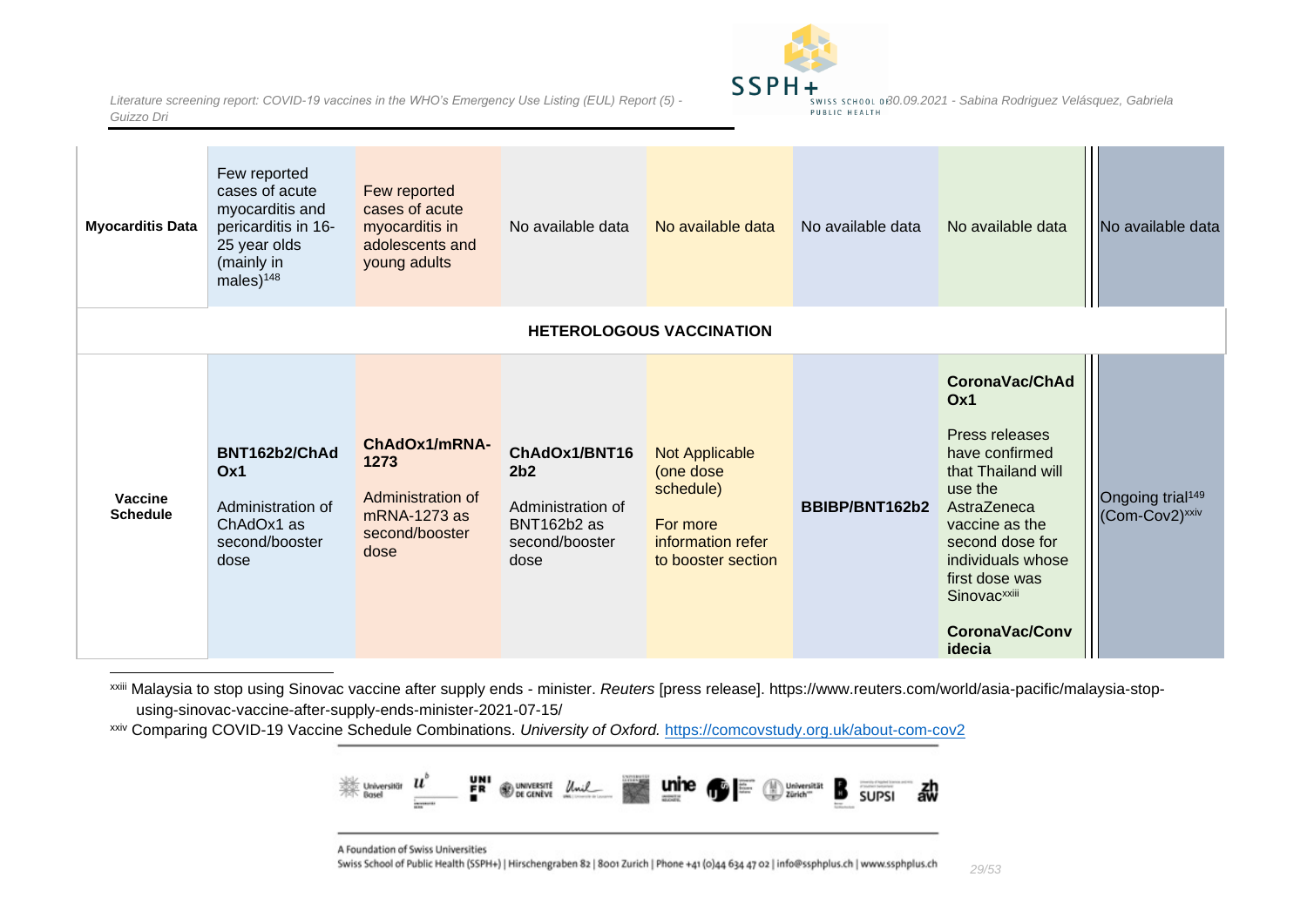

| <b>Myocarditis Data</b>           | Few reported<br>cases of acute<br>myocarditis and<br>pericarditis in 16-<br>25 year olds<br>(mainly in<br>males $)^{148}$ | Few reported<br>cases of acute<br>myocarditis in<br>adolescents and<br>young adults  | No available data                                                                              | No available data                                                                               | No available data | No available data                                                                                                                                                                                                                                    | No available data                                          |
|-----------------------------------|---------------------------------------------------------------------------------------------------------------------------|--------------------------------------------------------------------------------------|------------------------------------------------------------------------------------------------|-------------------------------------------------------------------------------------------------|-------------------|------------------------------------------------------------------------------------------------------------------------------------------------------------------------------------------------------------------------------------------------------|------------------------------------------------------------|
|                                   |                                                                                                                           |                                                                                      |                                                                                                | <b>HETEROLOGOUS VACCINATION</b>                                                                 |                   |                                                                                                                                                                                                                                                      |                                                            |
| <b>Vaccine</b><br><b>Schedule</b> | BNT162b2/ChAd<br>Ox1<br>Administration of<br>ChAdOx1 as<br>second/booster<br>dose                                         | ChAdOx1/mRNA-<br>1273<br>Administration of<br>mRNA-1273 as<br>second/booster<br>dose | ChAdOx1/BNT16<br>2 <sub>b2</sub><br>Administration of<br>BNT162b2 as<br>second/booster<br>dose | Not Applicable<br>(one dose<br>schedule)<br>For more<br>information refer<br>to booster section | BBIBP/BNT162b2    | CoronaVac/ChAd<br>Ox1<br>Press releases<br>have confirmed<br>that Thailand will<br>use the<br>AstraZeneca<br>vaccine as the<br>second dose for<br>individuals whose<br>first dose was<br>Sinovac <sup>xxiii</sup><br><b>CoronaVac/Conv</b><br>idecia | Ongoing trial <sup>149</sup><br>(Com-Cov2) <sup>xxiv</sup> |

xxiii Malaysia to stop using Sinovac vaccine after supply ends - minister. *Reuters* [press release]. https://www.reuters.com/world/asia-pacific/malaysia-stopusing-sinovac-vaccine-after-supply-ends-minister-2021-07-15/

<span id="page-28-0"></span>xxiv Comparing COVID-19 Vaccine Schedule Combinations. *University of Oxford.* <https://comcovstudy.org.uk/about-com-cov2>



A Foundation of Swiss Universities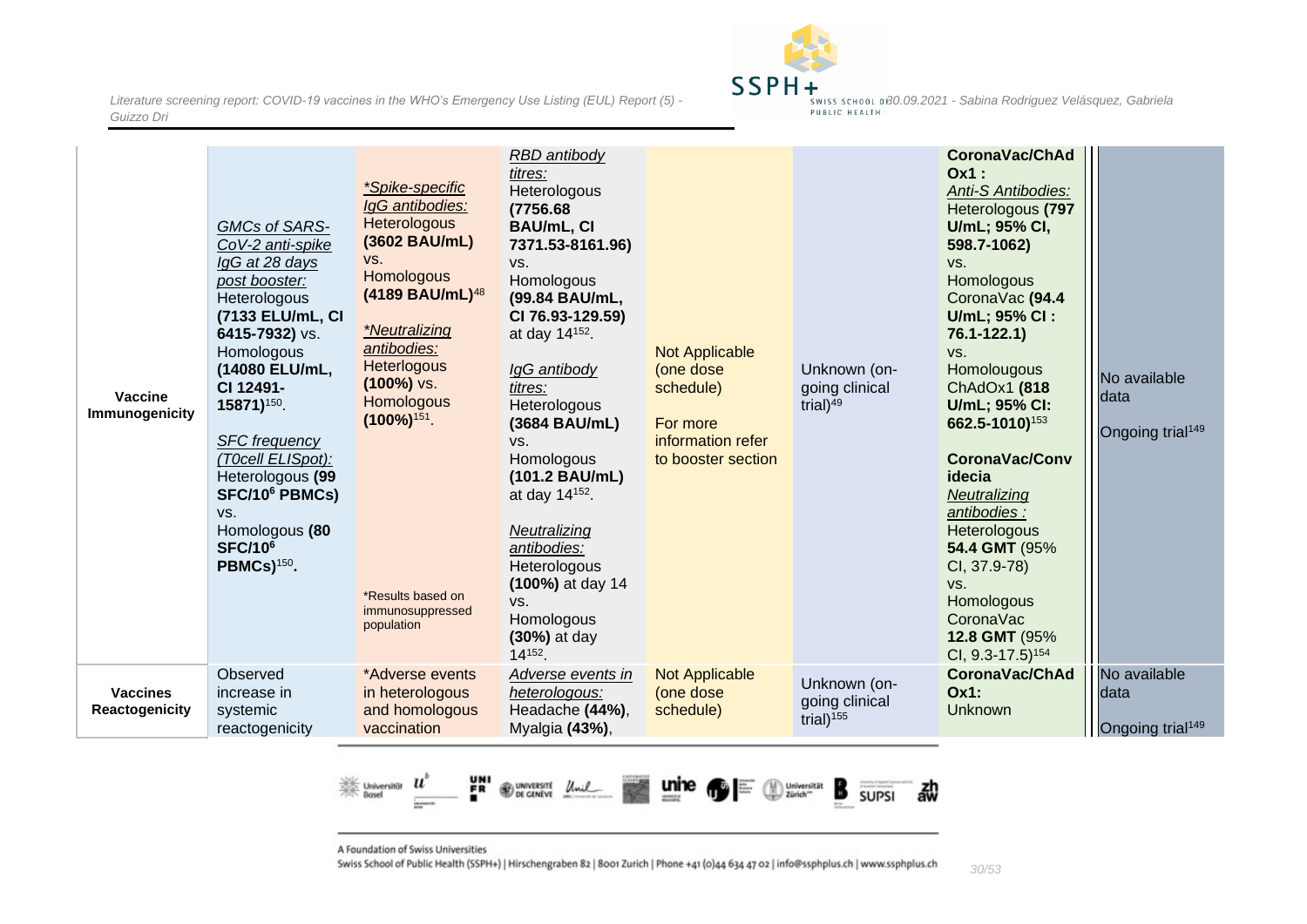

| <b>Vaccine</b><br>Immunogenicity         | GMCs of SARS-<br>CoV-2 anti-spike<br>IgG at 28 days<br>post booster:<br>Heterologous<br>(7133 ELU/mL, CI<br>6415-7932) vs.<br>Homologous<br>(14080 ELU/mL,<br>CI 12491-<br>15871) <sup>150</sup> .<br><b>SFC</b> frequency<br>(T0cell ELISpot):<br>Heterologous (99<br>SFC/10 <sup>6</sup> PBMCs)<br>VS.<br>Homologous (80<br><b>SFC/10<sup>6</sup></b><br>PBMCs) <sup>150</sup> . | *Spike-specific<br>IgG antibodies:<br><b>Heterologous</b><br>(3602 BAU/mL)<br>VS.<br><b>Homologous</b><br>(4189 BAU/mL) <sup>48</sup><br>*Neutralizing<br>antibodies:<br>Heterlogous<br>$(100\%)$ vs.<br><b>Homologous</b><br>$(100\%)$ <sup>151</sup> .<br>*Results based on<br>immunosuppressed<br>population | RBD antibody<br>titres:<br>Heterologous<br>(7756.68<br><b>BAU/mL, CI</b><br>7371.53-8161.96)<br>VS.<br>Homologous<br>(99.84 BAU/mL,<br>CI 76.93-129.59)<br>at day 14 <sup>152</sup> .<br>IgG antibody<br>titres:<br>Heterologous<br>(3684 BAU/mL)<br>VS.<br>Homologous<br>(101.2 BAU/mL)<br>at day 14 <sup>152</sup> .<br>Neutralizing<br>antibodies:<br>Heterologous<br>(100%) at day 14<br>VS.<br>Homologous<br>(30%) at day<br>14152. | <b>Not Applicable</b><br>(one dose<br>schedule)<br>For more<br>information refer<br>to booster section | Unknown (on-<br>going clinical<br>trial) $49$  | CoronaVac/ChAd<br>$Ox1$ :<br>Anti-S Antibodies:<br>Heterologous (797<br>U/mL; 95% CI,<br>598.7-1062)<br>VS.<br>Homologous<br>CoronaVac (94.4<br>U/mL; 95% CI:<br>$76.1 - 122.1$<br>VS.<br>Homolougous<br>ChAdOx1 (818<br>U/mL; 95% CI:<br>662.5-1010) <sup>153</sup><br><b>CoronaVac/Conv</b><br>idecia<br>Neutralizing<br>antibodies :<br>Heterologous<br>54.4 GMT (95%<br>CI, 37.9-78)<br>VS.<br><b>Homologous</b><br>CoronaVac<br>12.8 GMT (95%<br>CI, 9.3-17.5) <sup>154</sup> | No available<br>Idata<br>Ongoing trial <sup>149</sup> |
|------------------------------------------|------------------------------------------------------------------------------------------------------------------------------------------------------------------------------------------------------------------------------------------------------------------------------------------------------------------------------------------------------------------------------------|-----------------------------------------------------------------------------------------------------------------------------------------------------------------------------------------------------------------------------------------------------------------------------------------------------------------|------------------------------------------------------------------------------------------------------------------------------------------------------------------------------------------------------------------------------------------------------------------------------------------------------------------------------------------------------------------------------------------------------------------------------------------|--------------------------------------------------------------------------------------------------------|------------------------------------------------|------------------------------------------------------------------------------------------------------------------------------------------------------------------------------------------------------------------------------------------------------------------------------------------------------------------------------------------------------------------------------------------------------------------------------------------------------------------------------------|-------------------------------------------------------|
| <b>Vaccines</b><br><b>Reactogenicity</b> | Observed<br>increase in<br>systemic<br>reactogenicity                                                                                                                                                                                                                                                                                                                              | *Adverse events<br>in heterologous<br>and homologous<br>vaccination                                                                                                                                                                                                                                             | Adverse events in<br>heterologous:<br>Headache (44%),<br>Myalgia (43%),                                                                                                                                                                                                                                                                                                                                                                  | <b>Not Applicable</b><br>(one dose<br>schedule)                                                        | Unknown (on-<br>going clinical<br>trial) $155$ | CoronaVac/ChAd<br><b>Ox1:</b><br><b>Unknown</b>                                                                                                                                                                                                                                                                                                                                                                                                                                    | No available<br>data<br>Ongoing trial <sup>149</sup>  |



A Foundation of Swiss Universities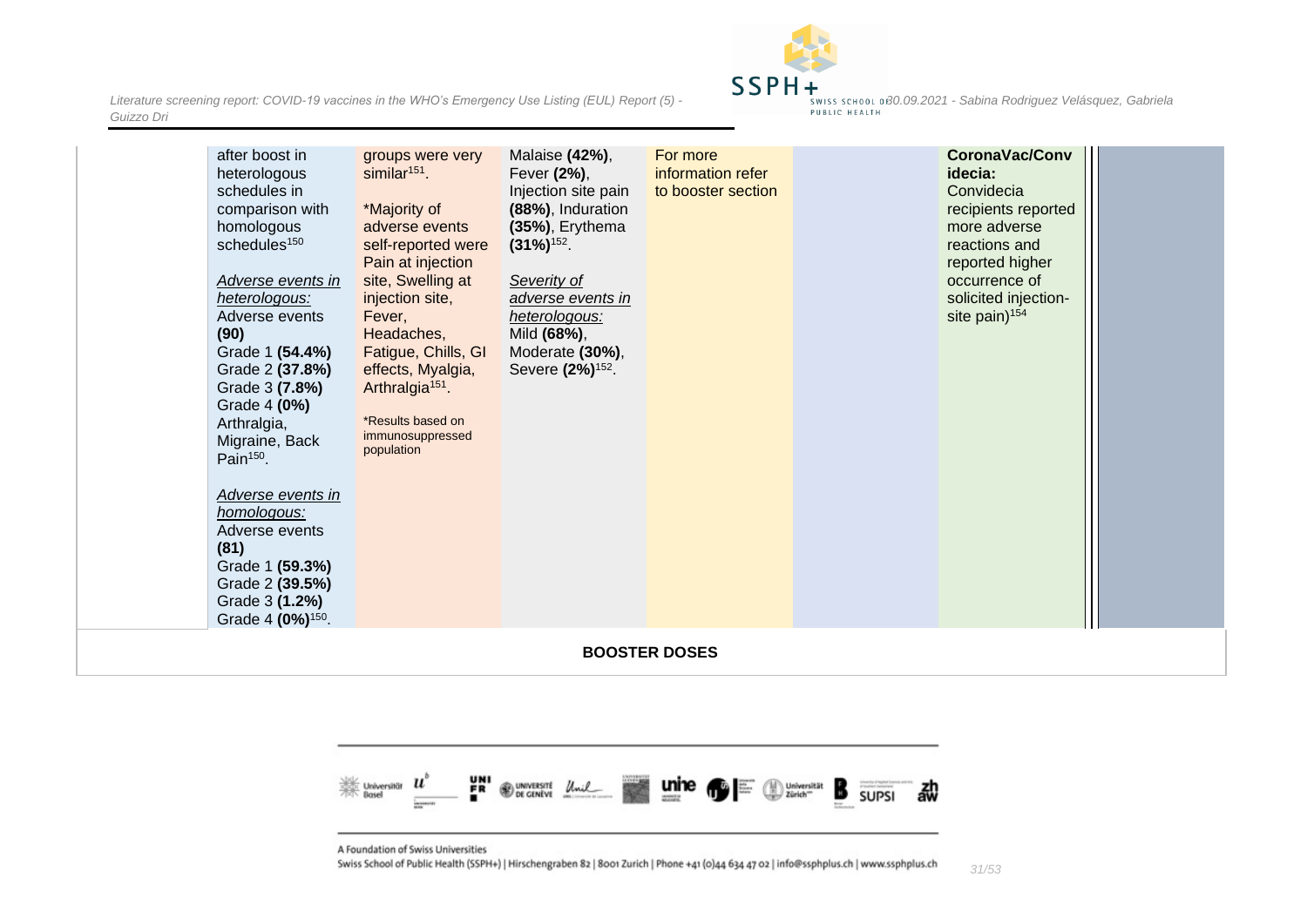

| after boost in<br>heterologous<br>schedules in<br>comparison with<br>homologous<br>schedules <sup>150</sup><br>Adverse events in<br>heterologous:<br>Adverse events<br>(90)<br>Grade 1 (54.4%)<br>Grade 2 (37.8%)<br>Grade 3 (7.8%)<br>Grade 4 (0%)<br>Arthralgia,<br>Migraine, Back<br>Pain <sup>150</sup> .<br>Adverse events in<br>homologous:<br>Adverse events<br>(81)<br>Grade 1 (59.3%)<br>Grade 2 (39.5%)<br>Grade 3 (1.2%)<br>Grade 4 (0%) <sup>150</sup> . | groups were very<br>$similar151$ .<br>*Majority of<br>adverse events<br>self-reported were<br>Pain at injection<br>site, Swelling at<br>injection site,<br>Fever,<br>Headaches,<br>Fatigue, Chills, GI<br>effects, Myalgia,<br>Arthralgia <sup>151</sup> .<br>*Results based on<br>immunosuppressed<br>population | Malaise (42%),<br>Fever (2%),<br>Injection site pain<br>(88%), Induration<br>(35%), Erythema<br>$(31\%)$ <sup>152</sup> .<br>Severity of<br>adverse events in<br>heterologous:<br>Mild (68%),<br>Moderate (30%),<br>Severe (2%) <sup>152</sup> . | For more<br>information refer<br>to booster section | CoronaVac/Conv<br>idecia:<br>Convidecia<br>recipients reported<br>more adverse<br>reactions and<br>reported higher<br>occurrence of<br>solicited injection-<br>site pain) <sup>154</sup> |  |
|----------------------------------------------------------------------------------------------------------------------------------------------------------------------------------------------------------------------------------------------------------------------------------------------------------------------------------------------------------------------------------------------------------------------------------------------------------------------|-------------------------------------------------------------------------------------------------------------------------------------------------------------------------------------------------------------------------------------------------------------------------------------------------------------------|--------------------------------------------------------------------------------------------------------------------------------------------------------------------------------------------------------------------------------------------------|-----------------------------------------------------|------------------------------------------------------------------------------------------------------------------------------------------------------------------------------------------|--|
|                                                                                                                                                                                                                                                                                                                                                                                                                                                                      |                                                                                                                                                                                                                                                                                                                   |                                                                                                                                                                                                                                                  | <b>BOOSTER DOSES</b>                                |                                                                                                                                                                                          |  |



<span id="page-30-0"></span>A Foundation of Swiss Universities

*Guizzo Dri*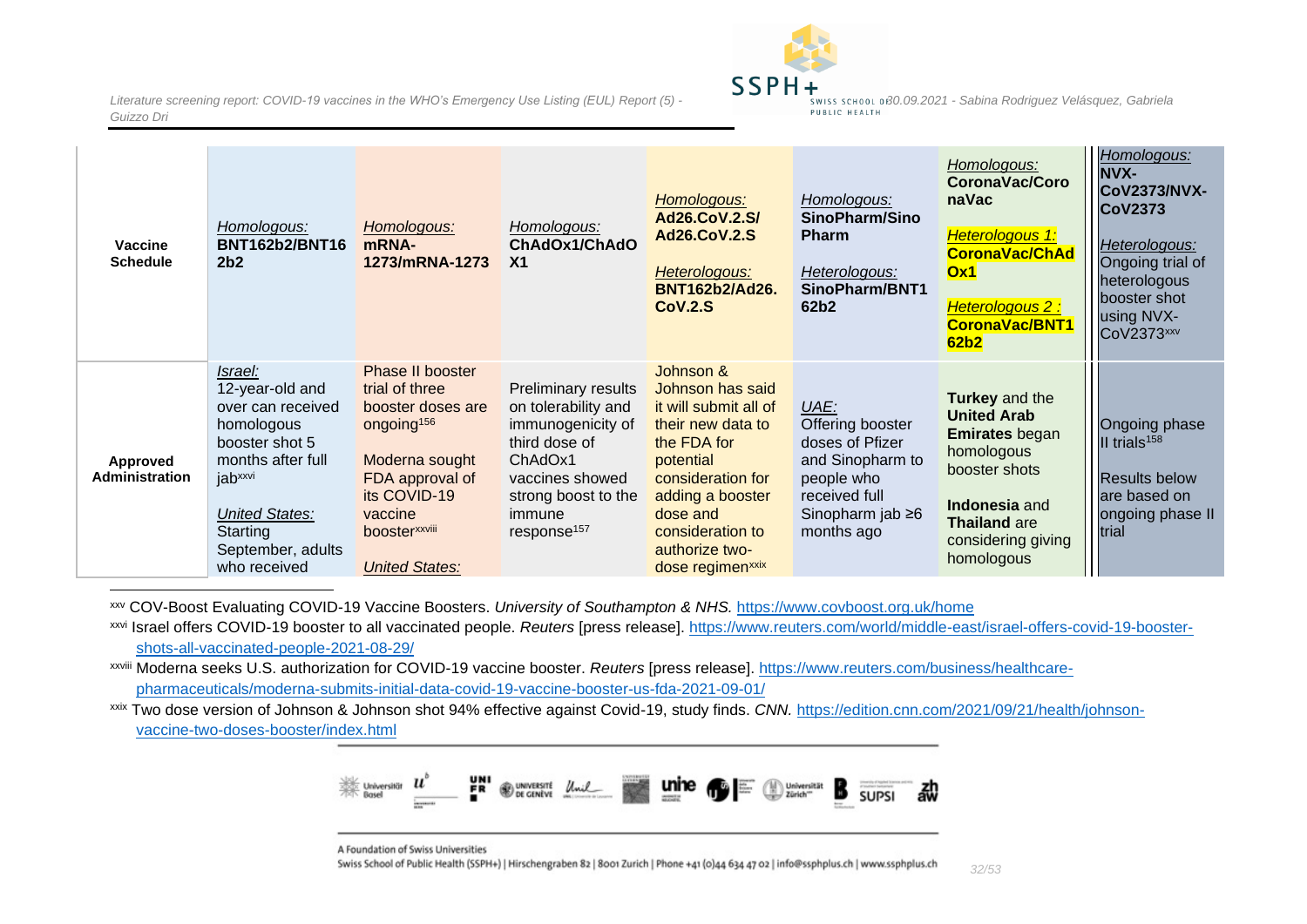

| <b>Vaccine</b><br><b>Schedule</b> | Homologous:<br><b>BNT162b2/BNT16</b><br>2 <sub>b2</sub>                                                                                                                                               | Homologous:<br>mRNA-<br>1273/mRNA-1273                                                                                                                                                      | Homologous:<br>ChAdOx1/ChAdO<br>X <sub>1</sub>                                                                                                                                    | Homologous:<br>Ad26.CoV.2.S/<br><b>Ad26.CoV.2.S</b><br>Heterologous:<br><b>BNT162b2/Ad26.</b><br>COV.2.S                                                                                                                           | Homologous:<br>SinoPharm/Sino<br><b>Pharm</b><br>Heterologous:<br>SinoPharm/BNT1<br>62b2                                               | Homologous:<br><b>CoronaVac/Coro</b><br>naVac<br>Heterologous 1:<br><b>CoronaVac/ChAd</b><br>Ox1<br><b>Heterologous 2:</b><br><b>CoronaVac/BNT1</b><br>62 <sub>b2</sub>         | Homologous:<br><b>NVX-</b><br><b>CoV2373/NVX-</b><br><b>CoV2373</b><br>Heterologous:<br>Ongoing trial of<br>heterologous<br>booster shot<br>using NVX-<br><b>CoV2373</b> xxv |
|-----------------------------------|-------------------------------------------------------------------------------------------------------------------------------------------------------------------------------------------------------|---------------------------------------------------------------------------------------------------------------------------------------------------------------------------------------------|-----------------------------------------------------------------------------------------------------------------------------------------------------------------------------------|------------------------------------------------------------------------------------------------------------------------------------------------------------------------------------------------------------------------------------|----------------------------------------------------------------------------------------------------------------------------------------|---------------------------------------------------------------------------------------------------------------------------------------------------------------------------------|------------------------------------------------------------------------------------------------------------------------------------------------------------------------------|
| Approved<br><b>Administration</b> | Israel:<br>12-year-old and<br>over can received<br>homologous<br>booster shot 5<br>months after full<br>jab <sup>xxvi</sup><br><b>United States:</b><br>Starting<br>September, adults<br>who received | Phase II booster<br>trial of three<br>booster doses are<br>ongoing <sup>156</sup><br>Moderna sought<br>FDA approval of<br>its COVID-19<br>vaccine<br>boosterxxviii<br><b>United States:</b> | <b>Preliminary results</b><br>on tolerability and<br>immunogenicity of<br>third dose of<br>ChAdOx1<br>vaccines showed<br>strong boost to the<br>immune<br>response <sup>157</sup> | Johnson &<br>Johnson has said<br>it will submit all of<br>their new data to<br>the FDA for<br>potential<br>consideration for<br>adding a booster<br>dose and<br>consideration to<br>authorize two-<br>dose regimen <sup>xxix</sup> | UAE:<br>Offering booster<br>doses of Pfizer<br>and Sinopharm to<br>people who<br>received full<br>Sinopharm jab $\geq 6$<br>months ago | <b>Turkey and the</b><br><b>United Arab</b><br><b>Emirates</b> began<br>homologous<br>booster shots<br>Indonesia and<br><b>Thailand are</b><br>considering giving<br>homologous | Ongoing phase<br>II trials <sup>158</sup><br><b>Results below</b><br>are based on<br>ongoing phase II<br>trial                                                               |

xxv COV-Boost Evaluating COVID-19 Vaccine Boosters. *University of Southampton & NHS.* <https://www.covboost.org.uk/home>

xxvi Israel offers COVID-19 booster to all vaccinated people. *Reuters* [press release]. [https://www.reuters.com/world/middle-east/israel-offers-covid-19-booster](https://www.reuters.com/world/middle-east/israel-offers-covid-19-booster-shots-all-vaccinated-people-2021-08-29/)[shots-all-vaccinated-people-2021-08-29/](https://www.reuters.com/world/middle-east/israel-offers-covid-19-booster-shots-all-vaccinated-people-2021-08-29/)

xxviii Moderna seeks U.S. authorization for COVID-19 vaccine booster. *Reuters* [press release]. [https://www.reuters.com/business/healthcare](https://www.reuters.com/business/healthcare-pharmaceuticals/moderna-submits-initial-data-covid-19-vaccine-booster-us-fda-2021-09-01/)[pharmaceuticals/moderna-submits-initial-data-covid-19-vaccine-booster-us-fda-2021-09-01/](https://www.reuters.com/business/healthcare-pharmaceuticals/moderna-submits-initial-data-covid-19-vaccine-booster-us-fda-2021-09-01/)

xxix Two dose version of Johnson & Johnson shot 94% effective against Covid-19, study finds. *CNN.* [https://edition.cnn.com/2021/09/21/health/johnson](https://edition.cnn.com/2021/09/21/health/johnson-vaccine-two-doses-booster/index.html)[vaccine-two-doses-booster/index.html](https://edition.cnn.com/2021/09/21/health/johnson-vaccine-two-doses-booster/index.html)



A Foundation of Swiss Universities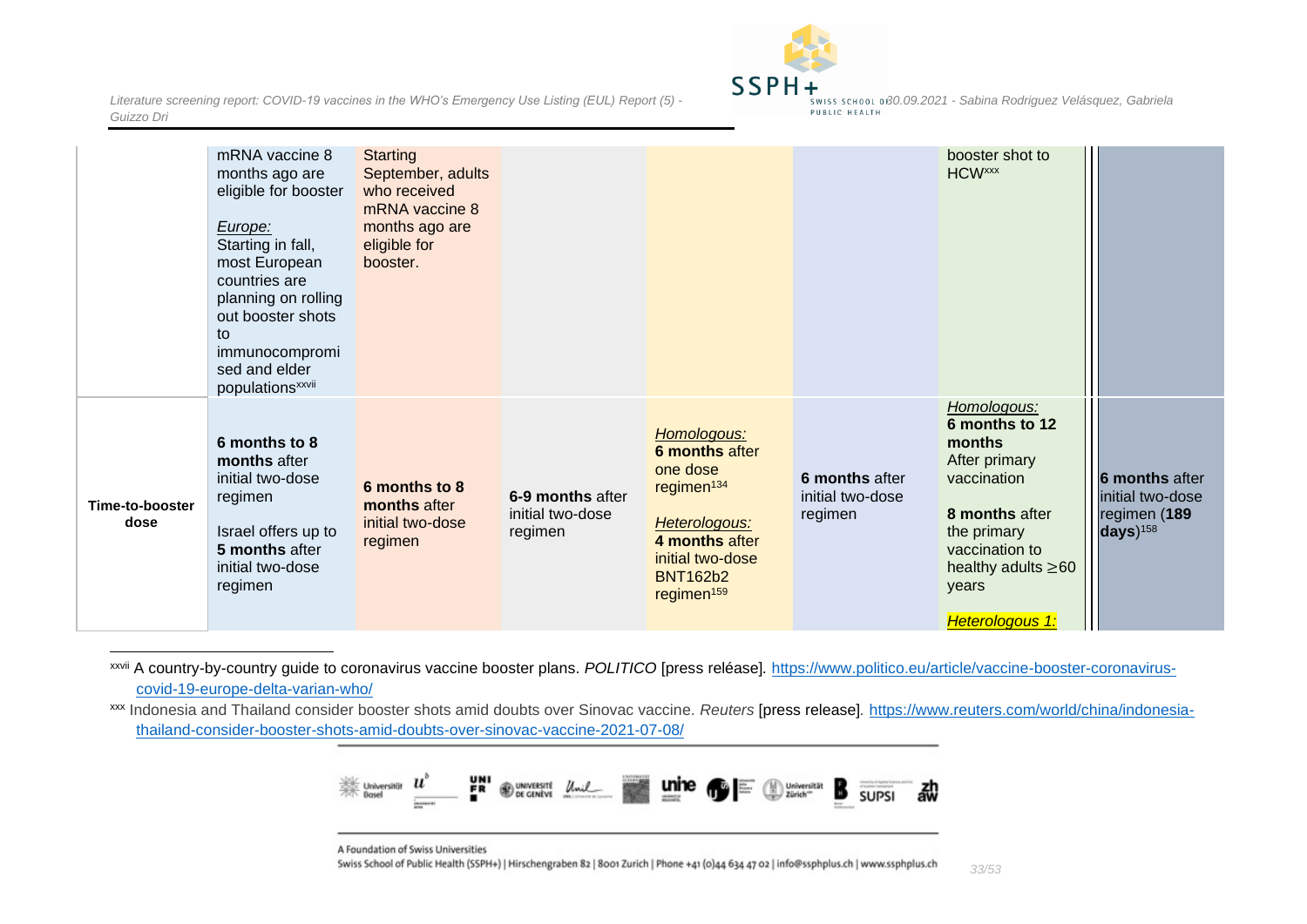

|                         | eligible for booster<br>Europe:<br>Starting in fall,<br>most European<br>countries are<br>planning on rolling<br>out booster shots<br>to<br>immunocompromi<br>sed and elder<br>populations <sup>xxvii</sup><br>6 months to 8 | who received<br>mRNA vaccine 8<br>months ago are<br>eligible for<br>booster. |                                                 | Homologous:                                                                                                                                              |                                               | Homologous:<br>6 months to 12<br>months                                                                                                 |                                                                                     |
|-------------------------|------------------------------------------------------------------------------------------------------------------------------------------------------------------------------------------------------------------------------|------------------------------------------------------------------------------|-------------------------------------------------|----------------------------------------------------------------------------------------------------------------------------------------------------------|-----------------------------------------------|-----------------------------------------------------------------------------------------------------------------------------------------|-------------------------------------------------------------------------------------|
| Time-to-booster<br>dose | months after<br>initial two-dose<br>regimen<br>Israel offers up to<br>5 months after<br>initial two-dose<br>regimen                                                                                                          | 6 months to 8<br>months after<br>initial two-dose<br>regimen                 | 6-9 months after<br>initial two-dose<br>regimen | 6 months after<br>one dose<br>regimen <sup>134</sup><br>Heterologous:<br>4 months after<br>initial two-dose<br><b>BNT162b2</b><br>regimen <sup>159</sup> | 6 months after<br>initial two-dose<br>regimen | After primary<br>vaccination<br>8 months after<br>the primary<br>vaccination to<br>healthy adults $\geq 60$<br>years<br>Heterologous 1: | <b>6 months after</b><br>initial two-dose<br>regimen (189<br>$days)$ <sup>158</sup> |

xxvii A country-by-country guide to coronavirus vaccine booster plans. *POLITICO* [press reléase]*.* [https://www.politico.eu/article/vaccine-booster-coronavirus](https://www.politico.eu/article/vaccine-booster-coronavirus-covid-19-europe-delta-varian-who/)[covid-19-europe-delta-varian-who/](https://www.politico.eu/article/vaccine-booster-coronavirus-covid-19-europe-delta-varian-who/)

xxx Indonesia and Thailand consider booster shots amid doubts over Sinovac vaccine. *Reuters* [press release]*.* [https://www.reuters.com/world/china/indonesia](https://www.reuters.com/world/china/indonesia-thailand-consider-booster-shots-amid-doubts-over-sinovac-vaccine-2021-07-08/)[thailand-consider-booster-shots-amid-doubts-over-sinovac-vaccine-2021-07-08/](https://www.reuters.com/world/china/indonesia-thailand-consider-booster-shots-amid-doubts-over-sinovac-vaccine-2021-07-08/)



A Foundation of Swiss Universities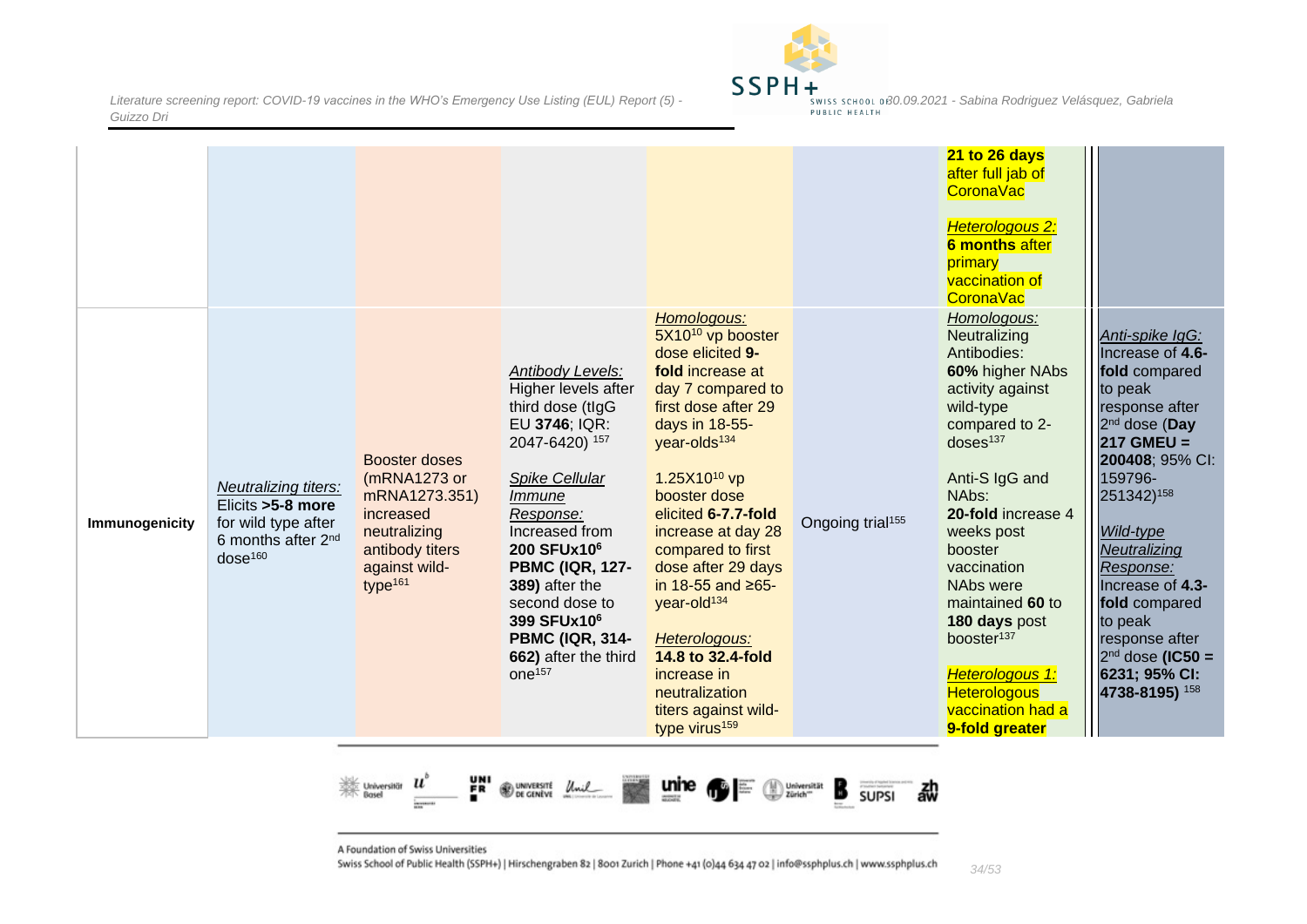

|                |                                                                                                                            |                                                                                                                                        |                                                                                                                                                                                                                                                                                                                                                       |                                                                                                                                                                                                                                                                                                                                                                                                                                                                                                |                              | 21 to 26 days<br>after full jab of<br><b>CoronaVac</b><br>Heterologous 2:<br><b>6 months after</b><br>primary<br>vaccination of<br><b>CoronaVac</b>                                                                                                                                                                                                                                                       |                                                                                                                                                                                                                                                                                                                                                 |
|----------------|----------------------------------------------------------------------------------------------------------------------------|----------------------------------------------------------------------------------------------------------------------------------------|-------------------------------------------------------------------------------------------------------------------------------------------------------------------------------------------------------------------------------------------------------------------------------------------------------------------------------------------------------|------------------------------------------------------------------------------------------------------------------------------------------------------------------------------------------------------------------------------------------------------------------------------------------------------------------------------------------------------------------------------------------------------------------------------------------------------------------------------------------------|------------------------------|-----------------------------------------------------------------------------------------------------------------------------------------------------------------------------------------------------------------------------------------------------------------------------------------------------------------------------------------------------------------------------------------------------------|-------------------------------------------------------------------------------------------------------------------------------------------------------------------------------------------------------------------------------------------------------------------------------------------------------------------------------------------------|
| Immunogenicity | Neutralizing titers:<br>Elicits > 5-8 more<br>for wild type after<br>6 months after 2 <sup>nd</sup><br>dose <sup>160</sup> | Booster doses<br>(mRNA1273 or<br>mRNA1273.351)<br>increased<br>neutralizing<br>antibody titers<br>against wild-<br>type <sup>161</sup> | Antibody Levels:<br>Higher levels after<br>third dose (tlgG<br>EU 3746; IQR:<br>2047-6420) 157<br>Spike Cellular<br>Immune<br>Response:<br>Increased from<br>200 SFUx10 <sup>6</sup><br><b>PBMC (IQR, 127-</b><br>389) after the<br>second dose to<br>399 SFUx10 <sup>6</sup><br><b>PBMC (IQR, 314-</b><br>662) after the third<br>one <sup>157</sup> | Homologous:<br>5X10 <sup>10</sup> vp booster<br>dose elicited 9-<br>fold increase at<br>day 7 compared to<br>first dose after 29<br>days in 18-55-<br>year-olds <sup>134</sup><br>1.25X10 <sup>10</sup> vp<br>booster dose<br>elicited 6-7.7-fold<br>increase at day 28<br>compared to first<br>dose after 29 days<br>in 18-55 and ≥65-<br>year-old <sup>134</sup><br>Heterologous:<br>14.8 to 32.4-fold<br>increase in<br>neutralization<br>titers against wild-<br>type virus <sup>159</sup> | Ongoing trial <sup>155</sup> | Homologous:<br>Neutralizing<br>Antibodies:<br>60% higher NAbs<br>activity against<br>wild-type<br>compared to 2-<br>doses <sup>137</sup><br>Anti-S IgG and<br>NAbs:<br>20-fold increase 4<br>weeks post<br>booster<br>vaccination<br>NAbs were<br>maintained 60 to<br>180 days post<br>booster <sup>137</sup><br>Heterologous <sub>1:</sub><br><b>Heterologous</b><br>vaccination had a<br>9-fold greater | Anti-spike IgG:<br>Increase of 4.6-<br>fold compared<br>to peak<br>response after<br>2 <sup>nd</sup> dose (Day<br>$217$ GMEU =<br>200408; 95% CI:<br>159796-<br>251342)158<br>Wild-type<br>Neutralizing<br>Response:<br>Increase of 4.3-<br>fold compared<br>to peak<br>response after<br>$2nd$ dose (IC50 =<br>6231; 95% CI:<br>4738-8195) 158 |



A Foundation of Swiss Universities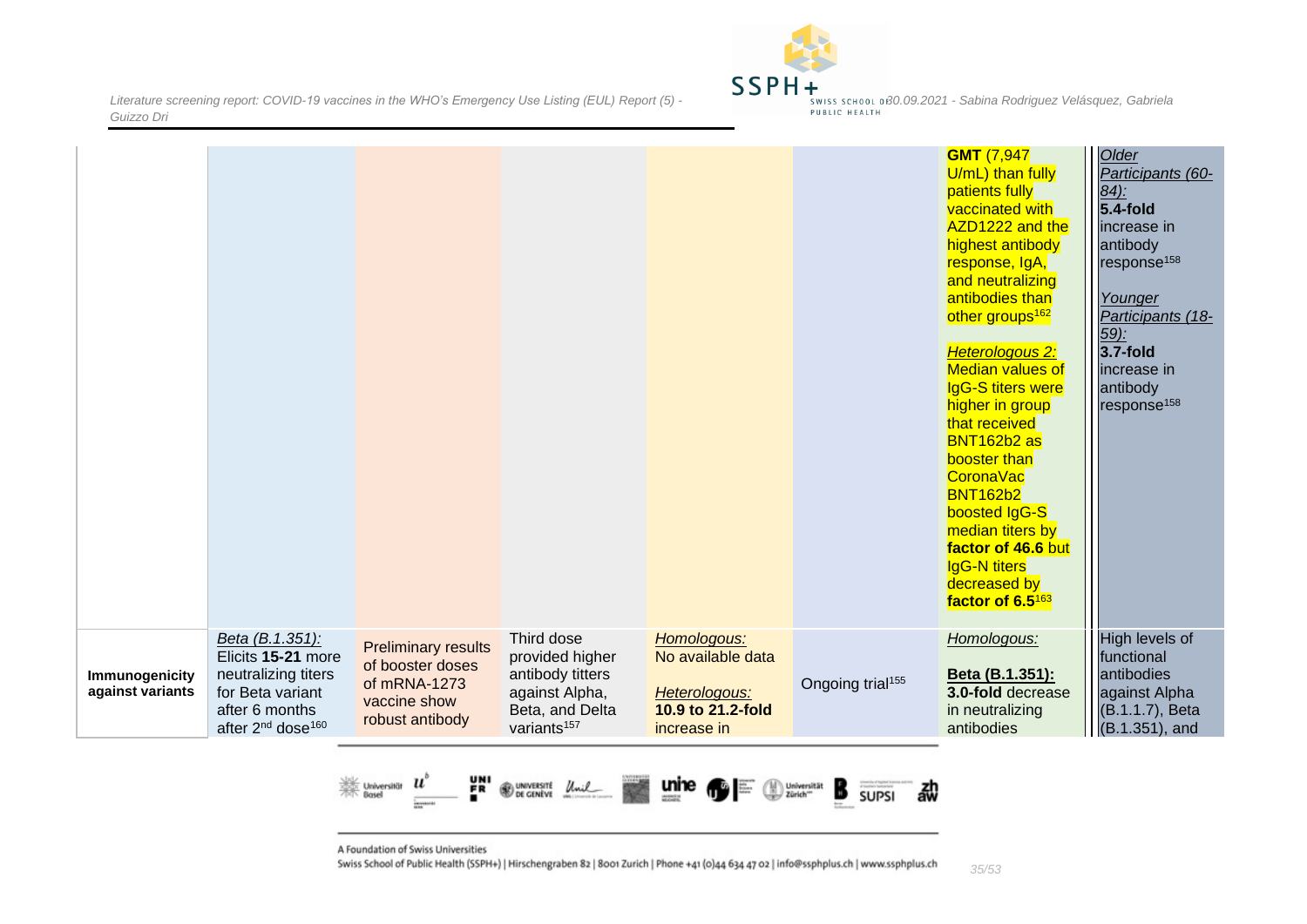

|                                    |                                                                                                                                                 |                                                                                                   |                                                                                                                   |                                                                                       |                              | <b>GMT</b> (7,947<br>U/mL) than fully<br>patients fully<br>vaccinated with<br>AZD1222 and the<br>highest antibody<br>response, IgA,<br>and neutralizing<br>antibodies than<br>other groups <sup>162</sup><br>Heterologous 2:<br><b>Median values of</b><br><b>IgG-S titers were</b><br>higher in group<br>that received<br>BNT162b2 as<br>booster than<br><b>CoronaVac</b><br><b>BNT162b2</b><br>boosted IgG-S<br>median titers by<br>factor of 46.6 but<br><b>IgG-N titers</b><br>decreased by<br>factor of 6.5163 | Older<br>Participants (60-<br>$84$ :<br>$5.4$ -fold<br>lincrease in<br>antibody<br>response <sup>158</sup><br>Younger<br>Participants (18-<br><u>59):</u><br>$3.7$ -fold<br>increase in<br>antibody<br>response <sup>158</sup> |
|------------------------------------|-------------------------------------------------------------------------------------------------------------------------------------------------|---------------------------------------------------------------------------------------------------|-------------------------------------------------------------------------------------------------------------------|---------------------------------------------------------------------------------------|------------------------------|---------------------------------------------------------------------------------------------------------------------------------------------------------------------------------------------------------------------------------------------------------------------------------------------------------------------------------------------------------------------------------------------------------------------------------------------------------------------------------------------------------------------|--------------------------------------------------------------------------------------------------------------------------------------------------------------------------------------------------------------------------------|
| Immunogenicity<br>against variants | Beta (B.1.351):<br>Elicits 15-21 more<br>neutralizing titers<br>for Beta variant<br>after 6 months<br>after 2 <sup>nd</sup> dose <sup>160</sup> | <b>Preliminary results</b><br>of booster doses<br>of mRNA-1273<br>vaccine show<br>robust antibody | Third dose<br>provided higher<br>antibody titters<br>against Alpha,<br>Beta, and Delta<br>variants <sup>157</sup> | Homologous:<br>No available data<br>Heterologous:<br>10.9 to 21.2-fold<br>increase in | Ongoing trial <sup>155</sup> | Homologous:<br>Beta (B.1.351):<br>3.0-fold decrease<br>in neutralizing<br>antibodies                                                                                                                                                                                                                                                                                                                                                                                                                                | High levels of<br>functional<br>antibodies<br>against Alpha<br>(B.1.1.7), Beta<br>$(B.1.351)$ , and                                                                                                                            |



A Foundation of Swiss Universities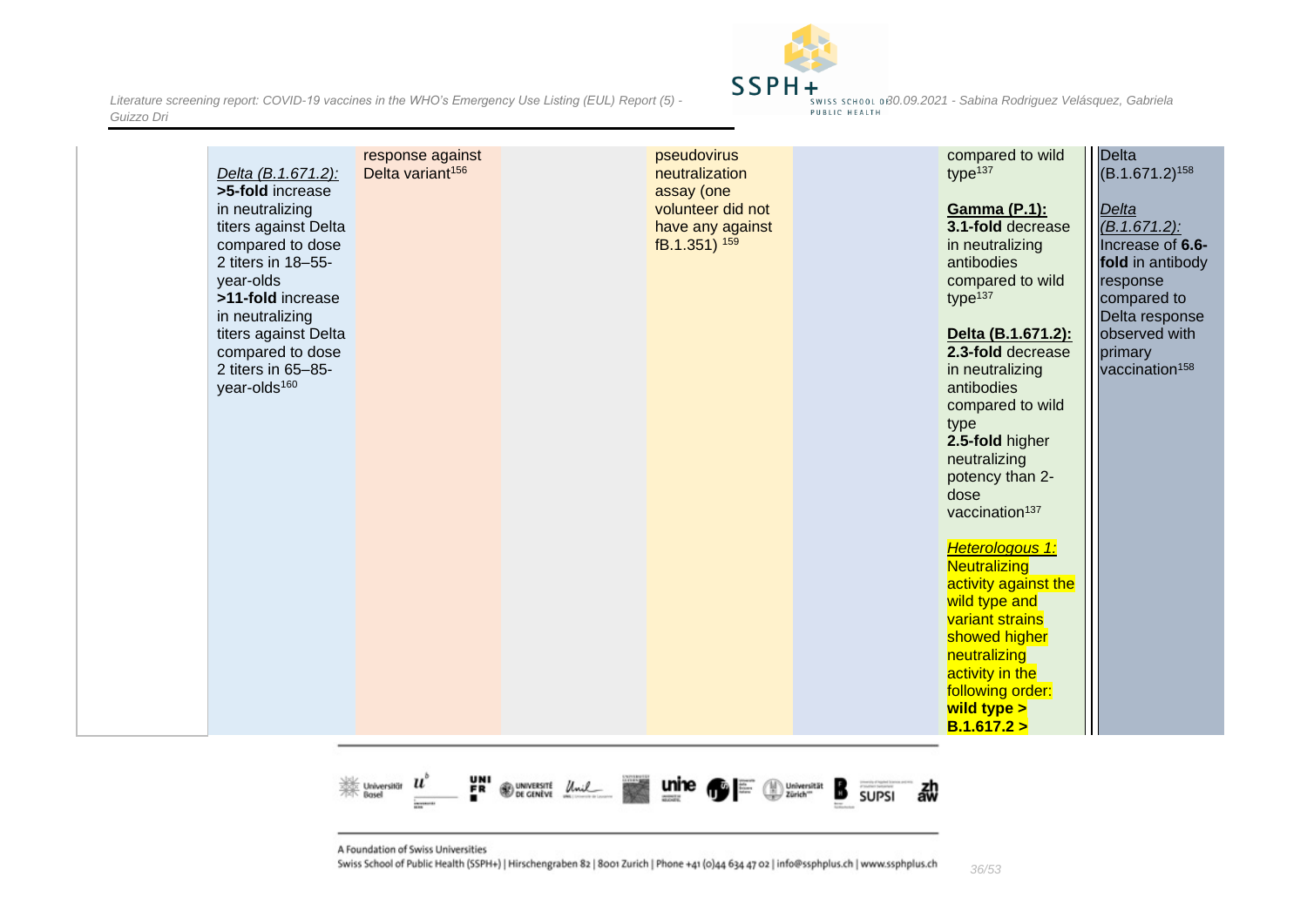*Literature screening report: COVID-19 vaccines in the WHO's Emergency Use Listing (EUL) Report (5)* **- 30.09.2021 -** *Sabina Rodriguez Velásquez, Gabriela - swiss school of 30.09.2021* - *Sabina Rodriguez Velásquez, Guizzo Dri*



|  | Delta (B.1.671.2):<br>>5-fold increase<br>in neutralizing<br>titers against Delta<br>compared to dose<br>2 titers in 18-55-<br>year-olds<br>>11-fold increase<br>in neutralizing<br>titers against Delta<br>compared to dose<br>2 titers in 65-85-<br>year-olds <sup>160</sup> | response against<br>Delta variant <sup>156</sup> |  | pseudovirus<br>neutralization<br>assay (one<br>volunteer did not<br>have any against<br>fB.1.351) 159 |  | compared to wild<br>type <sup>137</sup><br><b>Gamma (P.1):</b><br>3.1-fold decrease<br>in neutralizing<br>antibodies<br>compared to wild<br>type <sup>137</sup><br>Delta (B.1.671.2):<br>2.3-fold decrease<br>in neutralizing<br>antibodies<br>compared to wild<br>type<br>2.5-fold higher<br>neutralizing<br>potency than 2-<br>dose<br>vaccination <sup>137</sup><br>Heterologous 1:<br>Neutralizing<br>activity against the<br>wild type and<br>variant strains<br>showed higher<br>neutralizing<br>activity in the<br>following order:<br>wild type ><br>B.1.617.2 > | Delta<br>$(B.1.671.2)^{158}$<br>Delta<br>$(B.1.671.2)$ :<br>Increase of 6.6-<br>fold in antibody<br>response<br>compared to<br>Delta response<br>observed with<br>primary<br>vaccination <sup>158</sup> |
|--|--------------------------------------------------------------------------------------------------------------------------------------------------------------------------------------------------------------------------------------------------------------------------------|--------------------------------------------------|--|-------------------------------------------------------------------------------------------------------|--|--------------------------------------------------------------------------------------------------------------------------------------------------------------------------------------------------------------------------------------------------------------------------------------------------------------------------------------------------------------------------------------------------------------------------------------------------------------------------------------------------------------------------------------------------------------------------|---------------------------------------------------------------------------------------------------------------------------------------------------------------------------------------------------------|
|--|--------------------------------------------------------------------------------------------------------------------------------------------------------------------------------------------------------------------------------------------------------------------------------|--------------------------------------------------|--|-------------------------------------------------------------------------------------------------------|--|--------------------------------------------------------------------------------------------------------------------------------------------------------------------------------------------------------------------------------------------------------------------------------------------------------------------------------------------------------------------------------------------------------------------------------------------------------------------------------------------------------------------------------------------------------------------------|---------------------------------------------------------------------------------------------------------------------------------------------------------------------------------------------------------|

떍 Webset<br>Rosel  $\boldsymbol{u}$ **@** UNIVERSITE Unil Universität B 勐 **SUPSI** 

A Foundation of Swiss Universities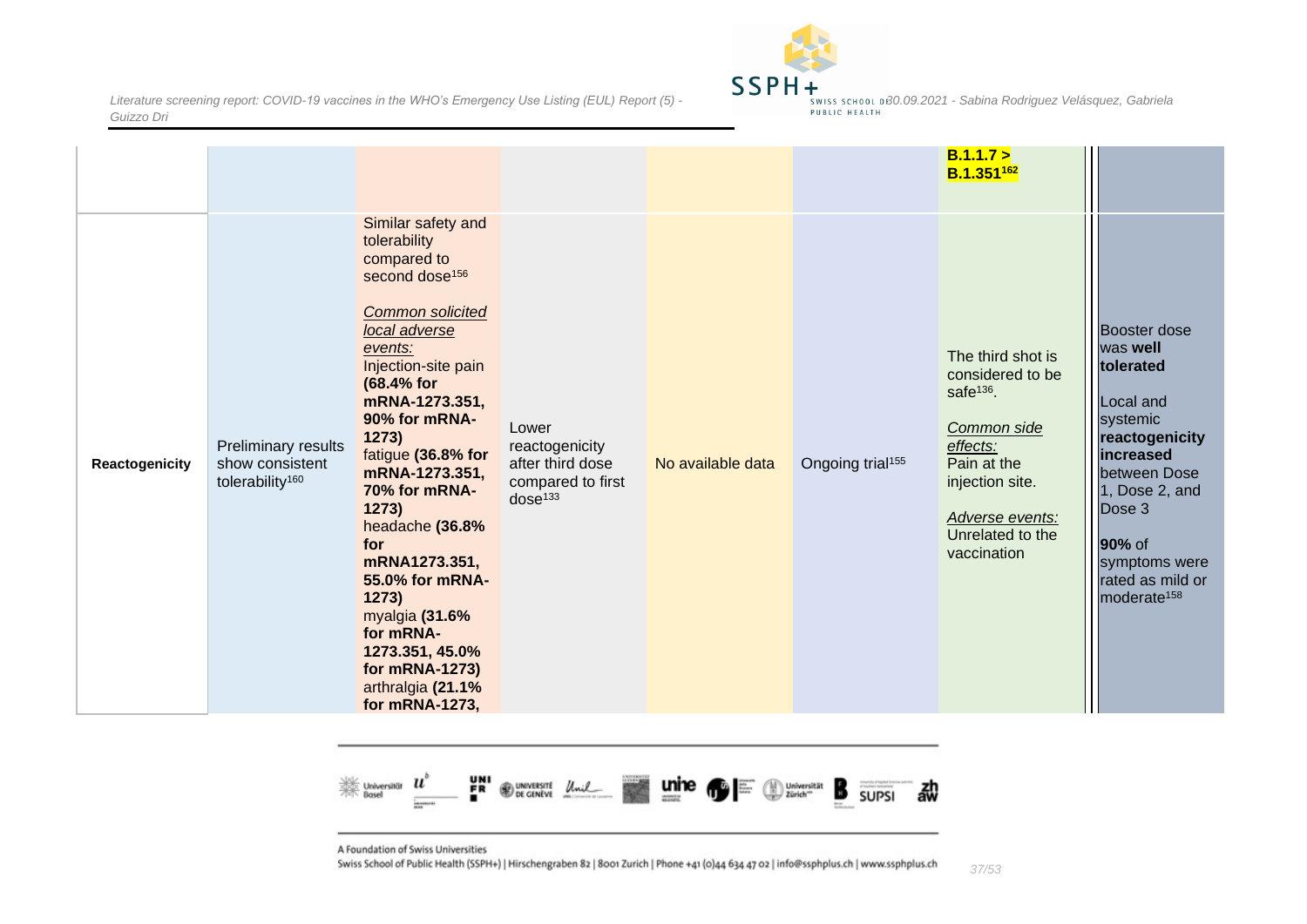

|                       |                                                                       |                                                                                                                                                                                                                                                                                                                                                                                                                                                                             |                                                                                         |                   |                              | B.1.1.7 ><br>$B.1.351^{162}$                                                                                                                                                      |                                                                                                                                                                                                                     |
|-----------------------|-----------------------------------------------------------------------|-----------------------------------------------------------------------------------------------------------------------------------------------------------------------------------------------------------------------------------------------------------------------------------------------------------------------------------------------------------------------------------------------------------------------------------------------------------------------------|-----------------------------------------------------------------------------------------|-------------------|------------------------------|-----------------------------------------------------------------------------------------------------------------------------------------------------------------------------------|---------------------------------------------------------------------------------------------------------------------------------------------------------------------------------------------------------------------|
| <b>Reactogenicity</b> | Preliminary results<br>show consistent<br>tolerability <sup>160</sup> | Similar safety and<br>tolerability<br>compared to<br>second dose <sup>156</sup><br><b>Common solicited</b><br>local adverse<br>events:<br>Injection-site pain<br>(68.4% for<br>mRNA-1273.351,<br>90% for mRNA-<br>1273)<br>fatigue (36.8% for<br>mRNA-1273.351,<br>70% for mRNA-<br>1273)<br>headache (36.8%<br>for<br>mRNA1273.351,<br>55.0% for mRNA-<br>1273)<br>myalgia (31.6%<br>for mRNA-<br>1273.351, 45.0%<br>for mRNA-1273)<br>arthralgia (21.1%<br>for mRNA-1273, | Lower<br>reactogenicity<br>after third dose<br>compared to first<br>dose <sup>133</sup> | No available data | Ongoing trial <sup>155</sup> | The third shot is<br>considered to be<br>safe <sup>136</sup> .<br>Common side<br>effects:<br>Pain at the<br>injection site.<br>Adverse events:<br>Unrelated to the<br>vaccination | Booster dose<br>was well<br>tolerated<br>Local and<br>systemic<br>reactogenicity<br>increased<br>between Dose<br>1, Dose 2, and<br>Dose 3<br>90% of<br>symptoms were<br>rated as mild or<br>moderate <sup>158</sup> |



A Foundation of Swiss Universities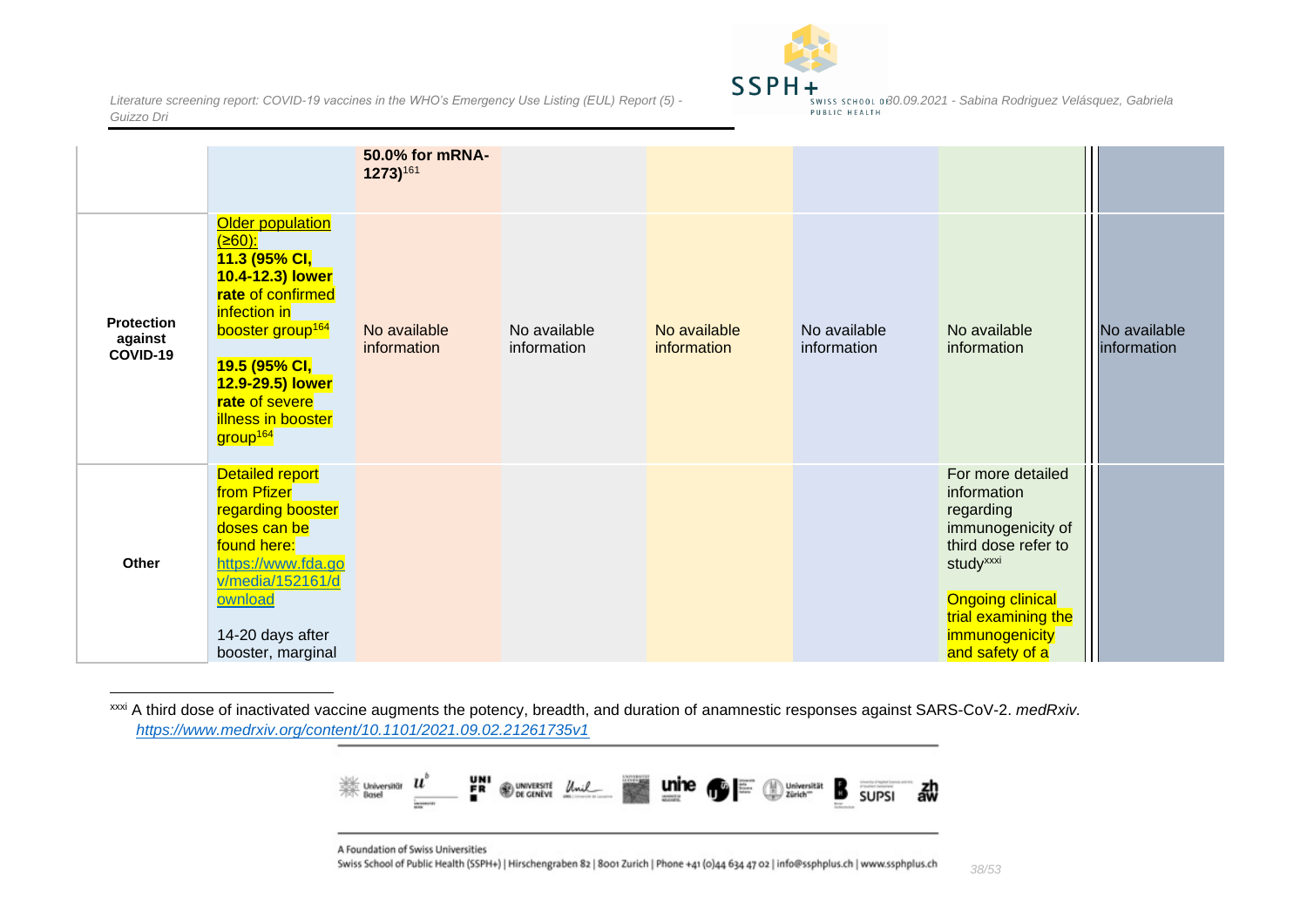

|                                          |                                                                                                                                                                                                                                                                  | 50.0% for mRNA-<br>1273)161 |                             |                             |                             |                                                                                                                                                                                                           |                             |
|------------------------------------------|------------------------------------------------------------------------------------------------------------------------------------------------------------------------------------------------------------------------------------------------------------------|-----------------------------|-----------------------------|-----------------------------|-----------------------------|-----------------------------------------------------------------------------------------------------------------------------------------------------------------------------------------------------------|-----------------------------|
| <b>Protection</b><br>against<br>COVID-19 | Older population<br>$(≥60)$ :<br>11.3 (95% CI,<br>10.4-12.3) lower<br>rate of confirmed<br>infection in<br>booster group <sup>164</sup><br><mark>19.5 (95% CI,</mark><br>12.9-29.5) lower<br>rate of severe<br><b>illness in booster</b><br>group <sup>164</sup> | No available<br>information | No available<br>information | No available<br>information | No available<br>information | No available<br>information                                                                                                                                                                               | No available<br>information |
| <b>Other</b>                             | Detailed report<br>from Pfizer<br>regarding booster<br>doses can be<br>found here:<br>https://www.fda.go<br>v/media/152161/d<br>ownload<br>14-20 days after<br>booster, marginal                                                                                 |                             |                             |                             |                             | For more detailed<br>information<br>regarding<br>immunogenicity of<br>third dose refer to<br>study <sup>xxxi</sup><br><b>Ongoing clinical</b><br>trial examining the<br>immunogenicity<br>and safety of a |                             |

xxxi A third dose of inactivated vaccine augments the potency, breadth, and duration of anamnestic responses against SARS-CoV-2. *medRxiv. <https://www.medrxiv.org/content/10.1101/2021.09.02.21261735v1>*



A Foundation of Swiss Universities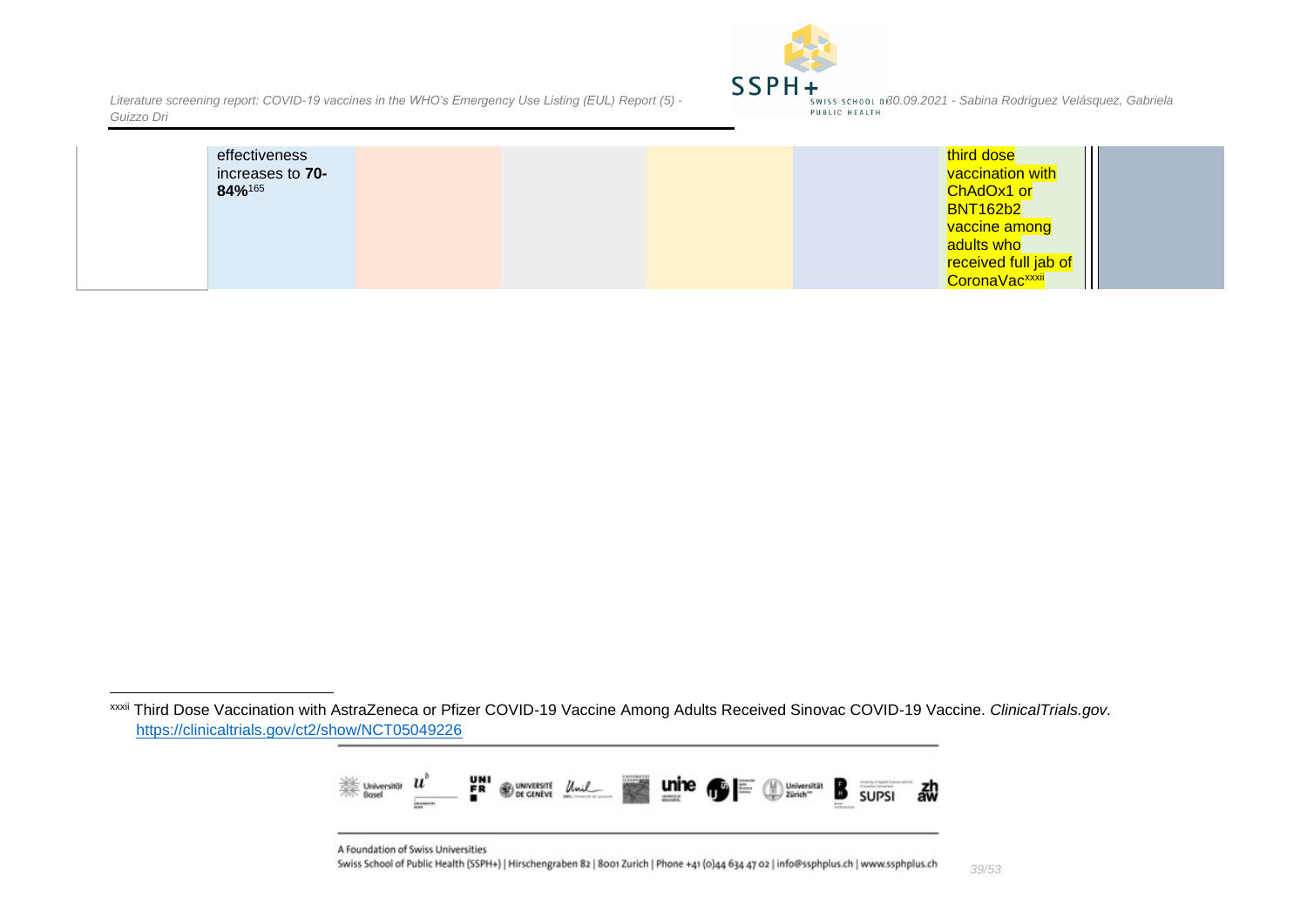

| effectiveness<br>increases to 70-<br>84%165 |  | third dose<br>vaccination with<br>ChAdOx1 or<br><b>BNT162b2</b><br><mark>√vaccine among</mark><br>adults who<br>received full jab of<br>CoronaVac <sup>xxxii</sup> |
|---------------------------------------------|--|--------------------------------------------------------------------------------------------------------------------------------------------------------------------|
|---------------------------------------------|--|--------------------------------------------------------------------------------------------------------------------------------------------------------------------|

xxxii Third Dose Vaccination with AstraZeneca or Pfizer COVID-19 Vaccine Among Adults Received Sinovac COVID-19 Vaccine. *ClinicalTrials.gov.*  <https://clinicaltrials.gov/ct2/show/NCT05049226>



A Foundation of Swiss Universities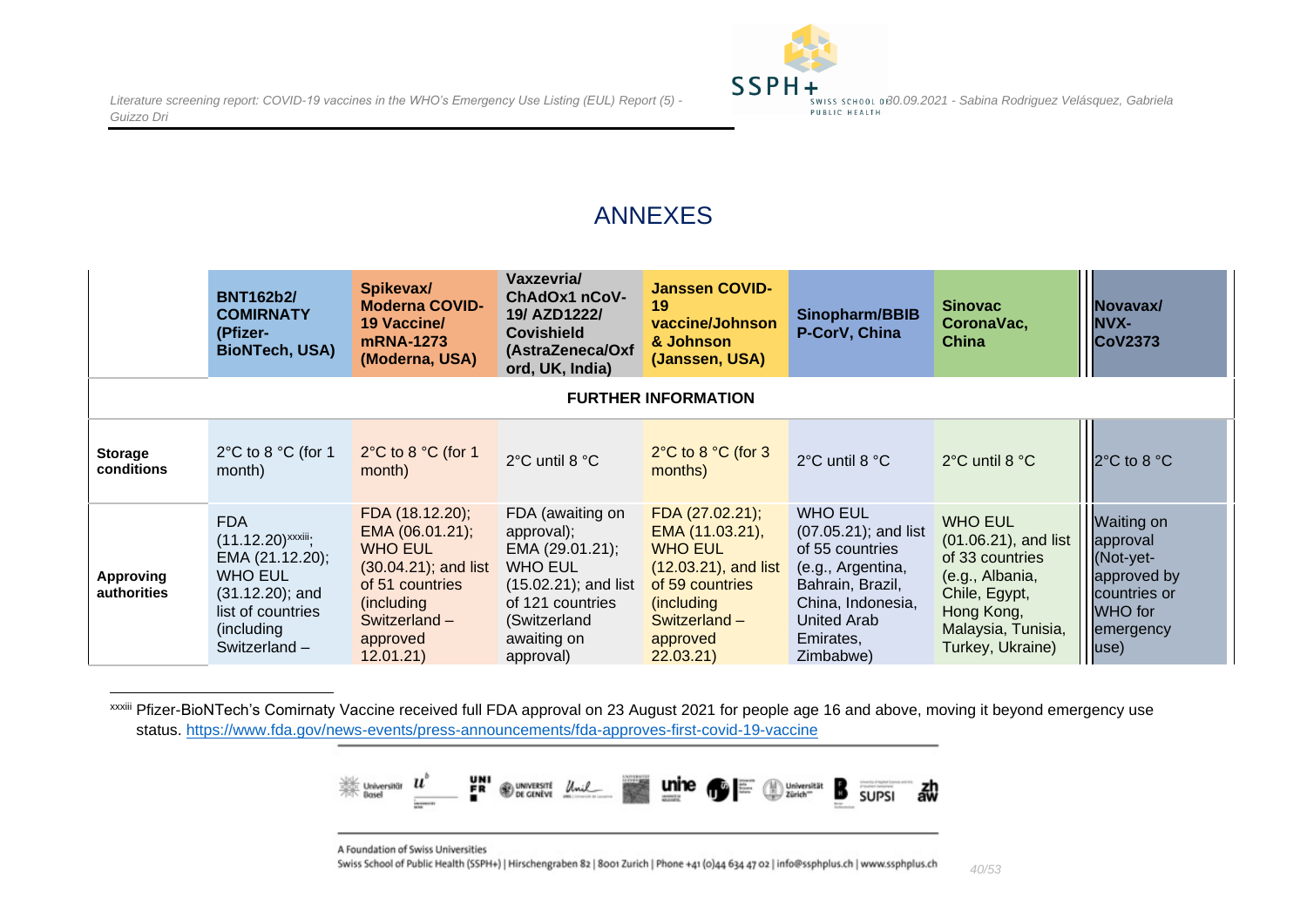

### ANNEXES

|                              | <b>BNT162b2/</b><br><b>COMIRNATY</b><br>(Pfizer-<br><b>BioNTech, USA)</b>                                                                             | Spikevax/<br><b>Moderna COVID-</b><br><b>19 Vaccine/</b><br>mRNA-1273<br>(Moderna, USA)                                                                      | Vaxzevria/<br>ChAdOx1 nCoV-<br>19/ AZD1222/<br><b>Covishield</b><br>(AstraZeneca/Oxf<br>ord, UK, India)                                                        | <b>Janssen COVID-</b><br>19<br>vaccine/Johnson<br>& Johnson<br>(Janssen, USA)                                                                            | Sinopharm/BBIB<br>P-CorV, China                                                                                                                                  | <b>Sinovac</b><br>CoronaVac,<br><b>China</b>                                                                                                          | Novavax/<br><b>NVX-</b><br><b>CoV2373</b>                                                                        |  |  |
|------------------------------|-------------------------------------------------------------------------------------------------------------------------------------------------------|--------------------------------------------------------------------------------------------------------------------------------------------------------------|----------------------------------------------------------------------------------------------------------------------------------------------------------------|----------------------------------------------------------------------------------------------------------------------------------------------------------|------------------------------------------------------------------------------------------------------------------------------------------------------------------|-------------------------------------------------------------------------------------------------------------------------------------------------------|------------------------------------------------------------------------------------------------------------------|--|--|
| <b>FURTHER INFORMATION</b>   |                                                                                                                                                       |                                                                                                                                                              |                                                                                                                                                                |                                                                                                                                                          |                                                                                                                                                                  |                                                                                                                                                       |                                                                                                                  |  |  |
| <b>Storage</b><br>conditions | 2 $\degree$ C to 8 $\degree$ C (for 1<br>month)                                                                                                       | $2^{\circ}$ C to 8 $^{\circ}$ C (for 1<br>month)                                                                                                             | 2°C until 8 °C                                                                                                                                                 | $2^{\circ}$ C to 8 $^{\circ}$ C (for 3<br>months)                                                                                                        | 2°C until 8 °C                                                                                                                                                   | 2°C until 8 °C                                                                                                                                        | 2°C to 8 °C                                                                                                      |  |  |
| Approving<br>authorities     | <b>FDA</b><br>$(11.12.20)$ <sup>xxxiii</sup> ;<br>EMA (21.12.20);<br>WHO EUL<br>$(31.12.20)$ ; and<br>list of countries<br>(including<br>Switzerland- | FDA (18.12.20);<br>EMA (06.01.21);<br><b>WHO EUL</b><br>$(30.04.21)$ ; and list<br>of 51 countries<br>(including<br>Switzerland $-$<br>approved<br>12.01.21) | FDA (awaiting on<br>approval);<br>EMA (29.01.21);<br><b>WHO EUL</b><br>$(15.02.21)$ ; and list<br>of 121 countries<br>(Switzerland<br>awaiting on<br>approval) | FDA (27.02.21);<br>EMA (11.03.21),<br><b>WHO EUL</b><br>$(12.03.21)$ , and list<br>of 59 countries<br>(including<br>Switzerland-<br>approved<br>22.03.21 | <b>WHO EUL</b><br>(07.05.21); and list<br>of 55 countries<br>(e.g., Argentina,<br>Bahrain, Brazil,<br>China, Indonesia,<br>United Arab<br>Emirates,<br>Zimbabwe) | <b>WHO EUL</b><br>(01.06.21), and list<br>of 33 countries<br>(e.g., Albania,<br>Chile, Egypt,<br>Hong Kong,<br>Malaysia, Tunisia,<br>Turkey, Ukraine) | <b>Waiting on</b><br>approval<br>(Not-yet-<br>approved by<br>countries or<br>WHO for<br>emergency<br>$ $ use $)$ |  |  |

<span id="page-39-1"></span><span id="page-39-0"></span>xxxiii Pfizer-BioNTech's Comirnaty Vaccine received full FDA approval on 23 August 2021 for people age 16 and above, moving it beyond emergency use status.<https://www.fda.gov/news-events/press-announcements/fda-approves-first-covid-19-vaccine>



A Foundation of Swiss Universities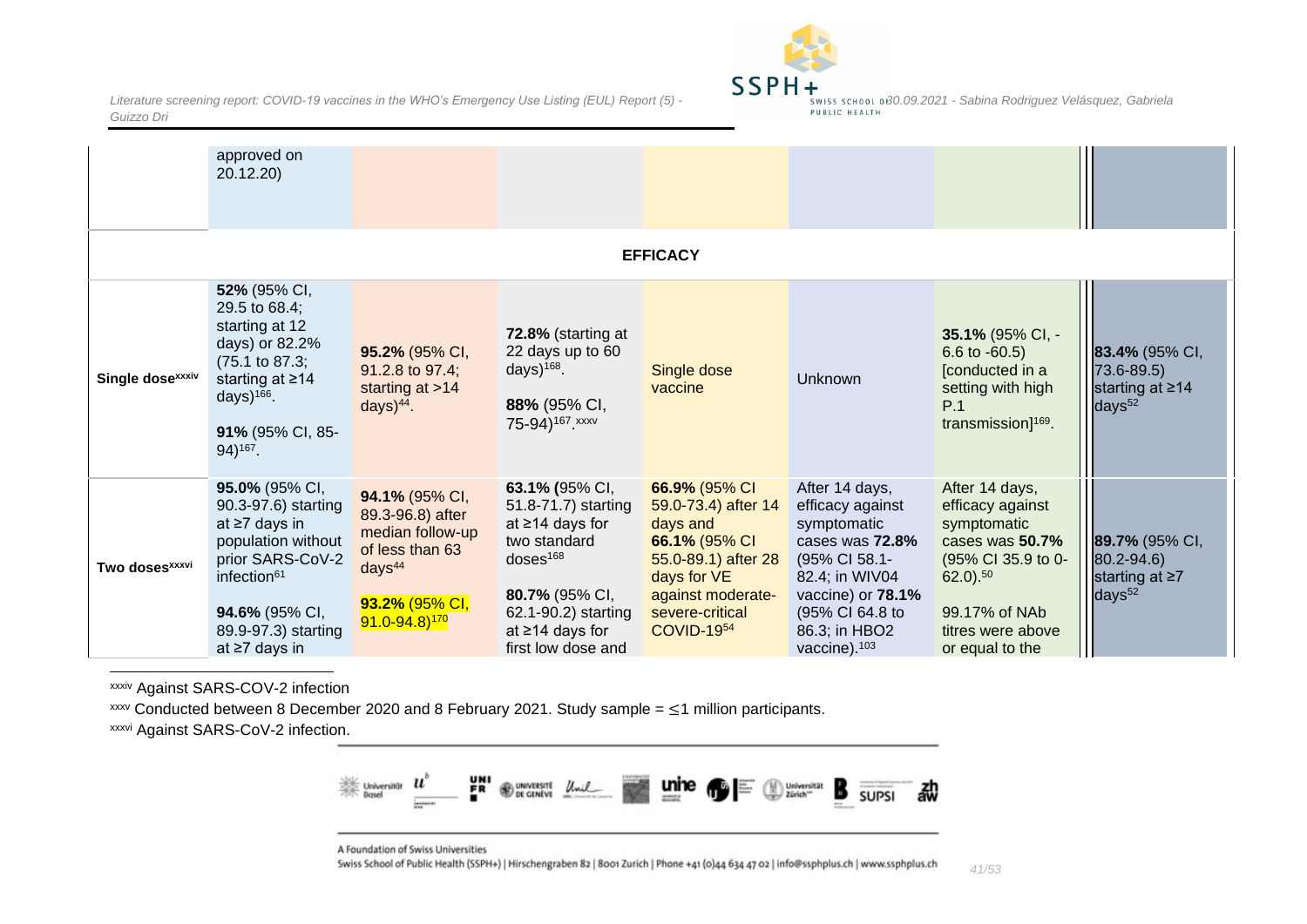

|                              | approved on<br>20.12.20)                                                                                                                                                               |                                                                                                                                                   |                                                                                                                                                                                          |                                                                                                                                                               |                                                                                                                                                                                              |                                                                                                                                                                       |                                                                          |  |  |  |
|------------------------------|----------------------------------------------------------------------------------------------------------------------------------------------------------------------------------------|---------------------------------------------------------------------------------------------------------------------------------------------------|------------------------------------------------------------------------------------------------------------------------------------------------------------------------------------------|---------------------------------------------------------------------------------------------------------------------------------------------------------------|----------------------------------------------------------------------------------------------------------------------------------------------------------------------------------------------|-----------------------------------------------------------------------------------------------------------------------------------------------------------------------|--------------------------------------------------------------------------|--|--|--|
| <b>EFFICACY</b>              |                                                                                                                                                                                        |                                                                                                                                                   |                                                                                                                                                                                          |                                                                                                                                                               |                                                                                                                                                                                              |                                                                                                                                                                       |                                                                          |  |  |  |
| Single dose <sup>xxxiv</sup> | 52% (95% CI,<br>29.5 to 68.4;<br>starting at 12<br>days) or 82.2%<br>$(75.1 \text{ to } 87.3)$ ;<br>starting at $\geq 14$<br>days) $166$ .<br>91% (95% CI, 85-<br>94) <sup>167</sup> . | 95.2% (95% CI,<br>91.2.8 to 97.4;<br>starting at $>14$<br>days $)^{44}$ .                                                                         | 72.8% (starting at<br>22 days up to 60<br>days) $168$ .<br>88% (95% CI,<br>75-94) <sup>167</sup> . xxxv                                                                                  | Single dose<br>vaccine                                                                                                                                        | Unknown                                                                                                                                                                                      | 35.1% (95% CI, -<br>6.6 to $-60.5$ )<br>[conducted in a<br>setting with high<br>P.1<br>transmission] <sup>169</sup> .                                                 | 83.4% (95% CI,<br>$73.6 - 89.5$<br>starting at ≥14<br>days <sup>52</sup> |  |  |  |
| Two doses <sup>xxxvi</sup>   | 95.0% (95% CI,<br>90.3-97.6) starting<br>at ≥7 days in<br>population without<br>prior SARS-CoV-2<br>infection <sup>61</sup><br>94.6% (95% CI,<br>89.9-97.3) starting<br>at ≥7 days in  | 94.1% (95% CI,<br>89.3-96.8) after<br>median follow-up<br>of less than 63<br>days <sup>44</sup><br>93.2% (95% CI,<br>$91.0 - 94.8$ <sup>170</sup> | 63.1% (95% CI,<br>51.8-71.7) starting<br>at $\geq$ 14 days for<br>two standard<br>$d$ oses $168$<br>80.7% (95% CI,<br>62.1-90.2) starting<br>at $\geq$ 14 days for<br>first low dose and | 66.9% (95% CI<br>59.0-73.4) after 14<br>days and<br>66.1% (95% CI<br>55.0-89.1) after 28<br>days for VE<br>against moderate-<br>severe-critical<br>COVID-1954 | After 14 days,<br>efficacy against<br>symptomatic<br>cases was 72.8%<br>(95% CI 58.1-<br>82.4; in WIV04<br>vaccine) or 78.1%<br>(95% CI 64.8 to<br>86.3; in HBO2<br>vaccine). <sup>103</sup> | After 14 days,<br>efficacy against<br>symptomatic<br>cases was 50.7%<br>(95% CI 35.9 to 0-<br>$62.0$ ). $50$<br>99.17% of NAb<br>titres were above<br>or equal to the | 89.7% (95% CI,<br>$80.2 - 94.6$<br>starting at ≥7<br>days <sup>52</sup>  |  |  |  |

<span id="page-40-0"></span>xxxiv Against SARS-COV-2 infection

 $xxxv$  Conducted between 8 December 2020 and 8 February 2021. Study sample =  $\leq$ 1 million participants.

**xxxvi Against SARS-CoV-2 infection.** 



A Foundation of Swiss Universities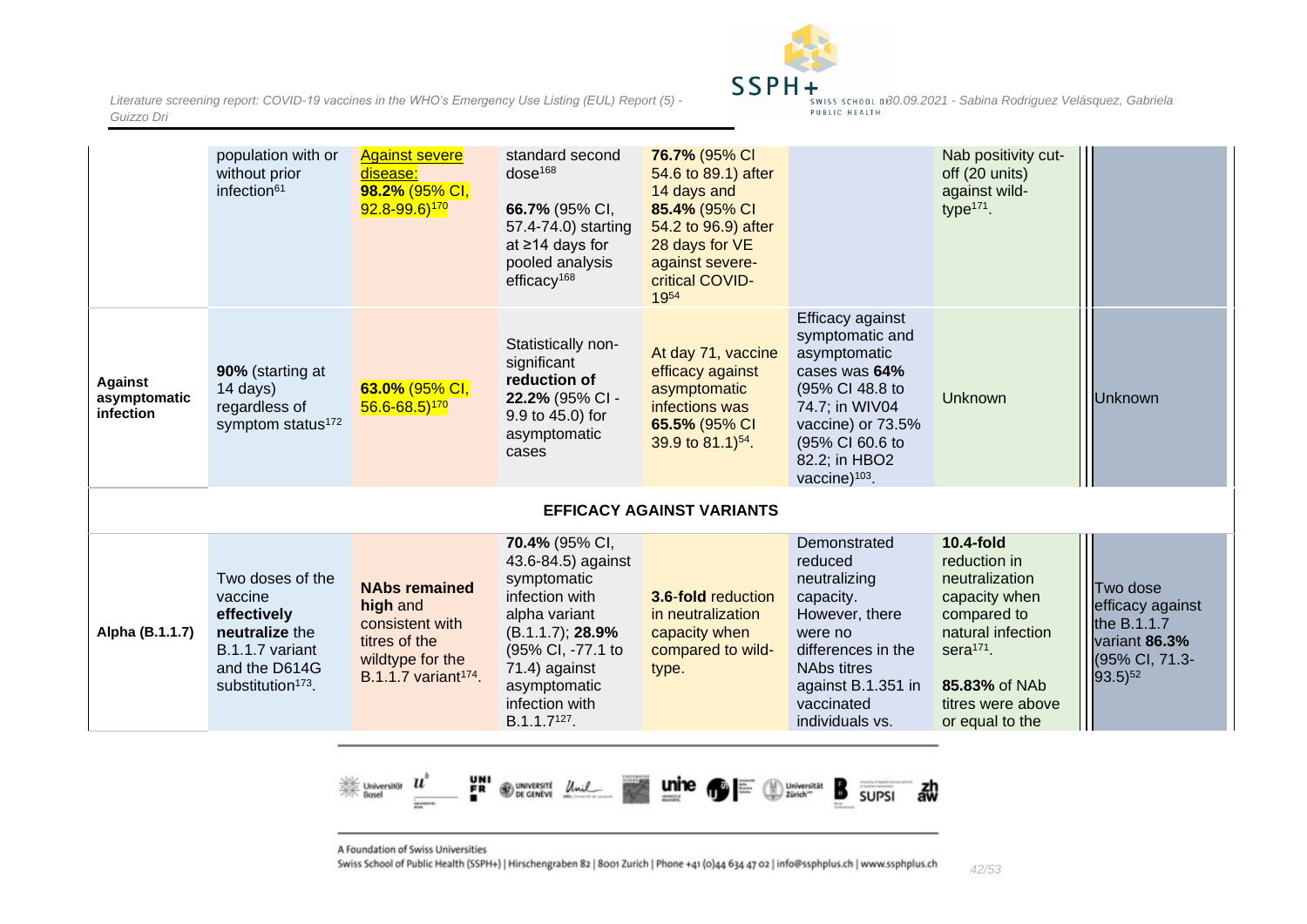

|                                      | population with or<br>without prior<br>infection <sup>61</sup>                                                                    | <b>Against severe</b><br>disease:<br>98.2% (95% CI,<br>$92.8 - 99.6$ <sup>170</sup>                                          | standard second<br>dose <sup>168</sup><br>66.7% (95% CI,<br>57.4-74.0) starting<br>at ≥14 days for<br>pooled analysis<br>efficacy $168$                                                                        | 76.7% (95% CI<br>54.6 to 89.1) after<br>14 days and<br>85.4% (95% CI<br>54.2 to 96.9) after<br>28 days for VE<br>against severe-<br>critical COVID-<br>1954 |                                                                                                                                                                                                 | Nab positivity cut-<br>off (20 units)<br>against wild-<br>type $171$ .                                                                                                           |                                                                                                |  |  |
|--------------------------------------|-----------------------------------------------------------------------------------------------------------------------------------|------------------------------------------------------------------------------------------------------------------------------|----------------------------------------------------------------------------------------------------------------------------------------------------------------------------------------------------------------|-------------------------------------------------------------------------------------------------------------------------------------------------------------|-------------------------------------------------------------------------------------------------------------------------------------------------------------------------------------------------|----------------------------------------------------------------------------------------------------------------------------------------------------------------------------------|------------------------------------------------------------------------------------------------|--|--|
| Against<br>asymptomatic<br>infection | 90% (starting at<br>14 days)<br>regardless of<br>symptom status <sup>172</sup>                                                    | 63.0% (95% CI,<br>$56.6 - 68.5$ <sup>170</sup>                                                                               | Statistically non-<br>significant<br>reduction of<br>22.2% (95% CI -<br>9.9 to 45.0) for<br>asymptomatic<br>cases                                                                                              | At day 71, vaccine<br>efficacy against<br>asymptomatic<br>infections was<br>65.5% (95% CI<br>39.9 to $81.1$ <sup>54</sup> .                                 | Efficacy against<br>symptomatic and<br>asymptomatic<br>cases was 64%<br>(95% CI 48.8 to<br>74.7; in WIV04<br>vaccine) or 73.5%<br>(95% CI 60.6 to<br>82.2; in HBO2<br>vaccine) <sup>103</sup> . | Unknown                                                                                                                                                                          | <b>Unknown</b>                                                                                 |  |  |
|                                      | <b>EFFICACY AGAINST VARIANTS</b>                                                                                                  |                                                                                                                              |                                                                                                                                                                                                                |                                                                                                                                                             |                                                                                                                                                                                                 |                                                                                                                                                                                  |                                                                                                |  |  |
| Alpha (B.1.1.7)                      | Two doses of the<br>vaccine<br>effectively<br>neutralize the<br>B.1.1.7 variant<br>and the D614G<br>substitution <sup>173</sup> . | <b>NAbs remained</b><br>high and<br>consistent with<br>titres of the<br>wildtype for the<br>B.1.1.7 variant <sup>174</sup> . | 70.4% (95% CI,<br>43.6-84.5) against<br>symptomatic<br>infection with<br>alpha variant<br>(B.1.1.7); 28.9%<br>(95% CI, -77.1 to<br>71.4) against<br>asymptomatic<br>infection with<br>B.1.1.7 <sup>127</sup> . | 3.6-fold reduction<br>in neutralization<br>capacity when<br>compared to wild-<br>type.                                                                      | Demonstrated<br>reduced<br>neutralizing<br>capacity.<br>However, there<br>were no<br>differences in the<br><b>NAbs titres</b><br>against B.1.351 in<br>vaccinated<br>individuals vs.            | <b>10.4-fold</b><br>reduction in<br>neutralization<br>capacity when<br>compared to<br>natural infection<br>sera $171$ .<br>85.83% of NAb<br>titres were above<br>or equal to the | Two dose<br>efficacy against<br>the B.1.1.7<br>variant 86.3%<br>(95% CI, 71.3-<br>$93.5)^{52}$ |  |  |



<span id="page-41-0"></span>A Foundation of Swiss Universities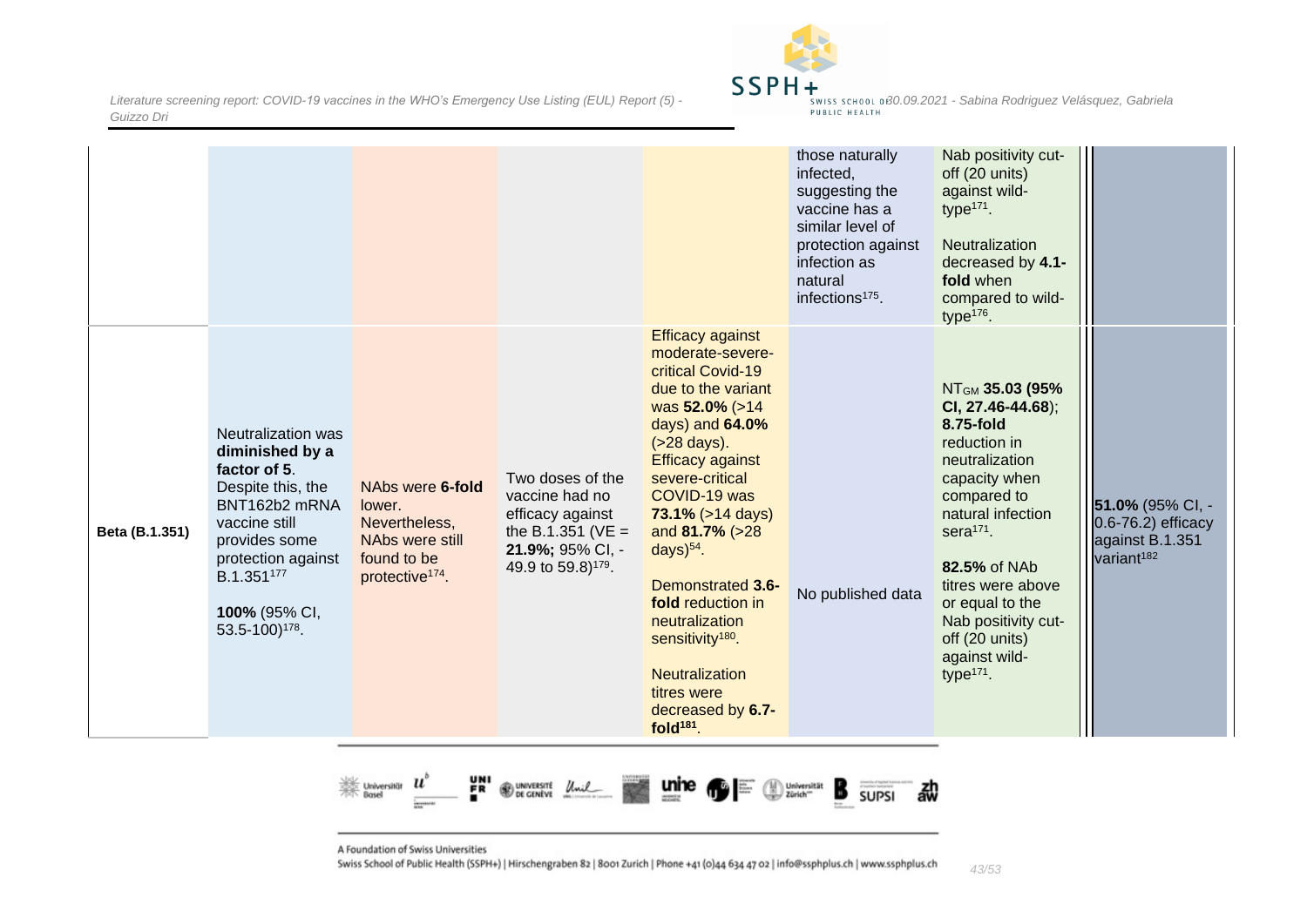

|                |                                                                                                                                                                                                                  |                                                                                                              |                                                                                                                                      |                                                                                                                                                                                                                                                                                                                                                                                                                                                                    | those naturally<br>infected,<br>suggesting the<br>vaccine has a<br>similar level of<br>protection against<br>infection as<br>natural<br>infections <sup>175</sup> . | Nab positivity cut-<br>off (20 units)<br>against wild-<br>type $171$ .<br><b>Neutralization</b><br>decreased by 4.1-<br>fold when<br>compared to wild-<br>type $176$ .                                                                                                                                 |                                                                                     |
|----------------|------------------------------------------------------------------------------------------------------------------------------------------------------------------------------------------------------------------|--------------------------------------------------------------------------------------------------------------|--------------------------------------------------------------------------------------------------------------------------------------|--------------------------------------------------------------------------------------------------------------------------------------------------------------------------------------------------------------------------------------------------------------------------------------------------------------------------------------------------------------------------------------------------------------------------------------------------------------------|---------------------------------------------------------------------------------------------------------------------------------------------------------------------|--------------------------------------------------------------------------------------------------------------------------------------------------------------------------------------------------------------------------------------------------------------------------------------------------------|-------------------------------------------------------------------------------------|
| Beta (B.1.351) | Neutralization was<br>diminished by a<br>factor of 5.<br>Despite this, the<br>BNT162b2 mRNA<br>vaccine still<br>provides some<br>protection against<br>B.1.351177<br>100% (95% CI,<br>53.5-100) <sup>178</sup> . | NAbs were 6-fold<br>lower.<br>Nevertheless,<br>NAbs were still<br>found to be<br>protective <sup>174</sup> . | Two doses of the<br>vaccine had no<br>efficacy against<br>the B.1.351 ( $VE =$<br>21.9%; 95% CI, -<br>49.9 to 59.8) <sup>179</sup> . | <b>Efficacy against</b><br>moderate-severe-<br>critical Covid-19<br>due to the variant<br>was 52.0% (>14<br>days) and 64.0%<br>$( >28 \text{ days}).$<br><b>Efficacy against</b><br>severe-critical<br>COVID-19 was<br>$73.1\%$ ( $>14$ days)<br>and 81.7% (>28<br>days $)^{54}$ .<br><b>Demonstrated 3.6-</b><br>fold reduction in<br>neutralization<br>sensitivity <sup>180</sup> .<br><b>Neutralization</b><br>titres were<br>decreased by 6.7-<br>fold $181$ . | No published data                                                                                                                                                   | NT <sub>GM</sub> 35.03 (95%<br>CI, 27.46-44.68);<br>8.75-fold<br>reduction in<br>neutralization<br>capacity when<br>compared to<br>natural infection<br>sera $171$ .<br>82.5% of NAb<br>titres were above<br>or equal to the<br>Nab positivity cut-<br>off (20 units)<br>against wild-<br>type $171$ . | 51.0% (95% CI, -<br>0.6-76.2) efficacy<br>against B.1.351<br>variant <sup>182</sup> |



A Foundation of Swiss Universities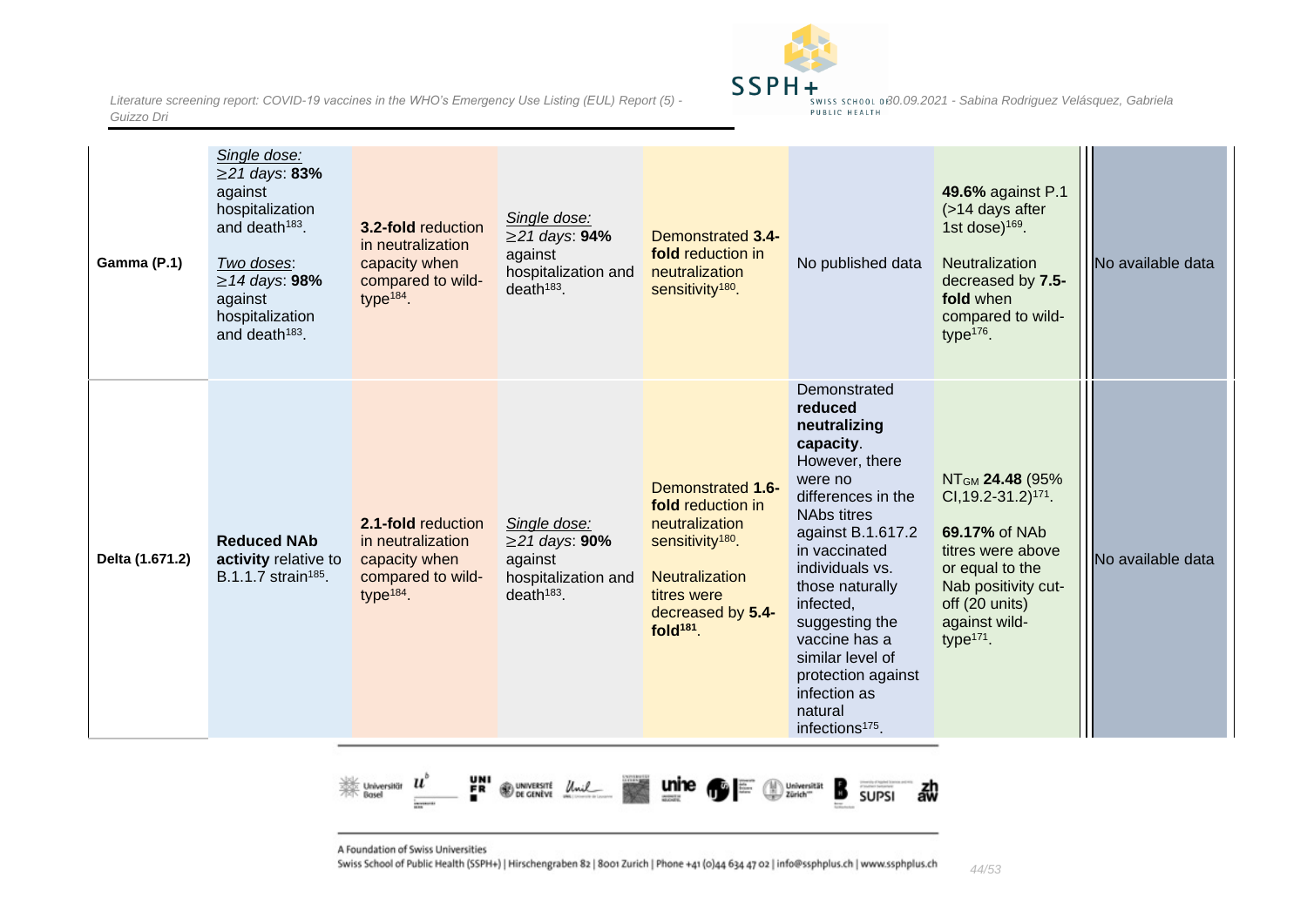

| Gamma (P.1)     | Single dose:<br>$≥$ 21 days: 83%<br>against<br>hospitalization<br>and death <sup>183</sup> .<br>Two doses:<br>$\geq$ 14 days: 98%<br>against<br>hospitalization<br>and death <sup>183</sup> . | <b>3.2-fold reduction</b><br>in neutralization<br>capacity when<br>compared to wild-<br>type $184$ . | Single dose:<br>$≥$ 21 days: 94%<br>against<br>hospitalization and<br>$death^{183}$ .    | <b>Demonstrated 3.4-</b><br>fold reduction in<br>neutralization<br>sensitivity <sup>180</sup> .                                                                       | No published data                                                                                                                                                                                                                                                                                                                                           | 49.6% against P.1<br>(>14 days after<br>1st dose) $169$ .<br><b>Neutralization</b><br>decreased by 7.5-<br>fold when<br>compared to wild-<br>type <sup>176</sup> .                                | No available data |
|-----------------|-----------------------------------------------------------------------------------------------------------------------------------------------------------------------------------------------|------------------------------------------------------------------------------------------------------|------------------------------------------------------------------------------------------|-----------------------------------------------------------------------------------------------------------------------------------------------------------------------|-------------------------------------------------------------------------------------------------------------------------------------------------------------------------------------------------------------------------------------------------------------------------------------------------------------------------------------------------------------|---------------------------------------------------------------------------------------------------------------------------------------------------------------------------------------------------|-------------------|
| Delta (1.671.2) | <b>Reduced NAb</b><br>activity relative to<br>B.1.1.7 strain <sup>185</sup> .                                                                                                                 | 2.1-fold reduction<br>in neutralization<br>capacity when<br>compared to wild-<br>type $184$ .        | Single dose:<br>$\geq$ 21 days: 90%<br>against<br>hospitalization and<br>$death^{183}$ . | Demonstrated 1.6-<br>fold reduction in<br>neutralization<br>sensitivity <sup>180</sup> .<br><b>Neutralization</b><br>titres were<br>decreased by 5.4-<br>fold $181$ . | Demonstrated<br>reduced<br>neutralizing<br>capacity.<br>However, there<br>were no<br>differences in the<br><b>NAbs titres</b><br>against B.1.617.2<br>in vaccinated<br>individuals vs.<br>those naturally<br>infected,<br>suggesting the<br>vaccine has a<br>similar level of<br>protection against<br>infection as<br>natural<br>infections <sup>175</sup> | NT <sub>GM</sub> 24.48 (95%<br>CI, 19.2-31.2) <sup>171</sup> .<br>69.17% of NAb<br>titres were above<br>or equal to the<br>Nab positivity cut-<br>off (20 units)<br>against wild-<br>type $171$ . | No available data |



A Foundation of Swiss Universities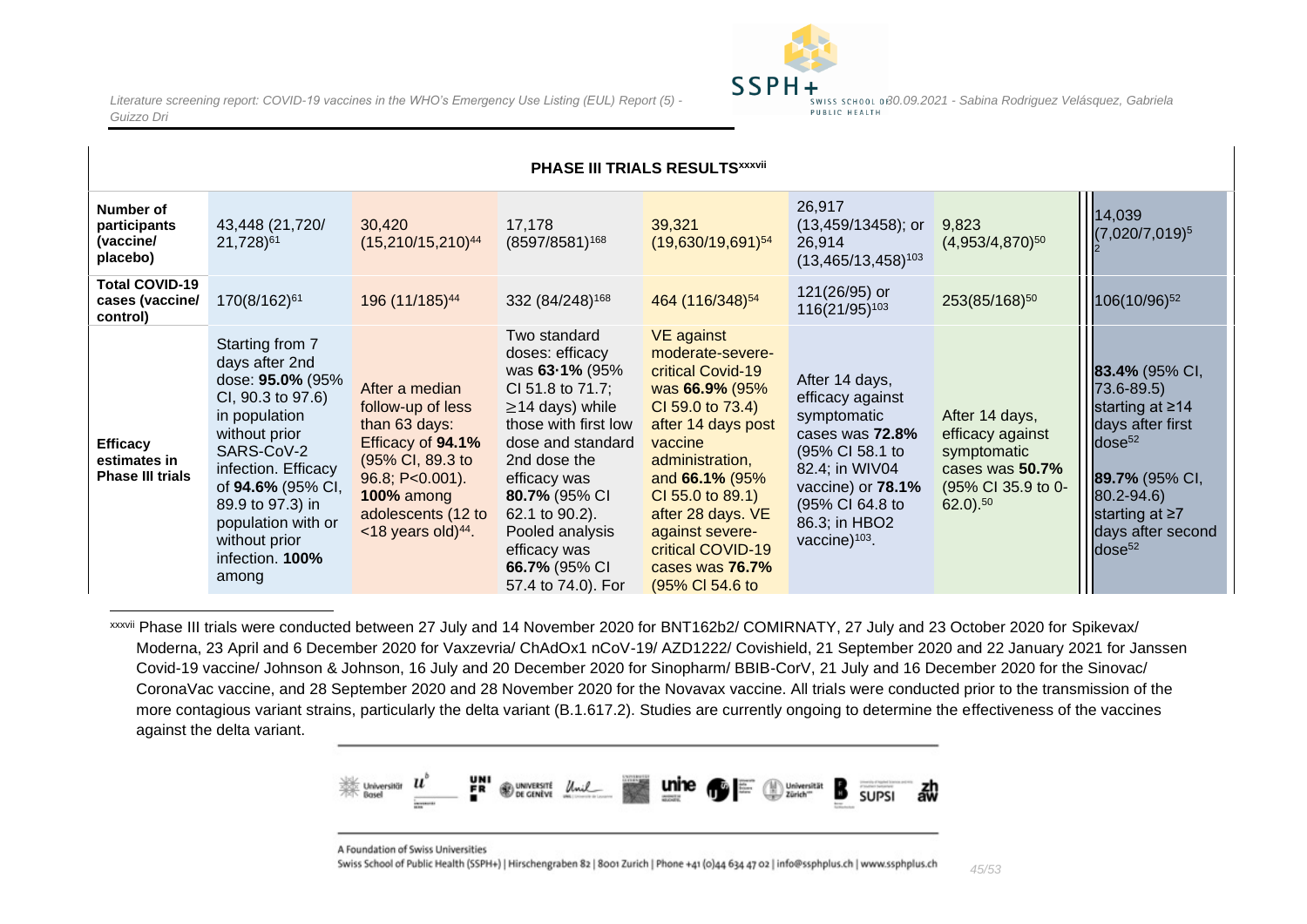

| PHASE III TRIALS RESULTSxxxvii                             |                                                                                                                                                                                                                                                               |                                                                                                                                                                                                  |                                                                                                                                                                                                                                                                                          |                                                                                                                                                                                                                                                                                               |                                                                                                                                                                                       |                                                                                                              |                                                                                                                                                                                                          |  |  |  |
|------------------------------------------------------------|---------------------------------------------------------------------------------------------------------------------------------------------------------------------------------------------------------------------------------------------------------------|--------------------------------------------------------------------------------------------------------------------------------------------------------------------------------------------------|------------------------------------------------------------------------------------------------------------------------------------------------------------------------------------------------------------------------------------------------------------------------------------------|-----------------------------------------------------------------------------------------------------------------------------------------------------------------------------------------------------------------------------------------------------------------------------------------------|---------------------------------------------------------------------------------------------------------------------------------------------------------------------------------------|--------------------------------------------------------------------------------------------------------------|----------------------------------------------------------------------------------------------------------------------------------------------------------------------------------------------------------|--|--|--|
| Number of<br>participants<br>(vaccine/<br>placebo)         | 43,448 (21,720/<br>21,728) <sup>61</sup>                                                                                                                                                                                                                      | 30,420<br>$(15,210/15,210)^{44}$                                                                                                                                                                 | 17,178<br>$(8597/8581)^{168}$                                                                                                                                                                                                                                                            | 39,321<br>$(19,630/19,691)^{54}$                                                                                                                                                                                                                                                              | 26,917<br>$(13,459/13458)$ ; or<br>26,914<br>$(13,465/13,458)^{103}$                                                                                                                  | 9,823<br>$(4,953/4,870)^{50}$                                                                                | 14,039<br>$(7,020/7,019)^5$                                                                                                                                                                              |  |  |  |
| <b>Total COVID-19</b><br>cases (vaccine/<br>control)       | 170(8/162) <sup>61</sup>                                                                                                                                                                                                                                      | 196 (11/185) <sup>44</sup>                                                                                                                                                                       | 332 (84/248) <sup>168</sup>                                                                                                                                                                                                                                                              | 464 (116/348) <sup>54</sup>                                                                                                                                                                                                                                                                   | 121(26/95) or<br>116(21/95) <sup>103</sup>                                                                                                                                            | 253(85/168) <sup>50</sup>                                                                                    | 106(10/96) <sup>52</sup>                                                                                                                                                                                 |  |  |  |
| <b>Efficacy</b><br>estimates in<br><b>Phase III trials</b> | Starting from 7<br>days after 2nd<br>dose: 95.0% (95%<br>CI, 90.3 to 97.6)<br>in population<br>without prior<br>SARS-CoV-2<br>infection. Efficacy<br>of 94.6% (95% CI,<br>89.9 to 97.3) in<br>population with or<br>without prior<br>infection. 100%<br>among | After a median<br>follow-up of less<br>than 63 days:<br>Efficacy of 94.1%<br>(95% CI, 89.3 to<br>96.8; P<0.001).<br><b>100% among</b><br>adolescents (12 to<br>$<$ 18 years old) <sup>44</sup> . | Two standard<br>doses: efficacy<br>was 63-1% (95%<br>CI 51.8 to 71.7;<br>$\geq$ 14 days) while<br>those with first low<br>dose and standard<br>2nd dose the<br>efficacy was<br>80.7% (95% CI<br>62.1 to 90.2).<br>Pooled analysis<br>efficacy was<br>66.7% (95% CI<br>57.4 to 74.0). For | <b>VE</b> against<br>moderate-severe-<br>critical Covid-19<br>was 66.9% (95%<br>CI 59.0 to 73.4)<br>after 14 days post<br>vaccine<br>administration,<br>and 66.1% (95%<br>CI 55.0 to 89.1)<br>after 28 days. VE<br>against severe-<br>critical COVID-19<br>cases was 76.7%<br>(95% CI 54.6 to | After 14 days,<br>efficacy against<br>symptomatic<br>cases was 72.8%<br>(95% CI 58.1 to<br>82.4; in WIV04<br>vaccine) or 78.1%<br>(95% CI 64.8 to<br>86.3; in HBO2<br>vaccine $103$ . | After 14 days,<br>efficacy against<br>symptomatic<br>cases was 50.7%<br>(95% CI 35.9 to 0-<br>$62.0$ ). $50$ | 83.4% (95% CI,<br>$73.6 - 89.5$<br>starting at $\geq 14$<br>days after first<br>dose <sup>52</sup><br>89.7% (95% CI,<br>$80.2 - 94.6$<br>starting at $\geq 7$<br>days after second<br>dose <sup>52</sup> |  |  |  |

<span id="page-44-0"></span>xxxvii Phase III trials were conducted between 27 July and 14 November 2020 for BNT162b2/ COMIRNATY, 27 July and 23 October 2020 for Spikevax/ Moderna, 23 April and 6 December 2020 for Vaxzevria/ ChAdOx1 nCoV-19/ AZD1222/ Covishield, 21 September 2020 and 22 January 2021 for Janssen Covid-19 vaccine/ Johnson & Johnson, 16 July and 20 December 2020 for Sinopharm/ BBIB-CorV, 21 July and 16 December 2020 for the Sinovac/ CoronaVac vaccine, and 28 September 2020 and 28 November 2020 for the Novavax vaccine. All trials were conducted prior to the transmission of the more contagious variant strains, particularly the delta variant (B.1.617.2). Studies are currently ongoing to determine the effectiveness of the vaccines against the delta variant.



A Foundation of Swiss Universities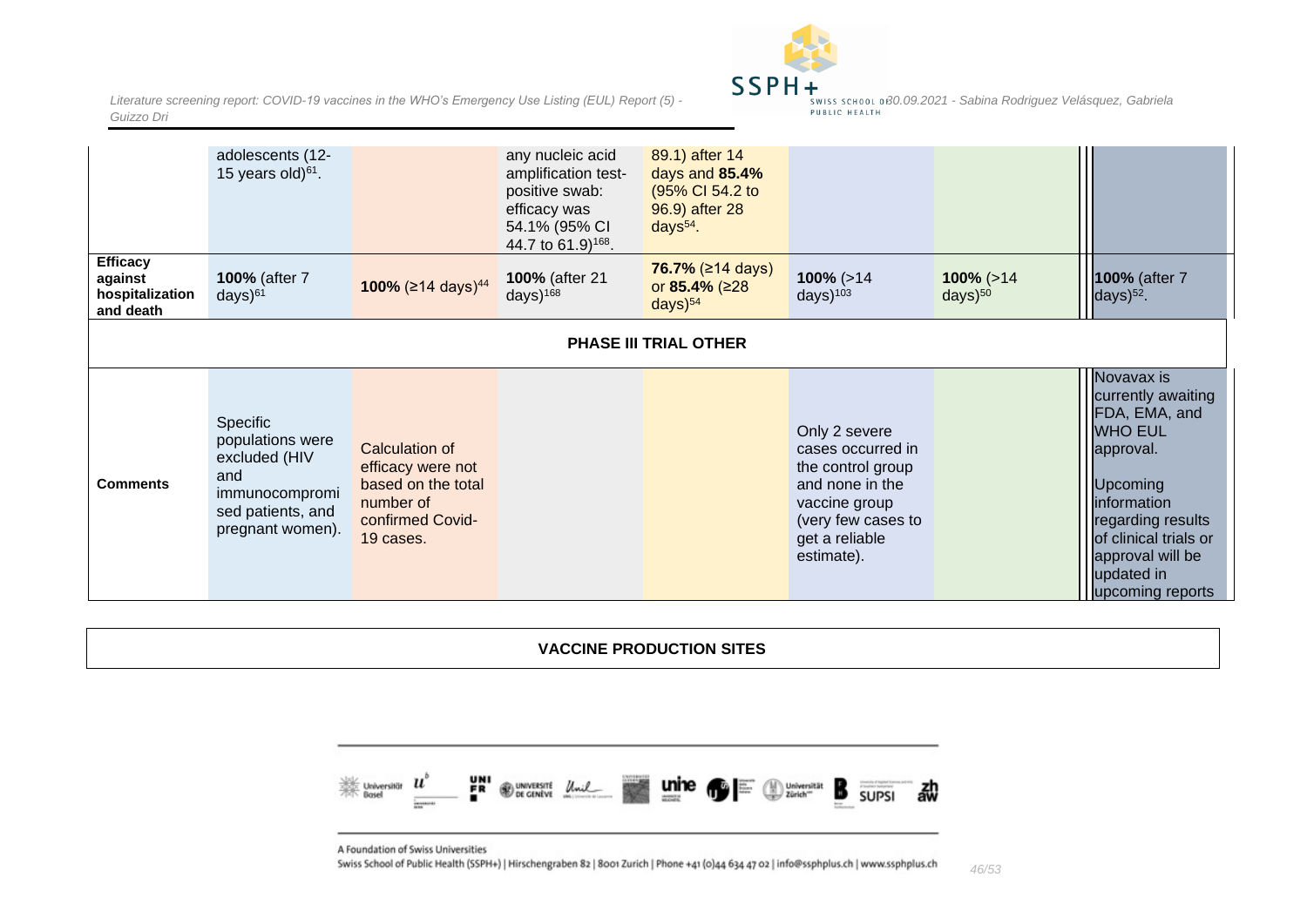

|                                                            | adolescents (12-<br>15 years old) $61$ .                                                                        |                                                                                                         | any nucleic acid<br>amplification test-<br>positive swab:<br>efficacy was<br>54.1% (95% CI<br>44.7 to 61.9) <sup>168</sup> . | 89.1) after 14<br>days and 85.4%<br>(95% CI 54.2 to<br>96.9) after 28<br>days $54$ . |                                                                                                                                                   |                                            |                                                                                                                                                                                                                        |  |  |
|------------------------------------------------------------|-----------------------------------------------------------------------------------------------------------------|---------------------------------------------------------------------------------------------------------|------------------------------------------------------------------------------------------------------------------------------|--------------------------------------------------------------------------------------|---------------------------------------------------------------------------------------------------------------------------------------------------|--------------------------------------------|------------------------------------------------------------------------------------------------------------------------------------------------------------------------------------------------------------------------|--|--|
| <b>Efficacy</b><br>against<br>hospitalization<br>and death | 100% (after 7<br>$days)^{61}$                                                                                   | 100% ( $\geq$ 14 days) <sup>44</sup>                                                                    | 100% (after 21<br>days $)^{168}$                                                                                             | 76.7% $(≥14 \text{ days})$<br>or 85.4% ( $\geq$ 28<br>$days)$ <sup>54</sup>          | $100\%$ ( $>14$<br>days $)^{103}$                                                                                                                 | $100\%$ ( $>14$ )<br>$days)$ <sup>50</sup> | 100% (after 7<br>days $)^{52}$ .                                                                                                                                                                                       |  |  |
| <b>PHASE III TRIAL OTHER</b>                               |                                                                                                                 |                                                                                                         |                                                                                                                              |                                                                                      |                                                                                                                                                   |                                            |                                                                                                                                                                                                                        |  |  |
| <b>Comments</b>                                            | Specific<br>populations were<br>excluded (HIV<br>and<br>immunocompromi<br>sed patients, and<br>pregnant women). | Calculation of<br>efficacy were not<br>based on the total<br>number of<br>confirmed Covid-<br>19 cases. |                                                                                                                              |                                                                                      | Only 2 severe<br>cases occurred in<br>the control group<br>and none in the<br>vaccine group<br>(very few cases to<br>get a reliable<br>estimate). |                                            | Novavax is<br>currently awaiting<br>FDA, EMA, and<br><b>WHO EUL</b><br>approval.<br>Upcoming<br><i>information</i><br>regarding results<br>of clinical trials or<br>approval will be<br>updated in<br>upcoming reports |  |  |

**VACCINE PRODUCTION SITES**

<span id="page-45-0"></span>

<span id="page-45-1"></span>A Foundation of Swiss Universities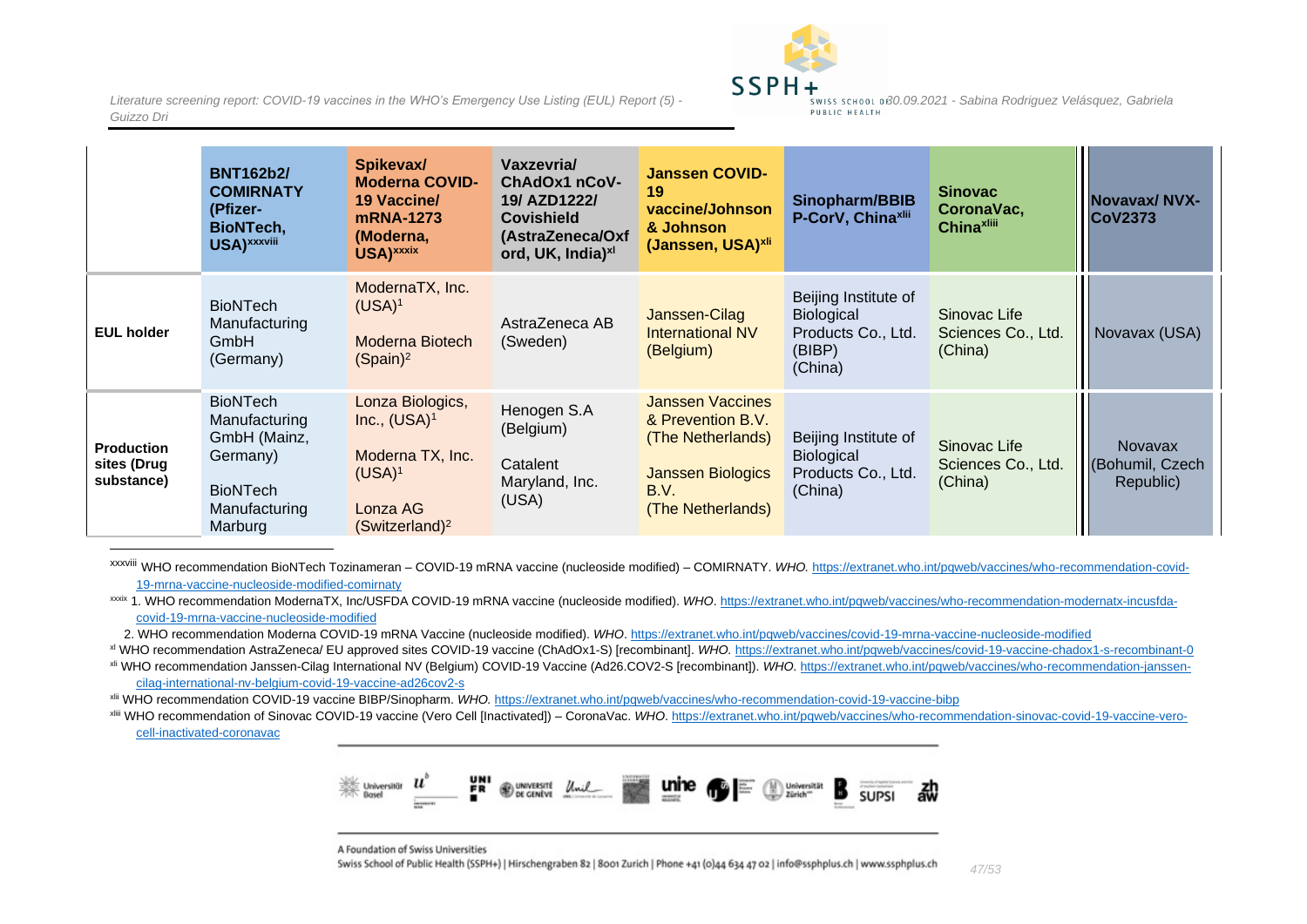

|                                                | <b>BNT162b2/</b><br><b>COMIRNATY</b><br>(Pfizer-<br>BioNTech,<br>USA) xxxviii                               | Spikevax/<br><b>Moderna COVID-</b><br>19 Vaccine/<br>mRNA-1273<br>(Moderna,<br>USA) xxxix                      | Vaxzevria/<br>ChAdOx1 nCoV-<br>19/ AZD1222/<br><b>Covishield</b><br>(AstraZeneca/Oxf<br>ord, UK, India) <sup>xl</sup> | <b>Janssen COVID-</b><br>19<br>vaccine/Johnson<br>& Johnson<br>(Janssen, USA) <sup>xli</sup>                               | Sinopharm/BBIB<br>P-CorV, Chinaxlii                                           | <b>Sinovac</b><br>CoronaVac,<br><b>Chinaxlill</b> | Novavax/NVX-<br><b>CoV2373</b>                 |
|------------------------------------------------|-------------------------------------------------------------------------------------------------------------|----------------------------------------------------------------------------------------------------------------|-----------------------------------------------------------------------------------------------------------------------|----------------------------------------------------------------------------------------------------------------------------|-------------------------------------------------------------------------------|---------------------------------------------------|------------------------------------------------|
| <b>EUL holder</b>                              | <b>BioNTech</b><br>Manufacturing<br>GmbH<br>(Germany)                                                       | ModernaTX, Inc.<br>$(USA)^1$<br>Moderna Biotech<br>(Spain) <sup>2</sup>                                        | AstraZeneca AB<br>(Sweden)                                                                                            | Janssen-Cilag<br><b>International NV</b><br>(Belgium)                                                                      | Beijing Institute of<br>Biological<br>Products Co., Ltd.<br>(BIBP)<br>(China) | Sinovac Life<br>Sciences Co., Ltd.<br>(China)     | Novavax (USA)                                  |
| <b>Production</b><br>sites (Drug<br>substance) | <b>BioNTech</b><br>Manufacturing<br>GmbH (Mainz,<br>Germany)<br><b>BioNTech</b><br>Manufacturing<br>Marburg | Lonza Biologics,<br>Inc., $(USA)^1$<br>Moderna TX, Inc.<br>$(USA)^1$<br>Lonza AG<br>(Switzerland) <sup>2</sup> | Henogen S.A<br>(Belgium)<br>Catalent<br>Maryland, Inc.<br>(USA)                                                       | <b>Janssen Vaccines</b><br>& Prevention B.V.<br>(The Netherlands)<br><b>Janssen Biologics</b><br>B.V.<br>(The Netherlands) | Beijing Institute of<br>Biological<br>Products Co., Ltd.<br>(China)           | Sinovac Life<br>Sciences Co., Ltd.<br>(China)     | <b>Novavax</b><br>(Bohumil, Czech<br>Republic) |

xxxviii WHO recommendation BioNTech Tozinameran – COVID-19 mRNA vaccine (nucleoside modified) – COMIRNATY. *WHO.* [https://extranet.who.int/pqweb/vaccines/who-recommendation-covid-](https://extranet.who.int/pqweb/vaccines/who-recommendation-covid-19-mrna-vaccine-nucleoside-modified-comirnaty)[19-mrna-vaccine-nucleoside-modified-comirnaty](https://extranet.who.int/pqweb/vaccines/who-recommendation-covid-19-mrna-vaccine-nucleoside-modified-comirnaty)

xxxix 1. WHO recommendation ModernaTX, Inc/USFDA COVID-19 mRNA vaccine (nucleoside modified). *WHO*. [https://extranet.who.int/pqweb/vaccines/who-recommendation-modernatx-incusfda](https://extranet.who.int/pqweb/vaccines/who-recommendation-modernatx-incusfda-covid-19-mrna-vaccine-nucleoside-modified)[covid-19-mrna-vaccine-nucleoside-modified](https://extranet.who.int/pqweb/vaccines/who-recommendation-modernatx-incusfda-covid-19-mrna-vaccine-nucleoside-modified)

2. WHO recommendation Moderna COVID-19 mRNA Vaccine (nucleoside modified). *WHO*[. https://extranet.who.int/pqweb/vaccines/covid-19-mrna-vaccine-nucleoside-modified](https://extranet.who.int/pqweb/vaccines/covid-19-mrna-vaccine-nucleoside-modified)

xl WHO recommendation AstraZeneca/ EU approved sites COVID-19 vaccine (ChAdOx1-S) [recombinant]. *WHO.* <https://extranet.who.int/pqweb/vaccines/covid-19-vaccine-chadox1-s-recombinant-0> xli WHO recommendation Janssen-Cilag International NV (Belgium) COVID-19 Vaccine (Ad26.COV2-S [recombinant]). *WHO*[. https://extranet.who.int/pqweb/vaccines/who-recommendation-janssen](https://extranet.who.int/pqweb/vaccines/who-recommendation-janssen-cilag-international-nv-belgium-covid-19-vaccine-ad26cov2-s)[cilag-international-nv-belgium-covid-19-vaccine-ad26cov2-s](https://extranet.who.int/pqweb/vaccines/who-recommendation-janssen-cilag-international-nv-belgium-covid-19-vaccine-ad26cov2-s)

xlii WHO recommendation COVID-19 vaccine BIBP/Sinopharm. *WHO.* <https://extranet.who.int/pqweb/vaccines/who-recommendation-covid-19-vaccine-bibp>

xliii WHO recommendation of Sinovac COVID-19 vaccine (Vero Cell [Inactivated]) – CoronaVac. *WHO*[. https://extranet.who.int/pqweb/vaccines/who-recommendation-sinovac-covid-19-vaccine-vero](https://extranet.who.int/pqweb/vaccines/who-recommendation-sinovac-covid-19-vaccine-vero-cell-inactivated-coronavac)[cell-inactivated-coronavac](https://extranet.who.int/pqweb/vaccines/who-recommendation-sinovac-covid-19-vaccine-vero-cell-inactivated-coronavac)



A Foundation of Swiss Universities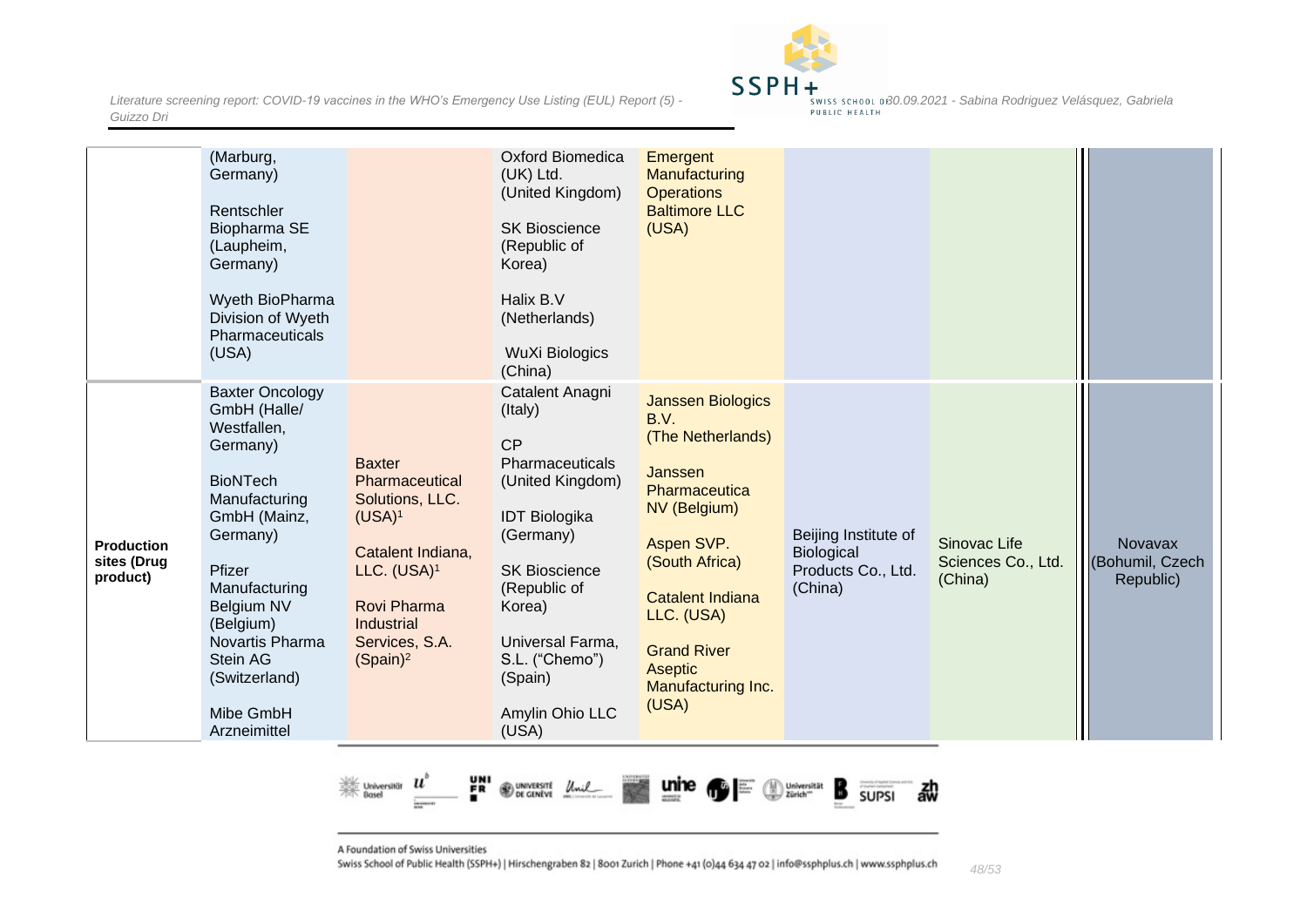

|                                              | (Marburg,<br>Germany)<br>Rentschler<br>Biopharma SE<br>(Laupheim,<br>Germany)<br>Wyeth BioPharma<br>Division of Wyeth<br>Pharmaceuticals<br>(USA)                                                                                                                    |                                                                                                                                                                                        | <b>Oxford Biomedica</b><br>(UK) Ltd.<br>(United Kingdom)<br><b>SK Bioscience</b><br>(Republic of<br>Korea)<br>Halix B.V<br>(Netherlands)<br><b>WuXi Biologics</b><br>(China)                                                                | Emergent<br>Manufacturing<br><b>Operations</b><br><b>Baltimore LLC</b><br>(USA)                                                                                                                                                                   |                                                                     |                                               |                                         |
|----------------------------------------------|----------------------------------------------------------------------------------------------------------------------------------------------------------------------------------------------------------------------------------------------------------------------|----------------------------------------------------------------------------------------------------------------------------------------------------------------------------------------|---------------------------------------------------------------------------------------------------------------------------------------------------------------------------------------------------------------------------------------------|---------------------------------------------------------------------------------------------------------------------------------------------------------------------------------------------------------------------------------------------------|---------------------------------------------------------------------|-----------------------------------------------|-----------------------------------------|
| <b>Production</b><br>sites (Drug<br>product) | <b>Baxter Oncology</b><br>GmbH (Halle/<br>Westfallen,<br>Germany)<br><b>BioNTech</b><br>Manufacturing<br>GmbH (Mainz,<br>Germany)<br>Pfizer<br>Manufacturing<br>Belgium NV<br>(Belgium)<br>Novartis Pharma<br>Stein AG<br>(Switzerland)<br>Mibe GmbH<br>Arzneimittel | <b>Baxter</b><br>Pharmaceutical<br>Solutions, LLC.<br>$(USA)^1$<br>Catalent Indiana,<br>LLC. (USA) <sup>1</sup><br>Rovi Pharma<br>Industrial<br>Services, S.A.<br>(Spain) <sup>2</sup> | Catalent Anagni<br>(Italy)<br>CP<br>Pharmaceuticals<br>(United Kingdom)<br><b>IDT Biologika</b><br>(Germany)<br><b>SK Bioscience</b><br>(Republic of<br>Korea)<br>Universal Farma,<br>S.L. ("Chemo")<br>(Spain)<br>Amylin Ohio LLC<br>(USA) | <b>Janssen Biologics</b><br>B.V.<br>(The Netherlands)<br>Janssen<br>Pharmaceutica<br>NV (Belgium)<br>Aspen SVP.<br>(South Africa)<br><b>Catalent Indiana</b><br>LLC. (USA)<br><b>Grand River</b><br><b>Aseptic</b><br>Manufacturing Inc.<br>(USA) | Beijing Institute of<br>Biological<br>Products Co., Ltd.<br>(China) | Sinovac Life<br>Sciences Co., Ltd.<br>(China) | Novavax<br>(Bohumil, Czech<br>Republic) |



A Foundation of Swiss Universities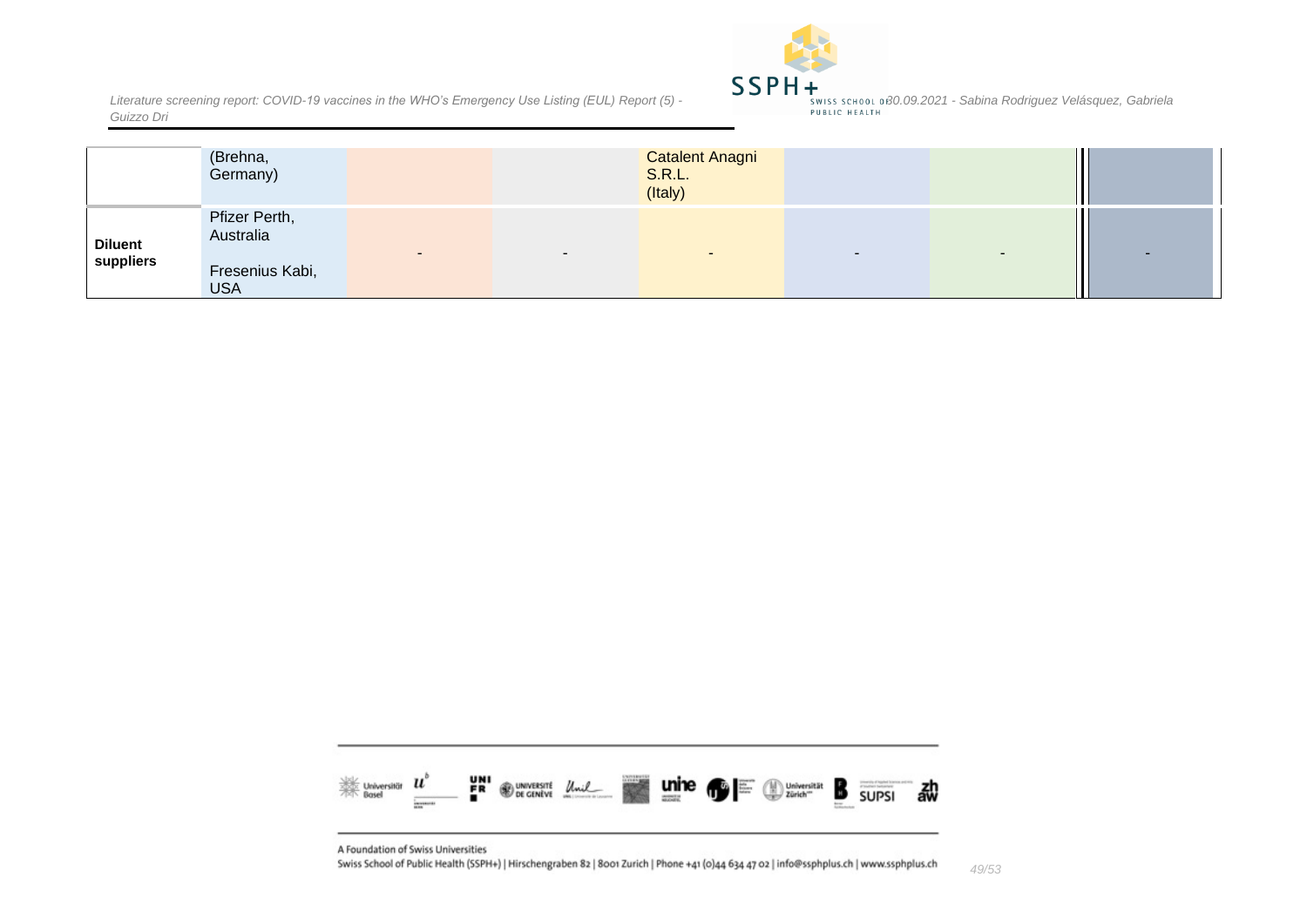

|                             | (Brehna,<br>Germany)                                        |                | <b>Catalent Anagni</b><br><b>S.R.L.</b><br>(Italy) |                          |  |
|-----------------------------|-------------------------------------------------------------|----------------|----------------------------------------------------|--------------------------|--|
| <b>Diluent</b><br>suppliers | Pfizer Perth,<br>Australia<br>Fresenius Kabi,<br><b>USA</b> | $\blacksquare$ | $\overline{\phantom{a}}$                           | $\overline{\phantom{a}}$ |  |



A Foundation of Swiss Universities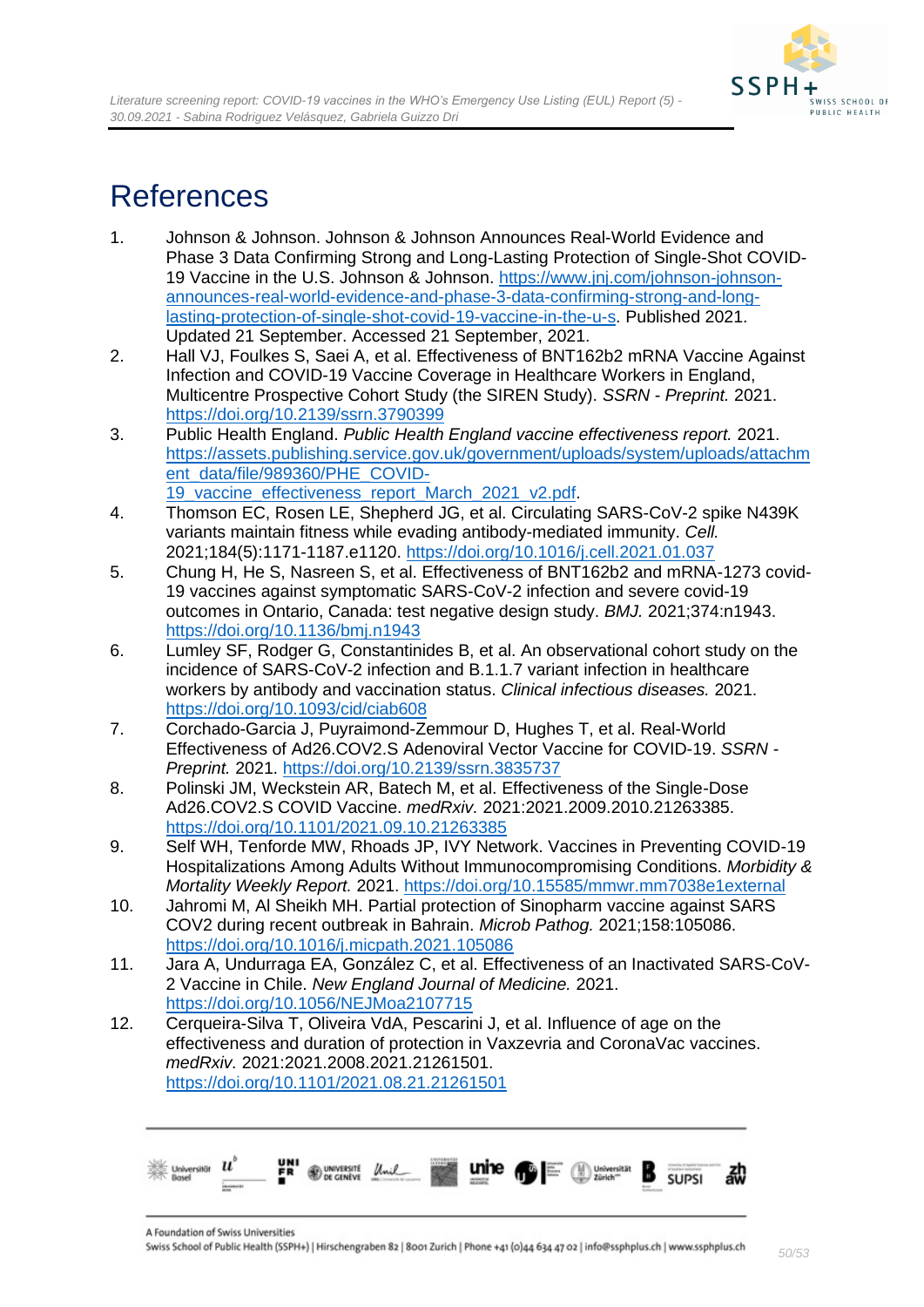

# <span id="page-49-0"></span>References

- 1. Johnson & Johnson. Johnson & Johnson Announces Real-World Evidence and Phase 3 Data Confirming Strong and Long-Lasting Protection of Single-Shot COVID-19 Vaccine in the U.S. Johnson & Johnson. [https://www.jnj.com/johnson-johnson](https://www.jnj.com/johnson-johnson-announces-real-world-evidence-and-phase-3-data-confirming-strong-and-long-lasting-protection-of-single-shot-covid-19-vaccine-in-the-u-s)[announces-real-world-evidence-and-phase-3-data-confirming-strong-and-long](https://www.jnj.com/johnson-johnson-announces-real-world-evidence-and-phase-3-data-confirming-strong-and-long-lasting-protection-of-single-shot-covid-19-vaccine-in-the-u-s)[lasting-protection-of-single-shot-covid-19-vaccine-in-the-u-s.](https://www.jnj.com/johnson-johnson-announces-real-world-evidence-and-phase-3-data-confirming-strong-and-long-lasting-protection-of-single-shot-covid-19-vaccine-in-the-u-s) Published 2021. Updated 21 September. Accessed 21 September, 2021.
- 2. Hall VJ, Foulkes S, Saei A, et al. Effectiveness of BNT162b2 mRNA Vaccine Against Infection and COVID-19 Vaccine Coverage in Healthcare Workers in England, Multicentre Prospective Cohort Study (the SIREN Study). *SSRN - Preprint.* 2021. <https://doi.org/10.2139/ssrn.3790399>
- 3. Public Health England. *Public Health England vaccine effectiveness report.* 2021. [https://assets.publishing.service.gov.uk/government/uploads/system/uploads/attachm](https://assets.publishing.service.gov.uk/government/uploads/system/uploads/attachment_data/file/989360/PHE_COVID-19_vaccine_effectiveness_report_March_2021_v2.pdf) [ent\\_data/file/989360/PHE\\_COVID-](https://assets.publishing.service.gov.uk/government/uploads/system/uploads/attachment_data/file/989360/PHE_COVID-19_vaccine_effectiveness_report_March_2021_v2.pdf)19 vaccine effectiveness report March 2021 v2.pdf.
- 4. Thomson EC, Rosen LE, Shepherd JG, et al. Circulating SARS-CoV-2 spike N439K variants maintain fitness while evading antibody-mediated immunity. *Cell.*  2021;184(5):1171-1187.e1120.<https://doi.org/10.1016/j.cell.2021.01.037>
- 5. Chung H, He S, Nasreen S, et al. Effectiveness of BNT162b2 and mRNA-1273 covid-19 vaccines against symptomatic SARS-CoV-2 infection and severe covid-19 outcomes in Ontario, Canada: test negative design study. *BMJ.* 2021;374:n1943. <https://doi.org/10.1136/bmj.n1943>
- 6. Lumley SF, Rodger G, Constantinides B, et al. An observational cohort study on the incidence of SARS-CoV-2 infection and B.1.1.7 variant infection in healthcare workers by antibody and vaccination status. *Clinical infectious diseases.* 2021. <https://doi.org/10.1093/cid/ciab608>
- 7. Corchado-Garcia J, Puyraimond-Zemmour D, Hughes T, et al. Real-World Effectiveness of Ad26.COV2.S Adenoviral Vector Vaccine for COVID-19. *SSRN - Preprint.* 2021.<https://doi.org/10.2139/ssrn.3835737>
- 8. Polinski JM, Weckstein AR, Batech M, et al. Effectiveness of the Single-Dose Ad26.COV2.S COVID Vaccine. *medRxiv.* 2021:2021.2009.2010.21263385. <https://doi.org/10.1101/2021.09.10.21263385>
- 9. Self WH, Tenforde MW, Rhoads JP, IVY Network. Vaccines in Preventing COVID-19 Hospitalizations Among Adults Without Immunocompromising Conditions. *Morbidity & Mortality Weekly Report.* 2021.<https://doi.org/10.15585/mmwr.mm7038e1external>
- 10. Jahromi M, Al Sheikh MH. Partial protection of Sinopharm vaccine against SARS COV2 during recent outbreak in Bahrain. *Microb Pathog.* 2021;158:105086. <https://doi.org/10.1016/j.micpath.2021.105086>
- 11. Jara A, Undurraga EA, González C, et al. Effectiveness of an Inactivated SARS-CoV-2 Vaccine in Chile. *New England Journal of Medicine.* 2021. <https://doi.org/10.1056/NEJMoa2107715>
- 12. Cerqueira-Silva T, Oliveira VdA, Pescarini J, et al. Influence of age on the effectiveness and duration of protection in Vaxzevria and CoronaVac vaccines. *medRxiv.* 2021:2021.2008.2021.21261501. <https://doi.org/10.1101/2021.08.21.21261501>

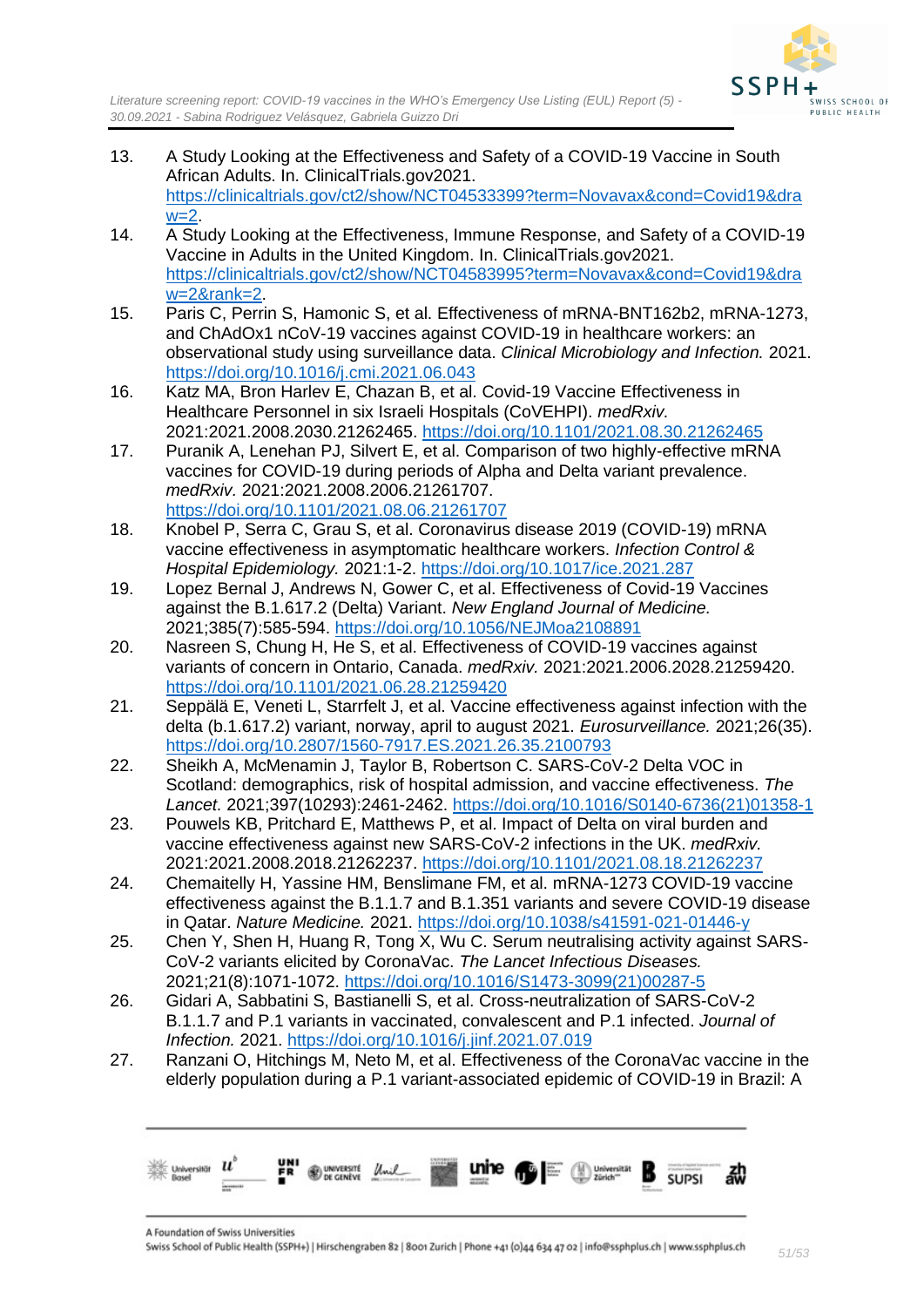

- 13. A Study Looking at the Effectiveness and Safety of a COVID-19 Vaccine in South African Adults. In. ClinicalTrials.gov2021. [https://clinicaltrials.gov/ct2/show/NCT04533399?term=Novavax&cond=Covid19&dra](https://clinicaltrials.gov/ct2/show/NCT04533399?term=Novavax&cond=Covid19&draw=2)  $w=2$ .
- 14. A Study Looking at the Effectiveness, Immune Response, and Safety of a COVID-19 Vaccine in Adults in the United Kingdom. In. ClinicalTrials.gov2021. [https://clinicaltrials.gov/ct2/show/NCT04583995?term=Novavax&cond=Covid19&dra](https://clinicaltrials.gov/ct2/show/NCT04583995?term=Novavax&cond=Covid19&draw=2&rank=2) [w=2&rank=2.](https://clinicaltrials.gov/ct2/show/NCT04583995?term=Novavax&cond=Covid19&draw=2&rank=2)
- 15. Paris C, Perrin S, Hamonic S, et al. Effectiveness of mRNA-BNT162b2, mRNA-1273, and ChAdOx1 nCoV-19 vaccines against COVID-19 in healthcare workers: an observational study using surveillance data. *Clinical Microbiology and Infection.* 2021. <https://doi.org/10.1016/j.cmi.2021.06.043>
- 16. Katz MA, Bron Harlev E, Chazan B, et al. Covid-19 Vaccine Effectiveness in Healthcare Personnel in six Israeli Hospitals (CoVEHPI). *medRxiv.*  2021:2021.2008.2030.21262465.<https://doi.org/10.1101/2021.08.30.21262465>
- 17. Puranik A, Lenehan PJ, Silvert E, et al. Comparison of two highly-effective mRNA vaccines for COVID-19 during periods of Alpha and Delta variant prevalence. *medRxiv.* 2021:2021.2008.2006.21261707. <https://doi.org/10.1101/2021.08.06.21261707>
- 18. Knobel P, Serra C, Grau S, et al. Coronavirus disease 2019 (COVID-19) mRNA vaccine effectiveness in asymptomatic healthcare workers. *Infection Control & Hospital Epidemiology.* 2021:1-2.<https://doi.org/10.1017/ice.2021.287>
- 19. Lopez Bernal J, Andrews N, Gower C, et al. Effectiveness of Covid-19 Vaccines against the B.1.617.2 (Delta) Variant. *New England Journal of Medicine.*  2021;385(7):585-594.<https://doi.org/10.1056/NEJMoa2108891>
- 20. Nasreen S, Chung H, He S, et al. Effectiveness of COVID-19 vaccines against variants of concern in Ontario, Canada. *medRxiv.* 2021:2021.2006.2028.21259420. <https://doi.org/10.1101/2021.06.28.21259420>
- 21. Seppälä E, Veneti L, Starrfelt J, et al. Vaccine effectiveness against infection with the delta (b.1.617.2) variant, norway, april to august 2021. *Eurosurveillance.* 2021;26(35). <https://doi.org/10.2807/1560-7917.ES.2021.26.35.2100793>
- 22. Sheikh A, McMenamin J, Taylor B, Robertson C. SARS-CoV-2 Delta VOC in Scotland: demographics, risk of hospital admission, and vaccine effectiveness. *The Lancet.* 2021;397(10293):2461-2462. [https://doi.org/10.1016/S0140-6736\(21\)01358-1](https://doi.org/10.1016/S0140-6736(21)01358-1)
- 23. Pouwels KB, Pritchard E, Matthews P, et al. Impact of Delta on viral burden and vaccine effectiveness against new SARS-CoV-2 infections in the UK. *medRxiv.*  2021:2021.2008.2018.21262237.<https://doi.org/10.1101/2021.08.18.21262237>
- 24. Chemaitelly H, Yassine HM, Benslimane FM, et al. mRNA-1273 COVID-19 vaccine effectiveness against the B.1.1.7 and B.1.351 variants and severe COVID-19 disease in Qatar. *Nature Medicine.* 2021.<https://doi.org/10.1038/s41591-021-01446-y>
- 25. Chen Y, Shen H, Huang R, Tong X, Wu C. Serum neutralising activity against SARS-CoV-2 variants elicited by CoronaVac. *The Lancet Infectious Diseases.*  2021;21(8):1071-1072. [https://doi.org/10.1016/S1473-3099\(21\)00287-5](https://doi.org/10.1016/S1473-3099(21)00287-5)
- 26. Gidari A, Sabbatini S, Bastianelli S, et al. Cross-neutralization of SARS-CoV-2 B.1.1.7 and P.1 variants in vaccinated, convalescent and P.1 infected. *Journal of Infection.* 2021.<https://doi.org/10.1016/j.jinf.2021.07.019>
- 27. Ranzani O, Hitchings M, Neto M, et al. Effectiveness of the CoronaVac vaccine in the elderly population during a P.1 variant-associated epidemic of COVID-19 in Brazil: A

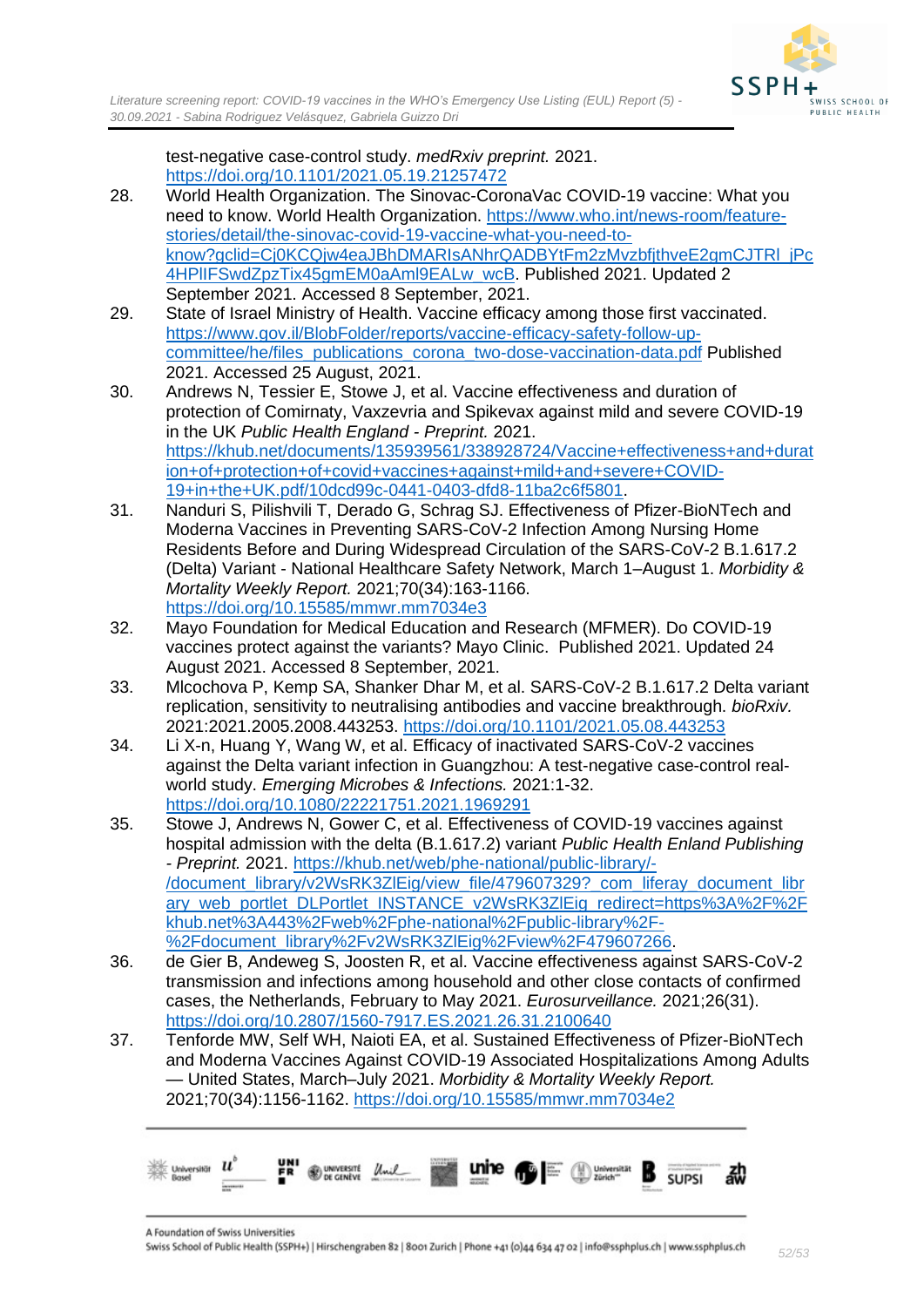test-negative case-control study. *medRxiv preprint.* 2021. <https://doi.org/10.1101/2021.05.19.21257472>

- 28. World Health Organization. The Sinovac-CoronaVac COVID-19 vaccine: What you need to know. World Health Organization. [https://www.who.int/news-room/feature](https://www.who.int/news-room/feature-stories/detail/the-sinovac-covid-19-vaccine-what-you-need-to-know?gclid=Cj0KCQjw4eaJBhDMARIsANhrQADBYtFm2zMvzbfjthveE2gmCJTRl_jPc4HPlIFSwdZpzTix45gmEM0aAml9EALw_wcB)[stories/detail/the-sinovac-covid-19-vaccine-what-you-need-to](https://www.who.int/news-room/feature-stories/detail/the-sinovac-covid-19-vaccine-what-you-need-to-know?gclid=Cj0KCQjw4eaJBhDMARIsANhrQADBYtFm2zMvzbfjthveE2gmCJTRl_jPc4HPlIFSwdZpzTix45gmEM0aAml9EALw_wcB)[know?gclid=Cj0KCQjw4eaJBhDMARIsANhrQADBYtFm2zMvzbfjthveE2gmCJTRl\\_jPc](https://www.who.int/news-room/feature-stories/detail/the-sinovac-covid-19-vaccine-what-you-need-to-know?gclid=Cj0KCQjw4eaJBhDMARIsANhrQADBYtFm2zMvzbfjthveE2gmCJTRl_jPc4HPlIFSwdZpzTix45gmEM0aAml9EALw_wcB) [4HPlIFSwdZpzTix45gmEM0aAml9EALw\\_wcB.](https://www.who.int/news-room/feature-stories/detail/the-sinovac-covid-19-vaccine-what-you-need-to-know?gclid=Cj0KCQjw4eaJBhDMARIsANhrQADBYtFm2zMvzbfjthveE2gmCJTRl_jPc4HPlIFSwdZpzTix45gmEM0aAml9EALw_wcB) Published 2021. Updated 2 September 2021. Accessed 8 September, 2021.
- 29. State of Israel Ministry of Health. Vaccine efficacy among those first vaccinated. [https://www.gov.il/BlobFolder/reports/vaccine-efficacy-safety-follow-up](https://www.gov.il/BlobFolder/reports/vaccine-efficacy-safety-follow-up-committee/he/files_publications_corona_two-dose-vaccination-data.pdf)[committee/he/files\\_publications\\_corona\\_two-dose-vaccination-data.pdf](https://www.gov.il/BlobFolder/reports/vaccine-efficacy-safety-follow-up-committee/he/files_publications_corona_two-dose-vaccination-data.pdf) Published 2021. Accessed 25 August, 2021.
- 30. Andrews N, Tessier E, Stowe J, et al. Vaccine effectiveness and duration of protection of Comirnaty, Vaxzevria and Spikevax against mild and severe COVID-19 in the UK *Public Health England - Preprint.* 2021. [https://khub.net/documents/135939561/338928724/Vaccine+effectiveness+and+durat](https://khub.net/documents/135939561/338928724/Vaccine+effectiveness+and+duration+of+protection+of+covid+vaccines+against+mild+and+severe+COVID-19+in+the+UK.pdf/10dcd99c-0441-0403-dfd8-11ba2c6f5801) [ion+of+protection+of+covid+vaccines+against+mild+and+severe+COVID-](https://khub.net/documents/135939561/338928724/Vaccine+effectiveness+and+duration+of+protection+of+covid+vaccines+against+mild+and+severe+COVID-19+in+the+UK.pdf/10dcd99c-0441-0403-dfd8-11ba2c6f5801)[19+in+the+UK.pdf/10dcd99c-0441-0403-dfd8-11ba2c6f5801.](https://khub.net/documents/135939561/338928724/Vaccine+effectiveness+and+duration+of+protection+of+covid+vaccines+against+mild+and+severe+COVID-19+in+the+UK.pdf/10dcd99c-0441-0403-dfd8-11ba2c6f5801)
- 31. Nanduri S, Pilishvili T, Derado G, Schrag SJ. Effectiveness of Pfizer-BioNTech and Moderna Vaccines in Preventing SARS-CoV-2 Infection Among Nursing Home Residents Before and During Widespread Circulation of the SARS-CoV-2 B.1.617.2 (Delta) Variant - National Healthcare Safety Network, March 1–August 1. *Morbidity & Mortality Weekly Report.* 2021;70(34):163-1166. <https://doi.org/10.15585/mmwr.mm7034e3>
- 32. Mayo Foundation for Medical Education and Research (MFMER). Do COVID-19 vaccines protect against the variants? Mayo Clinic. Published 2021. Updated 24 August 2021. Accessed 8 September, 2021.
- 33. Mlcochova P, Kemp SA, Shanker Dhar M, et al. SARS-CoV-2 B.1.617.2 Delta variant replication, sensitivity to neutralising antibodies and vaccine breakthrough. *bioRxiv.*  2021:2021.2005.2008.443253.<https://doi.org/10.1101/2021.05.08.443253>
- 34. Li X-n, Huang Y, Wang W, et al. Efficacy of inactivated SARS-CoV-2 vaccines against the Delta variant infection in Guangzhou: A test-negative case-control realworld study. *Emerging Microbes & Infections.* 2021:1-32. <https://doi.org/10.1080/22221751.2021.1969291>
- 35. Stowe J, Andrews N, Gower C, et al. Effectiveness of COVID-19 vaccines against hospital admission with the delta (B.1.617.2) variant *Public Health Enland Publishing - Preprint.* 2021. [https://khub.net/web/phe-national/public-library/-](https://khub.net/web/phe-national/public-library/-/document_library/v2WsRK3ZlEig/view_file/479607329?_com_liferay_document_library_web_portlet_DLPortlet_INSTANCE_v2WsRK3ZlEig_redirect=https%3A%2F%2Fkhub.net%3A443%2Fweb%2Fphe-national%2Fpublic-library%2F-%2Fdocument_library%2Fv2WsRK3ZlEig%2Fview%2F479607266) [/document\\_library/v2WsRK3ZlEig/view\\_file/479607329?\\_com\\_liferay\\_document\\_libr](https://khub.net/web/phe-national/public-library/-/document_library/v2WsRK3ZlEig/view_file/479607329?_com_liferay_document_library_web_portlet_DLPortlet_INSTANCE_v2WsRK3ZlEig_redirect=https%3A%2F%2Fkhub.net%3A443%2Fweb%2Fphe-national%2Fpublic-library%2F-%2Fdocument_library%2Fv2WsRK3ZlEig%2Fview%2F479607266) [ary\\_web\\_portlet\\_DLPortlet\\_INSTANCE\\_v2WsRK3ZlEig\\_redirect=https%3A%2F%2F](https://khub.net/web/phe-national/public-library/-/document_library/v2WsRK3ZlEig/view_file/479607329?_com_liferay_document_library_web_portlet_DLPortlet_INSTANCE_v2WsRK3ZlEig_redirect=https%3A%2F%2Fkhub.net%3A443%2Fweb%2Fphe-national%2Fpublic-library%2F-%2Fdocument_library%2Fv2WsRK3ZlEig%2Fview%2F479607266) [khub.net%3A443%2Fweb%2Fphe-national%2Fpublic-library%2F-](https://khub.net/web/phe-national/public-library/-/document_library/v2WsRK3ZlEig/view_file/479607329?_com_liferay_document_library_web_portlet_DLPortlet_INSTANCE_v2WsRK3ZlEig_redirect=https%3A%2F%2Fkhub.net%3A443%2Fweb%2Fphe-national%2Fpublic-library%2F-%2Fdocument_library%2Fv2WsRK3ZlEig%2Fview%2F479607266) [%2Fdocument\\_library%2Fv2WsRK3ZlEig%2Fview%2F479607266.](https://khub.net/web/phe-national/public-library/-/document_library/v2WsRK3ZlEig/view_file/479607329?_com_liferay_document_library_web_portlet_DLPortlet_INSTANCE_v2WsRK3ZlEig_redirect=https%3A%2F%2Fkhub.net%3A443%2Fweb%2Fphe-national%2Fpublic-library%2F-%2Fdocument_library%2Fv2WsRK3ZlEig%2Fview%2F479607266)
- 36. de Gier B, Andeweg S, Joosten R, et al. Vaccine effectiveness against SARS-CoV-2 transmission and infections among household and other close contacts of confirmed cases, the Netherlands, February to May 2021. *Eurosurveillance.* 2021;26(31). <https://doi.org/10.2807/1560-7917.ES.2021.26.31.2100640>
- 37. Tenforde MW, Self WH, Naioti EA, et al. Sustained Effectiveness of Pfizer-BioNTech and Moderna Vaccines Against COVID-19 Associated Hospitalizations Among Adults — United States, March–July 2021. *Morbidity & Mortality Weekly Report.*  2021;70(34):1156-1162.<https://doi.org/10.15585/mmwr.mm7034e2>

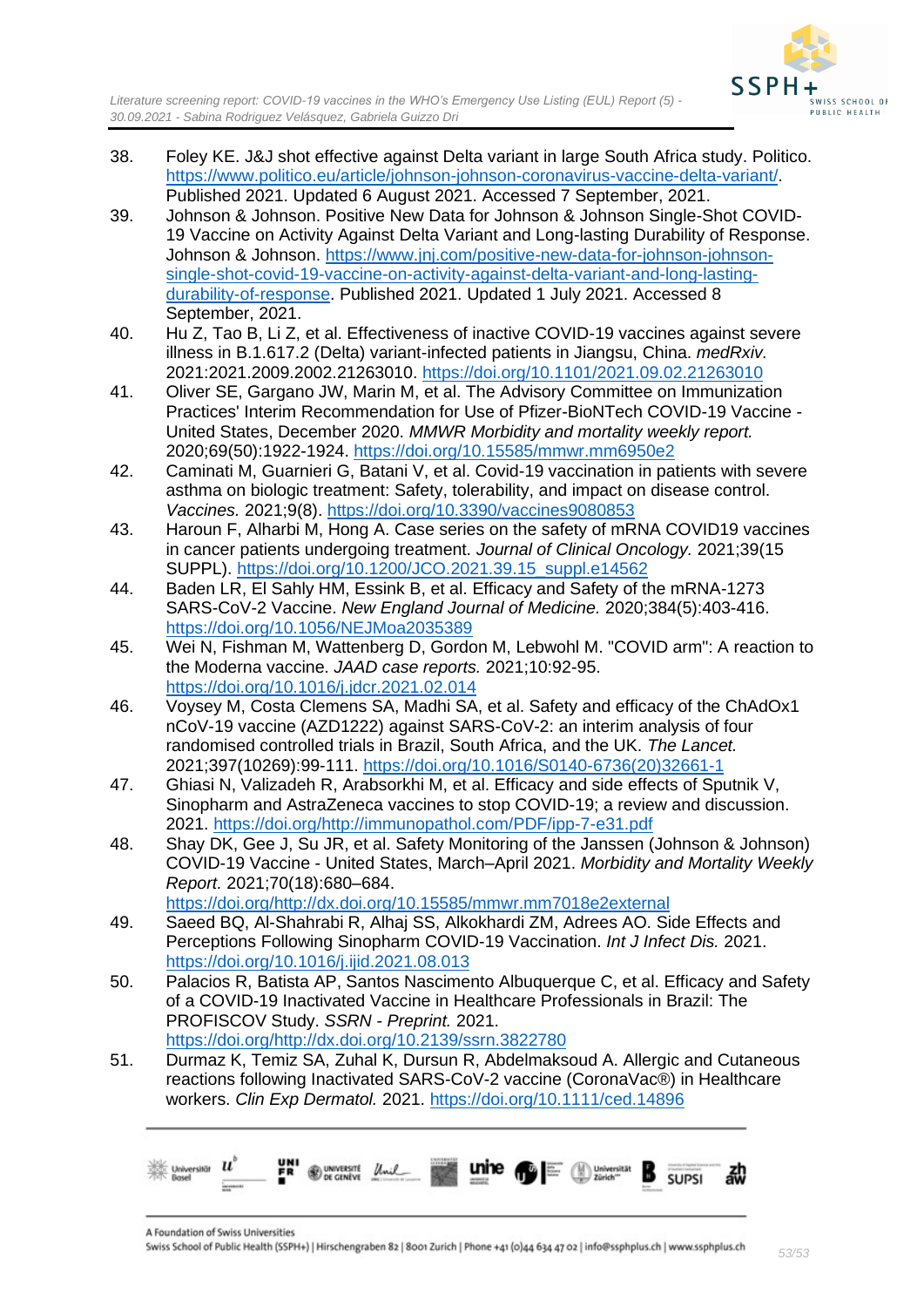



- 38. Foley KE. J&J shot effective against Delta variant in large South Africa study. Politico. [https://www.politico.eu/article/johnson-johnson-coronavirus-vaccine-delta-variant/.](https://www.politico.eu/article/johnson-johnson-coronavirus-vaccine-delta-variant/) Published 2021. Updated 6 August 2021. Accessed 7 September, 2021.
- 39. Johnson & Johnson. Positive New Data for Johnson & Johnson Single-Shot COVID-19 Vaccine on Activity Against Delta Variant and Long-lasting Durability of Response. Johnson & Johnson. [https://www.jnj.com/positive-new-data-for-johnson-johnson](https://www.jnj.com/positive-new-data-for-johnson-johnson-single-shot-covid-19-vaccine-on-activity-against-delta-variant-and-long-lasting-durability-of-response)[single-shot-covid-19-vaccine-on-activity-against-delta-variant-and-long-lasting](https://www.jnj.com/positive-new-data-for-johnson-johnson-single-shot-covid-19-vaccine-on-activity-against-delta-variant-and-long-lasting-durability-of-response)[durability-of-response.](https://www.jnj.com/positive-new-data-for-johnson-johnson-single-shot-covid-19-vaccine-on-activity-against-delta-variant-and-long-lasting-durability-of-response) Published 2021. Updated 1 July 2021. Accessed 8 September, 2021.
- 40. Hu Z, Tao B, Li Z, et al. Effectiveness of inactive COVID-19 vaccines against severe illness in B.1.617.2 (Delta) variant-infected patients in Jiangsu, China. *medRxiv.*  2021:2021.2009.2002.21263010.<https://doi.org/10.1101/2021.09.02.21263010>
- 41. Oliver SE, Gargano JW, Marin M, et al. The Advisory Committee on Immunization Practices' Interim Recommendation for Use of Pfizer-BioNTech COVID-19 Vaccine - United States, December 2020. *MMWR Morbidity and mortality weekly report.*  2020;69(50):1922-1924.<https://doi.org/10.15585/mmwr.mm6950e2>
- 42. Caminati M, Guarnieri G, Batani V, et al. Covid-19 vaccination in patients with severe asthma on biologic treatment: Safety, tolerability, and impact on disease control. *Vaccines.* 2021;9(8).<https://doi.org/10.3390/vaccines9080853>
- 43. Haroun F, Alharbi M, Hong A. Case series on the safety of mRNA COVID19 vaccines in cancer patients undergoing treatment. *Journal of Clinical Oncology.* 2021;39(15 SUPPL). [https://doi.org/10.1200/JCO.2021.39.15\\_suppl.e14562](https://doi.org/10.1200/JCO.2021.39.15_suppl.e14562)
- 44. Baden LR, El Sahly HM, Essink B, et al. Efficacy and Safety of the mRNA-1273 SARS-CoV-2 Vaccine. *New England Journal of Medicine.* 2020;384(5):403-416. <https://doi.org/10.1056/NEJMoa2035389>
- 45. Wei N, Fishman M, Wattenberg D, Gordon M, Lebwohl M. "COVID arm": A reaction to the Moderna vaccine. *JAAD case reports.* 2021;10:92-95. <https://doi.org/10.1016/j.jdcr.2021.02.014>
- 46. Voysey M, Costa Clemens SA, Madhi SA, et al. Safety and efficacy of the ChAdOx1 nCoV-19 vaccine (AZD1222) against SARS-CoV-2: an interim analysis of four randomised controlled trials in Brazil, South Africa, and the UK. *The Lancet.*  2021;397(10269):99-111. [https://doi.org/10.1016/S0140-6736\(20\)32661-1](https://doi.org/10.1016/S0140-6736(20)32661-1)
- 47. Ghiasi N, Valizadeh R, Arabsorkhi M, et al. Efficacy and side effects of Sputnik V, Sinopharm and AstraZeneca vaccines to stop COVID-19; a review and discussion. 2021. [https://doi.org/http://immunopathol.com/PDF/ipp-7-e31.pdf](https://doi.org/http:/immunopathol.com/PDF/ipp-7-e31.pdf)
- 48. Shay DK, Gee J, Su JR, et al. Safety Monitoring of the Janssen (Johnson & Johnson) COVID-19 Vaccine - United States, March–April 2021. *Morbidity and Mortality Weekly Report.* 2021;70(18):680–684.

[https://doi.org/http://dx.doi.org/10.15585/mmwr.mm7018e2external](https://doi.org/http:/dx.doi.org/10.15585/mmwr.mm7018e2external)

- 49. Saeed BQ, Al-Shahrabi R, Alhaj SS, Alkokhardi ZM, Adrees AO. Side Effects and Perceptions Following Sinopharm COVID-19 Vaccination. *Int J Infect Dis.* 2021. <https://doi.org/10.1016/j.ijid.2021.08.013>
- 50. Palacios R, Batista AP, Santos Nascimento Albuquerque C, et al. Efficacy and Safety of a COVID-19 Inactivated Vaccine in Healthcare Professionals in Brazil: The PROFISCOV Study. *SSRN - Preprint.* 2021. [https://doi.org/http://dx.doi.org/10.2139/ssrn.3822780](https://doi.org/http:/dx.doi.org/10.2139/ssrn.3822780)
- 51. Durmaz K, Temiz SA, Zuhal K, Dursun R, Abdelmaksoud A. Allergic and Cutaneous reactions following Inactivated SARS-CoV-2 vaccine (CoronaVac®) in Healthcare workers. *Clin Exp Dermatol.* 2021.<https://doi.org/10.1111/ced.14896>

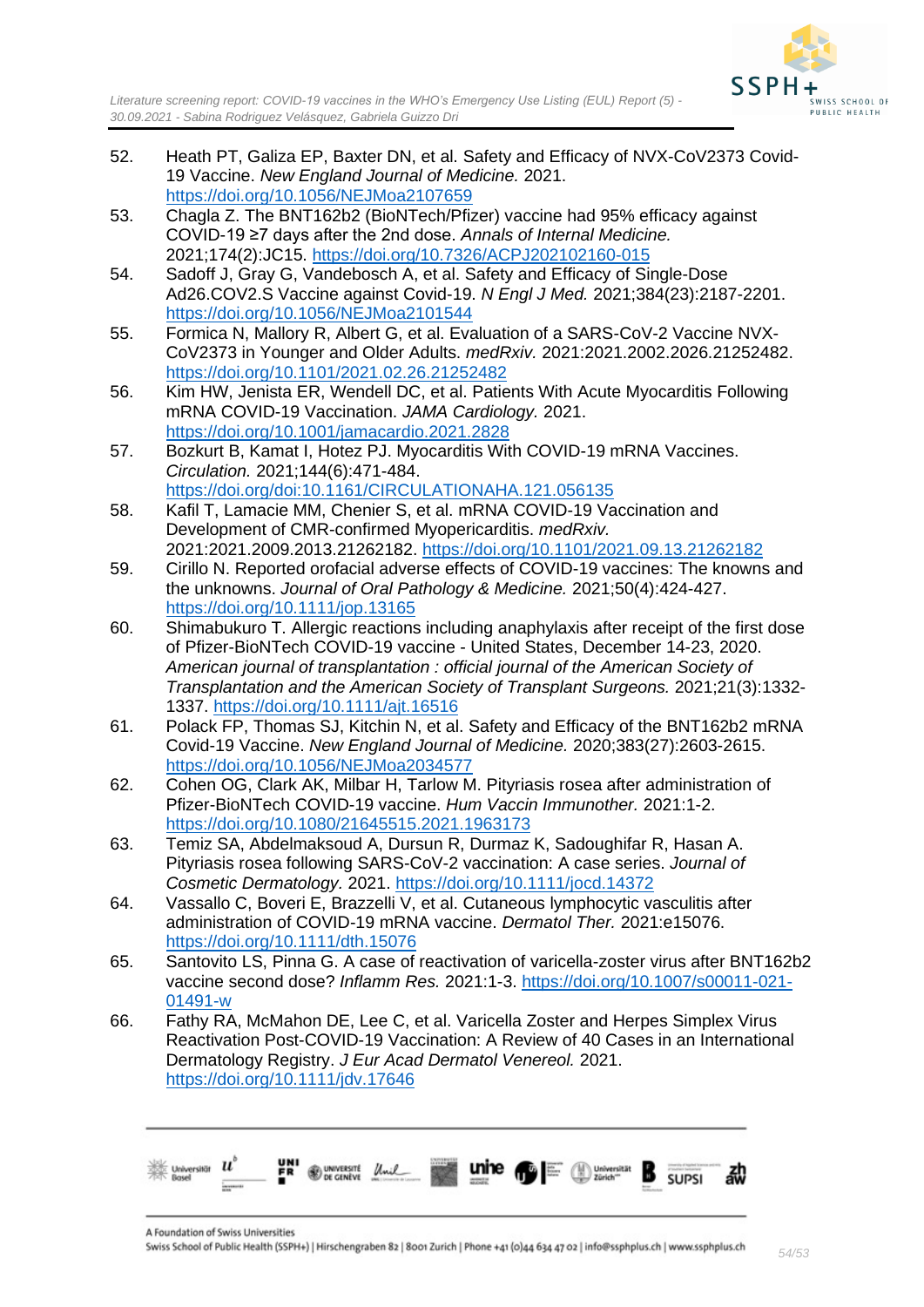

- 52. Heath PT, Galiza EP, Baxter DN, et al. Safety and Efficacy of NVX-CoV2373 Covid-19 Vaccine. *New England Journal of Medicine.* 2021. <https://doi.org/10.1056/NEJMoa2107659>
- 53. Chagla Z. The BNT162b2 (BioNTech/Pfizer) vaccine had 95% efficacy against COVID-19 ≥7 days after the 2nd dose. *Annals of Internal Medicine.*  2021;174(2):JC15.<https://doi.org/10.7326/ACPJ202102160-015>
- 54. Sadoff J, Gray G, Vandebosch A, et al. Safety and Efficacy of Single-Dose Ad26.COV2.S Vaccine against Covid-19. *N Engl J Med.* 2021;384(23):2187-2201. <https://doi.org/10.1056/NEJMoa2101544>
- 55. Formica N, Mallory R, Albert G, et al. Evaluation of a SARS-CoV-2 Vaccine NVX-CoV2373 in Younger and Older Adults. *medRxiv.* 2021:2021.2002.2026.21252482. <https://doi.org/10.1101/2021.02.26.21252482>
- 56. Kim HW, Jenista ER, Wendell DC, et al. Patients With Acute Myocarditis Following mRNA COVID-19 Vaccination. *JAMA Cardiology.* 2021. <https://doi.org/10.1001/jamacardio.2021.2828>
- 57. Bozkurt B, Kamat I, Hotez PJ. Myocarditis With COVID-19 mRNA Vaccines. *Circulation.* 2021;144(6):471-484. <https://doi.org/doi:10.1161/CIRCULATIONAHA.121.056135>
- 58. Kafil T, Lamacie MM, Chenier S, et al. mRNA COVID-19 Vaccination and Development of CMR-confirmed Myopericarditis. *medRxiv.*  2021:2021.2009.2013.21262182.<https://doi.org/10.1101/2021.09.13.21262182>
- 59. Cirillo N. Reported orofacial adverse effects of COVID-19 vaccines: The knowns and the unknowns. *Journal of Oral Pathology & Medicine.* 2021;50(4):424-427. <https://doi.org/10.1111/jop.13165>
- 60. Shimabukuro T. Allergic reactions including anaphylaxis after receipt of the first dose of Pfizer-BioNTech COVID-19 vaccine - United States, December 14-23, 2020. *American journal of transplantation : official journal of the American Society of Transplantation and the American Society of Transplant Surgeons.* 2021;21(3):1332- 1337.<https://doi.org/10.1111/ajt.16516>
- 61. Polack FP, Thomas SJ, Kitchin N, et al. Safety and Efficacy of the BNT162b2 mRNA Covid-19 Vaccine. *New England Journal of Medicine.* 2020;383(27):2603-2615. <https://doi.org/10.1056/NEJMoa2034577>
- 62. Cohen OG, Clark AK, Milbar H, Tarlow M. Pityriasis rosea after administration of Pfizer-BioNTech COVID-19 vaccine. *Hum Vaccin Immunother.* 2021:1-2. <https://doi.org/10.1080/21645515.2021.1963173>
- 63. Temiz SA, Abdelmaksoud A, Dursun R, Durmaz K, Sadoughifar R, Hasan A. Pityriasis rosea following SARS-CoV-2 vaccination: A case series. *Journal of Cosmetic Dermatology.* 2021.<https://doi.org/10.1111/jocd.14372>
- 64. Vassallo C, Boveri E, Brazzelli V, et al. Cutaneous lymphocytic vasculitis after administration of COVID-19 mRNA vaccine. *Dermatol Ther.* 2021:e15076. <https://doi.org/10.1111/dth.15076>
- 65. Santovito LS, Pinna G. A case of reactivation of varicella-zoster virus after BNT162b2 vaccine second dose? *Inflamm Res.* 2021:1-3. [https://doi.org/10.1007/s00011-021-](https://doi.org/10.1007/s00011-021-01491-w) [01491-w](https://doi.org/10.1007/s00011-021-01491-w)
- 66. Fathy RA, McMahon DE, Lee C, et al. Varicella Zoster and Herpes Simplex Virus Reactivation Post-COVID-19 Vaccination: A Review of 40 Cases in an International Dermatology Registry. *J Eur Acad Dermatol Venereol.* 2021. <https://doi.org/10.1111/jdv.17646>

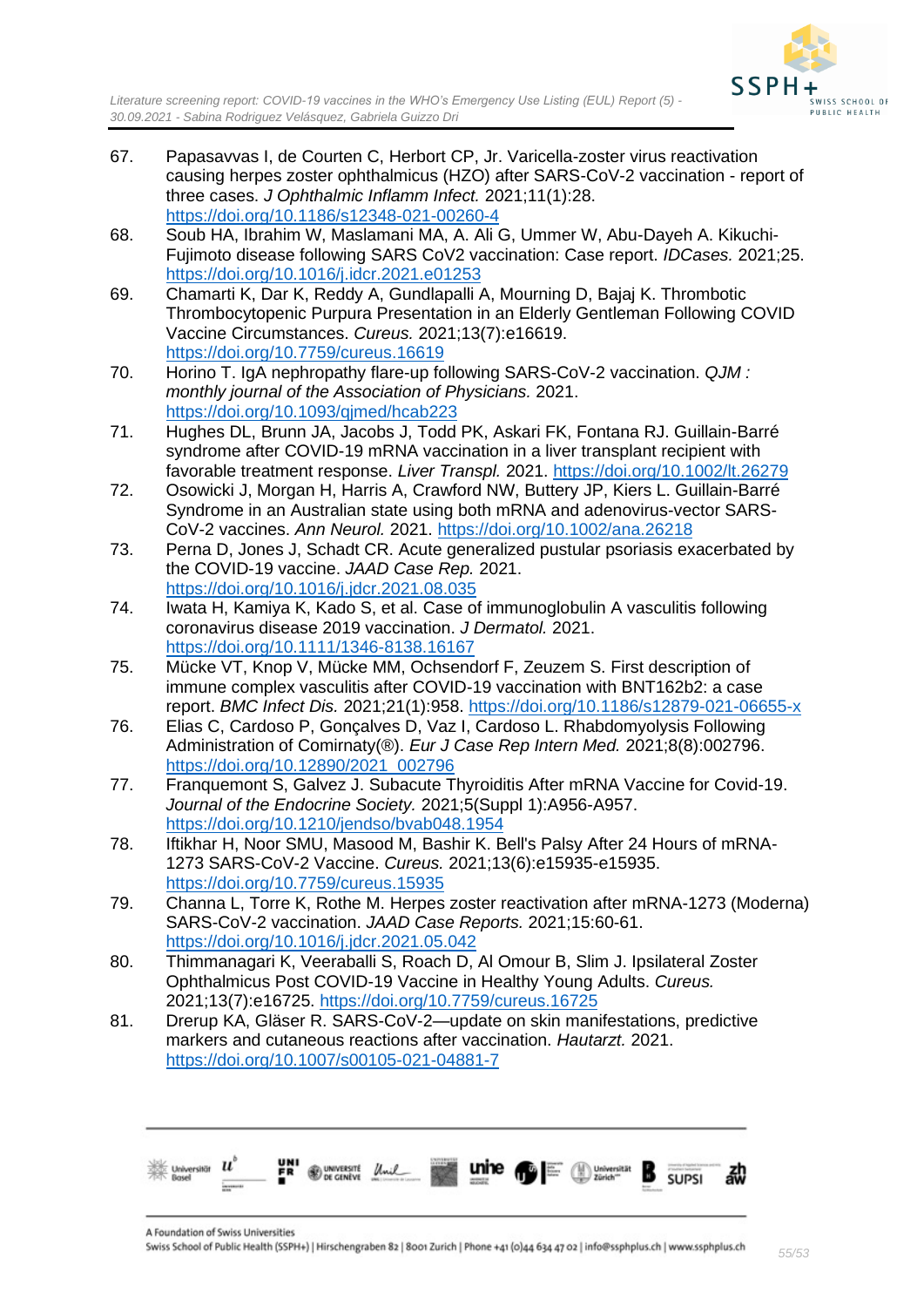

- 67. Papasavvas I, de Courten C, Herbort CP, Jr. Varicella-zoster virus reactivation causing herpes zoster ophthalmicus (HZO) after SARS-CoV-2 vaccination - report of three cases. *J Ophthalmic Inflamm Infect.* 2021;11(1):28. <https://doi.org/10.1186/s12348-021-00260-4>
- 68. Soub HA, Ibrahim W, Maslamani MA, A. Ali G, Ummer W, Abu-Dayeh A. Kikuchi-Fujimoto disease following SARS CoV2 vaccination: Case report. *IDCases.* 2021;25. <https://doi.org/10.1016/j.idcr.2021.e01253>
- 69. Chamarti K, Dar K, Reddy A, Gundlapalli A, Mourning D, Bajaj K. Thrombotic Thrombocytopenic Purpura Presentation in an Elderly Gentleman Following COVID Vaccine Circumstances. *Cureus.* 2021;13(7):e16619. <https://doi.org/10.7759/cureus.16619>
- 70. Horino T. IgA nephropathy flare-up following SARS-CoV-2 vaccination. *QJM : monthly journal of the Association of Physicians.* 2021. <https://doi.org/10.1093/qjmed/hcab223>
- 71. Hughes DL, Brunn JA, Jacobs J, Todd PK, Askari FK, Fontana RJ. Guillain-Barré syndrome after COVID-19 mRNA vaccination in a liver transplant recipient with favorable treatment response. *Liver Transpl.* 2021.<https://doi.org/10.1002/lt.26279>
- 72. Osowicki J, Morgan H, Harris A, Crawford NW, Buttery JP, Kiers L. Guillain-Barré Syndrome in an Australian state using both mRNA and adenovirus-vector SARS-CoV-2 vaccines. *Ann Neurol.* 2021.<https://doi.org/10.1002/ana.26218>
- 73. Perna D, Jones J, Schadt CR. Acute generalized pustular psoriasis exacerbated by the COVID-19 vaccine. *JAAD Case Rep.* 2021. <https://doi.org/10.1016/j.jdcr.2021.08.035>
- 74. Iwata H, Kamiya K, Kado S, et al. Case of immunoglobulin A vasculitis following coronavirus disease 2019 vaccination. *J Dermatol.* 2021. <https://doi.org/10.1111/1346-8138.16167>
- 75. Mücke VT, Knop V, Mücke MM, Ochsendorf F, Zeuzem S. First description of immune complex vasculitis after COVID-19 vaccination with BNT162b2: a case report. *BMC Infect Dis.* 2021;21(1):958.<https://doi.org/10.1186/s12879-021-06655-x>
- 76. Elias C, Cardoso P, Gonçalves D, Vaz I, Cardoso L. Rhabdomyolysis Following Administration of Comirnaty(®). *Eur J Case Rep Intern Med.* 2021;8(8):002796. [https://doi.org/10.12890/2021\\_002796](https://doi.org/10.12890/2021_002796)
- 77. Franquemont S, Galvez J. Subacute Thyroiditis After mRNA Vaccine for Covid-19. *Journal of the Endocrine Society.* 2021;5(Suppl 1):A956-A957. <https://doi.org/10.1210/jendso/bvab048.1954>
- 78. Iftikhar H, Noor SMU, Masood M, Bashir K. Bell's Palsy After 24 Hours of mRNA-1273 SARS-CoV-2 Vaccine. *Cureus.* 2021;13(6):e15935-e15935. <https://doi.org/10.7759/cureus.15935>
- 79. Channa L, Torre K, Rothe M. Herpes zoster reactivation after mRNA-1273 (Moderna) SARS-CoV-2 vaccination. *JAAD Case Reports.* 2021;15:60-61. <https://doi.org/10.1016/j.jdcr.2021.05.042>
- 80. Thimmanagari K, Veeraballi S, Roach D, Al Omour B, Slim J. Ipsilateral Zoster Ophthalmicus Post COVID-19 Vaccine in Healthy Young Adults. *Cureus.*  2021;13(7):e16725.<https://doi.org/10.7759/cureus.16725>
- 81. Drerup KA, Gläser R. SARS-CoV-2—update on skin manifestations, predictive markers and cutaneous reactions after vaccination. *Hautarzt.* 2021. <https://doi.org/10.1007/s00105-021-04881-7>

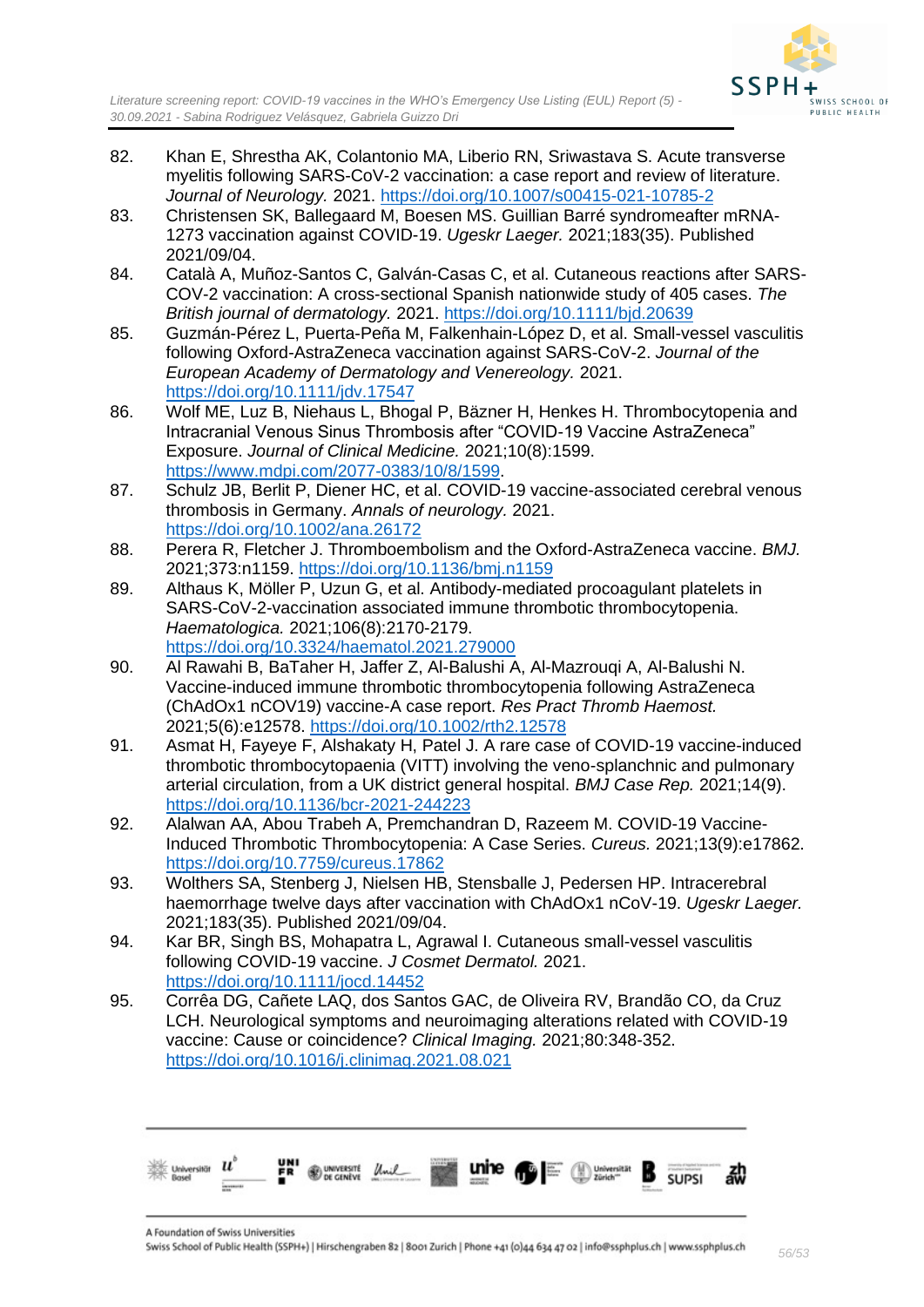

- 82. Khan E, Shrestha AK, Colantonio MA, Liberio RN, Sriwastava S. Acute transverse myelitis following SARS-CoV-2 vaccination: a case report and review of literature. *Journal of Neurology.* 2021.<https://doi.org/10.1007/s00415-021-10785-2>
- 83. Christensen SK, Ballegaard M, Boesen MS. Guillian Barré syndromeafter mRNA-1273 vaccination against COVID-19. *Ugeskr Laeger.* 2021;183(35). Published 2021/09/04.
- 84. Català A, Muñoz-Santos C, Galván-Casas C, et al. Cutaneous reactions after SARS-COV-2 vaccination: A cross-sectional Spanish nationwide study of 405 cases. *The British journal of dermatology.* 2021.<https://doi.org/10.1111/bjd.20639>
- 85. Guzmán-Pérez L, Puerta-Peña M, Falkenhain-López D, et al. Small-vessel vasculitis following Oxford-AstraZeneca vaccination against SARS-CoV-2. *Journal of the European Academy of Dermatology and Venereology.* 2021. <https://doi.org/10.1111/jdv.17547>
- 86. Wolf ME, Luz B, Niehaus L, Bhogal P, Bäzner H, Henkes H. Thrombocytopenia and Intracranial Venous Sinus Thrombosis after "COVID-19 Vaccine AstraZeneca" Exposure. *Journal of Clinical Medicine.* 2021;10(8):1599. [https://www.mdpi.com/2077-0383/10/8/1599.](https://www.mdpi.com/2077-0383/10/8/1599)
- 87. Schulz JB, Berlit P, Diener HC, et al. COVID-19 vaccine-associated cerebral venous thrombosis in Germany. *Annals of neurology.* 2021. <https://doi.org/10.1002/ana.26172>
- 88. Perera R, Fletcher J. Thromboembolism and the Oxford-AstraZeneca vaccine. *BMJ.*  2021;373:n1159.<https://doi.org/10.1136/bmj.n1159>
- 89. Althaus K, Möller P, Uzun G, et al. Antibody-mediated procoagulant platelets in SARS-CoV-2-vaccination associated immune thrombotic thrombocytopenia. *Haematologica.* 2021;106(8):2170-2179. <https://doi.org/10.3324/haematol.2021.279000>
- 90. Al Rawahi B, BaTaher H, Jaffer Z, Al-Balushi A, Al-Mazrouqi A, Al-Balushi N. Vaccine-induced immune thrombotic thrombocytopenia following AstraZeneca (ChAdOx1 nCOV19) vaccine-A case report. *Res Pract Thromb Haemost.*  2021;5(6):e12578.<https://doi.org/10.1002/rth2.12578>
- 91. Asmat H, Fayeye F, Alshakaty H, Patel J. A rare case of COVID-19 vaccine-induced thrombotic thrombocytopaenia (VITT) involving the veno-splanchnic and pulmonary arterial circulation, from a UK district general hospital. *BMJ Case Rep.* 2021;14(9). <https://doi.org/10.1136/bcr-2021-244223>
- 92. Alalwan AA, Abou Trabeh A, Premchandran D, Razeem M. COVID-19 Vaccine-Induced Thrombotic Thrombocytopenia: A Case Series. *Cureus.* 2021;13(9):e17862. <https://doi.org/10.7759/cureus.17862>
- 93. Wolthers SA, Stenberg J, Nielsen HB, Stensballe J, Pedersen HP. Intracerebral haemorrhage twelve days after vaccination with ChAdOx1 nCoV-19. *Ugeskr Laeger.*  2021;183(35). Published 2021/09/04.
- 94. Kar BR, Singh BS, Mohapatra L, Agrawal I. Cutaneous small-vessel vasculitis following COVID-19 vaccine. *J Cosmet Dermatol.* 2021. <https://doi.org/10.1111/jocd.14452>
- 95. Corrêa DG, Cañete LAQ, dos Santos GAC, de Oliveira RV, Brandão CO, da Cruz LCH. Neurological symptoms and neuroimaging alterations related with COVID-19 vaccine: Cause or coincidence? *Clinical Imaging.* 2021;80:348-352. <https://doi.org/10.1016/j.clinimag.2021.08.021>

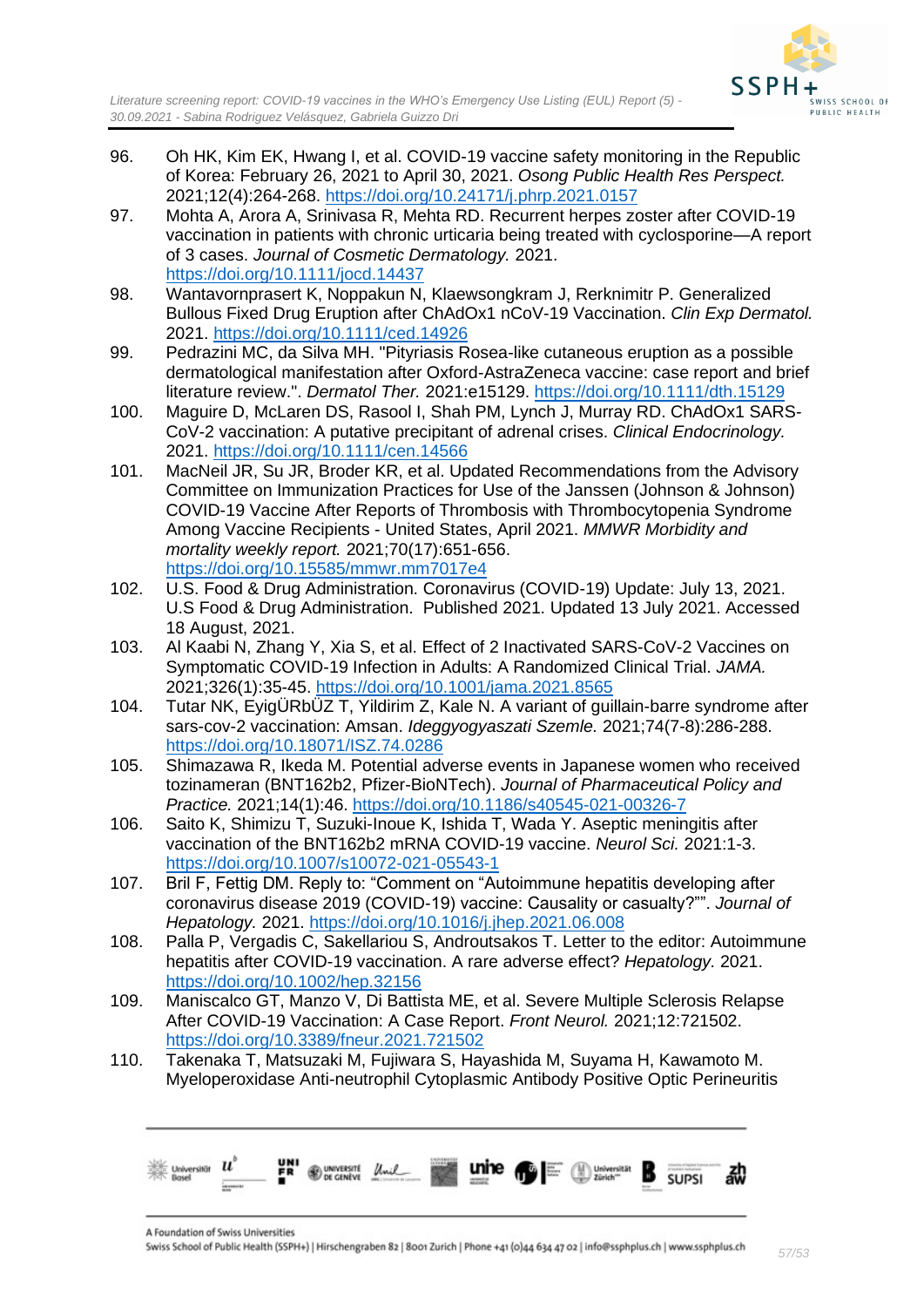

- 96. Oh HK, Kim EK, Hwang I, et al. COVID-19 vaccine safety monitoring in the Republic of Korea: February 26, 2021 to April 30, 2021. *Osong Public Health Res Perspect.*  2021;12(4):264-268.<https://doi.org/10.24171/j.phrp.2021.0157>
- 97. Mohta A, Arora A, Srinivasa R, Mehta RD. Recurrent herpes zoster after COVID-19 vaccination in patients with chronic urticaria being treated with cyclosporine—A report of 3 cases. *Journal of Cosmetic Dermatology.* 2021. <https://doi.org/10.1111/jocd.14437>
- 98. Wantavornprasert K, Noppakun N, Klaewsongkram J, Rerknimitr P. Generalized Bullous Fixed Drug Eruption after ChAdOx1 nCoV-19 Vaccination. *Clin Exp Dermatol.*  2021.<https://doi.org/10.1111/ced.14926>
- 99. Pedrazini MC, da Silva MH. "Pityriasis Rosea-like cutaneous eruption as a possible dermatological manifestation after Oxford-AstraZeneca vaccine: case report and brief literature review.". *Dermatol Ther.* 2021:e15129.<https://doi.org/10.1111/dth.15129>
- 100. Maguire D, McLaren DS, Rasool I, Shah PM, Lynch J, Murray RD. ChAdOx1 SARS-CoV-2 vaccination: A putative precipitant of adrenal crises. *Clinical Endocrinology.*  2021.<https://doi.org/10.1111/cen.14566>
- 101. MacNeil JR, Su JR, Broder KR, et al. Updated Recommendations from the Advisory Committee on Immunization Practices for Use of the Janssen (Johnson & Johnson) COVID-19 Vaccine After Reports of Thrombosis with Thrombocytopenia Syndrome Among Vaccine Recipients - United States, April 2021. *MMWR Morbidity and mortality weekly report.* 2021;70(17):651-656. <https://doi.org/10.15585/mmwr.mm7017e4>
- 102. U.S. Food & Drug Administration. Coronavirus (COVID-19) Update: July 13, 2021. U.S Food & Drug Administration. Published 2021. Updated 13 July 2021. Accessed 18 August, 2021.
- 103. Al Kaabi N, Zhang Y, Xia S, et al. Effect of 2 Inactivated SARS-CoV-2 Vaccines on Symptomatic COVID-19 Infection in Adults: A Randomized Clinical Trial. *JAMA.*  2021;326(1):35-45.<https://doi.org/10.1001/jama.2021.8565>
- 104. Tutar NK, EyigÜRbÜZ T, Yildirim Z, Kale N. A variant of guillain-barre syndrome after sars-cov-2 vaccination: Amsan. *Ideggyogyaszati Szemle.* 2021;74(7-8):286-288. <https://doi.org/10.18071/ISZ.74.0286>
- 105. Shimazawa R, Ikeda M. Potential adverse events in Japanese women who received tozinameran (BNT162b2, Pfizer-BioNTech). *Journal of Pharmaceutical Policy and Practice.* 2021;14(1):46.<https://doi.org/10.1186/s40545-021-00326-7>
- 106. Saito K, Shimizu T, Suzuki-Inoue K, Ishida T, Wada Y. Aseptic meningitis after vaccination of the BNT162b2 mRNA COVID-19 vaccine. *Neurol Sci.* 2021:1-3. <https://doi.org/10.1007/s10072-021-05543-1>
- 107. Bril F, Fettig DM. Reply to: "Comment on "Autoimmune hepatitis developing after coronavirus disease 2019 (COVID-19) vaccine: Causality or casualty?"". *Journal of Hepatology.* 2021.<https://doi.org/10.1016/j.jhep.2021.06.008>
- 108. Palla P, Vergadis C, Sakellariou S, Androutsakos T. Letter to the editor: Autoimmune hepatitis after COVID-19 vaccination. A rare adverse effect? *Hepatology.* 2021. <https://doi.org/10.1002/hep.32156>
- 109. Maniscalco GT, Manzo V, Di Battista ME, et al. Severe Multiple Sclerosis Relapse After COVID-19 Vaccination: A Case Report. *Front Neurol.* 2021;12:721502. <https://doi.org/10.3389/fneur.2021.721502>
- 110. Takenaka T, Matsuzaki M, Fujiwara S, Hayashida M, Suyama H, Kawamoto M. Myeloperoxidase Anti-neutrophil Cytoplasmic Antibody Positive Optic Perineuritis

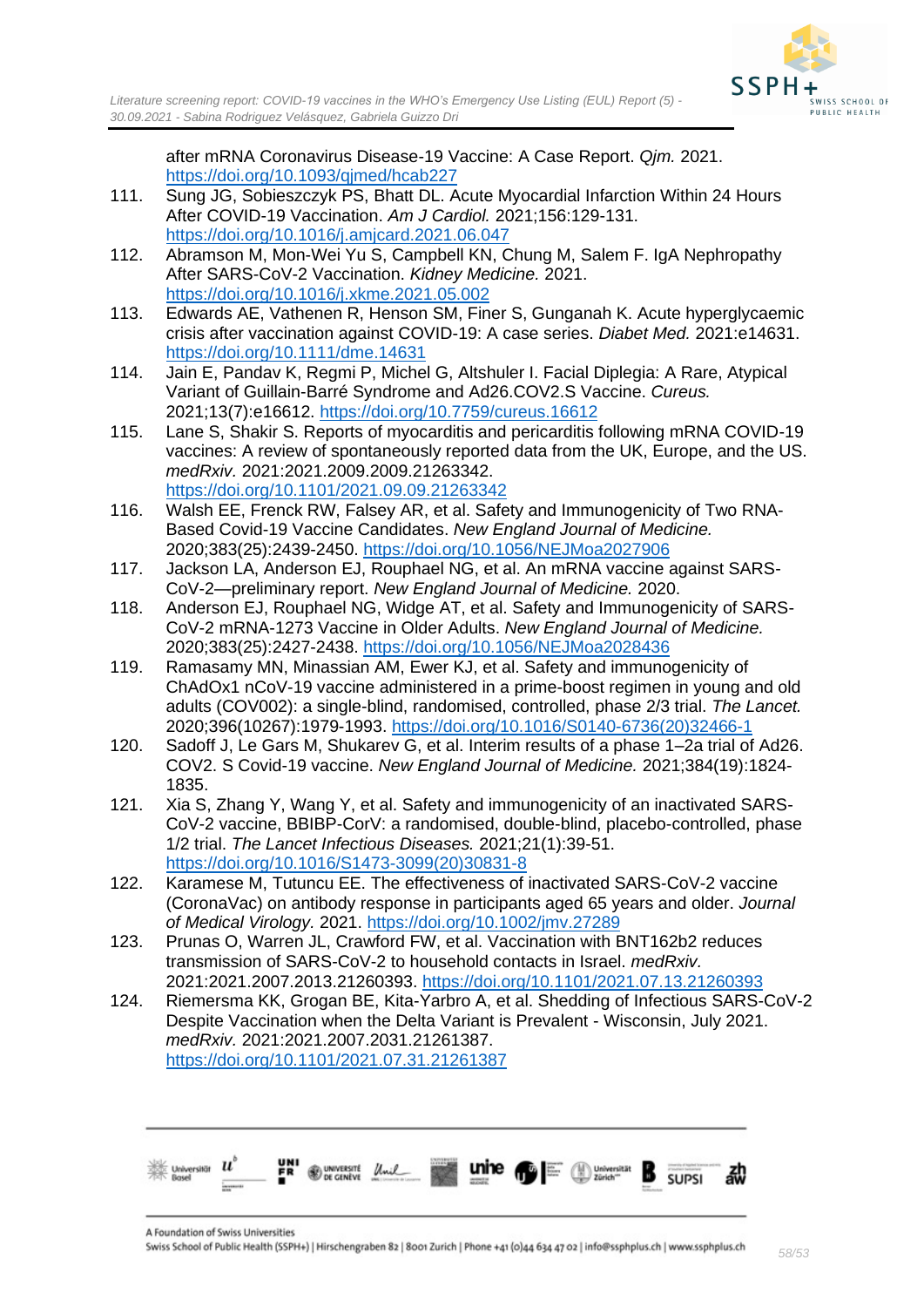

after mRNA Coronavirus Disease-19 Vaccine: A Case Report. *Qjm.* 2021. <https://doi.org/10.1093/qjmed/hcab227>

- 111. Sung JG, Sobieszczyk PS, Bhatt DL. Acute Myocardial Infarction Within 24 Hours After COVID-19 Vaccination. *Am J Cardiol.* 2021;156:129-131. <https://doi.org/10.1016/j.amjcard.2021.06.047>
- 112. Abramson M, Mon-Wei Yu S, Campbell KN, Chung M, Salem F. IgA Nephropathy After SARS-CoV-2 Vaccination. *Kidney Medicine.* 2021. <https://doi.org/10.1016/j.xkme.2021.05.002>
- 113. Edwards AE, Vathenen R, Henson SM, Finer S, Gunganah K. Acute hyperglycaemic crisis after vaccination against COVID-19: A case series. *Diabet Med.* 2021:e14631. <https://doi.org/10.1111/dme.14631>
- 114. Jain E, Pandav K, Regmi P, Michel G, Altshuler I. Facial Diplegia: A Rare, Atypical Variant of Guillain-Barré Syndrome and Ad26.COV2.S Vaccine. *Cureus.*  2021;13(7):e16612.<https://doi.org/10.7759/cureus.16612>
- 115. Lane S, Shakir S. Reports of myocarditis and pericarditis following mRNA COVID-19 vaccines: A review of spontaneously reported data from the UK, Europe, and the US. *medRxiv.* 2021:2021.2009.2009.21263342. <https://doi.org/10.1101/2021.09.09.21263342>
- 116. Walsh EE, Frenck RW, Falsey AR, et al. Safety and Immunogenicity of Two RNA-Based Covid-19 Vaccine Candidates. *New England Journal of Medicine.*  2020;383(25):2439-2450.<https://doi.org/10.1056/NEJMoa2027906>
- 117. Jackson LA, Anderson EJ, Rouphael NG, et al. An mRNA vaccine against SARS-CoV-2—preliminary report. *New England Journal of Medicine.* 2020.
- 118. Anderson EJ, Rouphael NG, Widge AT, et al. Safety and Immunogenicity of SARS-CoV-2 mRNA-1273 Vaccine in Older Adults. *New England Journal of Medicine.*  2020;383(25):2427-2438.<https://doi.org/10.1056/NEJMoa2028436>
- 119. Ramasamy MN, Minassian AM, Ewer KJ, et al. Safety and immunogenicity of ChAdOx1 nCoV-19 vaccine administered in a prime-boost regimen in young and old adults (COV002): a single-blind, randomised, controlled, phase 2/3 trial. *The Lancet.*  2020;396(10267):1979-1993. [https://doi.org/10.1016/S0140-6736\(20\)32466-1](https://doi.org/10.1016/S0140-6736(20)32466-1)
- 120. Sadoff J, Le Gars M, Shukarev G, et al. Interim results of a phase 1–2a trial of Ad26. COV2. S Covid-19 vaccine. *New England Journal of Medicine.* 2021;384(19):1824- 1835.
- 121. Xia S, Zhang Y, Wang Y, et al. Safety and immunogenicity of an inactivated SARS-CoV-2 vaccine, BBIBP-CorV: a randomised, double-blind, placebo-controlled, phase 1/2 trial. *The Lancet Infectious Diseases.* 2021;21(1):39-51. [https://doi.org/10.1016/S1473-3099\(20\)30831-8](https://doi.org/10.1016/S1473-3099(20)30831-8)
- 122. Karamese M, Tutuncu EE. The effectiveness of inactivated SARS-CoV-2 vaccine (CoronaVac) on antibody response in participants aged 65 years and older. *Journal of Medical Virology.* 2021.<https://doi.org/10.1002/jmv.27289>
- 123. Prunas O, Warren JL, Crawford FW, et al. Vaccination with BNT162b2 reduces transmission of SARS-CoV-2 to household contacts in Israel. *medRxiv.*  2021:2021.2007.2013.21260393.<https://doi.org/10.1101/2021.07.13.21260393>
- 124. Riemersma KK, Grogan BE, Kita-Yarbro A, et al. Shedding of Infectious SARS-CoV-2 Despite Vaccination when the Delta Variant is Prevalent - Wisconsin, July 2021. *medRxiv.* 2021:2021.2007.2031.21261387. <https://doi.org/10.1101/2021.07.31.21261387>

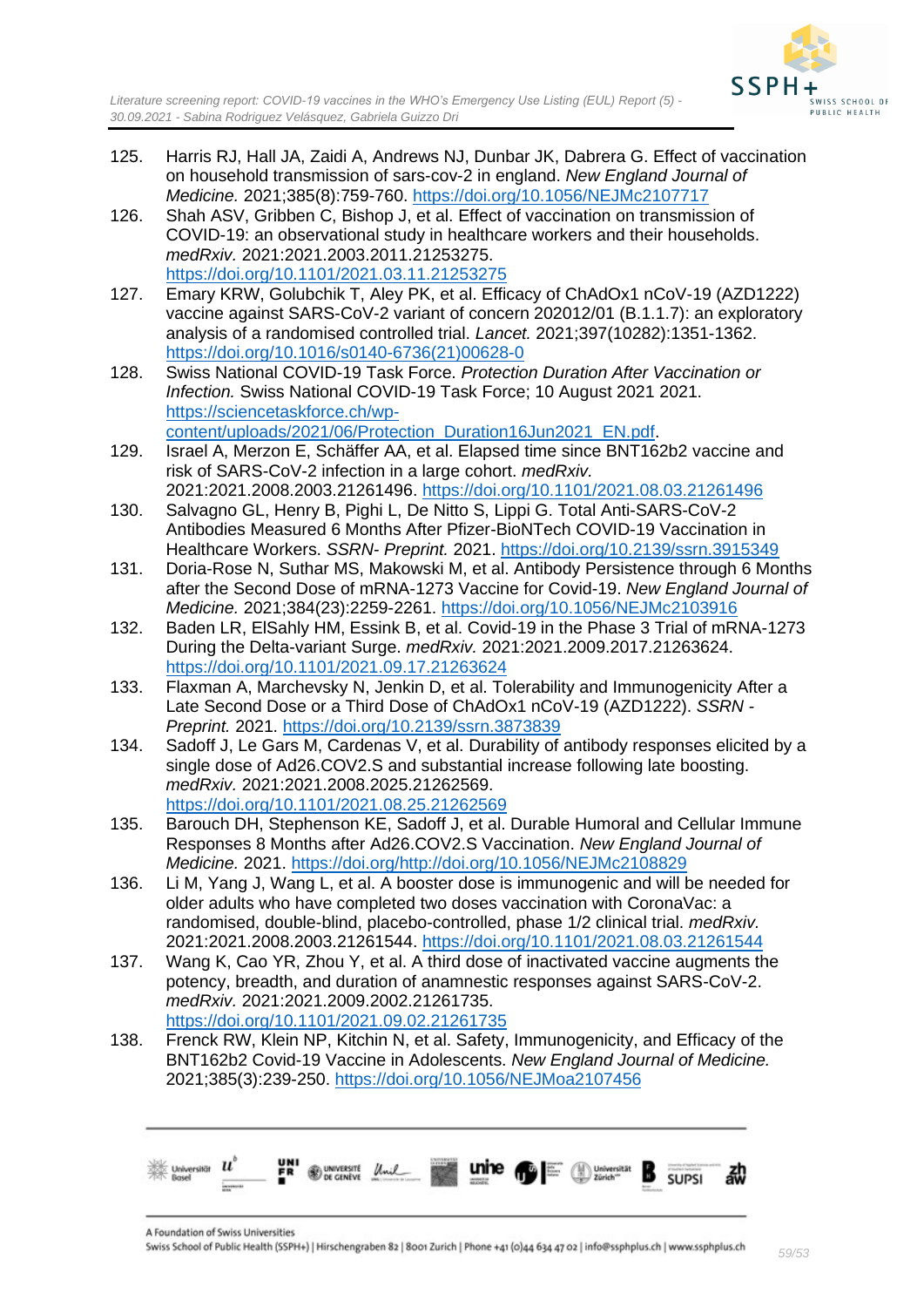

- 125. Harris RJ, Hall JA, Zaidi A, Andrews NJ, Dunbar JK, Dabrera G. Effect of vaccination on household transmission of sars-cov-2 in england. *New England Journal of Medicine.* 2021;385(8):759-760.<https://doi.org/10.1056/NEJMc2107717>
- 126. Shah ASV, Gribben C, Bishop J, et al. Effect of vaccination on transmission of COVID-19: an observational study in healthcare workers and their households. *medRxiv.* 2021:2021.2003.2011.21253275. <https://doi.org/10.1101/2021.03.11.21253275>
- 127. Emary KRW, Golubchik T, Aley PK, et al. Efficacy of ChAdOx1 nCoV-19 (AZD1222) vaccine against SARS-CoV-2 variant of concern 202012/01 (B.1.1.7): an exploratory analysis of a randomised controlled trial. *Lancet.* 2021;397(10282):1351-1362. [https://doi.org/10.1016/s0140-6736\(21\)00628-0](https://doi.org/10.1016/s0140-6736(21)00628-0)
- 128. Swiss National COVID-19 Task Force. *Protection Duration After Vaccination or Infection.* Swiss National COVID-19 Task Force; 10 August 2021 2021. [https://sciencetaskforce.ch/wp](https://sciencetaskforce.ch/wp-content/uploads/2021/06/Protection_Duration16Jun2021_EN.pdf)[content/uploads/2021/06/Protection\\_Duration16Jun2021\\_EN.pdf.](https://sciencetaskforce.ch/wp-content/uploads/2021/06/Protection_Duration16Jun2021_EN.pdf)
- 129. Israel A, Merzon E, Schäffer AA, et al. Elapsed time since BNT162b2 vaccine and risk of SARS-CoV-2 infection in a large cohort. *medRxiv.*  2021:2021.2008.2003.21261496.<https://doi.org/10.1101/2021.08.03.21261496>
- 130. Salvagno GL, Henry B, Pighi L, De Nitto S, Lippi G. Total Anti-SARS-CoV-2 Antibodies Measured 6 Months After Pfizer-BioNTech COVID-19 Vaccination in Healthcare Workers. *SSRN- Preprint.* 2021.<https://doi.org/10.2139/ssrn.3915349>
- 131. Doria-Rose N, Suthar MS, Makowski M, et al. Antibody Persistence through 6 Months after the Second Dose of mRNA-1273 Vaccine for Covid-19. *New England Journal of Medicine.* 2021;384(23):2259-2261.<https://doi.org/10.1056/NEJMc2103916>
- 132. Baden LR, ElSahly HM, Essink B, et al. Covid-19 in the Phase 3 Trial of mRNA-1273 During the Delta-variant Surge. *medRxiv.* 2021:2021.2009.2017.21263624. <https://doi.org/10.1101/2021.09.17.21263624>
- 133. Flaxman A, Marchevsky N, Jenkin D, et al. Tolerability and Immunogenicity After a Late Second Dose or a Third Dose of ChAdOx1 nCoV-19 (AZD1222). *SSRN - Preprint.* 2021.<https://doi.org/10.2139/ssrn.3873839>
- 134. Sadoff J, Le Gars M, Cardenas V, et al. Durability of antibody responses elicited by a single dose of Ad26.COV2.S and substantial increase following late boosting. *medRxiv.* 2021:2021.2008.2025.21262569. <https://doi.org/10.1101/2021.08.25.21262569>
- 135. Barouch DH, Stephenson KE, Sadoff J, et al. Durable Humoral and Cellular Immune Responses 8 Months after Ad26.COV2.S Vaccination. *New England Journal of Medicine.* 2021. [https://doi.org/http://doi.org/10.1056/NEJMc2108829](https://doi.org/http:/doi.org/10.1056/NEJMc2108829)
- 136. Li M, Yang J, Wang L, et al. A booster dose is immunogenic and will be needed for older adults who have completed two doses vaccination with CoronaVac: a randomised, double-blind, placebo-controlled, phase 1/2 clinical trial. *medRxiv.*  2021:2021.2008.2003.21261544.<https://doi.org/10.1101/2021.08.03.21261544>
- 137. Wang K, Cao YR, Zhou Y, et al. A third dose of inactivated vaccine augments the potency, breadth, and duration of anamnestic responses against SARS-CoV-2. *medRxiv.* 2021:2021.2009.2002.21261735. <https://doi.org/10.1101/2021.09.02.21261735>
- 138. Frenck RW, Klein NP, Kitchin N, et al. Safety, Immunogenicity, and Efficacy of the BNT162b2 Covid-19 Vaccine in Adolescents. *New England Journal of Medicine.*  2021;385(3):239-250.<https://doi.org/10.1056/NEJMoa2107456>

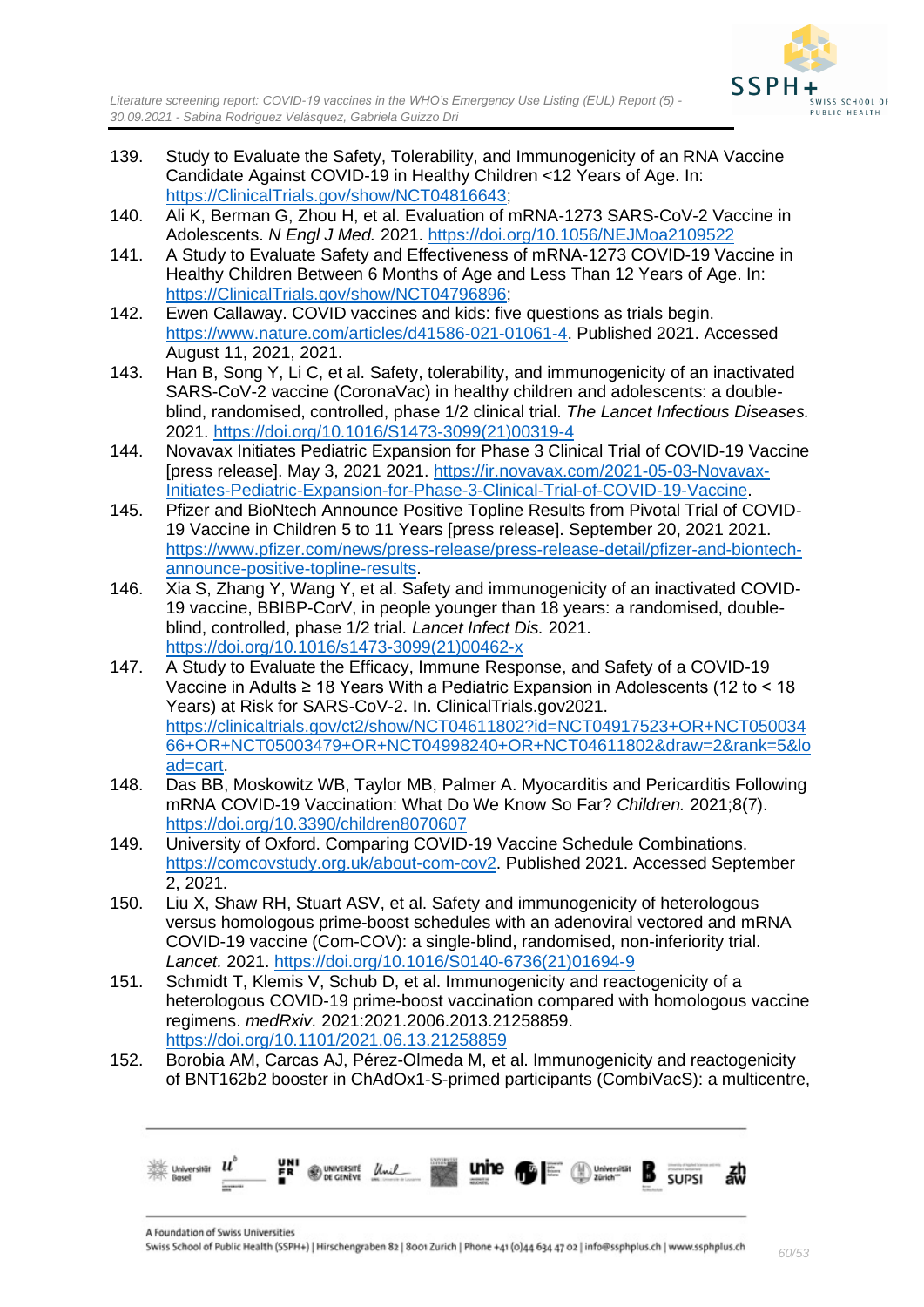

- 139. Study to Evaluate the Safety, Tolerability, and Immunogenicity of an RNA Vaccine Candidate Against COVID-19 in Healthy Children <12 Years of Age. In: [https://ClinicalTrials.gov/show/NCT04816643;](https://clinicaltrials.gov/show/NCT04816643)
- 140. Ali K, Berman G, Zhou H, et al. Evaluation of mRNA-1273 SARS-CoV-2 Vaccine in Adolescents. *N Engl J Med.* 2021.<https://doi.org/10.1056/NEJMoa2109522>
- 141. A Study to Evaluate Safety and Effectiveness of mRNA-1273 COVID-19 Vaccine in Healthy Children Between 6 Months of Age and Less Than 12 Years of Age. In: [https://ClinicalTrials.gov/show/NCT04796896;](https://clinicaltrials.gov/show/NCT04796896)
- 142. Ewen Callaway. COVID vaccines and kids: five questions as trials begin. [https://www.nature.com/articles/d41586-021-01061-4.](https://www.nature.com/articles/d41586-021-01061-4) Published 2021. Accessed August 11, 2021, 2021.
- 143. Han B, Song Y, Li C, et al. Safety, tolerability, and immunogenicity of an inactivated SARS-CoV-2 vaccine (CoronaVac) in healthy children and adolescents: a doubleblind, randomised, controlled, phase 1/2 clinical trial. *The Lancet Infectious Diseases.*  2021. [https://doi.org/10.1016/S1473-3099\(21\)00319-4](https://doi.org/10.1016/S1473-3099(21)00319-4)
- 144. Novavax Initiates Pediatric Expansion for Phase 3 Clinical Trial of COVID-19 Vaccine [press release]. May 3, 2021 2021. [https://ir.novavax.com/2021-05-03-Novavax-](https://ir.novavax.com/2021-05-03-Novavax-Initiates-Pediatric-Expansion-for-Phase-3-Clinical-Trial-of-COVID-19-Vaccine)[Initiates-Pediatric-Expansion-for-Phase-3-Clinical-Trial-of-COVID-19-Vaccine.](https://ir.novavax.com/2021-05-03-Novavax-Initiates-Pediatric-Expansion-for-Phase-3-Clinical-Trial-of-COVID-19-Vaccine)
- 145. Pfizer and BioNtech Announce Positive Topline Results from Pivotal Trial of COVID-19 Vaccine in Children 5 to 11 Years [press release]. September 20, 2021 2021. [https://www.pfizer.com/news/press-release/press-release-detail/pfizer-and-biontech](https://www.pfizer.com/news/press-release/press-release-detail/pfizer-and-biontech-announce-positive-topline-results)[announce-positive-topline-results.](https://www.pfizer.com/news/press-release/press-release-detail/pfizer-and-biontech-announce-positive-topline-results)
- 146. Xia S, Zhang Y, Wang Y, et al. Safety and immunogenicity of an inactivated COVID-19 vaccine, BBIBP-CorV, in people younger than 18 years: a randomised, doubleblind, controlled, phase 1/2 trial. *Lancet Infect Dis.* 2021. [https://doi.org/10.1016/s1473-3099\(21\)00462-x](https://doi.org/10.1016/s1473-3099(21)00462-x)
- 147. A Study to Evaluate the Efficacy, Immune Response, and Safety of a COVID-19 Vaccine in Adults ≥ 18 Years With a Pediatric Expansion in Adolescents (12 to < 18 Years) at Risk for SARS-CoV-2. In. ClinicalTrials.gov2021. [https://clinicaltrials.gov/ct2/show/NCT04611802?id=NCT04917523+OR+NCT050034](https://clinicaltrials.gov/ct2/show/NCT04611802?id=NCT04917523+OR+NCT05003466+OR+NCT05003479+OR+NCT04998240+OR+NCT04611802&draw=2&rank=5&load=cart) [66+OR+NCT05003479+OR+NCT04998240+OR+NCT04611802&draw=2&rank=5&lo](https://clinicaltrials.gov/ct2/show/NCT04611802?id=NCT04917523+OR+NCT05003466+OR+NCT05003479+OR+NCT04998240+OR+NCT04611802&draw=2&rank=5&load=cart) [ad=cart.](https://clinicaltrials.gov/ct2/show/NCT04611802?id=NCT04917523+OR+NCT05003466+OR+NCT05003479+OR+NCT04998240+OR+NCT04611802&draw=2&rank=5&load=cart)
- 148. Das BB, Moskowitz WB, Taylor MB, Palmer A. Myocarditis and Pericarditis Following mRNA COVID-19 Vaccination: What Do We Know So Far? *Children.* 2021;8(7). <https://doi.org/10.3390/children8070607>
- 149. University of Oxford. Comparing COVID-19 Vaccine Schedule Combinations. [https://comcovstudy.org.uk/about-com-cov2.](https://comcovstudy.org.uk/about-com-cov2) Published 2021. Accessed September 2, 2021.
- 150. Liu X, Shaw RH, Stuart ASV, et al. Safety and immunogenicity of heterologous versus homologous prime-boost schedules with an adenoviral vectored and mRNA COVID-19 vaccine (Com-COV): a single-blind, randomised, non-inferiority trial. *Lancet.* 2021. [https://doi.org/10.1016/S0140-6736\(21\)01694-9](https://doi.org/10.1016/S0140-6736(21)01694-9)
- 151. Schmidt T, Klemis V, Schub D, et al. Immunogenicity and reactogenicity of a heterologous COVID-19 prime-boost vaccination compared with homologous vaccine regimens. *medRxiv.* 2021:2021.2006.2013.21258859. <https://doi.org/10.1101/2021.06.13.21258859>
- 152. Borobia AM, Carcas AJ, Pérez-Olmeda M, et al. Immunogenicity and reactogenicity of BNT162b2 booster in ChAdOx1-S-primed participants (CombiVacS): a multicentre,

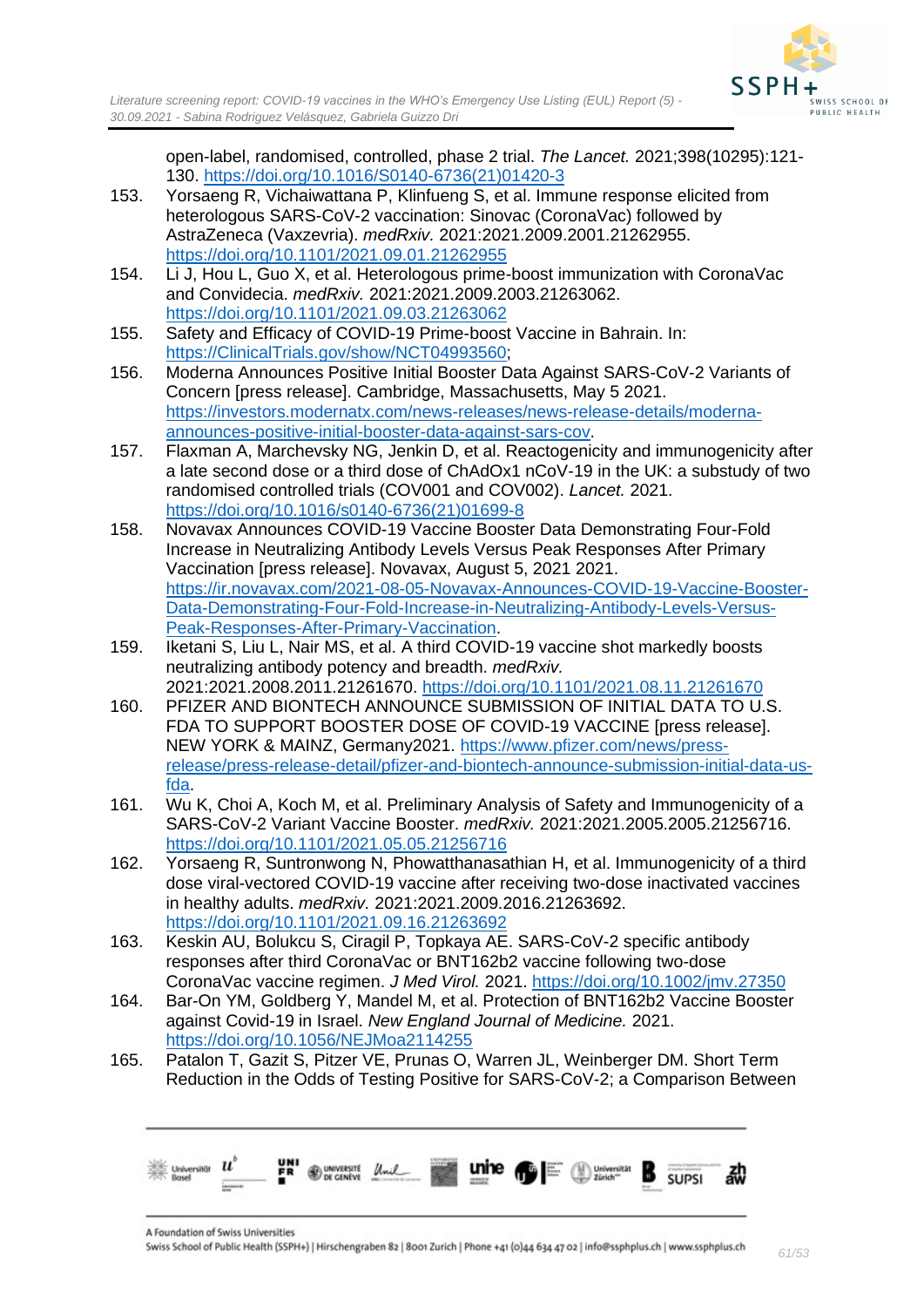open-label, randomised, controlled, phase 2 trial. *The Lancet.* 2021;398(10295):121- 130. [https://doi.org/10.1016/S0140-6736\(21\)01420-3](https://doi.org/10.1016/S0140-6736(21)01420-3)

- 153. Yorsaeng R, Vichaiwattana P, Klinfueng S, et al. Immune response elicited from heterologous SARS-CoV-2 vaccination: Sinovac (CoronaVac) followed by AstraZeneca (Vaxzevria). *medRxiv.* 2021:2021.2009.2001.21262955. <https://doi.org/10.1101/2021.09.01.21262955>
- 154. Li J, Hou L, Guo X, et al. Heterologous prime-boost immunization with CoronaVac and Convidecia. *medRxiv.* 2021:2021.2009.2003.21263062. <https://doi.org/10.1101/2021.09.03.21263062>
- 155. Safety and Efficacy of COVID-19 Prime-boost Vaccine in Bahrain. In: [https://ClinicalTrials.gov/show/NCT04993560;](https://clinicaltrials.gov/show/NCT04993560)
- 156. Moderna Announces Positive Initial Booster Data Against SARS-CoV-2 Variants of Concern [press release]. Cambridge, Massachusetts, May 5 2021. [https://investors.modernatx.com/news-releases/news-release-details/moderna](https://investors.modernatx.com/news-releases/news-release-details/moderna-announces-positive-initial-booster-data-against-sars-cov)[announces-positive-initial-booster-data-against-sars-cov.](https://investors.modernatx.com/news-releases/news-release-details/moderna-announces-positive-initial-booster-data-against-sars-cov)
- 157. Flaxman A, Marchevsky NG, Jenkin D, et al. Reactogenicity and immunogenicity after a late second dose or a third dose of ChAdOx1 nCoV-19 in the UK: a substudy of two randomised controlled trials (COV001 and COV002). *Lancet.* 2021. [https://doi.org/10.1016/s0140-6736\(21\)01699-8](https://doi.org/10.1016/s0140-6736(21)01699-8)
- 158. Novavax Announces COVID-19 Vaccine Booster Data Demonstrating Four-Fold Increase in Neutralizing Antibody Levels Versus Peak Responses After Primary Vaccination [press release]. Novavax, August 5, 2021 2021. [https://ir.novavax.com/2021-08-05-Novavax-Announces-COVID-19-Vaccine-Booster-](https://ir.novavax.com/2021-08-05-Novavax-Announces-COVID-19-Vaccine-Booster-Data-Demonstrating-Four-Fold-Increase-in-Neutralizing-Antibody-Levels-Versus-Peak-Responses-After-Primary-Vaccination)[Data-Demonstrating-Four-Fold-Increase-in-Neutralizing-Antibody-Levels-Versus-](https://ir.novavax.com/2021-08-05-Novavax-Announces-COVID-19-Vaccine-Booster-Data-Demonstrating-Four-Fold-Increase-in-Neutralizing-Antibody-Levels-Versus-Peak-Responses-After-Primary-Vaccination)[Peak-Responses-After-Primary-Vaccination.](https://ir.novavax.com/2021-08-05-Novavax-Announces-COVID-19-Vaccine-Booster-Data-Demonstrating-Four-Fold-Increase-in-Neutralizing-Antibody-Levels-Versus-Peak-Responses-After-Primary-Vaccination)
- 159. Iketani S, Liu L, Nair MS, et al. A third COVID-19 vaccine shot markedly boosts neutralizing antibody potency and breadth. *medRxiv.*  2021:2021.2008.2011.21261670.<https://doi.org/10.1101/2021.08.11.21261670>
- 160. PFIZER AND BIONTECH ANNOUNCE SUBMISSION OF INITIAL DATA TO U.S. FDA TO SUPPORT BOOSTER DOSE OF COVID-19 VACCINE [press release]. NEW YORK & MAINZ, Germany2021. [https://www.pfizer.com/news/press](https://www.pfizer.com/news/press-release/press-release-detail/pfizer-and-biontech-announce-submission-initial-data-us-fda)[release/press-release-detail/pfizer-and-biontech-announce-submission-initial-data-us](https://www.pfizer.com/news/press-release/press-release-detail/pfizer-and-biontech-announce-submission-initial-data-us-fda)[fda.](https://www.pfizer.com/news/press-release/press-release-detail/pfizer-and-biontech-announce-submission-initial-data-us-fda)
- 161. Wu K, Choi A, Koch M, et al. Preliminary Analysis of Safety and Immunogenicity of a SARS-CoV-2 Variant Vaccine Booster. *medRxiv.* 2021:2021.2005.2005.21256716. <https://doi.org/10.1101/2021.05.05.21256716>
- 162. Yorsaeng R, Suntronwong N, Phowatthanasathian H, et al. Immunogenicity of a third dose viral-vectored COVID-19 vaccine after receiving two-dose inactivated vaccines in healthy adults. *medRxiv.* 2021:2021.2009.2016.21263692. <https://doi.org/10.1101/2021.09.16.21263692>
- 163. Keskin AU, Bolukcu S, Ciragil P, Topkaya AE. SARS-CoV-2 specific antibody responses after third CoronaVac or BNT162b2 vaccine following two-dose CoronaVac vaccine regimen. *J Med Virol.* 2021.<https://doi.org/10.1002/jmv.27350>
- 164. Bar-On YM, Goldberg Y, Mandel M, et al. Protection of BNT162b2 Vaccine Booster against Covid-19 in Israel. *New England Journal of Medicine.* 2021. <https://doi.org/10.1056/NEJMoa2114255>
- 165. Patalon T, Gazit S, Pitzer VE, Prunas O, Warren JL, Weinberger DM. Short Term Reduction in the Odds of Testing Positive for SARS-CoV-2; a Comparison Between

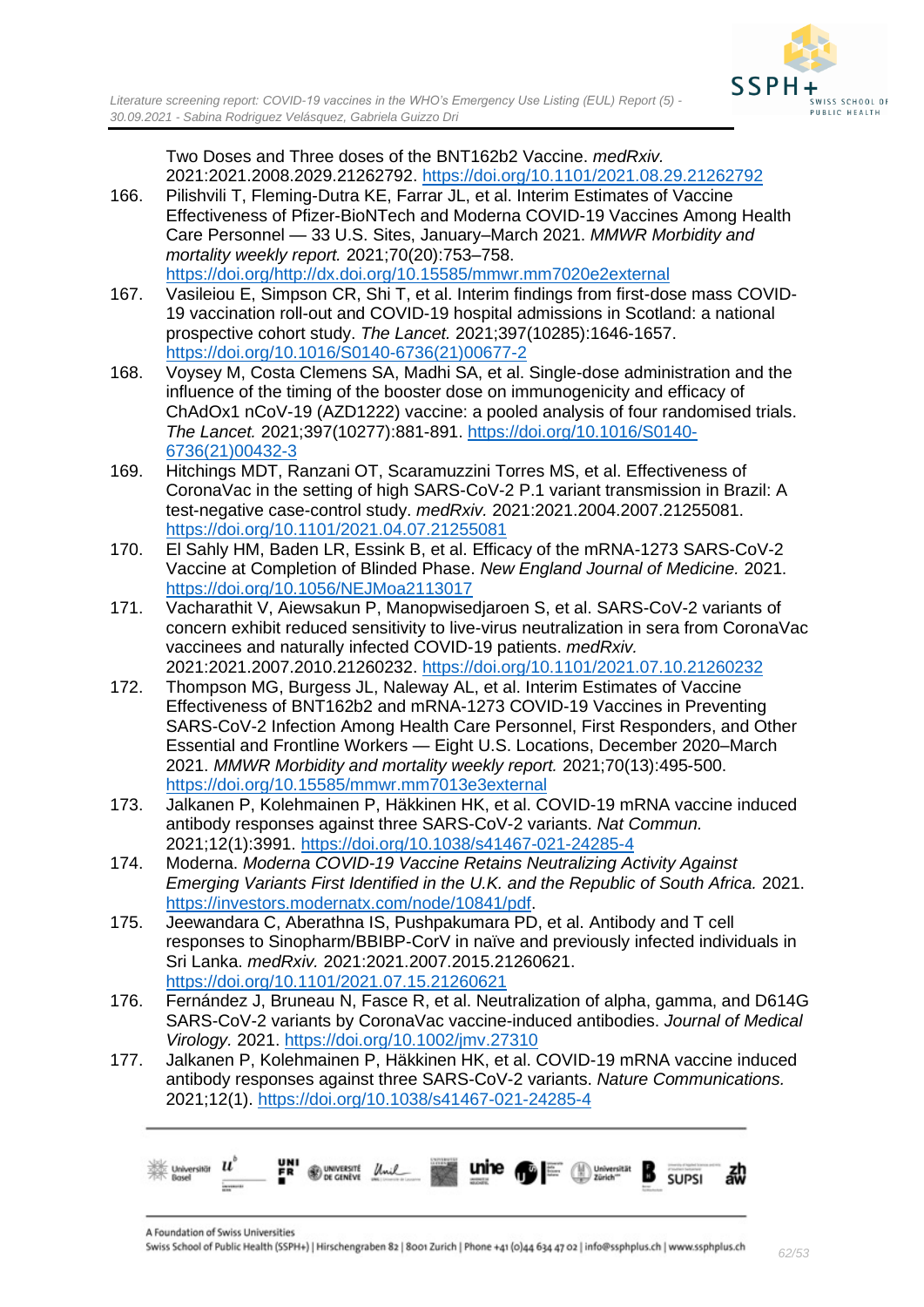Two Doses and Three doses of the BNT162b2 Vaccine. *medRxiv.*  2021:2021.2008.2029.21262792.<https://doi.org/10.1101/2021.08.29.21262792>

- 166. Pilishvili T, Fleming-Dutra KE, Farrar JL, et al. Interim Estimates of Vaccine Effectiveness of Pfizer-BioNTech and Moderna COVID-19 Vaccines Among Health Care Personnel — 33 U.S. Sites, January–March 2021. *MMWR Morbidity and mortality weekly report.* 2021;70(20):753–758. [https://doi.org/http://dx.doi.org/10.15585/mmwr.mm7020e2external](https://doi.org/http:/dx.doi.org/10.15585/mmwr.mm7020e2external)
- 167. Vasileiou E, Simpson CR, Shi T, et al. Interim findings from first-dose mass COVID-19 vaccination roll-out and COVID-19 hospital admissions in Scotland: a national prospective cohort study. *The Lancet.* 2021;397(10285):1646-1657. [https://doi.org/10.1016/S0140-6736\(21\)00677-2](https://doi.org/10.1016/S0140-6736(21)00677-2)
- 168. Voysey M, Costa Clemens SA, Madhi SA, et al. Single-dose administration and the influence of the timing of the booster dose on immunogenicity and efficacy of ChAdOx1 nCoV-19 (AZD1222) vaccine: a pooled analysis of four randomised trials. *The Lancet.* 2021;397(10277):881-891. [https://doi.org/10.1016/S0140-](https://doi.org/10.1016/S0140-6736(21)00432-3) [6736\(21\)00432-3](https://doi.org/10.1016/S0140-6736(21)00432-3)
- 169. Hitchings MDT, Ranzani OT, Scaramuzzini Torres MS, et al. Effectiveness of CoronaVac in the setting of high SARS-CoV-2 P.1 variant transmission in Brazil: A test-negative case-control study. *medRxiv.* 2021:2021.2004.2007.21255081. <https://doi.org/10.1101/2021.04.07.21255081>
- 170. El Sahly HM, Baden LR, Essink B, et al. Efficacy of the mRNA-1273 SARS-CoV-2 Vaccine at Completion of Blinded Phase. *New England Journal of Medicine.* 2021. <https://doi.org/10.1056/NEJMoa2113017>
- 171. Vacharathit V, Aiewsakun P, Manopwisedjaroen S, et al. SARS-CoV-2 variants of concern exhibit reduced sensitivity to live-virus neutralization in sera from CoronaVac vaccinees and naturally infected COVID-19 patients. *medRxiv.*  2021:2021.2007.2010.21260232.<https://doi.org/10.1101/2021.07.10.21260232>
- 172. Thompson MG, Burgess JL, Naleway AL, et al. Interim Estimates of Vaccine Effectiveness of BNT162b2 and mRNA-1273 COVID-19 Vaccines in Preventing SARS-CoV-2 Infection Among Health Care Personnel, First Responders, and Other Essential and Frontline Workers — Eight U.S. Locations, December 2020–March 2021. *MMWR Morbidity and mortality weekly report.* 2021;70(13):495-500. <https://doi.org/10.15585/mmwr.mm7013e3external>
- 173. Jalkanen P, Kolehmainen P, Häkkinen HK, et al. COVID-19 mRNA vaccine induced antibody responses against three SARS-CoV-2 variants. *Nat Commun.*  2021;12(1):3991.<https://doi.org/10.1038/s41467-021-24285-4>
- 174. Moderna. *Moderna COVID-19 Vaccine Retains Neutralizing Activity Against Emerging Variants First Identified in the U.K. and the Republic of South Africa.* 2021. [https://investors.modernatx.com/node/10841/pdf.](https://investors.modernatx.com/node/10841/pdf)
- 175. Jeewandara C, Aberathna IS, Pushpakumara PD, et al. Antibody and T cell responses to Sinopharm/BBIBP-CorV in naïve and previously infected individuals in Sri Lanka. *medRxiv.* 2021:2021.2007.2015.21260621. <https://doi.org/10.1101/2021.07.15.21260621>
- 176. Fernández J, Bruneau N, Fasce R, et al. Neutralization of alpha, gamma, and D614G SARS-CoV-2 variants by CoronaVac vaccine-induced antibodies. *Journal of Medical Virology.* 2021.<https://doi.org/10.1002/jmv.27310>
- 177. Jalkanen P, Kolehmainen P, Häkkinen HK, et al. COVID-19 mRNA vaccine induced antibody responses against three SARS-CoV-2 variants. *Nature Communications.*  2021;12(1).<https://doi.org/10.1038/s41467-021-24285-4>